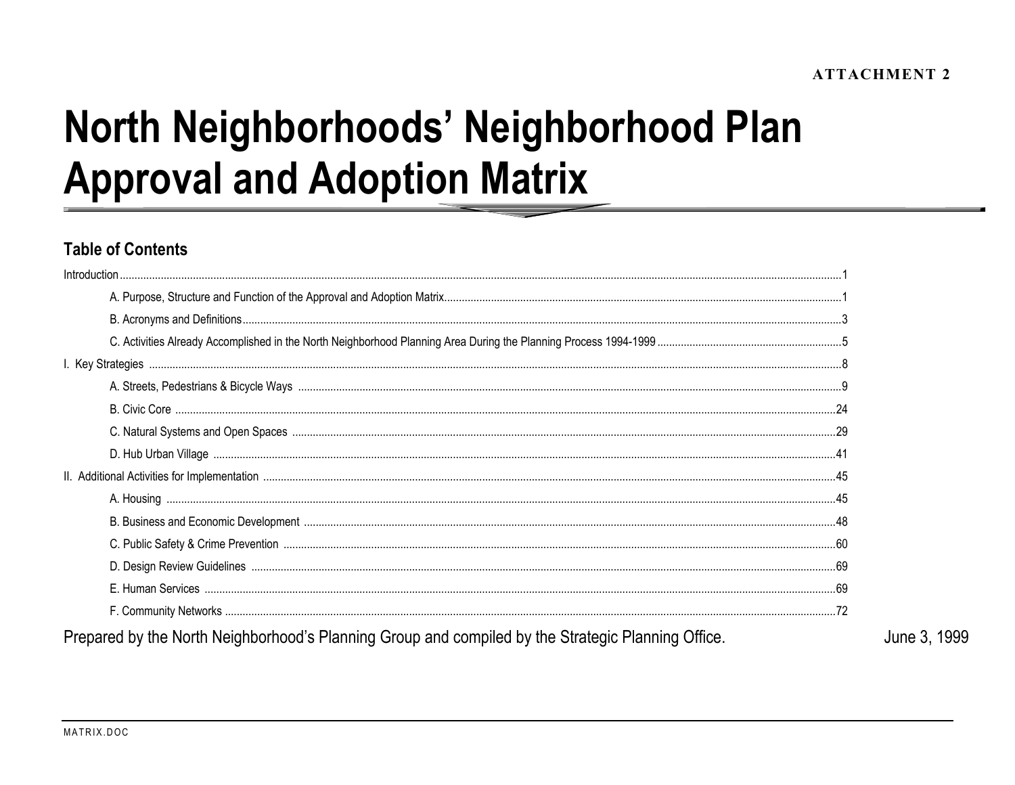# North Neighborhoods' Neighborhood Plan **Approval and Adoption Matrix**

## **Table of Contents**

| Introduction                                                                                       |  |
|----------------------------------------------------------------------------------------------------|--|
|                                                                                                    |  |
|                                                                                                    |  |
|                                                                                                    |  |
|                                                                                                    |  |
|                                                                                                    |  |
|                                                                                                    |  |
|                                                                                                    |  |
|                                                                                                    |  |
|                                                                                                    |  |
|                                                                                                    |  |
|                                                                                                    |  |
|                                                                                                    |  |
|                                                                                                    |  |
|                                                                                                    |  |
|                                                                                                    |  |
| Prepared by the North Neighborhood's Planning Group and compiled by the Strategic Planning Office. |  |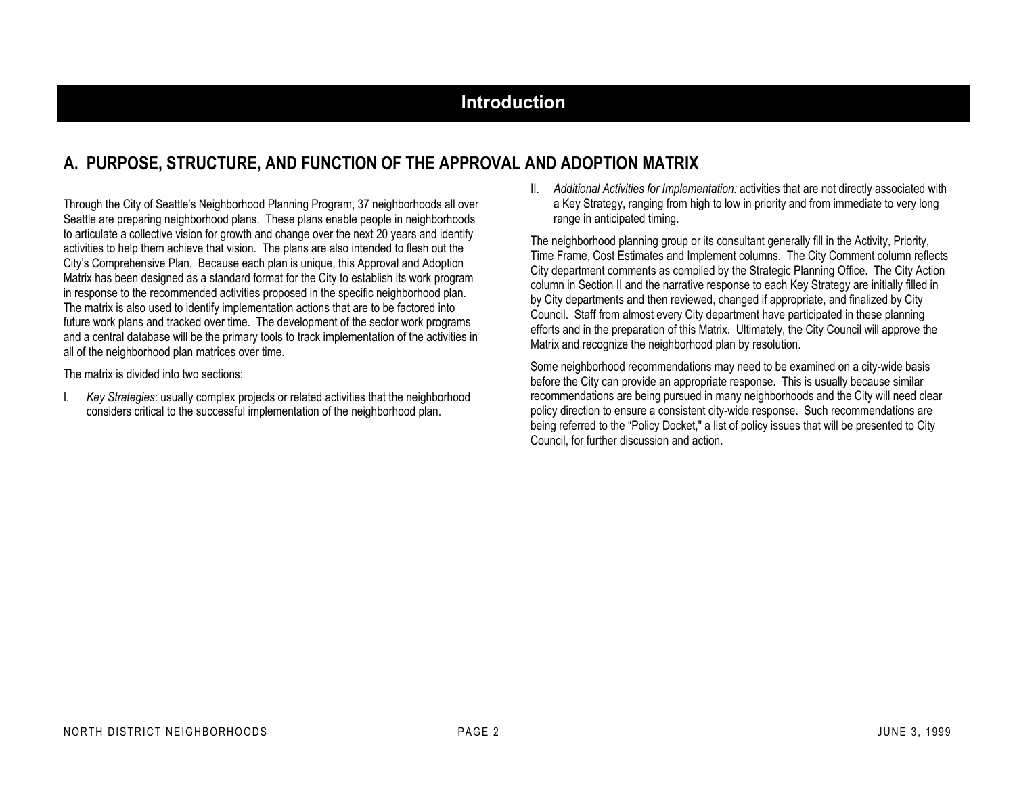## **Introduction**

## **A. PURPOSE, STRUCTURE, AND FUNCTION OF THE APPROVAL AND ADOPTION MATRIX**

Through the City of Seattle's Neighborhood Planning Program, 37 neighborhoods all over Seattle are preparing neighborhood plans. These plans enable people in neighborhoods to articulate a collective vision for growth and change over the next 20 years and identify activities to help them achieve that vision. The plans are also intended to flesh out the City's Comprehensive Plan. Because each plan is unique, this Approval and Adoption Matrix has been designed as a standard format for the City to establish its work program in response to the recommended activities proposed in the specific neighborhood plan. The matrix is also used to identify implementation actions that are to be factored into future work plans and tracked over time. The development of the sector work programs and a central database will be the primary tools to track implementation of the activities in all of the neighborhood plan matrices over time.

The matrix is divided into two sections:

I. *Key Strategies*: usually complex projects or related activities that the neighborhood considers critical to the successful implementation of the neighborhood plan.

II. *Additional Activities for Implementation:* activities that are not directly associated with a Key Strategy, ranging from high to low in priority and from immediate to very long range in anticipated timing.

The neighborhood planning group or its consultant generally fill in the Activity, Priority, Time Frame, Cost Estimates and Implement columns. The City Comment column reflects City department comments as compiled by the Strategic Planning Office. The City Action column in Section II and the narrative response to each Key Strategy are initially filled in by City departments and then reviewed, changed if appropriate, and finalized by City Council. Staff from almost every City department have participated in these planning efforts and in the preparation of this Matrix. Ultimately, the City Council will approve the Matrix and recognize the neighborhood plan by resolution.

Some neighborhood recommendations may need to be examined on a city-wide basis before the City can provide an appropriate response. This is usually because similar recommendations are being pursued in many neighborhoods and the City will need clear policy direction to ensure a consistent city-wide response. Such recommendations are being referred to the "Policy Docket," a list of policy issues that will be presented to City Council, for further discussion and action.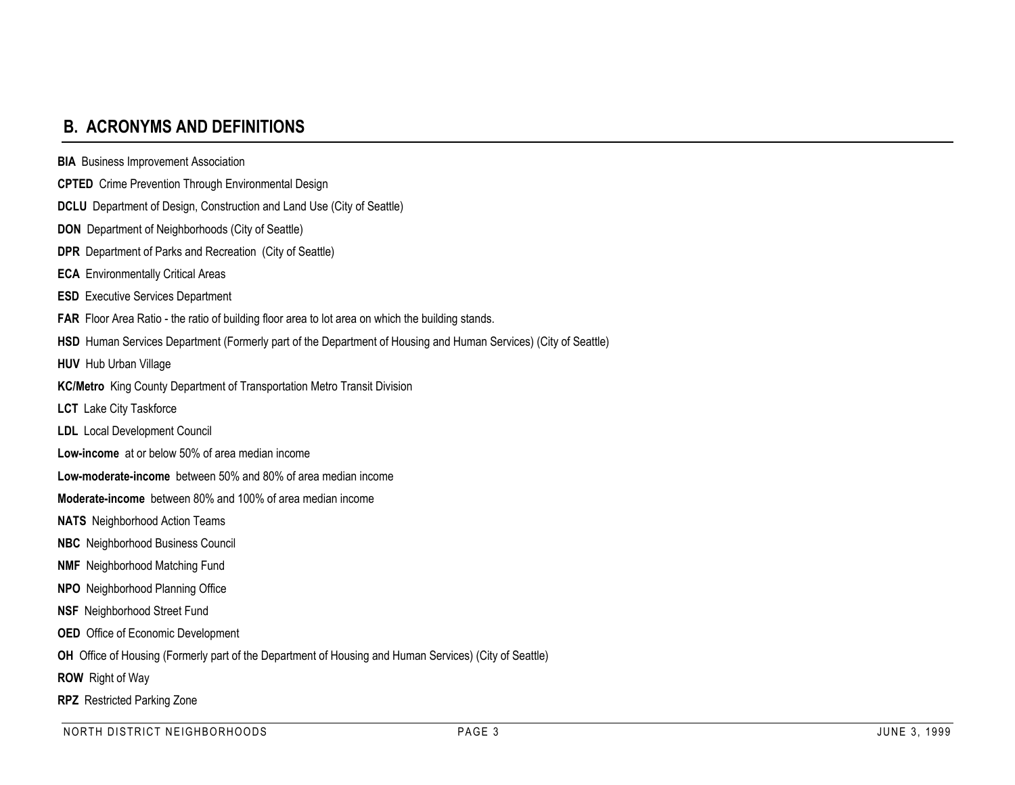## **B. ACRONYMS AND DEFINITIONS**

**BIA** Business Improvement Association **CPTED** Crime Prevention Through Environmental Design **DCLU** Department of Design, Construction and Land Use (City of Seattle) **DON** Department of Neighborhoods (City of Seattle) **DPR** Department of Parks and Recreation (City of Seattle) **ECA** Environmentally Critical Areas **ESD** Executive Services Department FAR Floor Area Ratio - the ratio of building floor area to lot area on which the building stands. **HSD** Human Services Department (Formerly part of the Department of Housing and Human Services) (City of Seattle) **HUV** Hub Urban Village **KC/Metro** King County Department of Transportation Metro Transit Division **LCT** Lake City Taskforce **LDL** Local Development Council **Low-income** at or below 50% of area median income**Low-moderate-income** between 50% and 80% of area median income**Moderate-income** between 80% and 100% of area median income**NATS** Neighborhood Action Teams **NBC** Neighborhood Business Council **NMF** Neighborhood Matching Fund **NPO** Neighborhood Planning Office **NSF** Neighborhood Street Fund **OED** Office of Economic Development **OH** Office of Housing (Formerly part of the Department of Housing and Human Services) (City of Seattle) **ROW** Right of Way **RPZ** Restricted Parking Zone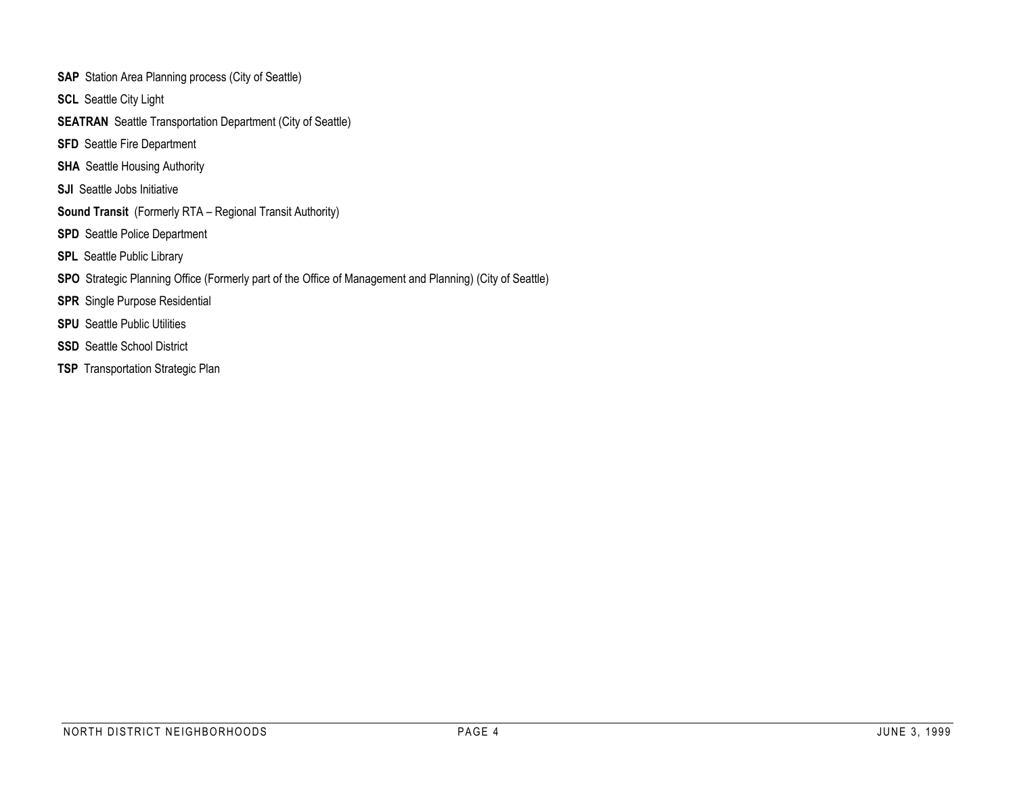- **SAP** Station Area Planning process (City of Seattle)
- **SCL** Seattle City Light
- **SEATRAN** Seattle Transportation Department (City of Seattle)
- **SFD** Seattle Fire Department
- **SHA** Seattle Housing Authority
- **SJI** Seattle Jobs Initiative
- **Sound Transit** (Formerly RTA Regional Transit Authority)
- **SPD** Seattle Police Department
- **SPL** Seattle Public Library
- **SPO** Strategic Planning Office (Formerly part of the Office of Management and Planning) (City of Seattle)
- **SPR** Single Purpose Residential
- **SPU** Seattle Public Utilities
- **SSD** Seattle School District
- **TSP** Transportation Strategic Plan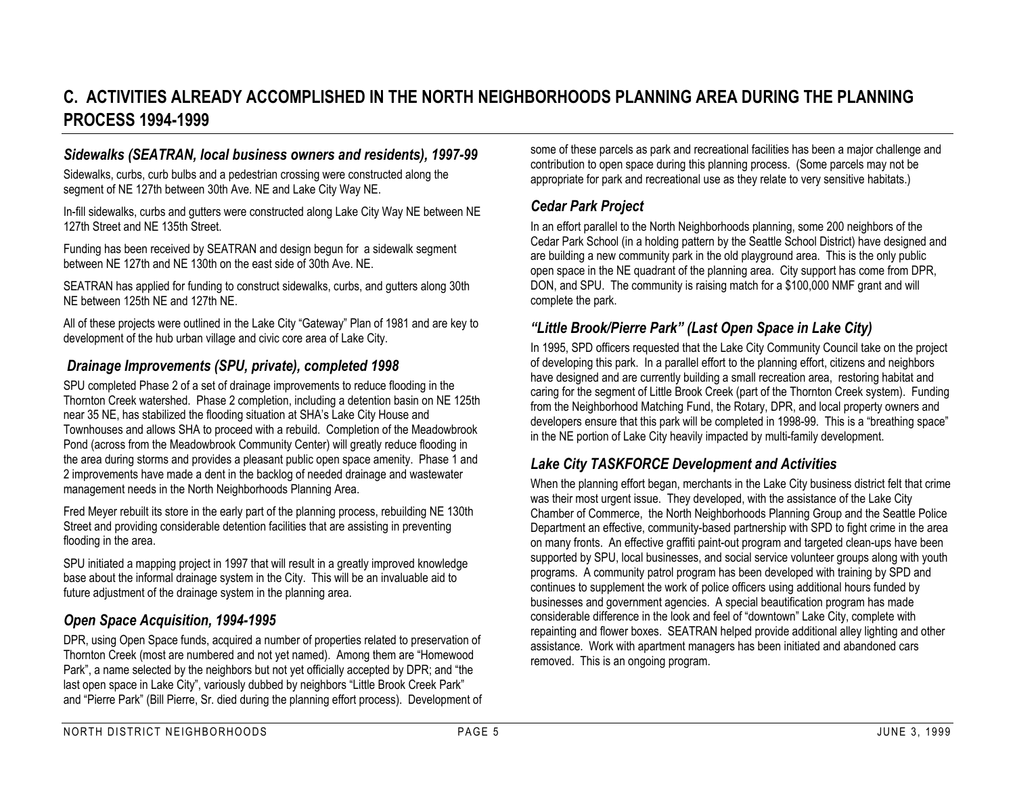## **C. ACTIVITIES ALREADY ACCOMPLISHED IN THE NORTH NEIGHBORHOODS PLANNING AREA DURING THE PLANNINGPROCESS 1994-1999**

#### *Sidewalks (SEATRAN, local business owners and residents), 1997-99*

Sidewalks, curbs, curb bulbs and a pedestrian crossing were constructed along the segment of NE 127th between 30th Ave. NE and Lake City Way NE.

In-fill sidewalks, curbs and gutters were constructed along Lake City Way NE between NE 127th Street and NE 135th Street.

Funding has been received by SEATRAN and design begun for a sidewalk segment between NE 127th and NE 130th on the east side of 30th Ave. NE.

SEATRAN has applied for funding to construct sidewalks, curbs, and gutters along 30th NE between 125th NE and 127th NE.

All of these projects were outlined in the Lake City "Gateway" Plan of 1981 and are key to development of the hub urban village and civic core area of Lake City.

#### *Drainage Improvements (SPU, private), completed 1998*

SPU completed Phase 2 of a set of drainage improvements to reduce flooding in the Thornton Creek watershed. Phase 2 completion, including a detention basin on NE 125th near 35 NE, has stabilized the flooding situation at SHA's Lake City House and Townhouses and allows SHA to proceed with a rebuild. Completion of the Meadowbrook Pond (across from the Meadowbrook Community Center) will greatly reduce flooding in the area during storms and provides a pleasant public open space amenity. Phase 1 and 2 improvements have made a dent in the backlog of needed drainage and wastewater management needs in the North Neighborhoods Planning Area.

Fred Meyer rebuilt its store in the early part of the planning process, rebuilding NE 130th Street and providing considerable detention facilities that are assisting in preventing flooding in the area.

SPU initiated a mapping project in 1997 that will result in a greatly improved knowledge base about the informal drainage system in the City. This will be an invaluable aid to future adjustment of the drainage system in the planning area.

#### *Open Space Acquisition, 1994-1995*

DPR, using Open Space funds, acquired a number of properties related to preservation of Thornton Creek (most are numbered and not yet named). Among them are "Homewood Park", a name selected by the neighbors but not yet officially accepted by DPR; and "the last open space in Lake City", variously dubbed by neighbors "Little Brook Creek Park" and "Pierre Park" (Bill Pierre, Sr. died during the planning effort process). Development of some of these parcels as park and recreational facilities has been a major challenge and contribution to open space during this planning process. (Some parcels may not be appropriate for park and recreational use as they relate to very sensitive habitats.)

#### *Cedar Park Project*

In an effort parallel to the North Neighborhoods planning, some 200 neighbors of the Cedar Park School (in a holding pattern by the Seattle School District) have designed and are building a new community park in the old playground area. This is the only public open space in the NE quadrant of the planning area. City support has come from DPR, DON, and SPU. The community is raising match for a \$100,000 NMF grant and will complete the park.

#### *"Little Brook/Pierre Park" (Last Open Space in Lake City)*

In 1995, SPD officers requested that the Lake City Community Council take on the project of developing this park. In a parallel effort to the planning effort, citizens and neighbors have designed and are currently building a small recreation area, restoring habitat and caring for the segment of Little Brook Creek (part of the Thornton Creek system). Funding from the Neighborhood Matching Fund, the Rotary, DPR, and local property owners and developers ensure that this park will be completed in 1998-99. This is a "breathing space" in the NE portion of Lake City heavily impacted by multi-family development.

#### *Lake City TASKFORCE Development and Activities*

When the planning effort began, merchants in the Lake City business district felt that crime was their most urgent issue. They developed, with the assistance of the Lake City Chamber of Commerce, the North Neighborhoods Planning Group and the Seattle Police Department an effective, community-based partnership with SPD to fight crime in the area on many fronts. An effective graffiti paint-out program and targeted clean-ups have been supported by SPU, local businesses, and social service volunteer groups along with youth programs. A community patrol program has been developed with training by SPD and continues to supplement the work of police officers using additional hours funded by businesses and government agencies. A special beautification program has made considerable difference in the look and feel of "downtown" Lake City, complete with repainting and flower boxes. SEATRAN helped provide additional alley lighting and other assistance. Work with apartment managers has been initiated and abandoned cars removed. This is an ongoing program.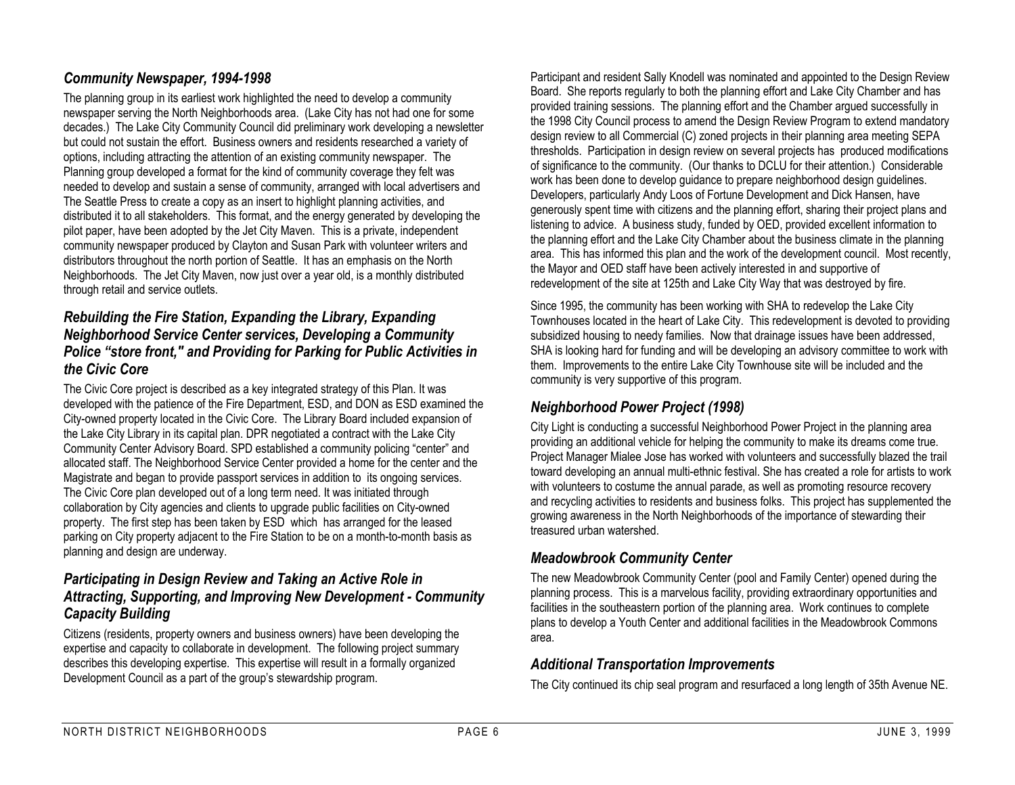#### *Community Newspaper, 1994-1998*

The planning group in its earliest work highlighted the need to develop a community newspaper serving the North Neighborhoods area. (Lake City has not had one for some decades.) The Lake City Community Council did preliminary work developing a newsletter but could not sustain the effort. Business owners and residents researched a variety of options, including attracting the attention of an existing community newspaper. The Planning group developed a format for the kind of community coverage they felt was needed to develop and sustain a sense of community, arranged with local advertisers and The Seattle Press to create a copy as an insert to highlight planning activities, and distributed it to all stakeholders. This format, and the energy generated by developing the pilot paper, have been adopted by the Jet City Maven. This is a private, independent community newspaper produced by Clayton and Susan Park with volunteer writers and distributors throughout the north portion of Seattle. It has an emphasis on the North Neighborhoods. The Jet City Maven, now just over a year old, is a monthly distributed through retail and service outlets.

#### *Rebuilding the Fire Station, Expanding the Library, Expanding Neighborhood Service Center services, Developing a Community Police "store front," and Providing for Parking for Public Activities in the Civic Core*

The Civic Core project is described as a key integrated strategy of this Plan. It was developed with the patience of the Fire Department, ESD, and DON as ESD examined the City-owned property located in the Civic Core. The Library Board included expansion of the Lake City Library in its capital plan. DPR negotiated a contract with the Lake City Community Center Advisory Board. SPD established a community policing "center" and allocated staff. The Neighborhood Service Center provided a home for the center and the Magistrate and began to provide passport services in addition to its ongoing services. The Civic Core plan developed out of a long term need. It was initiated through collaboration by City agencies and clients to upgrade public facilities on City-owned property. The first step has been taken by ESD which has arranged for the leased parking on City property adjacent to the Fire Station to be on a month-to-month basis as planning and design are underway.

#### *Participating in Design Review and Taking an Active Role in Attracting, Supporting, and Improving New Development - Community Capacity Building*

Citizens (residents, property owners and business owners) have been developing the expertise and capacity to collaborate in development. The following project summary describes this developing expertise. This expertise will result in a formally organized Development Council as a part of the group's stewardship program.

Participant and resident Sally Knodell was nominated and appointed to the Design Review Board. She reports regularly to both the planning effort and Lake City Chamber and has provided training sessions. The planning effort and the Chamber argued successfully in the 1998 City Council process to amend the Design Review Program to extend mandatory design review to all Commercial (C) zoned projects in their planning area meeting SEPA thresholds. Participation in design review on several projects has produced modifications of significance to the community. (Our thanks to DCLU for their attention.) Considerable work has been done to develop guidance to prepare neighborhood design guidelines. Developers, particularly Andy Loos of Fortune Development and Dick Hansen, have generously spent time with citizens and the planning effort, sharing their project plans and listening to advice. A business study, funded by OED, provided excellent information to the planning effort and the Lake City Chamber about the business climate in the planning area. This has informed this plan and the work of the development council. Most recently, the Mayor and OED staff have been actively interested in and supportive of redevelopment of the site at 125th and Lake City Way that was destroyed by fire.

Since 1995, the community has been working with SHA to redevelop the Lake City Townhouses located in the heart of Lake City. This redevelopment is devoted to providing subsidized housing to needy families. Now that drainage issues have been addressed, SHA is looking hard for funding and will be developing an advisory committee to work with them. Improvements to the entire Lake City Townhouse site will be included and the community is very supportive of this program.

#### *Neighborhood Power Project (1998)*

City Light is conducting a successful Neighborhood Power Project in the planning area providing an additional vehicle for helping the community to make its dreams come true. Project Manager Mialee Jose has worked with volunteers and successfully blazed the trail toward developing an annual multi-ethnic festival. She has created a role for artists to work with volunteers to costume the annual parade, as well as promoting resource recovery and recycling activities to residents and business folks. This project has supplemented the growing awareness in the North Neighborhoods of the importance of stewarding their treasured urban watershed.

#### *Meadowbrook Community Center*

The new Meadowbrook Community Center (pool and Family Center) opened during the planning process. This is a marvelous facility, providing extraordinary opportunities and facilities in the southeastern portion of the planning area. Work continues to complete plans to develop a Youth Center and additional facilities in the Meadowbrook Commons area.

#### *Additional Transportation Improvements*

The City continued its chip seal program and resurfaced a long length of 35th Avenue NE.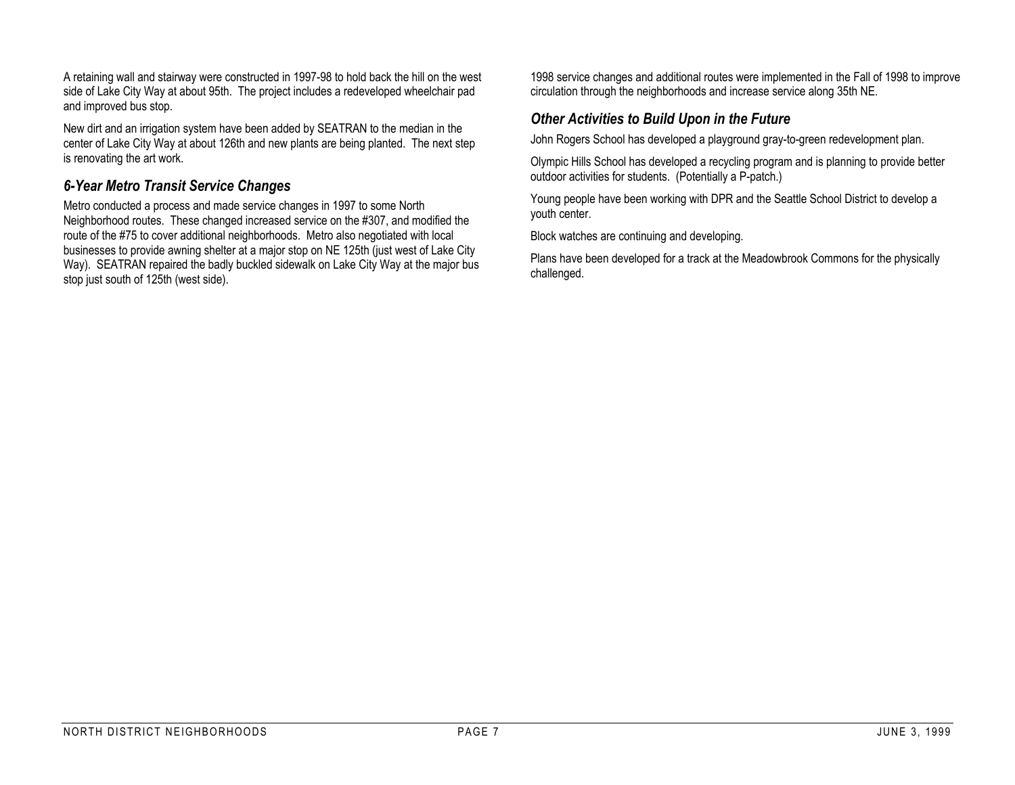A retaining wall and stairway were constructed in 1997-98 to hold back the hill on the west side of Lake City Way at about 95th. The project includes a redeveloped wheelchair pad and improved bus stop.

New dirt and an irrigation system have been added by SEATRAN to the median in the center of Lake City Way at about 126th and new plants are being planted. The next step is renovating the art work.

#### *6-Year Metro Transit Service Changes*

Metro conducted a process and made service changes in 1997 to some North Neighborhood routes. These changed increased service on the #307, and modified the route of the #75 to cover additional neighborhoods. Metro also negotiated with local businesses to provide awning shelter at a major stop on NE 125th (just west of Lake City Way). SEATRAN repaired the badly buckled sidewalk on Lake City Way at the major bus stop just south of 125th (west side).

1998 service changes and additional routes were implemented in the Fall of 1998 to improve circulation through the neighborhoods and increase service along 35th NE.

#### *Other Activities to Build Upon in the Future*

John Rogers School has developed a playground gray-to-green redevelopment plan.

Olympic Hills School has developed a recycling program and is planning to provide better outdoor activities for students. (Potentially a P-patch.)

Young people have been working with DPR and the Seattle School District to develop a youth center.

Block watches are continuing and developing.

Plans have been developed for a track at the Meadowbrook Commons for the physically challenged.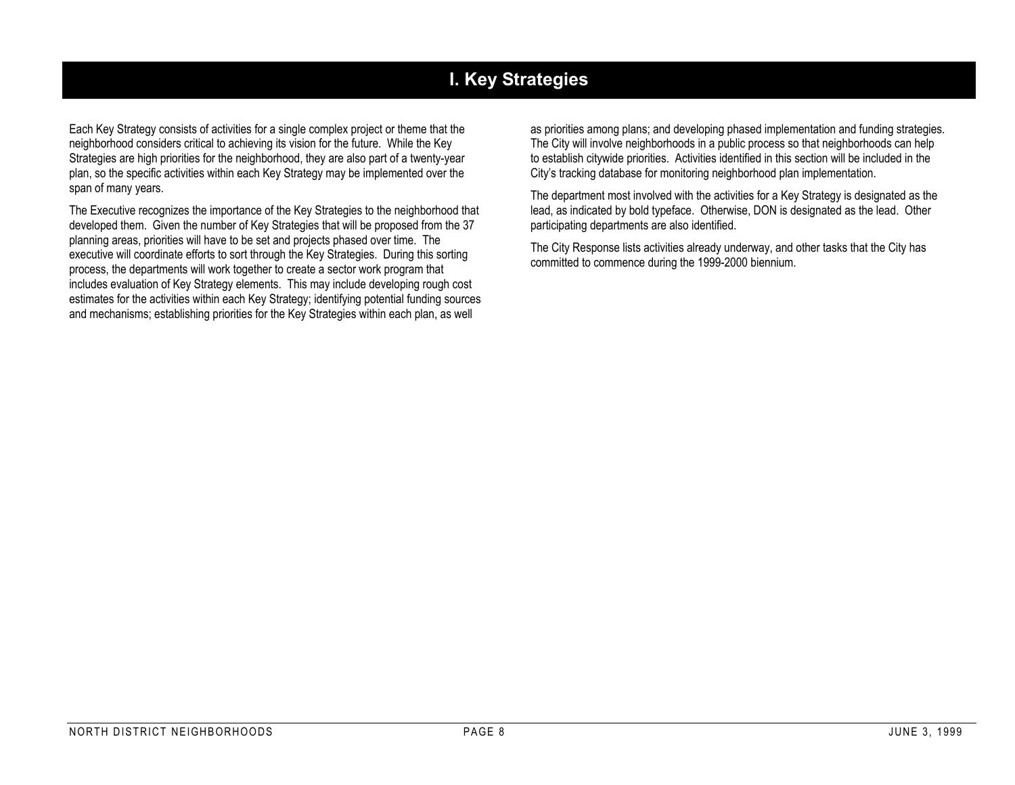## **I. Key Strategies**

Each Key Strategy consists of activities for a single complex project or theme that the neighborhood considers critical to achieving its vision for the future. While the Key Strategies are high priorities for the neighborhood, they are also part of a twenty-year plan, so the specific activities within each Key Strategy may be implemented over the span of many years.

The Executive recognizes the importance of the Key Strategies to the neighborhood that developed them. Given the number of Key Strategies that will be proposed from the 37 planning areas, priorities will have to be set and projects phased over time. The executive will coordinate efforts to sort through the Key Strategies. During this sorting process, the departments will work together to create a sector work program that includes evaluation of Key Strategy elements. This may include developing rough cost estimates for the activities within each Key Strategy; identifying potential funding sources and mechanisms; establishing priorities for the Key Strategies within each plan, as well

as priorities among plans; and developing phased implementation and funding strategies. The City will involve neighborhoods in a public process so that neighborhoods can help to establish citywide priorities. Activities identified in this section will be included in the City's tracking database for monitoring neighborhood plan implementation.

The department most involved with the activities for a Key Strategy is designated as the lead, as indicated by bold typeface. Otherwise, DON is designated as the lead. Other participating departments are also identified.

The City Response lists activities already underway, and other tasks that the City has committed to commence during the 1999-2000 biennium.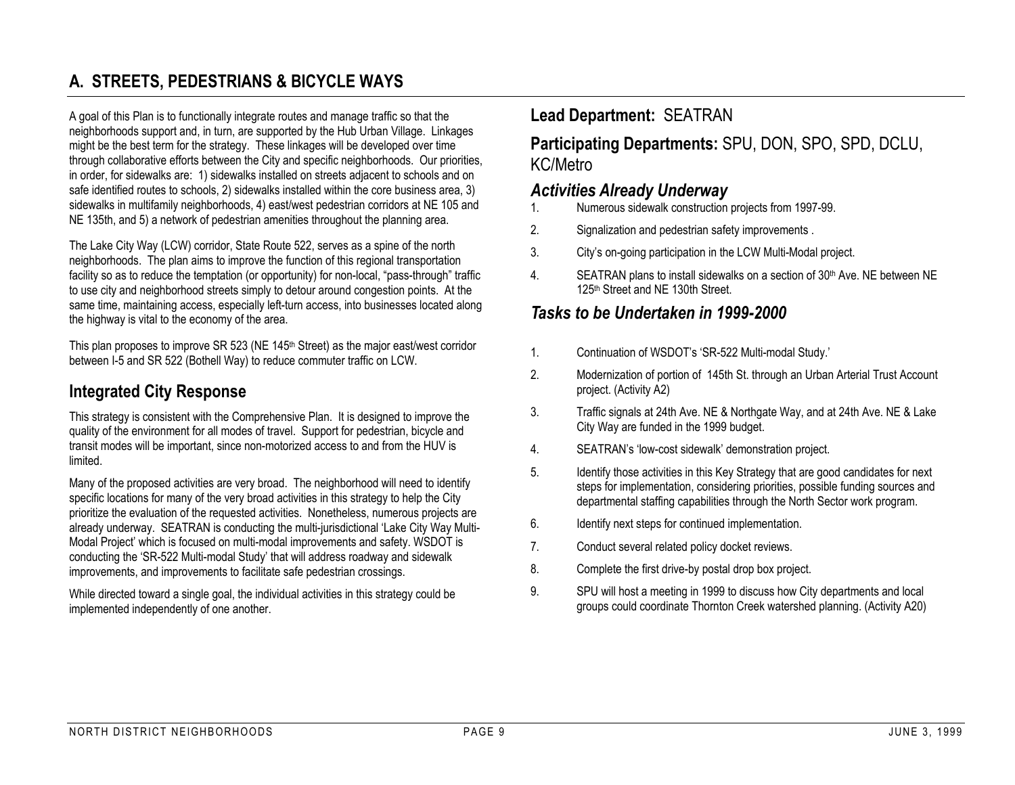## **A. STREETS, PEDESTRIANS & BICYCLE WAYS**

A goal of this Plan is to functionally integrate routes and manage traffic so that the neighborhoods support and, in turn, are supported by the Hub Urban Village. Linkages might be the best term for the strategy. These linkages will be developed over time through collaborative efforts between the City and specific neighborhoods. Our priorities, in order, for sidewalks are: 1) sidewalks installed on streets adjacent to schools and on safe identified routes to schools, 2) sidewalks installed within the core business area, 3) sidewalks in multifamily neighborhoods, 4) east/west pedestrian corridors at NE 105 and NE 135th, and 5) a network of pedestrian amenities throughout the planning area.

The Lake City Way (LCW) corridor, State Route 522, serves as a spine of the north neighborhoods. The plan aims to improve the function of this regional transportation facility so as to reduce the temptation (or opportunity) for non-local, "pass-through" traffic to use city and neighborhood streets simply to detour around congestion points. At the same time, maintaining access, especially left-turn access, into businesses located along the highway is vital to the economy of the area.

This plan proposes to improve SR 523 (NE 145<sup>th</sup> Street) as the major east/west corridor between I-5 and SR 522 (Bothell Way) to reduce commuter traffic on LCW.

#### **Integrated City Response**

This strategy is consistent with the Comprehensive Plan. It is designed to improve the quality of the environment for all modes of travel. Support for pedestrian, bicycle and transit modes will be important, since non-motorized access to and from the HUV is limited.

Many of the proposed activities are very broad. The neighborhood will need to identify specific locations for many of the very broad activities in this strategy to help the City prioritize the evaluation of the requested activities. Nonetheless, numerous projects are already underway. SEATRAN is conducting the multi-jurisdictional 'Lake City Way Multi-Modal Project' which is focused on multi-modal improvements and safety. WSDOT is conducting the 'SR-522 Multi-modal Study' that will address roadway and sidewalk improvements, and improvements to facilitate safe pedestrian crossings.

While directed toward a single goal, the individual activities in this strategy could be implemented independently of one another.

## **Lead Department:** SEATRAN

**Participating Departments:** SPU, DON, SPO, SPD, DCLU, KC/Metro

#### *Activities Already Underway*

- 1. Numerous sidewalk construction projects from 1997-99.
- 2. Signalization and pedestrian safety improvements .
- 3. City's on-going participation in the LCW Multi-Modal project.
- 4. SEATRAN plans to install sidewalks on a section of 30<sup>th</sup> Ave. NE between NE 125<sup>th</sup> Street and NE 130th Street.

## *Tasks to be Undertaken in 1999-2000*

- 1. Continuation of WSDOT's 'SR-522 Multi-modal Study.'
- 2. Modernization of portion of 145th St. through an Urban Arterial Trust Account project. (Activity A2)
- 3. Traffic signals at 24th Ave. NE & Northgate Way, and at 24th Ave. NE & Lake City Way are funded in the 1999 budget.
- 4. SEATRAN's 'low-cost sidewalk' demonstration project.
- 5. Identify those activities in this Key Strategy that are good candidates for next steps for implementation, considering priorities, possible funding sources and departmental staffing capabilities through the North Sector work program.
- 6. Identify next steps for continued implementation.
- 7. Conduct several related policy docket reviews.
- 8. Complete the first drive-by postal drop box project.
- 9. SPU will host a meeting in 1999 to discuss how City departments and local groups could coordinate Thornton Creek watershed planning. (Activity A20)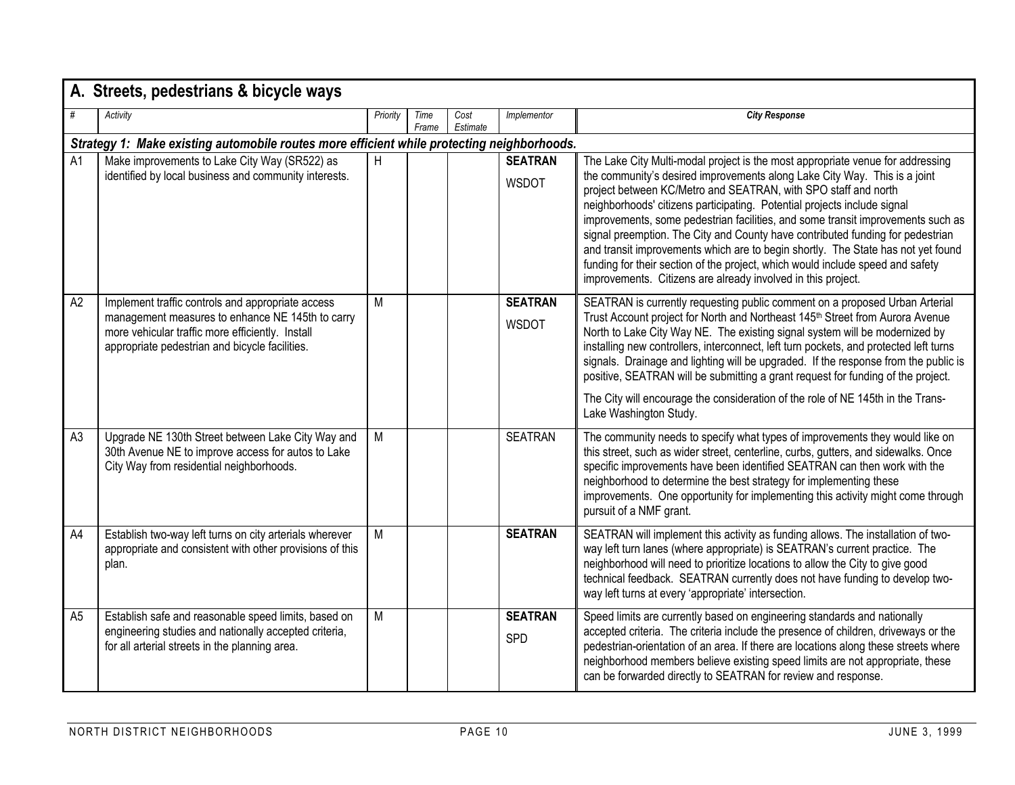|                | A. Streets, pedestrians & bicycle ways                                                                                                                                                                      |          |               |                  |                                |                                                                                                                                                                                                                                                                                                                                                                                                                                                                                                                                                                                                                                                                                                                      |  |  |  |  |  |
|----------------|-------------------------------------------------------------------------------------------------------------------------------------------------------------------------------------------------------------|----------|---------------|------------------|--------------------------------|----------------------------------------------------------------------------------------------------------------------------------------------------------------------------------------------------------------------------------------------------------------------------------------------------------------------------------------------------------------------------------------------------------------------------------------------------------------------------------------------------------------------------------------------------------------------------------------------------------------------------------------------------------------------------------------------------------------------|--|--|--|--|--|
| #              | Activity                                                                                                                                                                                                    | Priority | Time<br>Frame | Cost<br>Estimate | Implementor                    | <b>City Response</b>                                                                                                                                                                                                                                                                                                                                                                                                                                                                                                                                                                                                                                                                                                 |  |  |  |  |  |
|                | Strategy 1: Make existing automobile routes more efficient while protecting neighborhoods.                                                                                                                  |          |               |                  |                                |                                                                                                                                                                                                                                                                                                                                                                                                                                                                                                                                                                                                                                                                                                                      |  |  |  |  |  |
| A1             | Make improvements to Lake City Way (SR522) as<br>identified by local business and community interests.                                                                                                      | H        |               |                  | <b>SEATRAN</b><br><b>WSDOT</b> | The Lake City Multi-modal project is the most appropriate venue for addressing<br>the community's desired improvements along Lake City Way. This is a joint<br>project between KC/Metro and SEATRAN, with SPO staff and north<br>neighborhoods' citizens participating. Potential projects include signal<br>improvements, some pedestrian facilities, and some transit improvements such as<br>signal preemption. The City and County have contributed funding for pedestrian<br>and transit improvements which are to begin shortly. The State has not yet found<br>funding for their section of the project, which would include speed and safety<br>improvements. Citizens are already involved in this project. |  |  |  |  |  |
| A2             | Implement traffic controls and appropriate access<br>management measures to enhance NE 145th to carry<br>more vehicular traffic more efficiently. Install<br>appropriate pedestrian and bicycle facilities. | M        |               |                  | <b>SEATRAN</b><br><b>WSDOT</b> | SEATRAN is currently requesting public comment on a proposed Urban Arterial<br>Trust Account project for North and Northeast 145 <sup>th</sup> Street from Aurora Avenue<br>North to Lake City Way NE. The existing signal system will be modernized by<br>installing new controllers, interconnect, left turn pockets, and protected left turns<br>signals. Drainage and lighting will be upgraded. If the response from the public is<br>positive, SEATRAN will be submitting a grant request for funding of the project.<br>The City will encourage the consideration of the role of NE 145th in the Trans-<br>Lake Washington Study.                                                                             |  |  |  |  |  |
| A <sub>3</sub> | Upgrade NE 130th Street between Lake City Way and<br>30th Avenue NE to improve access for autos to Lake<br>City Way from residential neighborhoods.                                                         | М        |               |                  | <b>SEATRAN</b>                 | The community needs to specify what types of improvements they would like on<br>this street, such as wider street, centerline, curbs, gutters, and sidewalks. Once<br>specific improvements have been identified SEATRAN can then work with the<br>neighborhood to determine the best strategy for implementing these<br>improvements. One opportunity for implementing this activity might come through<br>pursuit of a NMF grant.                                                                                                                                                                                                                                                                                  |  |  |  |  |  |
| A4             | Establish two-way left turns on city arterials wherever<br>appropriate and consistent with other provisions of this<br>plan.                                                                                | M        |               |                  | <b>SEATRAN</b>                 | SEATRAN will implement this activity as funding allows. The installation of two-<br>way left turn lanes (where appropriate) is SEATRAN's current practice. The<br>neighborhood will need to prioritize locations to allow the City to give good<br>technical feedback. SEATRAN currently does not have funding to develop two-<br>way left turns at every 'appropriate' intersection.                                                                                                                                                                                                                                                                                                                                |  |  |  |  |  |
| A <sub>5</sub> | Establish safe and reasonable speed limits, based on<br>engineering studies and nationally accepted criteria,<br>for all arterial streets in the planning area.                                             | M        |               |                  | <b>SEATRAN</b><br><b>SPD</b>   | Speed limits are currently based on engineering standards and nationally<br>accepted criteria. The criteria include the presence of children, driveways or the<br>pedestrian-orientation of an area. If there are locations along these streets where<br>neighborhood members believe existing speed limits are not appropriate, these<br>can be forwarded directly to SEATRAN for review and response.                                                                                                                                                                                                                                                                                                              |  |  |  |  |  |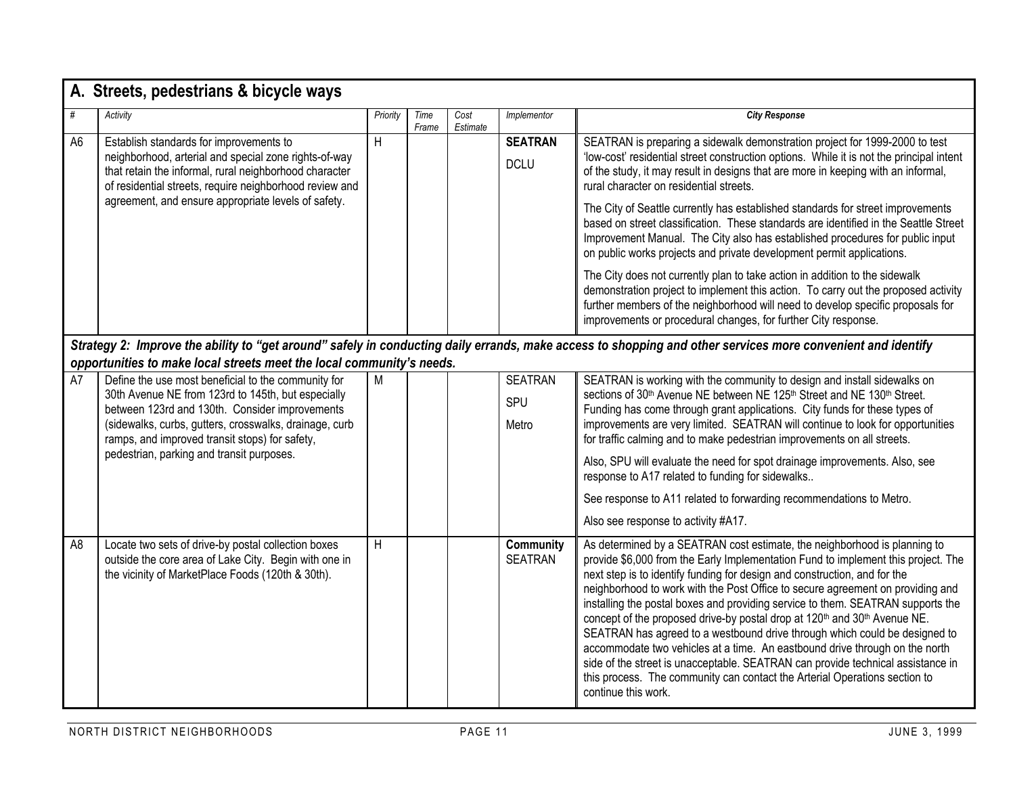|                | A. Streets, pedestrians & bicycle ways                                                                                                                                                                                                                                                                               |          |               |                  |                                |                                                                                                                                                                                                                                                                                                                                                                                                                                                                                                                                                                                                                                                                                                                                                                                                                                                                                                                                                                        |  |  |  |
|----------------|----------------------------------------------------------------------------------------------------------------------------------------------------------------------------------------------------------------------------------------------------------------------------------------------------------------------|----------|---------------|------------------|--------------------------------|------------------------------------------------------------------------------------------------------------------------------------------------------------------------------------------------------------------------------------------------------------------------------------------------------------------------------------------------------------------------------------------------------------------------------------------------------------------------------------------------------------------------------------------------------------------------------------------------------------------------------------------------------------------------------------------------------------------------------------------------------------------------------------------------------------------------------------------------------------------------------------------------------------------------------------------------------------------------|--|--|--|
| #              | Activity                                                                                                                                                                                                                                                                                                             | Priority | Time<br>Frame | Cost<br>Estimate | Implementor                    | <b>City Response</b>                                                                                                                                                                                                                                                                                                                                                                                                                                                                                                                                                                                                                                                                                                                                                                                                                                                                                                                                                   |  |  |  |
| A <sub>6</sub> | Establish standards for improvements to<br>neighborhood, arterial and special zone rights-of-way<br>that retain the informal, rural neighborhood character<br>of residential streets, require neighborhood review and<br>agreement, and ensure appropriate levels of safety.                                         | H        |               |                  | <b>SEATRAN</b><br><b>DCLU</b>  | SEATRAN is preparing a sidewalk demonstration project for 1999-2000 to test<br>'low-cost' residential street construction options. While it is not the principal intent<br>of the study, it may result in designs that are more in keeping with an informal,<br>rural character on residential streets.<br>The City of Seattle currently has established standards for street improvements<br>based on street classification. These standards are identified in the Seattle Street<br>Improvement Manual. The City also has established procedures for public input<br>on public works projects and private development permit applications.<br>The City does not currently plan to take action in addition to the sidewalk<br>demonstration project to implement this action. To carry out the proposed activity<br>further members of the neighborhood will need to develop specific proposals for<br>improvements or procedural changes, for further City response. |  |  |  |
|                | Strategy 2: Improve the ability to "get around" safely in conducting daily errands, make access to shopping and other services more convenient and identify<br>opportunities to make local streets meet the local community's needs.                                                                                 |          |               |                  |                                |                                                                                                                                                                                                                                                                                                                                                                                                                                                                                                                                                                                                                                                                                                                                                                                                                                                                                                                                                                        |  |  |  |
| A7             | Define the use most beneficial to the community for<br>30th Avenue NE from 123rd to 145th, but especially<br>between 123rd and 130th. Consider improvements<br>(sidewalks, curbs, gutters, crosswalks, drainage, curb<br>ramps, and improved transit stops) for safety,<br>pedestrian, parking and transit purposes. | M        |               |                  | <b>SEATRAN</b><br>SPU<br>Metro | SEATRAN is working with the community to design and install sidewalks on<br>sections of 30 <sup>th</sup> Avenue NE between NE 125 <sup>th</sup> Street and NE 130 <sup>th</sup> Street.<br>Funding has come through grant applications. City funds for these types of<br>improvements are very limited. SEATRAN will continue to look for opportunities<br>for traffic calming and to make pedestrian improvements on all streets.<br>Also, SPU will evaluate the need for spot drainage improvements. Also, see<br>response to A17 related to funding for sidewalks<br>See response to A11 related to forwarding recommendations to Metro.                                                                                                                                                                                                                                                                                                                            |  |  |  |
| A <sub>8</sub> | Locate two sets of drive-by postal collection boxes<br>outside the core area of Lake City. Begin with one in<br>the vicinity of MarketPlace Foods (120th & 30th).                                                                                                                                                    | H        |               |                  | Community<br><b>SEATRAN</b>    | Also see response to activity #A17.<br>As determined by a SEATRAN cost estimate, the neighborhood is planning to<br>provide \$6,000 from the Early Implementation Fund to implement this project. The<br>next step is to identify funding for design and construction, and for the<br>neighborhood to work with the Post Office to secure agreement on providing and<br>installing the postal boxes and providing service to them. SEATRAN supports the<br>concept of the proposed drive-by postal drop at 120 <sup>th</sup> and 30 <sup>th</sup> Avenue NE.<br>SEATRAN has agreed to a westbound drive through which could be designed to<br>accommodate two vehicles at a time. An eastbound drive through on the north<br>side of the street is unacceptable. SEATRAN can provide technical assistance in<br>this process. The community can contact the Arterial Operations section to<br>continue this work.                                                      |  |  |  |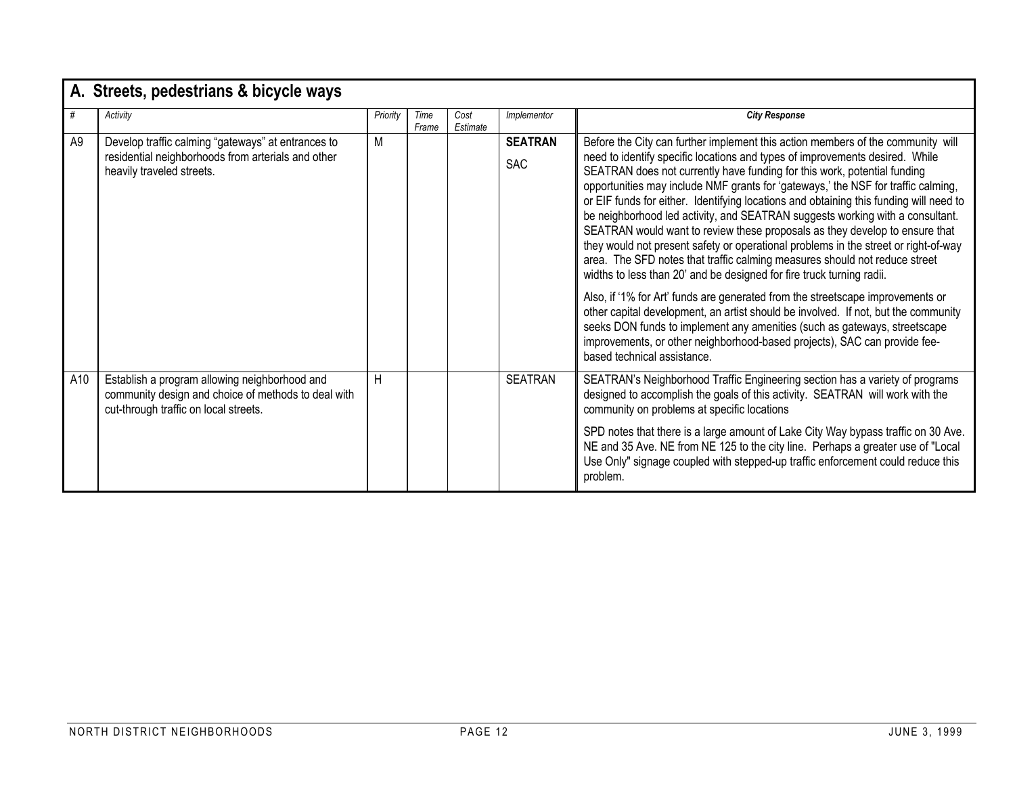|     | A. Streets, pedestrians & bicycle ways                                                                                                        |          |               |                  |                              |                                                                                                                                                                                                                                                                                                                                                                                                                                                                                                                                                                                                                                                                                                                                                                                                                                                                                                                                                                                                                                                                                                                                                                                                           |  |  |  |  |  |
|-----|-----------------------------------------------------------------------------------------------------------------------------------------------|----------|---------------|------------------|------------------------------|-----------------------------------------------------------------------------------------------------------------------------------------------------------------------------------------------------------------------------------------------------------------------------------------------------------------------------------------------------------------------------------------------------------------------------------------------------------------------------------------------------------------------------------------------------------------------------------------------------------------------------------------------------------------------------------------------------------------------------------------------------------------------------------------------------------------------------------------------------------------------------------------------------------------------------------------------------------------------------------------------------------------------------------------------------------------------------------------------------------------------------------------------------------------------------------------------------------|--|--|--|--|--|
|     | Activity                                                                                                                                      | Priority | Time<br>Frame | Cost<br>Estimate | Implementor                  | <b>City Response</b>                                                                                                                                                                                                                                                                                                                                                                                                                                                                                                                                                                                                                                                                                                                                                                                                                                                                                                                                                                                                                                                                                                                                                                                      |  |  |  |  |  |
| A9  | Develop traffic calming "gateways" at entrances to<br>residential neighborhoods from arterials and other<br>heavily traveled streets.         | M        |               |                  | <b>SEATRAN</b><br><b>SAC</b> | Before the City can further implement this action members of the community will<br>need to identify specific locations and types of improvements desired. While<br>SEATRAN does not currently have funding for this work, potential funding<br>opportunities may include NMF grants for 'gateways,' the NSF for traffic calming,<br>or EIF funds for either. Identifying locations and obtaining this funding will need to<br>be neighborhood led activity, and SEATRAN suggests working with a consultant.<br>SEATRAN would want to review these proposals as they develop to ensure that<br>they would not present safety or operational problems in the street or right-of-way<br>area. The SFD notes that traffic calming measures should not reduce street<br>widths to less than 20' and be designed for fire truck turning radii.<br>Also, if '1% for Art' funds are generated from the streetscape improvements or<br>other capital development, an artist should be involved. If not, but the community<br>seeks DON funds to implement any amenities (such as gateways, streetscape<br>improvements, or other neighborhood-based projects), SAC can provide fee-<br>based technical assistance. |  |  |  |  |  |
| A10 | Establish a program allowing neighborhood and<br>community design and choice of methods to deal with<br>cut-through traffic on local streets. | H        |               |                  | <b>SEATRAN</b>               | SEATRAN's Neighborhood Traffic Engineering section has a variety of programs<br>designed to accomplish the goals of this activity. SEATRAN will work with the<br>community on problems at specific locations<br>SPD notes that there is a large amount of Lake City Way bypass traffic on 30 Ave.<br>NE and 35 Ave. NE from NE 125 to the city line. Perhaps a greater use of "Local<br>Use Only" signage coupled with stepped-up traffic enforcement could reduce this<br>problem.                                                                                                                                                                                                                                                                                                                                                                                                                                                                                                                                                                                                                                                                                                                       |  |  |  |  |  |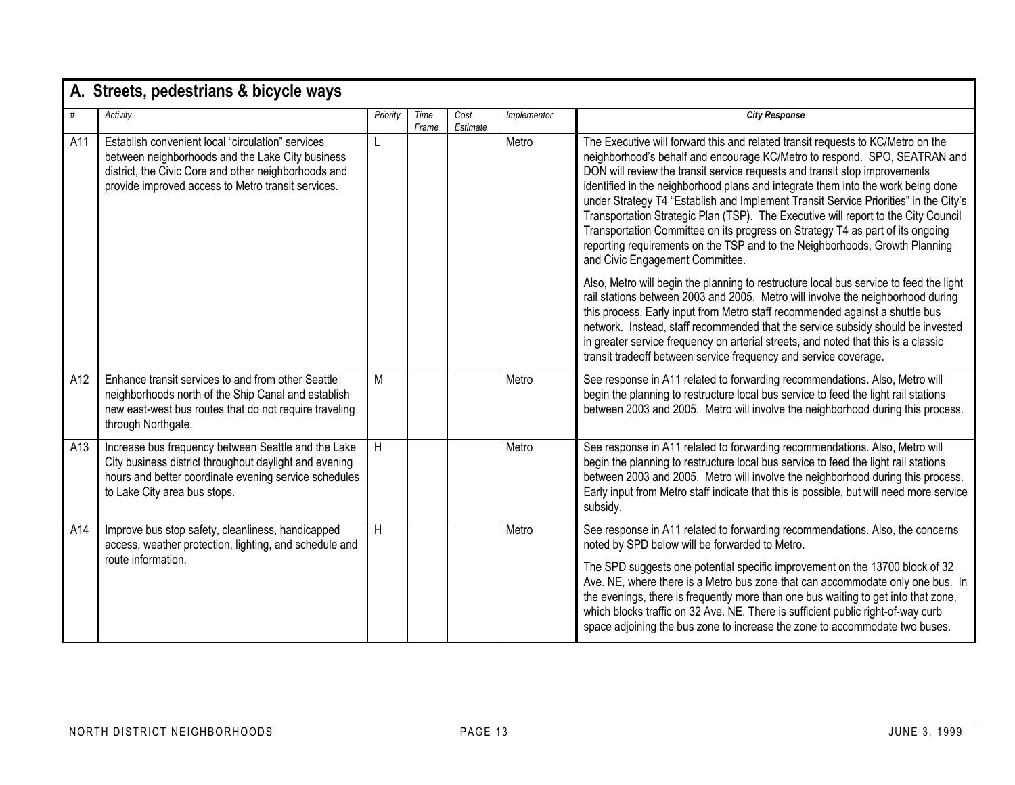|     | A. Streets, pedestrians & bicycle ways                                                                                                                                                                              |          |               |                  |             |                                                                                                                                                                                                                                                                                                                                                                                                                                                                                                                                                                                                                                                                                                                  |  |  |  |  |  |
|-----|---------------------------------------------------------------------------------------------------------------------------------------------------------------------------------------------------------------------|----------|---------------|------------------|-------------|------------------------------------------------------------------------------------------------------------------------------------------------------------------------------------------------------------------------------------------------------------------------------------------------------------------------------------------------------------------------------------------------------------------------------------------------------------------------------------------------------------------------------------------------------------------------------------------------------------------------------------------------------------------------------------------------------------------|--|--|--|--|--|
| #   | Activity                                                                                                                                                                                                            | Priority | Time<br>Frame | Cost<br>Estimate | Implementor | <b>City Response</b>                                                                                                                                                                                                                                                                                                                                                                                                                                                                                                                                                                                                                                                                                             |  |  |  |  |  |
| A11 | Establish convenient local "circulation" services<br>between neighborhoods and the Lake City business<br>district, the Civic Core and other neighborhoods and<br>provide improved access to Metro transit services. | L        |               |                  | Metro       | The Executive will forward this and related transit requests to KC/Metro on the<br>neighborhood's behalf and encourage KC/Metro to respond. SPO, SEATRAN and<br>DON will review the transit service requests and transit stop improvements<br>identified in the neighborhood plans and integrate them into the work being done<br>under Strategy T4 "Establish and Implement Transit Service Priorities" in the City's<br>Transportation Strategic Plan (TSP). The Executive will report to the City Council<br>Transportation Committee on its progress on Strategy T4 as part of its ongoing<br>reporting requirements on the TSP and to the Neighborhoods, Growth Planning<br>and Civic Engagement Committee. |  |  |  |  |  |
|     |                                                                                                                                                                                                                     |          |               |                  |             | Also, Metro will begin the planning to restructure local bus service to feed the light<br>rail stations between 2003 and 2005. Metro will involve the neighborhood during<br>this process. Early input from Metro staff recommended against a shuttle bus<br>network. Instead, staff recommended that the service subsidy should be invested<br>in greater service frequency on arterial streets, and noted that this is a classic<br>transit tradeoff between service frequency and service coverage.                                                                                                                                                                                                           |  |  |  |  |  |
| A12 | Enhance transit services to and from other Seattle<br>neighborhoods north of the Ship Canal and establish<br>new east-west bus routes that do not require traveling<br>through Northgate.                           | M        |               |                  | Metro       | See response in A11 related to forwarding recommendations. Also, Metro will<br>begin the planning to restructure local bus service to feed the light rail stations<br>between 2003 and 2005. Metro will involve the neighborhood during this process.                                                                                                                                                                                                                                                                                                                                                                                                                                                            |  |  |  |  |  |
| A13 | Increase bus frequency between Seattle and the Lake<br>City business district throughout daylight and evening<br>hours and better coordinate evening service schedules<br>to Lake City area bus stops.              | H        |               |                  | Metro       | See response in A11 related to forwarding recommendations. Also, Metro will<br>begin the planning to restructure local bus service to feed the light rail stations<br>between 2003 and 2005. Metro will involve the neighborhood during this process.<br>Early input from Metro staff indicate that this is possible, but will need more service<br>subsidy.                                                                                                                                                                                                                                                                                                                                                     |  |  |  |  |  |
| A14 | Improve bus stop safety, cleanliness, handicapped<br>access, weather protection, lighting, and schedule and<br>route information.                                                                                   | H        |               |                  | Metro       | See response in A11 related to forwarding recommendations. Also, the concerns<br>noted by SPD below will be forwarded to Metro.<br>The SPD suggests one potential specific improvement on the 13700 block of 32<br>Ave. NE, where there is a Metro bus zone that can accommodate only one bus. In<br>the evenings, there is frequently more than one bus waiting to get into that zone,<br>which blocks traffic on 32 Ave. NE. There is sufficient public right-of-way curb<br>space adjoining the bus zone to increase the zone to accommodate two buses.                                                                                                                                                       |  |  |  |  |  |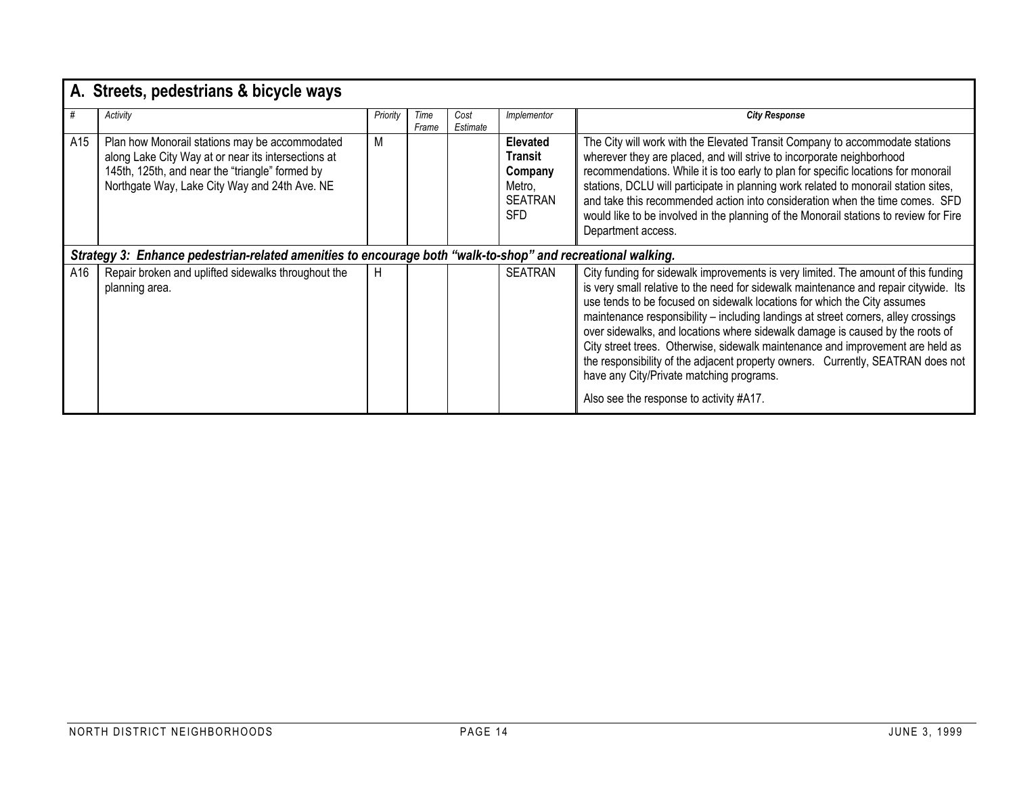|     | A. Streets, pedestrians & bicycle ways                                                                                                                                                                    |          |               |                  |                                                                                 |                                                                                                                                                                                                                                                                                                                                                                                                                                                                                                                                                                                                                                                                                           |
|-----|-----------------------------------------------------------------------------------------------------------------------------------------------------------------------------------------------------------|----------|---------------|------------------|---------------------------------------------------------------------------------|-------------------------------------------------------------------------------------------------------------------------------------------------------------------------------------------------------------------------------------------------------------------------------------------------------------------------------------------------------------------------------------------------------------------------------------------------------------------------------------------------------------------------------------------------------------------------------------------------------------------------------------------------------------------------------------------|
| #   | Activity                                                                                                                                                                                                  | Priority | Time<br>Frame | Cost<br>Estimate | Implementor                                                                     | <b>City Response</b>                                                                                                                                                                                                                                                                                                                                                                                                                                                                                                                                                                                                                                                                      |
| A15 | Plan how Monorail stations may be accommodated<br>along Lake City Way at or near its intersections at<br>145th, 125th, and near the "triangle" formed by<br>Northgate Way, Lake City Way and 24th Ave. NE | М        |               |                  | <b>Elevated</b><br>Transit<br>Company<br>Metro,<br><b>SEATRAN</b><br><b>SFD</b> | The City will work with the Elevated Transit Company to accommodate stations<br>wherever they are placed, and will strive to incorporate neighborhood<br>recommendations. While it is too early to plan for specific locations for monorail<br>stations, DCLU will participate in planning work related to monorail station sites,<br>and take this recommended action into consideration when the time comes. SFD<br>would like to be involved in the planning of the Monorail stations to review for Fire<br>Department access.                                                                                                                                                         |
|     | Strategy 3: Enhance pedestrian-related amenities to encourage both "walk-to-shop" and recreational walking.                                                                                               |          |               |                  |                                                                                 |                                                                                                                                                                                                                                                                                                                                                                                                                                                                                                                                                                                                                                                                                           |
| A16 | Repair broken and uplifted sidewalks throughout the<br>planning area.                                                                                                                                     | H        |               |                  | <b>SEATRAN</b>                                                                  | City funding for sidewalk improvements is very limited. The amount of this funding<br>is very small relative to the need for sidewalk maintenance and repair citywide. Its<br>use tends to be focused on sidewalk locations for which the City assumes<br>maintenance responsibility - including landings at street corners, alley crossings<br>over sidewalks, and locations where sidewalk damage is caused by the roots of<br>City street trees. Otherwise, sidewalk maintenance and improvement are held as<br>the responsibility of the adjacent property owners. Currently, SEATRAN does not<br>have any City/Private matching programs.<br>Also see the response to activity #A17. |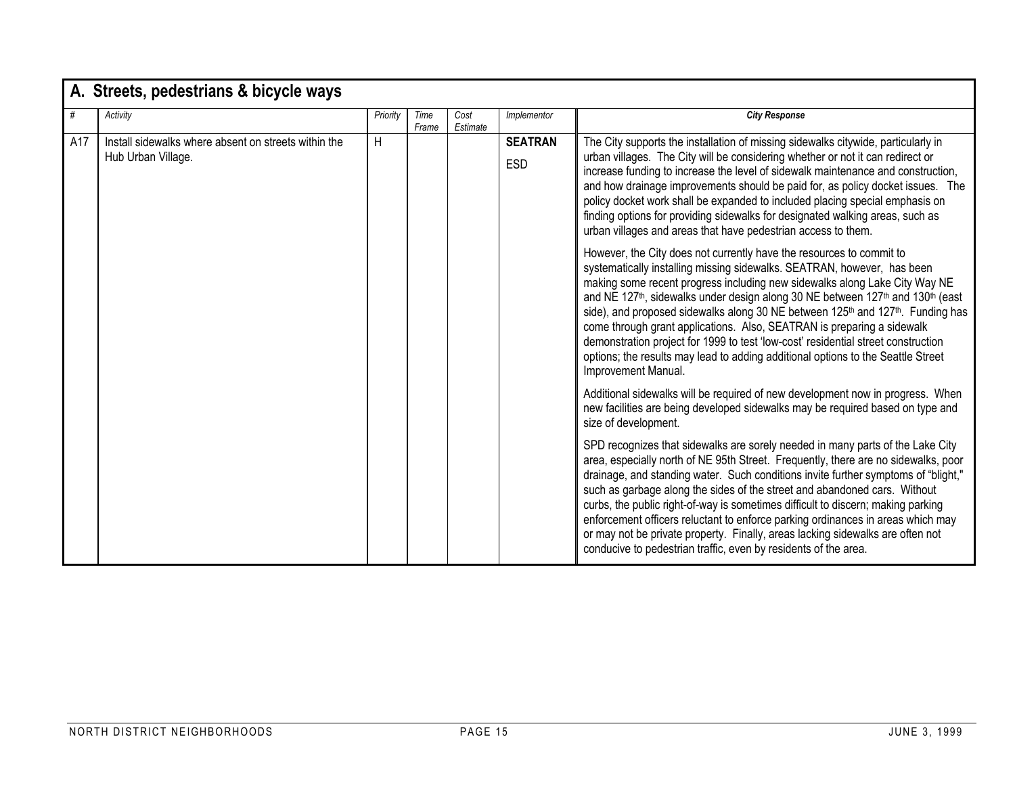|     | A. Streets, pedestrians & bicycle ways                                     |          |               |                  |                              |                                                                                                                                                                                                                                                                                                                                                                                                                                                                                                                                                                                                                                                                                                                                           |
|-----|----------------------------------------------------------------------------|----------|---------------|------------------|------------------------------|-------------------------------------------------------------------------------------------------------------------------------------------------------------------------------------------------------------------------------------------------------------------------------------------------------------------------------------------------------------------------------------------------------------------------------------------------------------------------------------------------------------------------------------------------------------------------------------------------------------------------------------------------------------------------------------------------------------------------------------------|
| #   | Activity                                                                   | Priority | Time<br>Frame | Cost<br>Estimate | Implementor                  | <b>City Response</b>                                                                                                                                                                                                                                                                                                                                                                                                                                                                                                                                                                                                                                                                                                                      |
| A17 | Install sidewalks where absent on streets within the<br>Hub Urban Village. | H        |               |                  | <b>SEATRAN</b><br><b>ESD</b> | The City supports the installation of missing sidewalks citywide, particularly in<br>urban villages. The City will be considering whether or not it can redirect or<br>increase funding to increase the level of sidewalk maintenance and construction,<br>and how drainage improvements should be paid for, as policy docket issues. The<br>policy docket work shall be expanded to included placing special emphasis on<br>finding options for providing sidewalks for designated walking areas, such as<br>urban villages and areas that have pedestrian access to them.                                                                                                                                                               |
|     |                                                                            |          |               |                  |                              | However, the City does not currently have the resources to commit to<br>systematically installing missing sidewalks. SEATRAN, however, has been<br>making some recent progress including new sidewalks along Lake City Way NE<br>and NE 127 <sup>th</sup> , sidewalks under design along 30 NE between 127 <sup>th</sup> and 130 <sup>th</sup> (east<br>side), and proposed sidewalks along 30 NE between 125 <sup>th</sup> and 127 <sup>th</sup> . Funding has<br>come through grant applications. Also, SEATRAN is preparing a sidewalk<br>demonstration project for 1999 to test 'low-cost' residential street construction<br>options; the results may lead to adding additional options to the Seattle Street<br>Improvement Manual. |
|     |                                                                            |          |               |                  |                              | Additional sidewalks will be required of new development now in progress. When<br>new facilities are being developed sidewalks may be required based on type and<br>size of development.                                                                                                                                                                                                                                                                                                                                                                                                                                                                                                                                                  |
|     |                                                                            |          |               |                  |                              | SPD recognizes that sidewalks are sorely needed in many parts of the Lake City<br>area, especially north of NE 95th Street. Frequently, there are no sidewalks, poor<br>drainage, and standing water. Such conditions invite further symptoms of "blight,"<br>such as garbage along the sides of the street and abandoned cars. Without<br>curbs, the public right-of-way is sometimes difficult to discern; making parking<br>enforcement officers reluctant to enforce parking ordinances in areas which may<br>or may not be private property. Finally, areas lacking sidewalks are often not<br>conducive to pedestrian traffic, even by residents of the area.                                                                       |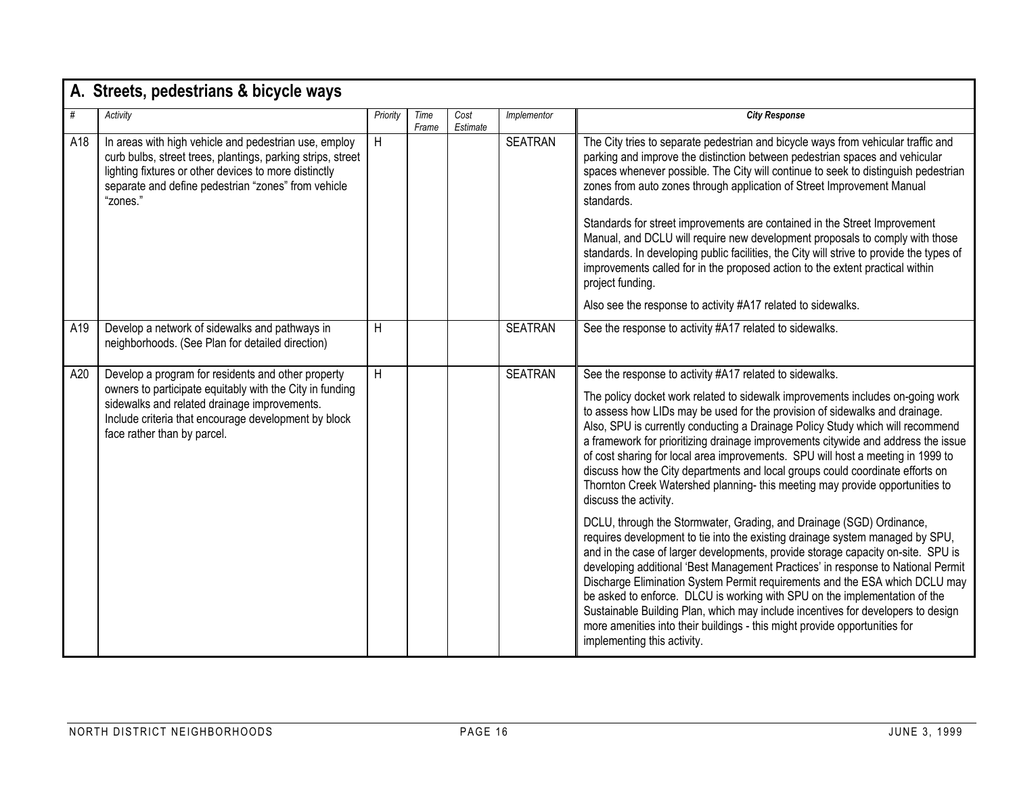|     | A. Streets, pedestrians & bicycle ways                                                                                                                                                                                                                |          |               |                  |                |                                                                                                                                                                                                                                                                                                                                                                                                                                                                                                                                                                                                                                                                                                                                                                                                                                                                                                                                                                                                                                                                                                                                                                                                                                                                                                                                                                             |  |  |  |  |
|-----|-------------------------------------------------------------------------------------------------------------------------------------------------------------------------------------------------------------------------------------------------------|----------|---------------|------------------|----------------|-----------------------------------------------------------------------------------------------------------------------------------------------------------------------------------------------------------------------------------------------------------------------------------------------------------------------------------------------------------------------------------------------------------------------------------------------------------------------------------------------------------------------------------------------------------------------------------------------------------------------------------------------------------------------------------------------------------------------------------------------------------------------------------------------------------------------------------------------------------------------------------------------------------------------------------------------------------------------------------------------------------------------------------------------------------------------------------------------------------------------------------------------------------------------------------------------------------------------------------------------------------------------------------------------------------------------------------------------------------------------------|--|--|--|--|
| #   | Activity                                                                                                                                                                                                                                              | Priority | Time<br>Frame | Cost<br>Estimate | Implementor    | <b>City Response</b>                                                                                                                                                                                                                                                                                                                                                                                                                                                                                                                                                                                                                                                                                                                                                                                                                                                                                                                                                                                                                                                                                                                                                                                                                                                                                                                                                        |  |  |  |  |
| A18 | In areas with high vehicle and pedestrian use, employ<br>curb bulbs, street trees, plantings, parking strips, street<br>lighting fixtures or other devices to more distinctly<br>separate and define pedestrian "zones" from vehicle<br>"zones."      | H        |               |                  | <b>SEATRAN</b> | The City tries to separate pedestrian and bicycle ways from vehicular traffic and<br>parking and improve the distinction between pedestrian spaces and vehicular<br>spaces whenever possible. The City will continue to seek to distinguish pedestrian<br>zones from auto zones through application of Street Improvement Manual<br>standards.                                                                                                                                                                                                                                                                                                                                                                                                                                                                                                                                                                                                                                                                                                                                                                                                                                                                                                                                                                                                                              |  |  |  |  |
|     |                                                                                                                                                                                                                                                       |          |               |                  |                | Standards for street improvements are contained in the Street Improvement<br>Manual, and DCLU will require new development proposals to comply with those<br>standards. In developing public facilities, the City will strive to provide the types of<br>improvements called for in the proposed action to the extent practical within<br>project funding.                                                                                                                                                                                                                                                                                                                                                                                                                                                                                                                                                                                                                                                                                                                                                                                                                                                                                                                                                                                                                  |  |  |  |  |
|     |                                                                                                                                                                                                                                                       |          |               |                  |                | Also see the response to activity #A17 related to sidewalks.                                                                                                                                                                                                                                                                                                                                                                                                                                                                                                                                                                                                                                                                                                                                                                                                                                                                                                                                                                                                                                                                                                                                                                                                                                                                                                                |  |  |  |  |
| A19 | Develop a network of sidewalks and pathways in<br>neighborhoods. (See Plan for detailed direction)                                                                                                                                                    | H        |               |                  | <b>SEATRAN</b> | See the response to activity #A17 related to sidewalks.                                                                                                                                                                                                                                                                                                                                                                                                                                                                                                                                                                                                                                                                                                                                                                                                                                                                                                                                                                                                                                                                                                                                                                                                                                                                                                                     |  |  |  |  |
| A20 | Develop a program for residents and other property<br>owners to participate equitably with the City in funding<br>sidewalks and related drainage improvements.<br>Include criteria that encourage development by block<br>face rather than by parcel. | H        |               |                  | <b>SEATRAN</b> | See the response to activity #A17 related to sidewalks.<br>The policy docket work related to sidewalk improvements includes on-going work<br>to assess how LIDs may be used for the provision of sidewalks and drainage.<br>Also, SPU is currently conducting a Drainage Policy Study which will recommend<br>a framework for prioritizing drainage improvements citywide and address the issue<br>of cost sharing for local area improvements. SPU will host a meeting in 1999 to<br>discuss how the City departments and local groups could coordinate efforts on<br>Thornton Creek Watershed planning- this meeting may provide opportunities to<br>discuss the activity.<br>DCLU, through the Stormwater, Grading, and Drainage (SGD) Ordinance,<br>requires development to tie into the existing drainage system managed by SPU,<br>and in the case of larger developments, provide storage capacity on-site. SPU is<br>developing additional 'Best Management Practices' in response to National Permit<br>Discharge Elimination System Permit requirements and the ESA which DCLU may<br>be asked to enforce. DLCU is working with SPU on the implementation of the<br>Sustainable Building Plan, which may include incentives for developers to design<br>more amenities into their buildings - this might provide opportunities for<br>implementing this activity. |  |  |  |  |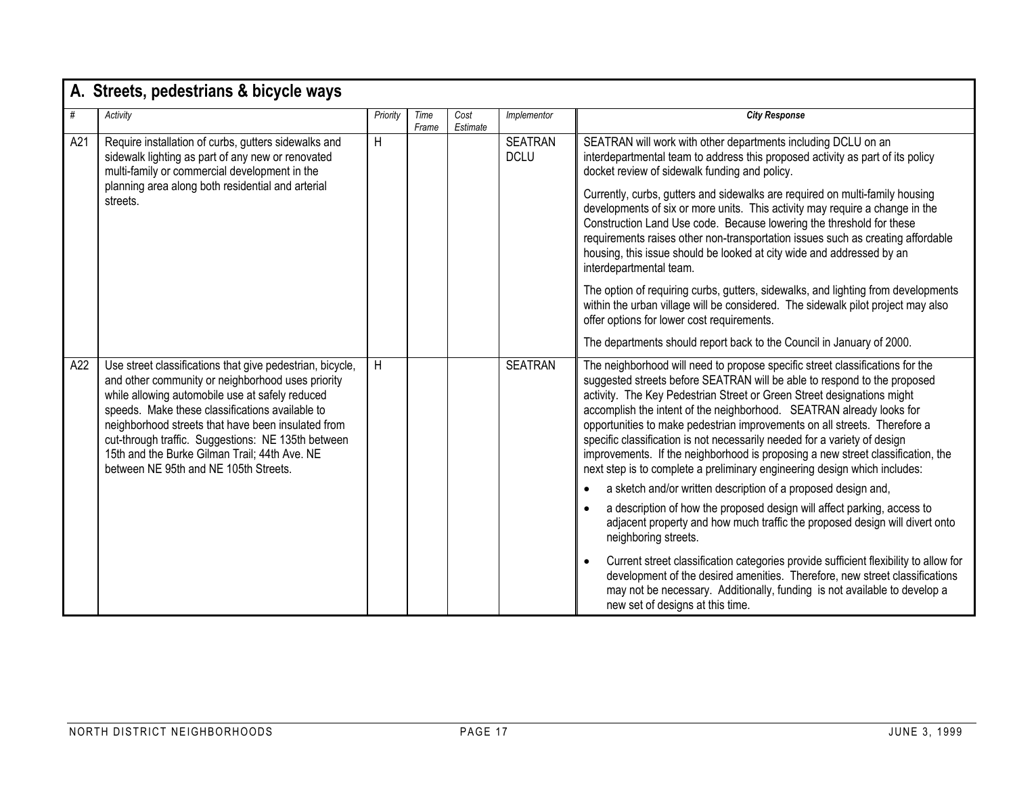|     | A. Streets, pedestrians & bicycle ways                                                                                                                                                                                                                                                                                                                                                                                     |          |               |                  |                               |                                                                                                                                                                                                                                                                                                                                                                                                                                                                                                                                                                                                                                                                                                                                                                                                                                                                                                                                                                                                                                                                                                                                                                                  |
|-----|----------------------------------------------------------------------------------------------------------------------------------------------------------------------------------------------------------------------------------------------------------------------------------------------------------------------------------------------------------------------------------------------------------------------------|----------|---------------|------------------|-------------------------------|----------------------------------------------------------------------------------------------------------------------------------------------------------------------------------------------------------------------------------------------------------------------------------------------------------------------------------------------------------------------------------------------------------------------------------------------------------------------------------------------------------------------------------------------------------------------------------------------------------------------------------------------------------------------------------------------------------------------------------------------------------------------------------------------------------------------------------------------------------------------------------------------------------------------------------------------------------------------------------------------------------------------------------------------------------------------------------------------------------------------------------------------------------------------------------|
| #   | Activity                                                                                                                                                                                                                                                                                                                                                                                                                   | Priority | Time<br>Frame | Cost<br>Estimate | Implementor                   | <b>City Response</b>                                                                                                                                                                                                                                                                                                                                                                                                                                                                                                                                                                                                                                                                                                                                                                                                                                                                                                                                                                                                                                                                                                                                                             |
| A21 | Require installation of curbs, gutters sidewalks and<br>sidewalk lighting as part of any new or renovated<br>multi-family or commercial development in the<br>planning area along both residential and arterial<br>streets.                                                                                                                                                                                                | H        |               |                  | <b>SEATRAN</b><br><b>DCLU</b> | SEATRAN will work with other departments including DCLU on an<br>interdepartmental team to address this proposed activity as part of its policy<br>docket review of sidewalk funding and policy.<br>Currently, curbs, gutters and sidewalks are required on multi-family housing<br>developments of six or more units. This activity may require a change in the<br>Construction Land Use code. Because lowering the threshold for these<br>requirements raises other non-transportation issues such as creating affordable<br>housing, this issue should be looked at city wide and addressed by an<br>interdepartmental team.<br>The option of requiring curbs, gutters, sidewalks, and lighting from developments<br>within the urban village will be considered. The sidewalk pilot project may also<br>offer options for lower cost requirements.<br>The departments should report back to the Council in January of 2000.                                                                                                                                                                                                                                                  |
| A22 | Use street classifications that give pedestrian, bicycle,<br>and other community or neighborhood uses priority<br>while allowing automobile use at safely reduced<br>speeds. Make these classifications available to<br>neighborhood streets that have been insulated from<br>cut-through traffic. Suggestions: NE 135th between<br>15th and the Burke Gilman Trail; 44th Ave. NE<br>between NE 95th and NE 105th Streets. | H        |               |                  | <b>SEATRAN</b>                | The neighborhood will need to propose specific street classifications for the<br>suggested streets before SEATRAN will be able to respond to the proposed<br>activity. The Key Pedestrian Street or Green Street designations might<br>accomplish the intent of the neighborhood. SEATRAN already looks for<br>opportunities to make pedestrian improvements on all streets. Therefore a<br>specific classification is not necessarily needed for a variety of design<br>improvements. If the neighborhood is proposing a new street classification, the<br>next step is to complete a preliminary engineering design which includes:<br>a sketch and/or written description of a proposed design and,<br>a description of how the proposed design will affect parking, access to<br>adjacent property and how much traffic the proposed design will divert onto<br>neighboring streets.<br>Current street classification categories provide sufficient flexibility to allow for<br>development of the desired amenities. Therefore, new street classifications<br>may not be necessary. Additionally, funding is not available to develop a<br>new set of designs at this time. |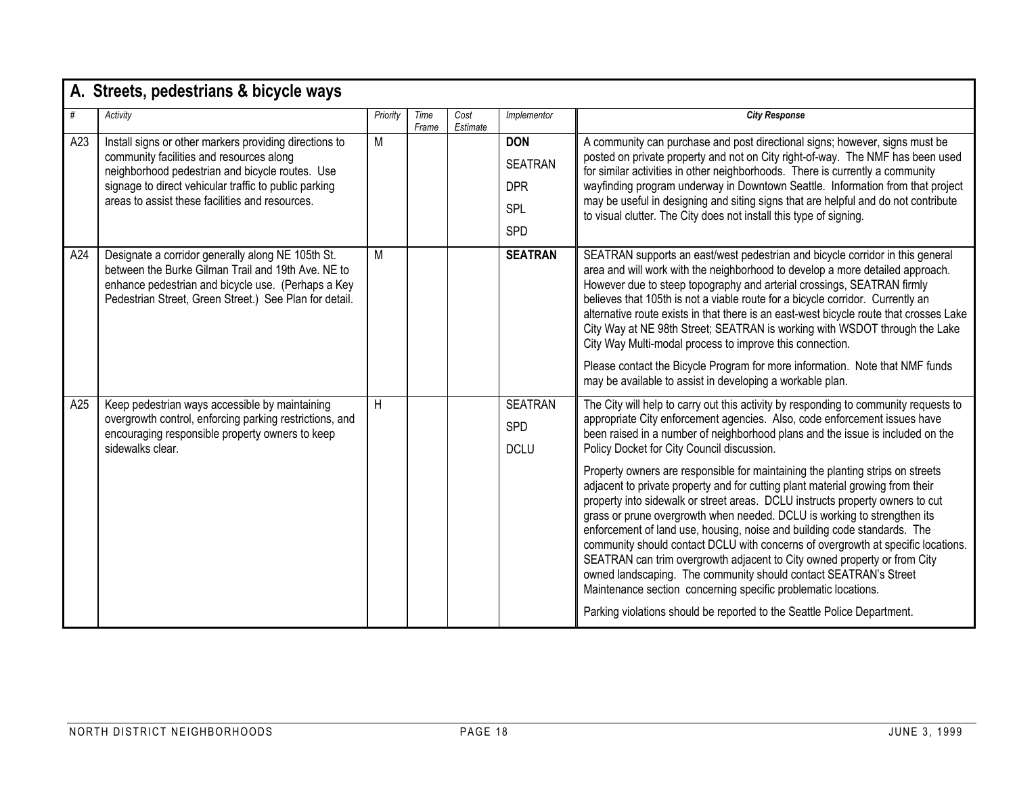|     | A. Streets, pedestrians & bicycle ways                                                                                                                                                                                                                            |          |               |                  |                                                                 |                                                                                                                                                                                                                                                                                                                                                                                                                                                                                                                                                                                                                                                                                                                                                                                                                                                                                                                                                                                                                                                                                                 |  |  |  |  |  |
|-----|-------------------------------------------------------------------------------------------------------------------------------------------------------------------------------------------------------------------------------------------------------------------|----------|---------------|------------------|-----------------------------------------------------------------|-------------------------------------------------------------------------------------------------------------------------------------------------------------------------------------------------------------------------------------------------------------------------------------------------------------------------------------------------------------------------------------------------------------------------------------------------------------------------------------------------------------------------------------------------------------------------------------------------------------------------------------------------------------------------------------------------------------------------------------------------------------------------------------------------------------------------------------------------------------------------------------------------------------------------------------------------------------------------------------------------------------------------------------------------------------------------------------------------|--|--|--|--|--|
| #   | Activity                                                                                                                                                                                                                                                          | Priority | Time<br>Frame | Cost<br>Estimate | Implementor                                                     | <b>City Response</b>                                                                                                                                                                                                                                                                                                                                                                                                                                                                                                                                                                                                                                                                                                                                                                                                                                                                                                                                                                                                                                                                            |  |  |  |  |  |
| A23 | Install signs or other markers providing directions to<br>community facilities and resources along<br>neighborhood pedestrian and bicycle routes. Use<br>signage to direct vehicular traffic to public parking<br>areas to assist these facilities and resources. | M        |               |                  | <b>DON</b><br><b>SEATRAN</b><br><b>DPR</b><br>SPL<br><b>SPD</b> | A community can purchase and post directional signs; however, signs must be<br>posted on private property and not on City right-of-way. The NMF has been used<br>for similar activities in other neighborhoods. There is currently a community<br>wayfinding program underway in Downtown Seattle. Information from that project<br>may be useful in designing and siting signs that are helpful and do not contribute<br>to visual clutter. The City does not install this type of signing.                                                                                                                                                                                                                                                                                                                                                                                                                                                                                                                                                                                                    |  |  |  |  |  |
| A24 | Designate a corridor generally along NE 105th St.<br>between the Burke Gilman Trail and 19th Ave. NE to<br>enhance pedestrian and bicycle use. (Perhaps a Key<br>Pedestrian Street, Green Street.) See Plan for detail.                                           | М        |               |                  | <b>SEATRAN</b>                                                  | SEATRAN supports an east/west pedestrian and bicycle corridor in this general<br>area and will work with the neighborhood to develop a more detailed approach.<br>However due to steep topography and arterial crossings, SEATRAN firmly<br>believes that 105th is not a viable route for a bicycle corridor. Currently an<br>alternative route exists in that there is an east-west bicycle route that crosses Lake<br>City Way at NE 98th Street; SEATRAN is working with WSDOT through the Lake<br>City Way Multi-modal process to improve this connection.<br>Please contact the Bicycle Program for more information. Note that NMF funds<br>may be available to assist in developing a workable plan.                                                                                                                                                                                                                                                                                                                                                                                     |  |  |  |  |  |
| A25 | Keep pedestrian ways accessible by maintaining<br>overgrowth control, enforcing parking restrictions, and<br>encouraging responsible property owners to keep<br>sidewalks clear.                                                                                  | H        |               |                  | <b>SEATRAN</b><br><b>SPD</b><br><b>DCLU</b>                     | The City will help to carry out this activity by responding to community requests to<br>appropriate City enforcement agencies. Also, code enforcement issues have<br>been raised in a number of neighborhood plans and the issue is included on the<br>Policy Docket for City Council discussion.<br>Property owners are responsible for maintaining the planting strips on streets<br>adjacent to private property and for cutting plant material growing from their<br>property into sidewalk or street areas. DCLU instructs property owners to cut<br>grass or prune overgrowth when needed. DCLU is working to strengthen its<br>enforcement of land use, housing, noise and building code standards. The<br>community should contact DCLU with concerns of overgrowth at specific locations.<br>SEATRAN can trim overgrowth adjacent to City owned property or from City<br>owned landscaping. The community should contact SEATRAN's Street<br>Maintenance section concerning specific problematic locations.<br>Parking violations should be reported to the Seattle Police Department. |  |  |  |  |  |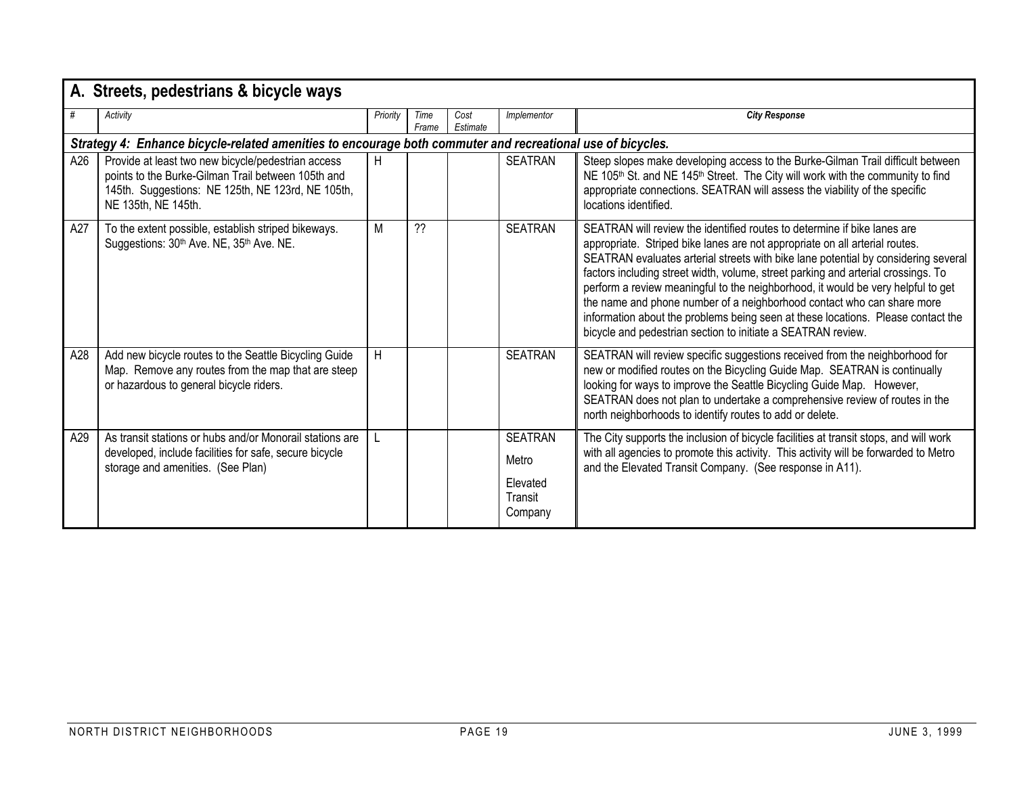|     | A. Streets, pedestrians & bicycle ways                                                                                                                                               |          |               |                  |                                                           |                                                                                                                                                                                                                                                                                                                                                                                                                                                                                                                                                                                                                                                      |  |  |  |  |  |
|-----|--------------------------------------------------------------------------------------------------------------------------------------------------------------------------------------|----------|---------------|------------------|-----------------------------------------------------------|------------------------------------------------------------------------------------------------------------------------------------------------------------------------------------------------------------------------------------------------------------------------------------------------------------------------------------------------------------------------------------------------------------------------------------------------------------------------------------------------------------------------------------------------------------------------------------------------------------------------------------------------------|--|--|--|--|--|
| #   | Activity                                                                                                                                                                             | Priority | Time<br>Frame | Cost<br>Estimate | Implementor                                               | <b>City Response</b>                                                                                                                                                                                                                                                                                                                                                                                                                                                                                                                                                                                                                                 |  |  |  |  |  |
|     | Strategy 4: Enhance bicycle-related amenities to encourage both commuter and recreational use of bicycles.                                                                           |          |               |                  |                                                           |                                                                                                                                                                                                                                                                                                                                                                                                                                                                                                                                                                                                                                                      |  |  |  |  |  |
| A26 | Provide at least two new bicycle/pedestrian access<br>points to the Burke-Gilman Trail between 105th and<br>145th. Suggestions: NE 125th, NE 123rd, NE 105th,<br>NE 135th, NE 145th. | H        |               |                  | <b>SEATRAN</b>                                            | Steep slopes make developing access to the Burke-Gilman Trail difficult between<br>NE 105 <sup>th</sup> St. and NE 145 <sup>th</sup> Street. The City will work with the community to find<br>appropriate connections. SEATRAN will assess the viability of the specific<br>locations identified.                                                                                                                                                                                                                                                                                                                                                    |  |  |  |  |  |
| A27 | To the extent possible, establish striped bikeways.<br>Suggestions: 30 <sup>th</sup> Ave. NE, 35 <sup>th</sup> Ave. NE.                                                              | M        | ??            |                  | <b>SEATRAN</b>                                            | SEATRAN will review the identified routes to determine if bike lanes are<br>appropriate. Striped bike lanes are not appropriate on all arterial routes.<br>SEATRAN evaluates arterial streets with bike lane potential by considering several<br>factors including street width, volume, street parking and arterial crossings. To<br>perform a review meaningful to the neighborhood, it would be very helpful to get<br>the name and phone number of a neighborhood contact who can share more<br>information about the problems being seen at these locations. Please contact the<br>bicycle and pedestrian section to initiate a SEATRAN review. |  |  |  |  |  |
| A28 | Add new bicycle routes to the Seattle Bicycling Guide<br>Map. Remove any routes from the map that are steep<br>or hazardous to general bicycle riders.                               | H        |               |                  | <b>SEATRAN</b>                                            | SEATRAN will review specific suggestions received from the neighborhood for<br>new or modified routes on the Bicycling Guide Map. SEATRAN is continually<br>looking for ways to improve the Seattle Bicycling Guide Map. However,<br>SEATRAN does not plan to undertake a comprehensive review of routes in the<br>north neighborhoods to identify routes to add or delete.                                                                                                                                                                                                                                                                          |  |  |  |  |  |
| A29 | As transit stations or hubs and/or Monorail stations are<br>developed, include facilities for safe, secure bicycle<br>storage and amenities. (See Plan)                              |          |               |                  | <b>SEATRAN</b><br>Metro<br>Elevated<br>Transit<br>Company | The City supports the inclusion of bicycle facilities at transit stops, and will work<br>with all agencies to promote this activity. This activity will be forwarded to Metro<br>and the Elevated Transit Company. (See response in A11).                                                                                                                                                                                                                                                                                                                                                                                                            |  |  |  |  |  |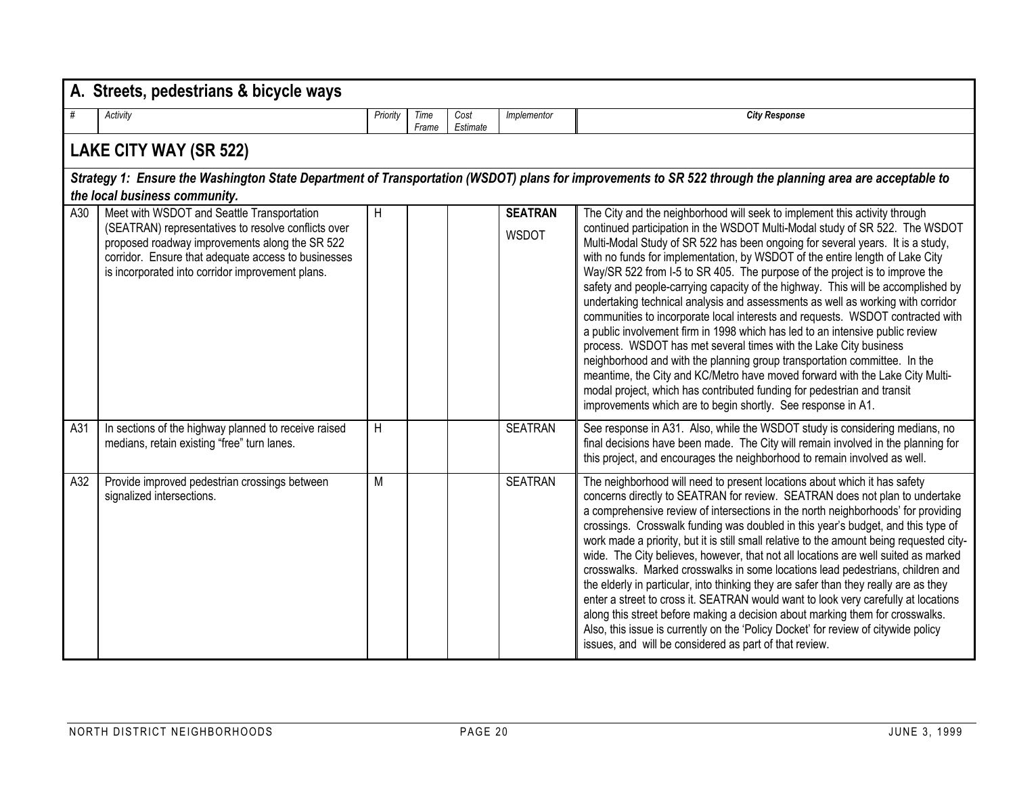|     | A. Streets, pedestrians & bicycle ways                                                                                                                                                                                                                         |          |               |                  |                                |                                                                                                                                                                                                                                                                                                                                                                                                                                                                                                                                                                                                                                                                                                                                                                                                                                                                                                                                                                                                                                                                                                                                  |  |  |  |  |  |
|-----|----------------------------------------------------------------------------------------------------------------------------------------------------------------------------------------------------------------------------------------------------------------|----------|---------------|------------------|--------------------------------|----------------------------------------------------------------------------------------------------------------------------------------------------------------------------------------------------------------------------------------------------------------------------------------------------------------------------------------------------------------------------------------------------------------------------------------------------------------------------------------------------------------------------------------------------------------------------------------------------------------------------------------------------------------------------------------------------------------------------------------------------------------------------------------------------------------------------------------------------------------------------------------------------------------------------------------------------------------------------------------------------------------------------------------------------------------------------------------------------------------------------------|--|--|--|--|--|
| #   | Activity                                                                                                                                                                                                                                                       | Priority | Time<br>Frame | Cost<br>Estimate | Implementor                    | <b>City Response</b>                                                                                                                                                                                                                                                                                                                                                                                                                                                                                                                                                                                                                                                                                                                                                                                                                                                                                                                                                                                                                                                                                                             |  |  |  |  |  |
|     | LAKE CITY WAY (SR 522)                                                                                                                                                                                                                                         |          |               |                  |                                |                                                                                                                                                                                                                                                                                                                                                                                                                                                                                                                                                                                                                                                                                                                                                                                                                                                                                                                                                                                                                                                                                                                                  |  |  |  |  |  |
|     | Strategy 1: Ensure the Washington State Department of Transportation (WSDOT) plans for improvements to SR 522 through the planning area are acceptable to<br>the local business community.                                                                     |          |               |                  |                                |                                                                                                                                                                                                                                                                                                                                                                                                                                                                                                                                                                                                                                                                                                                                                                                                                                                                                                                                                                                                                                                                                                                                  |  |  |  |  |  |
| A30 | Meet with WSDOT and Seattle Transportation<br>(SEATRAN) representatives to resolve conflicts over<br>proposed roadway improvements along the SR 522<br>corridor. Ensure that adequate access to businesses<br>is incorporated into corridor improvement plans. | H        |               |                  | <b>SEATRAN</b><br><b>WSDOT</b> | The City and the neighborhood will seek to implement this activity through<br>continued participation in the WSDOT Multi-Modal study of SR 522. The WSDOT<br>Multi-Modal Study of SR 522 has been ongoing for several years. It is a study,<br>with no funds for implementation, by WSDOT of the entire length of Lake City<br>Way/SR 522 from I-5 to SR 405. The purpose of the project is to improve the<br>safety and people-carrying capacity of the highway. This will be accomplished by<br>undertaking technical analysis and assessments as well as working with corridor<br>communities to incorporate local interests and requests. WSDOT contracted with<br>a public involvement firm in 1998 which has led to an intensive public review<br>process. WSDOT has met several times with the Lake City business<br>neighborhood and with the planning group transportation committee. In the<br>meantime, the City and KC/Metro have moved forward with the Lake City Multi-<br>modal project, which has contributed funding for pedestrian and transit<br>improvements which are to begin shortly. See response in A1. |  |  |  |  |  |
| A31 | In sections of the highway planned to receive raised<br>medians, retain existing "free" turn lanes.                                                                                                                                                            | H        |               |                  | <b>SEATRAN</b>                 | See response in A31. Also, while the WSDOT study is considering medians, no<br>final decisions have been made. The City will remain involved in the planning for<br>this project, and encourages the neighborhood to remain involved as well.                                                                                                                                                                                                                                                                                                                                                                                                                                                                                                                                                                                                                                                                                                                                                                                                                                                                                    |  |  |  |  |  |
| A32 | Provide improved pedestrian crossings between<br>signalized intersections.                                                                                                                                                                                     | M        |               |                  | <b>SEATRAN</b>                 | The neighborhood will need to present locations about which it has safety<br>concerns directly to SEATRAN for review. SEATRAN does not plan to undertake<br>a comprehensive review of intersections in the north neighborhoods' for providing<br>crossings. Crosswalk funding was doubled in this year's budget, and this type of<br>work made a priority, but it is still small relative to the amount being requested city-<br>wide. The City believes, however, that not all locations are well suited as marked<br>crosswalks. Marked crosswalks in some locations lead pedestrians, children and<br>the elderly in particular, into thinking they are safer than they really are as they<br>enter a street to cross it. SEATRAN would want to look very carefully at locations<br>along this street before making a decision about marking them for crosswalks.<br>Also, this issue is currently on the 'Policy Docket' for review of citywide policy<br>issues, and will be considered as part of that review.                                                                                                             |  |  |  |  |  |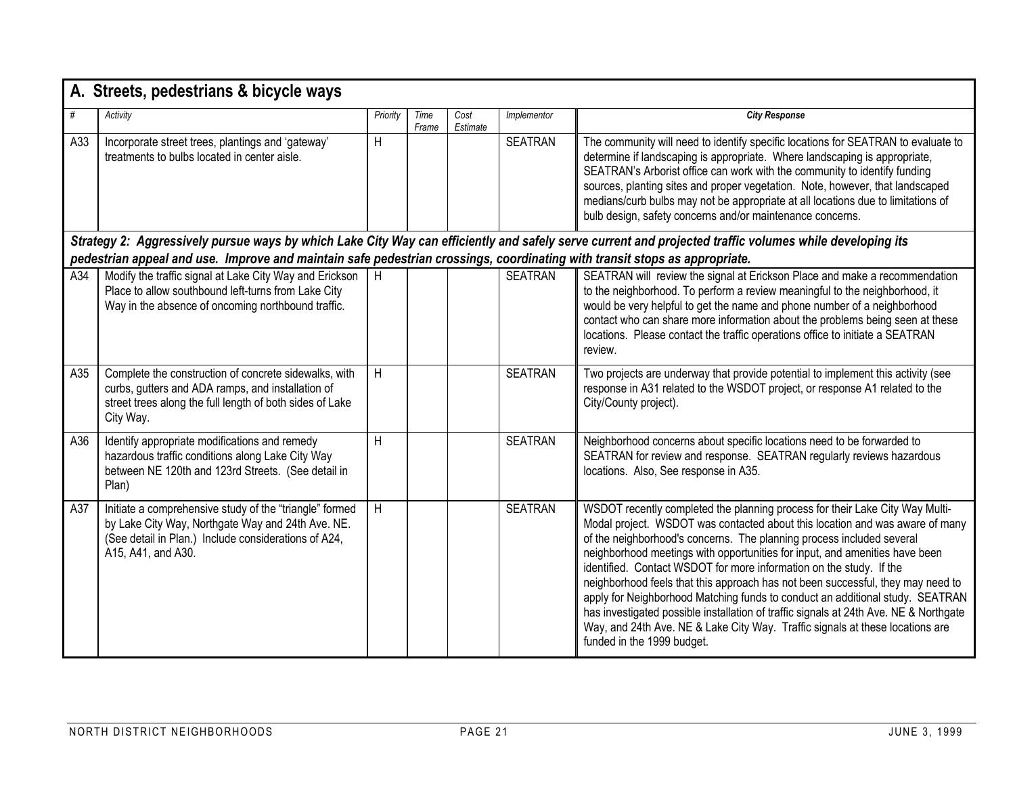|                                                                                                                                                                                                                                                                                       | A. Streets, pedestrians & bicycle ways                                                                                                                                                     |          |               |                  |                |                                                                                                                                                                                                                                                                                                                                                                                                                                                                                                                                                                                                                                                                                                                                                                         |  |  |  |  |  |
|---------------------------------------------------------------------------------------------------------------------------------------------------------------------------------------------------------------------------------------------------------------------------------------|--------------------------------------------------------------------------------------------------------------------------------------------------------------------------------------------|----------|---------------|------------------|----------------|-------------------------------------------------------------------------------------------------------------------------------------------------------------------------------------------------------------------------------------------------------------------------------------------------------------------------------------------------------------------------------------------------------------------------------------------------------------------------------------------------------------------------------------------------------------------------------------------------------------------------------------------------------------------------------------------------------------------------------------------------------------------------|--|--|--|--|--|
| #                                                                                                                                                                                                                                                                                     | Activity                                                                                                                                                                                   | Priority | Time<br>Frame | Cost<br>Estimate | Implementor    | <b>City Response</b>                                                                                                                                                                                                                                                                                                                                                                                                                                                                                                                                                                                                                                                                                                                                                    |  |  |  |  |  |
| A33                                                                                                                                                                                                                                                                                   | Incorporate street trees, plantings and 'gateway'<br>treatments to bulbs located in center aisle.                                                                                          | H        |               |                  | <b>SEATRAN</b> | The community will need to identify specific locations for SEATRAN to evaluate to<br>determine if landscaping is appropriate. Where landscaping is appropriate,<br>SEATRAN's Arborist office can work with the community to identify funding<br>sources, planting sites and proper vegetation. Note, however, that landscaped<br>medians/curb bulbs may not be appropriate at all locations due to limitations of<br>bulb design, safety concerns and/or maintenance concerns.                                                                                                                                                                                                                                                                                          |  |  |  |  |  |
| Strategy 2: Aggressively pursue ways by which Lake City Way can efficiently and safely serve current and projected traffic volumes while developing its<br>pedestrian appeal and use. Improve and maintain safe pedestrian crossings, coordinating with transit stops as appropriate. |                                                                                                                                                                                            |          |               |                  |                |                                                                                                                                                                                                                                                                                                                                                                                                                                                                                                                                                                                                                                                                                                                                                                         |  |  |  |  |  |
|                                                                                                                                                                                                                                                                                       |                                                                                                                                                                                            |          |               |                  |                |                                                                                                                                                                                                                                                                                                                                                                                                                                                                                                                                                                                                                                                                                                                                                                         |  |  |  |  |  |
| A34                                                                                                                                                                                                                                                                                   | Modify the traffic signal at Lake City Way and Erickson<br>Place to allow southbound left-turns from Lake City<br>Way in the absence of oncoming northbound traffic.                       | H        |               |                  | <b>SEATRAN</b> | SEATRAN will review the signal at Erickson Place and make a recommendation<br>to the neighborhood. To perform a review meaningful to the neighborhood, it<br>would be very helpful to get the name and phone number of a neighborhood<br>contact who can share more information about the problems being seen at these<br>locations. Please contact the traffic operations office to initiate a SEATRAN<br>review.                                                                                                                                                                                                                                                                                                                                                      |  |  |  |  |  |
| A35                                                                                                                                                                                                                                                                                   | Complete the construction of concrete sidewalks, with<br>curbs, gutters and ADA ramps, and installation of<br>street trees along the full length of both sides of Lake<br>City Way.        | H        |               |                  | <b>SEATRAN</b> | Two projects are underway that provide potential to implement this activity (see<br>response in A31 related to the WSDOT project, or response A1 related to the<br>City/County project).                                                                                                                                                                                                                                                                                                                                                                                                                                                                                                                                                                                |  |  |  |  |  |
| A36                                                                                                                                                                                                                                                                                   | Identify appropriate modifications and remedy<br>hazardous traffic conditions along Lake City Way<br>between NE 120th and 123rd Streets. (See detail in<br>Plan)                           | H        |               |                  | <b>SEATRAN</b> | Neighborhood concerns about specific locations need to be forwarded to<br>SEATRAN for review and response. SEATRAN regularly reviews hazardous<br>locations. Also, See response in A35.                                                                                                                                                                                                                                                                                                                                                                                                                                                                                                                                                                                 |  |  |  |  |  |
| A37                                                                                                                                                                                                                                                                                   | Initiate a comprehensive study of the "triangle" formed<br>by Lake City Way, Northgate Way and 24th Ave. NE.<br>(See detail in Plan.) Include considerations of A24,<br>A15, A41, and A30. | H        |               |                  | <b>SEATRAN</b> | WSDOT recently completed the planning process for their Lake City Way Multi-<br>Modal project. WSDOT was contacted about this location and was aware of many<br>of the neighborhood's concerns. The planning process included several<br>neighborhood meetings with opportunities for input, and amenities have been<br>identified. Contact WSDOT for more information on the study. If the<br>neighborhood feels that this approach has not been successful, they may need to<br>apply for Neighborhood Matching funds to conduct an additional study. SEATRAN<br>has investigated possible installation of traffic signals at 24th Ave. NE & Northgate<br>Way, and 24th Ave. NE & Lake City Way. Traffic signals at these locations are<br>funded in the 1999 budget. |  |  |  |  |  |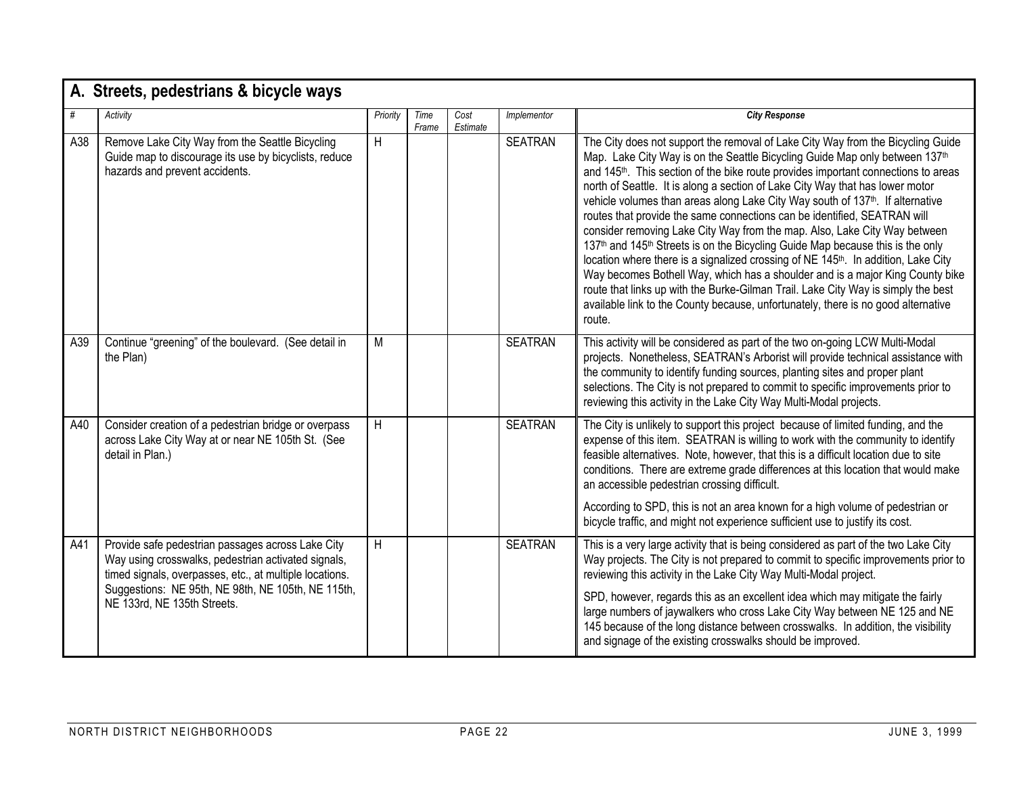|     | A. Streets, pedestrians & bicycle ways                                                                                                                                                                                                                   |          |               |                  |                |                                                                                                                                                                                                                                                                                                                                                                                                                                                                                                                                                                                                                                                                                                                                                                                                                                                                                                                                                                                                                                                                  |  |  |  |  |
|-----|----------------------------------------------------------------------------------------------------------------------------------------------------------------------------------------------------------------------------------------------------------|----------|---------------|------------------|----------------|------------------------------------------------------------------------------------------------------------------------------------------------------------------------------------------------------------------------------------------------------------------------------------------------------------------------------------------------------------------------------------------------------------------------------------------------------------------------------------------------------------------------------------------------------------------------------------------------------------------------------------------------------------------------------------------------------------------------------------------------------------------------------------------------------------------------------------------------------------------------------------------------------------------------------------------------------------------------------------------------------------------------------------------------------------------|--|--|--|--|
| #   | Activity                                                                                                                                                                                                                                                 | Priority | Time<br>Frame | Cost<br>Estimate | Implementor    | <b>City Response</b>                                                                                                                                                                                                                                                                                                                                                                                                                                                                                                                                                                                                                                                                                                                                                                                                                                                                                                                                                                                                                                             |  |  |  |  |
| A38 | Remove Lake City Way from the Seattle Bicycling<br>Guide map to discourage its use by bicyclists, reduce<br>hazards and prevent accidents.                                                                                                               | H        |               |                  | <b>SEATRAN</b> | The City does not support the removal of Lake City Way from the Bicycling Guide<br>Map. Lake City Way is on the Seattle Bicycling Guide Map only between 137 <sup>th</sup><br>and 145 <sup>th</sup> . This section of the bike route provides important connections to areas<br>north of Seattle. It is along a section of Lake City Way that has lower motor<br>vehicle volumes than areas along Lake City Way south of 137 <sup>th</sup> . If alternative<br>routes that provide the same connections can be identified, SEATRAN will<br>consider removing Lake City Way from the map. Also, Lake City Way between<br>137th and 145th Streets is on the Bicycling Guide Map because this is the only<br>location where there is a signalized crossing of NE 145th. In addition, Lake City<br>Way becomes Bothell Way, which has a shoulder and is a major King County bike<br>route that links up with the Burke-Gilman Trail. Lake City Way is simply the best<br>available link to the County because, unfortunately, there is no good alternative<br>route. |  |  |  |  |
| A39 | Continue "greening" of the boulevard. (See detail in<br>the Plan)                                                                                                                                                                                        | M        |               |                  | <b>SEATRAN</b> | This activity will be considered as part of the two on-going LCW Multi-Modal<br>projects. Nonetheless, SEATRAN's Arborist will provide technical assistance with<br>the community to identify funding sources, planting sites and proper plant<br>selections. The City is not prepared to commit to specific improvements prior to<br>reviewing this activity in the Lake City Way Multi-Modal projects.                                                                                                                                                                                                                                                                                                                                                                                                                                                                                                                                                                                                                                                         |  |  |  |  |
| A40 | Consider creation of a pedestrian bridge or overpass<br>across Lake City Way at or near NE 105th St. (See<br>detail in Plan.)                                                                                                                            | H        |               |                  | <b>SEATRAN</b> | The City is unlikely to support this project because of limited funding, and the<br>expense of this item. SEATRAN is willing to work with the community to identify<br>feasible alternatives. Note, however, that this is a difficult location due to site<br>conditions. There are extreme grade differences at this location that would make<br>an accessible pedestrian crossing difficult.<br>According to SPD, this is not an area known for a high volume of pedestrian or<br>bicycle traffic, and might not experience sufficient use to justify its cost.                                                                                                                                                                                                                                                                                                                                                                                                                                                                                                |  |  |  |  |
| A41 | Provide safe pedestrian passages across Lake City<br>Way using crosswalks, pedestrian activated signals,<br>timed signals, overpasses, etc., at multiple locations.<br>Suggestions: NE 95th, NE 98th, NE 105th, NE 115th,<br>NE 133rd, NE 135th Streets. | H        |               |                  | <b>SEATRAN</b> | This is a very large activity that is being considered as part of the two Lake City<br>Way projects. The City is not prepared to commit to specific improvements prior to<br>reviewing this activity in the Lake City Way Multi-Modal project.<br>SPD, however, regards this as an excellent idea which may mitigate the fairly<br>large numbers of jaywalkers who cross Lake City Way between NE 125 and NE<br>145 because of the long distance between crosswalks. In addition, the visibility<br>and signage of the existing crosswalks should be improved.                                                                                                                                                                                                                                                                                                                                                                                                                                                                                                   |  |  |  |  |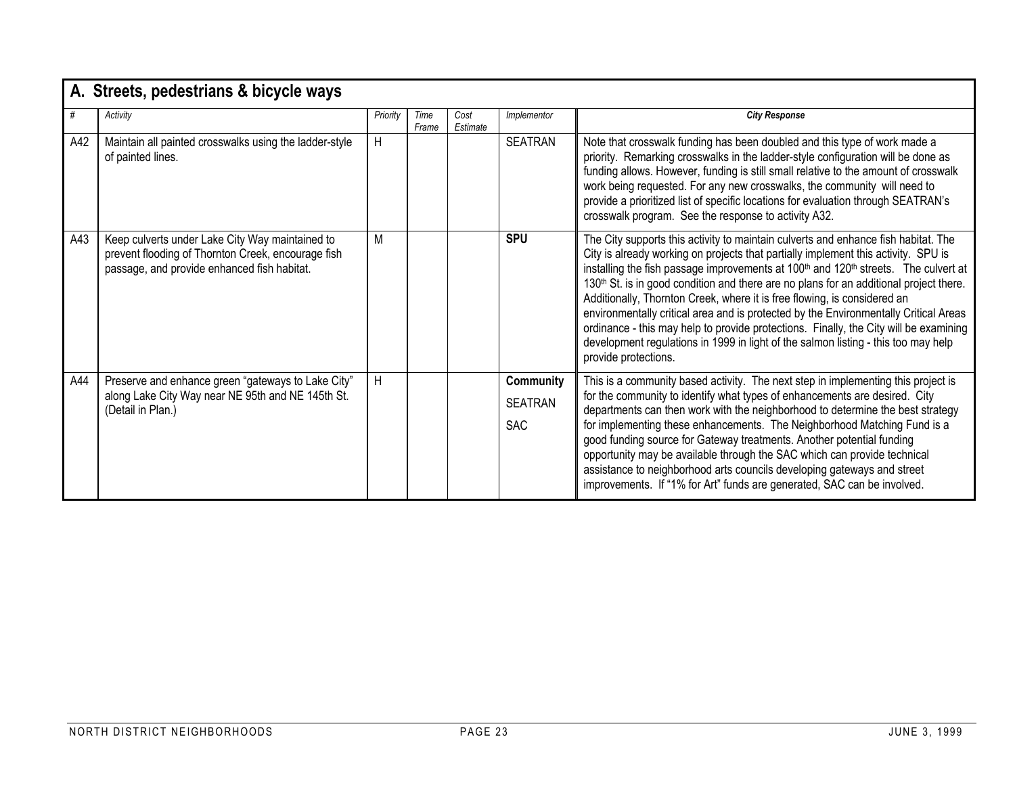|     | A. Streets, pedestrians & bicycle ways                                                                                                               |          |               |                  |                                           |                                                                                                                                                                                                                                                                                                                                                                                                                                                                                                                                                                                                                                                                                                                                                                          |  |  |  |  |
|-----|------------------------------------------------------------------------------------------------------------------------------------------------------|----------|---------------|------------------|-------------------------------------------|--------------------------------------------------------------------------------------------------------------------------------------------------------------------------------------------------------------------------------------------------------------------------------------------------------------------------------------------------------------------------------------------------------------------------------------------------------------------------------------------------------------------------------------------------------------------------------------------------------------------------------------------------------------------------------------------------------------------------------------------------------------------------|--|--|--|--|
| #   | Activity                                                                                                                                             | Priority | Time<br>Frame | Cost<br>Estimate | Implementor                               | <b>City Response</b>                                                                                                                                                                                                                                                                                                                                                                                                                                                                                                                                                                                                                                                                                                                                                     |  |  |  |  |
| A42 | Maintain all painted crosswalks using the ladder-style<br>of painted lines.                                                                          | H        |               |                  | SEATRAN                                   | Note that crosswalk funding has been doubled and this type of work made a<br>priority. Remarking crosswalks in the ladder-style configuration will be done as<br>funding allows. However, funding is still small relative to the amount of crosswalk<br>work being requested. For any new crosswalks, the community will need to<br>provide a prioritized list of specific locations for evaluation through SEATRAN's<br>crosswalk program. See the response to activity A32.                                                                                                                                                                                                                                                                                            |  |  |  |  |
| A43 | Keep culverts under Lake City Way maintained to<br>prevent flooding of Thornton Creek, encourage fish<br>passage, and provide enhanced fish habitat. | М        |               |                  | <b>SPU</b>                                | The City supports this activity to maintain culverts and enhance fish habitat. The<br>City is already working on projects that partially implement this activity. SPU is<br>installing the fish passage improvements at 100 <sup>th</sup> and 120 <sup>th</sup> streets. The culvert at<br>130 <sup>th</sup> St. is in good condition and there are no plans for an additional project there.<br>Additionally, Thornton Creek, where it is free flowing, is considered an<br>environmentally critical area and is protected by the Environmentally Critical Areas<br>ordinance - this may help to provide protections. Finally, the City will be examining<br>development regulations in 1999 in light of the salmon listing - this too may help<br>provide protections. |  |  |  |  |
| A44 | Preserve and enhance green "gateways to Lake City"<br>along Lake City Way near NE 95th and NE 145th St.<br>(Detail in Plan.)                         | H        |               |                  | Community<br><b>SEATRAN</b><br><b>SAC</b> | This is a community based activity. The next step in implementing this project is<br>for the community to identify what types of enhancements are desired. City<br>departments can then work with the neighborhood to determine the best strategy<br>for implementing these enhancements. The Neighborhood Matching Fund is a<br>good funding source for Gateway treatments. Another potential funding<br>opportunity may be available through the SAC which can provide technical<br>assistance to neighborhood arts councils developing gateways and street<br>improvements. If "1% for Art" funds are generated, SAC can be involved.                                                                                                                                 |  |  |  |  |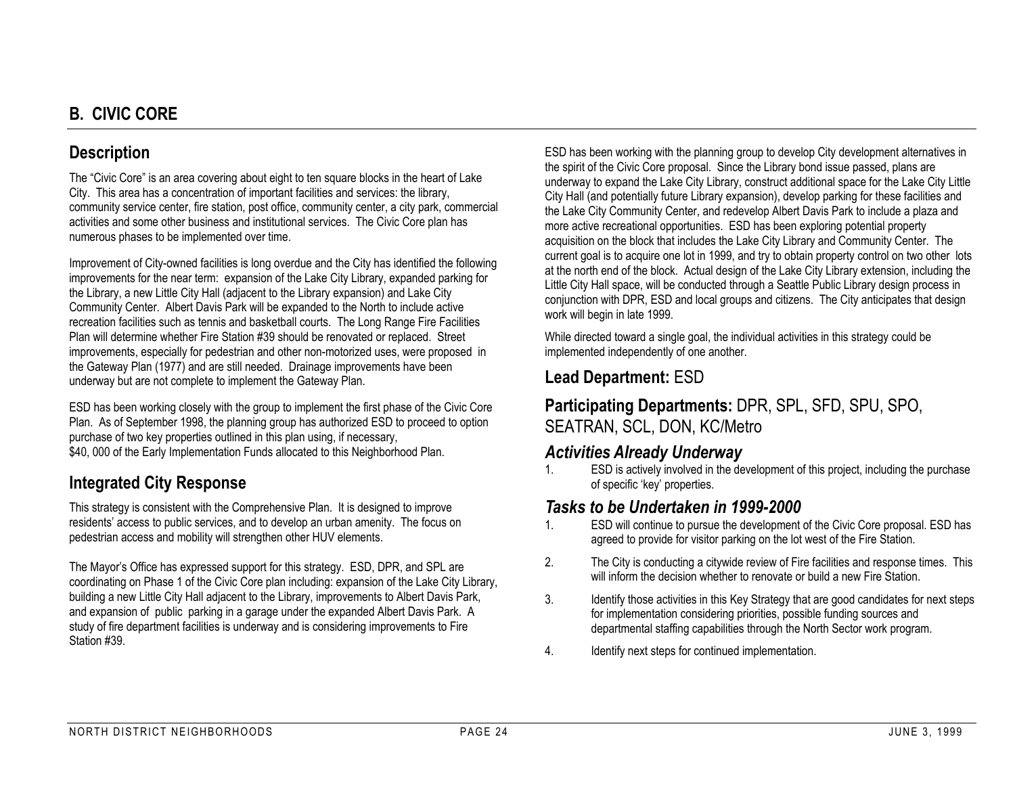## **B. CIVIC CORE**

#### **Description**

The "Civic Core" is an area covering about eight to ten square blocks in the heart of Lake City. This area has a concentration of important facilities and services: the library, community service center, fire station, post office, community center, a city park, commercial activities and some other business and institutional services. The Civic Core plan has numerous phases to be implemented over time.

Improvement of City-owned facilities is long overdue and the City has identified the following improvements for the near term: expansion of the Lake City Library, expanded parking for the Library, a new Little City Hall (adjacent to the Library expansion) and Lake City Community Center. Albert Davis Park will be expanded to the North to include active recreation facilities such as tennis and basketball courts. The Long Range Fire Facilities Plan will determine whether Fire Station #39 should be renovated or replaced. Street improvements, especially for pedestrian and other non-motorized uses, were proposed in the Gateway Plan (1977) and are still needed. Drainage improvements have been underway but are not complete to implement the Gateway Plan.

ESD has been working closely with the group to implement the first phase of the Civic Core Plan. As of September 1998, the planning group has authorized ESD to proceed to option purchase of two key properties outlined in this plan using, if necessary, \$40, 000 of the Early Implementation Funds allocated to this Neighborhood Plan.

#### **Integrated City Response**

This strategy is consistent with the Comprehensive Plan. It is designed to improve residents' access to public services, and to develop an urban amenity. The focus on pedestrian access and mobility will strengthen other HUV elements.

The Mayor's Office has expressed support for this strategy. ESD, DPR, and SPL are coordinating on Phase 1 of the Civic Core plan including: expansion of the Lake City Library, building a new Little City Hall adjacent to the Library, improvements to Albert Davis Park, and expansion of public parking in a garage under the expanded Albert Davis Park. A study of fire department facilities is underway and is considering improvements to Fire Station #39.

ESD has been working with the planning group to develop City development alternatives in the spirit of the Civic Core proposal. Since the Library bond issue passed, plans are underway to expand the Lake City Library, construct additional space for the Lake City Little City Hall (and potentially future Library expansion), develop parking for these facilities and the Lake City Community Center, and redevelop Albert Davis Park to include a plaza and more active recreational opportunities. ESD has been exploring potential property acquisition on the block that includes the Lake City Library and Community Center. The current goal is to acquire one lot in 1999, and try to obtain property control on two other lots at the north end of the block. Actual design of the Lake City Library extension, including the Little City Hall space, will be conducted through a Seattle Public Library design process in conjunction with DPR, ESD and local groups and citizens. The City anticipates that design work will begin in late 1999.

While directed toward a single goal, the individual activities in this strategy could be implemented independently of one another.

## **Lead Department:** ESD

**Participating Departments:** DPR, SPL, SFD, SPU, SPO, SEATRAN, SCL, DON, KC/Metro

#### *Activities Already Underway*

1. ESD is actively involved in the development of this project, including the purchase of specific 'key' properties.

#### *Tasks to be Undertaken in 1999-2000*

- 1. ESD will continue to pursue the development of the Civic Core proposal. ESD has agreed to provide for visitor parking on the lot west of the Fire Station.
- 2. The City is conducting a citywide review of Fire facilities and response times. This will inform the decision whether to renovate or build a new Fire Station.
- 3. Identify those activities in this Key Strategy that are good candidates for next steps for implementation considering priorities, possible funding sources and departmental staffing capabilities through the North Sector work program.
- 4. Identify next steps for continued implementation.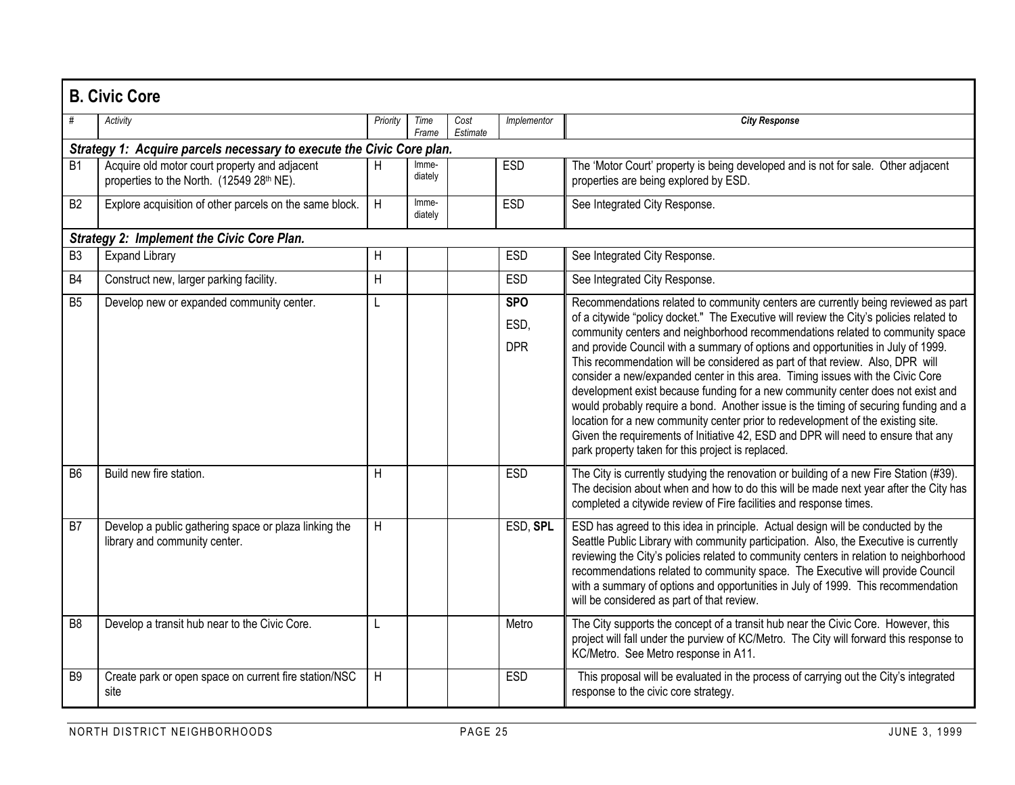|                 | <b>B. Civic Core</b>                                                                       |          |                  |                  |                                  |                                                                                                                                                                                                                                                                                                                                                                                                                                                                                                                                                                                                                                                                                                                                                                                                                                                                                                                               |  |  |  |  |  |  |
|-----------------|--------------------------------------------------------------------------------------------|----------|------------------|------------------|----------------------------------|-------------------------------------------------------------------------------------------------------------------------------------------------------------------------------------------------------------------------------------------------------------------------------------------------------------------------------------------------------------------------------------------------------------------------------------------------------------------------------------------------------------------------------------------------------------------------------------------------------------------------------------------------------------------------------------------------------------------------------------------------------------------------------------------------------------------------------------------------------------------------------------------------------------------------------|--|--|--|--|--|--|
|                 | Activity                                                                                   | Priority | Time<br>Frame    | Cost<br>Estimate | Implementor                      | <b>City Response</b>                                                                                                                                                                                                                                                                                                                                                                                                                                                                                                                                                                                                                                                                                                                                                                                                                                                                                                          |  |  |  |  |  |  |
|                 | Strategy 1: Acquire parcels necessary to execute the Civic Core plan.                      |          |                  |                  |                                  |                                                                                                                                                                                                                                                                                                                                                                                                                                                                                                                                                                                                                                                                                                                                                                                                                                                                                                                               |  |  |  |  |  |  |
| <b>B1</b>       | Acquire old motor court property and adjacent<br>properties to the North. (12549 28th NE). | н        | Imme-<br>diately |                  | <b>ESD</b>                       | The 'Motor Court' property is being developed and is not for sale. Other adjacent<br>properties are being explored by ESD.                                                                                                                                                                                                                                                                                                                                                                                                                                                                                                                                                                                                                                                                                                                                                                                                    |  |  |  |  |  |  |
| $\overline{B2}$ | Explore acquisition of other parcels on the same block.                                    | H        | Imme-<br>diately |                  | <b>ESD</b>                       | See Integrated City Response.                                                                                                                                                                                                                                                                                                                                                                                                                                                                                                                                                                                                                                                                                                                                                                                                                                                                                                 |  |  |  |  |  |  |
|                 | <b>Strategy 2: Implement the Civic Core Plan.</b>                                          |          |                  |                  |                                  |                                                                                                                                                                                                                                                                                                                                                                                                                                                                                                                                                                                                                                                                                                                                                                                                                                                                                                                               |  |  |  |  |  |  |
| B <sub>3</sub>  | <b>Expand Library</b>                                                                      | H        |                  |                  | <b>ESD</b>                       | See Integrated City Response.                                                                                                                                                                                                                                                                                                                                                                                                                                                                                                                                                                                                                                                                                                                                                                                                                                                                                                 |  |  |  |  |  |  |
| <b>B4</b>       | Construct new, larger parking facility.                                                    | H        |                  |                  | <b>ESD</b>                       | See Integrated City Response.                                                                                                                                                                                                                                                                                                                                                                                                                                                                                                                                                                                                                                                                                                                                                                                                                                                                                                 |  |  |  |  |  |  |
| B <sub>5</sub>  | Develop new or expanded community center.                                                  | L        |                  |                  | <b>SPO</b><br>ESD,<br><b>DPR</b> | Recommendations related to community centers are currently being reviewed as part<br>of a citywide "policy docket." The Executive will review the City's policies related to<br>community centers and neighborhood recommendations related to community space<br>and provide Council with a summary of options and opportunities in July of 1999.<br>This recommendation will be considered as part of that review. Also, DPR will<br>consider a new/expanded center in this area. Timing issues with the Civic Core<br>development exist because funding for a new community center does not exist and<br>would probably require a bond. Another issue is the timing of securing funding and a<br>location for a new community center prior to redevelopment of the existing site.<br>Given the requirements of Initiative 42, ESD and DPR will need to ensure that any<br>park property taken for this project is replaced. |  |  |  |  |  |  |
| B <sub>6</sub>  | Build new fire station.                                                                    | H        |                  |                  | <b>ESD</b>                       | The City is currently studying the renovation or building of a new Fire Station (#39).<br>The decision about when and how to do this will be made next year after the City has<br>completed a citywide review of Fire facilities and response times.                                                                                                                                                                                                                                                                                                                                                                                                                                                                                                                                                                                                                                                                          |  |  |  |  |  |  |
| B <sub>7</sub>  | Develop a public gathering space or plaza linking the<br>library and community center.     | H        |                  |                  | ESD, SPL                         | ESD has agreed to this idea in principle. Actual design will be conducted by the<br>Seattle Public Library with community participation. Also, the Executive is currently<br>reviewing the City's policies related to community centers in relation to neighborhood<br>recommendations related to community space. The Executive will provide Council<br>with a summary of options and opportunities in July of 1999. This recommendation<br>will be considered as part of that review.                                                                                                                                                                                                                                                                                                                                                                                                                                       |  |  |  |  |  |  |
| B <sub>8</sub>  | Develop a transit hub near to the Civic Core.                                              | L        |                  |                  | Metro                            | The City supports the concept of a transit hub near the Civic Core. However, this<br>project will fall under the purview of KC/Metro. The City will forward this response to<br>KC/Metro. See Metro response in A11.                                                                                                                                                                                                                                                                                                                                                                                                                                                                                                                                                                                                                                                                                                          |  |  |  |  |  |  |
| B <sub>9</sub>  | Create park or open space on current fire station/NSC<br>site                              | H        |                  |                  | <b>ESD</b>                       | This proposal will be evaluated in the process of carrying out the City's integrated<br>response to the civic core strategy.                                                                                                                                                                                                                                                                                                                                                                                                                                                                                                                                                                                                                                                                                                                                                                                                  |  |  |  |  |  |  |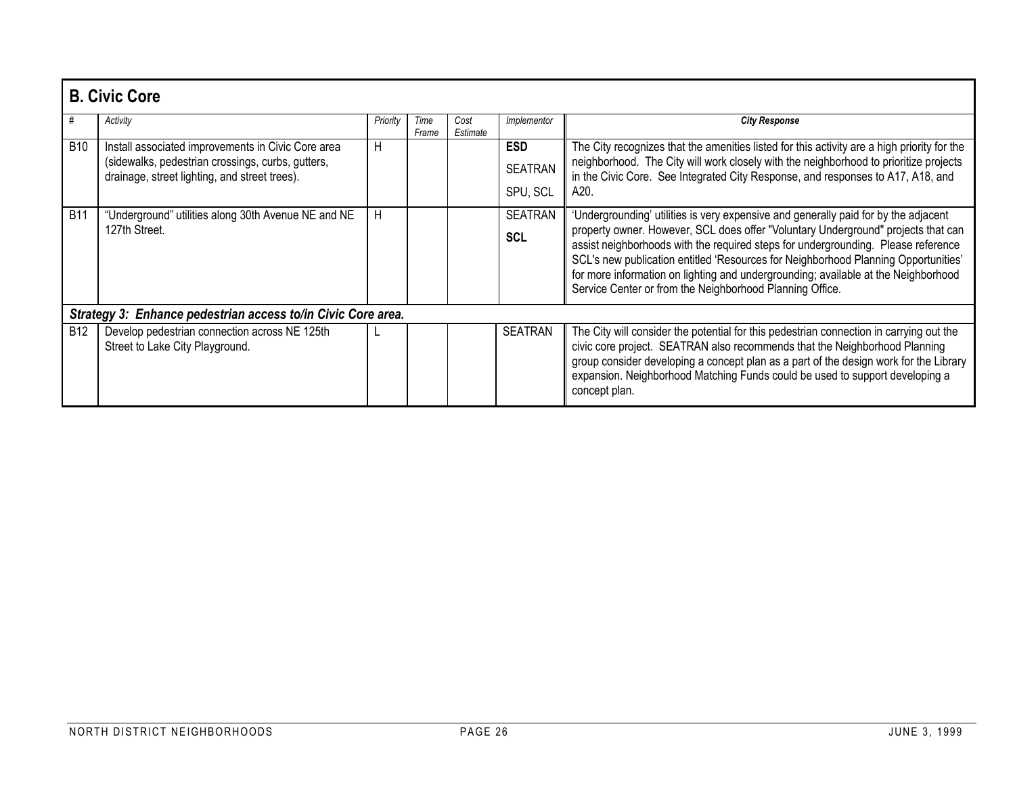|            | <b>B. Civic Core</b>                                                                                                                                     |          |               |                  |                                          |                                                                                                                                                                                                                                                                                                                                                                                                                                                                                                       |  |  |  |  |
|------------|----------------------------------------------------------------------------------------------------------------------------------------------------------|----------|---------------|------------------|------------------------------------------|-------------------------------------------------------------------------------------------------------------------------------------------------------------------------------------------------------------------------------------------------------------------------------------------------------------------------------------------------------------------------------------------------------------------------------------------------------------------------------------------------------|--|--|--|--|
|            | Activity                                                                                                                                                 | Priority | Time<br>Frame | Cost<br>Estimate | Implementor                              | <b>City Response</b>                                                                                                                                                                                                                                                                                                                                                                                                                                                                                  |  |  |  |  |
| <b>B10</b> | Install associated improvements in Civic Core area<br>(sidewalks, pedestrian crossings, curbs, gutters,<br>drainage, street lighting, and street trees). | H        |               |                  | <b>ESD</b><br><b>SEATRAN</b><br>SPU, SCL | The City recognizes that the amenities listed for this activity are a high priority for the<br>neighborhood. The City will work closely with the neighborhood to prioritize projects<br>in the Civic Core. See Integrated City Response, and responses to A17, A18, and<br>A20.                                                                                                                                                                                                                       |  |  |  |  |
| <b>B11</b> | "Underground" utilities along 30th Avenue NE and NE<br>127th Street.                                                                                     | H        |               |                  | <b>SEATRAN</b><br><b>SCL</b>             | 'Undergrounding' utilities is very expensive and generally paid for by the adjacent<br>property owner. However, SCL does offer "Voluntary Underground" projects that can<br>assist neighborhoods with the required steps for undergrounding. Please reference<br>SCL's new publication entitled 'Resources for Neighborhood Planning Opportunities'<br>for more information on lighting and undergrounding; available at the Neighborhood<br>Service Center or from the Neighborhood Planning Office. |  |  |  |  |
|            | Strategy 3: Enhance pedestrian access to/in Civic Core area.                                                                                             |          |               |                  |                                          |                                                                                                                                                                                                                                                                                                                                                                                                                                                                                                       |  |  |  |  |
| <b>B12</b> | Develop pedestrian connection across NE 125th<br>Street to Lake City Playground.                                                                         |          |               |                  | <b>SEATRAN</b>                           | The City will consider the potential for this pedestrian connection in carrying out the<br>civic core project. SEATRAN also recommends that the Neighborhood Planning<br>group consider developing a concept plan as a part of the design work for the Library<br>expansion. Neighborhood Matching Funds could be used to support developing a<br>concept plan.                                                                                                                                       |  |  |  |  |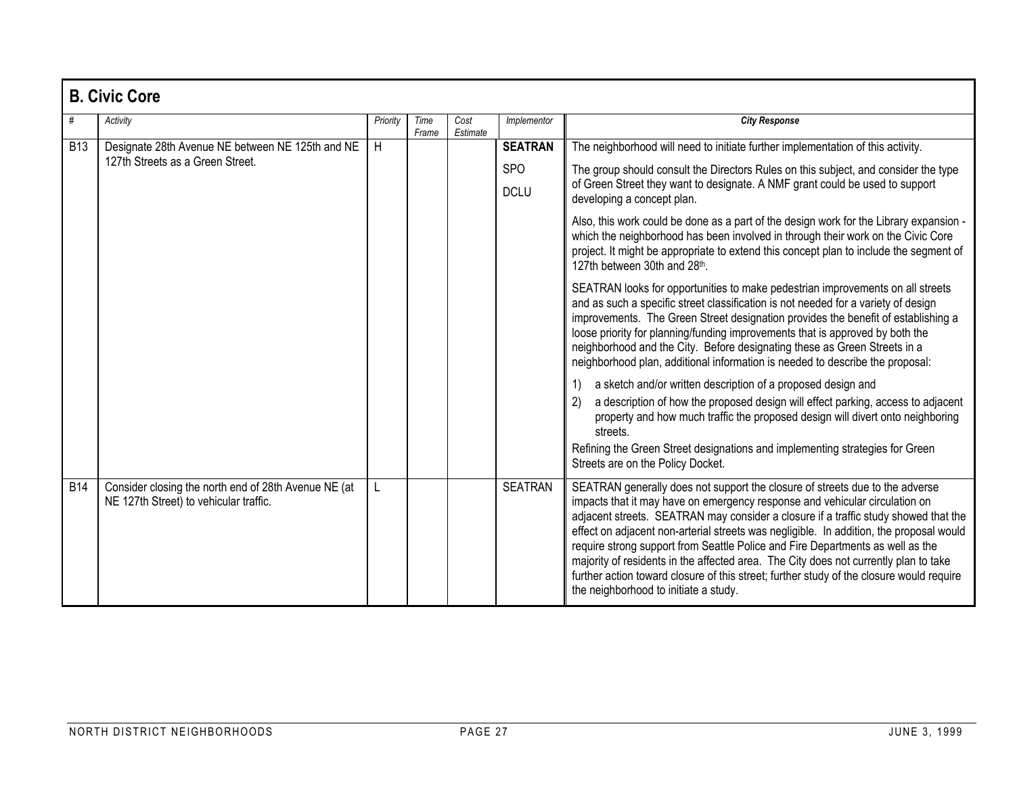|            | <b>B. Civic Core</b>                                                                           |          |               |                  |                           |                                                                                                                                                                                                                                                                                                                                                                                                                                                                                                                                                                                                                                                              |  |  |  |  |  |
|------------|------------------------------------------------------------------------------------------------|----------|---------------|------------------|---------------------------|--------------------------------------------------------------------------------------------------------------------------------------------------------------------------------------------------------------------------------------------------------------------------------------------------------------------------------------------------------------------------------------------------------------------------------------------------------------------------------------------------------------------------------------------------------------------------------------------------------------------------------------------------------------|--|--|--|--|--|
| #          | Activity                                                                                       | Priority | Time<br>Frame | Cost<br>Estimate | Implementor               | <b>City Response</b>                                                                                                                                                                                                                                                                                                                                                                                                                                                                                                                                                                                                                                         |  |  |  |  |  |
| <b>B13</b> | Designate 28th Avenue NE between NE 125th and NE                                               | H        |               |                  | <b>SEATRAN</b>            | The neighborhood will need to initiate further implementation of this activity.                                                                                                                                                                                                                                                                                                                                                                                                                                                                                                                                                                              |  |  |  |  |  |
|            | 127th Streets as a Green Street.                                                               |          |               |                  | <b>SPO</b><br><b>DCLU</b> | The group should consult the Directors Rules on this subject, and consider the type<br>of Green Street they want to designate. A NMF grant could be used to support<br>developing a concept plan.                                                                                                                                                                                                                                                                                                                                                                                                                                                            |  |  |  |  |  |
|            |                                                                                                |          |               |                  |                           | Also, this work could be done as a part of the design work for the Library expansion -<br>which the neighborhood has been involved in through their work on the Civic Core<br>project. It might be appropriate to extend this concept plan to include the segment of<br>127th between 30th and 28th.                                                                                                                                                                                                                                                                                                                                                         |  |  |  |  |  |
|            |                                                                                                |          |               |                  |                           | SEATRAN looks for opportunities to make pedestrian improvements on all streets<br>and as such a specific street classification is not needed for a variety of design<br>improvements. The Green Street designation provides the benefit of establishing a<br>loose priority for planning/funding improvements that is approved by both the<br>neighborhood and the City. Before designating these as Green Streets in a<br>neighborhood plan, additional information is needed to describe the proposal:                                                                                                                                                     |  |  |  |  |  |
|            |                                                                                                |          |               |                  |                           | a sketch and/or written description of a proposed design and<br>1)<br>a description of how the proposed design will effect parking, access to adjacent<br>2)<br>property and how much traffic the proposed design will divert onto neighboring<br>streets.<br>Refining the Green Street designations and implementing strategies for Green<br>Streets are on the Policy Docket.                                                                                                                                                                                                                                                                              |  |  |  |  |  |
| <b>B14</b> | Consider closing the north end of 28th Avenue NE (at<br>NE 127th Street) to vehicular traffic. |          |               |                  | <b>SEATRAN</b>            | SEATRAN generally does not support the closure of streets due to the adverse<br>impacts that it may have on emergency response and vehicular circulation on<br>adjacent streets. SEATRAN may consider a closure if a traffic study showed that the<br>effect on adjacent non-arterial streets was negligible. In addition, the proposal would<br>require strong support from Seattle Police and Fire Departments as well as the<br>majority of residents in the affected area. The City does not currently plan to take<br>further action toward closure of this street; further study of the closure would require<br>the neighborhood to initiate a study. |  |  |  |  |  |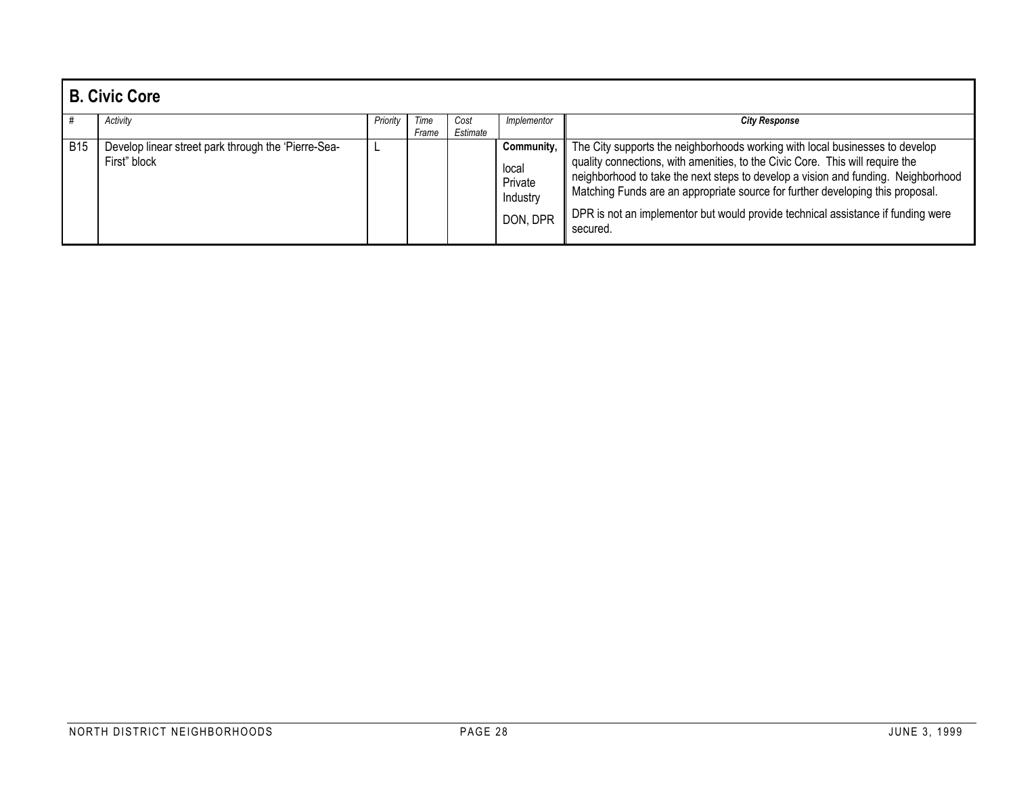|     | <b>B. Civic Core</b>                                                |          |               |                  |                                                        |                                                                                                                                                                                                                                                                                                                                                                                                                                     |  |  |  |  |
|-----|---------------------------------------------------------------------|----------|---------------|------------------|--------------------------------------------------------|-------------------------------------------------------------------------------------------------------------------------------------------------------------------------------------------------------------------------------------------------------------------------------------------------------------------------------------------------------------------------------------------------------------------------------------|--|--|--|--|
|     | Activity                                                            | Priority | Time<br>Frame | Cost<br>Estimate | Implementor                                            | <b>City Response</b>                                                                                                                                                                                                                                                                                                                                                                                                                |  |  |  |  |
| B15 | Develop linear street park through the 'Pierre-Sea-<br>First" block |          |               |                  | Community.<br>local<br>Private<br>Industry<br>DON, DPR | The City supports the neighborhoods working with local businesses to develop<br>quality connections, with amenities, to the Civic Core. This will require the<br>neighborhood to take the next steps to develop a vision and funding. Neighborhood<br>Matching Funds are an appropriate source for further developing this proposal.<br>DPR is not an implementor but would provide technical assistance if funding were<br>secured |  |  |  |  |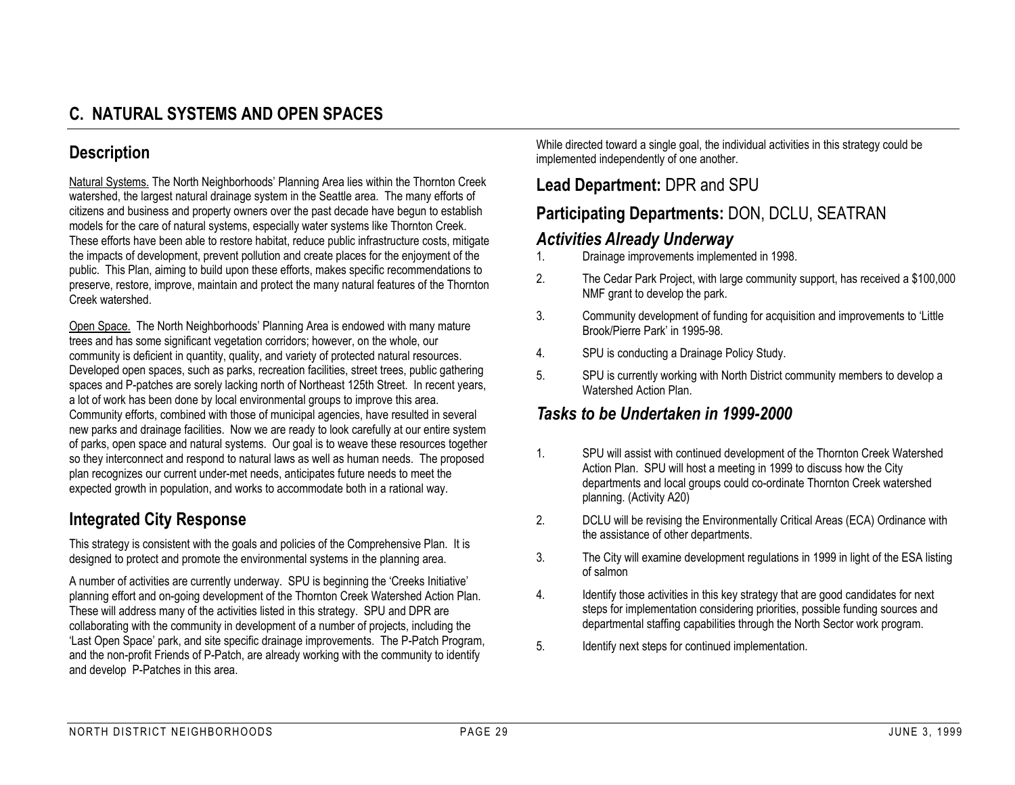## **Description**

Natural Systems. The North Neighborhoods' Planning Area lies within the Thornton Creek watershed, the largest natural drainage system in the Seattle area. The many efforts of citizens and business and property owners over the past decade have begun to establish models for the care of natural systems, especially water systems like Thornton Creek. These efforts have been able to restore habitat, reduce public infrastructure costs, mitigate the impacts of development, prevent pollution and create places for the enjoyment of the public. This Plan, aiming to build upon these efforts, makes specific recommendations to preserve, restore, improve, maintain and protect the many natural features of the Thornton Creek watershed.

Open Space. The North Neighborhoods' Planning Area is endowed with many mature trees and has some significant vegetation corridors; however, on the whole, our community is deficient in quantity, quality, and variety of protected natural resources. Developed open spaces, such as parks, recreation facilities, street trees, public gathering spaces and P-patches are sorely lacking north of Northeast 125th Street. In recent years, a lot of work has been done by local environmental groups to improve this area. Community efforts, combined with those of municipal agencies, have resulted in several new parks and drainage facilities. Now we are ready to look carefully at our entire system of parks, open space and natural systems. Our goal is to weave these resources together so they interconnect and respond to natural laws as well as human needs. The proposed plan recognizes our current under-met needs, anticipates future needs to meet the expected growth in population, and works to accommodate both in a rational way.

## **Integrated City Response**

This strategy is consistent with the goals and policies of the Comprehensive Plan. It is designed to protect and promote the environmental systems in the planning area.

A number of activities are currently underway. SPU is beginning the 'Creeks Initiative' planning effort and on-going development of the Thornton Creek Watershed Action Plan. These will address many of the activities listed in this strategy. SPU and DPR are collaborating with the community in development of a number of projects, including the 'Last Open Space' park, and site specific drainage improvements. The P-Patch Program, and the non-profit Friends of P-Patch, are already working with the community to identify and develop P-Patches in this area.

While directed toward a single goal, the individual activities in this strategy could be implemented independently of one another.

## **Lead Department:** DPR and SPU

## **Participating Departments:** DON, DCLU, SEATRAN

#### *Activities Already Underway*

- 1. Drainage improvements implemented in 1998.
- 2. The Cedar Park Project, with large community support, has received a \$100,000 NMF grant to develop the park.
- 3. Community development of funding for acquisition and improvements to 'Little Brook/Pierre Park' in 1995-98.
- 4. SPU is conducting a Drainage Policy Study.
- 5. SPU is currently working with North District community members to develop a Watershed Action Plan.

## *Tasks to be Undertaken in 1999-2000*

- 1. SPU will assist with continued development of the Thornton Creek Watershed Action Plan. SPU will host a meeting in 1999 to discuss how the City departments and local groups could co-ordinate Thornton Creek watershed planning. (Activity A20)
- 2. DCLU will be revising the Environmentally Critical Areas (ECA) Ordinance with the assistance of other departments.
- 3. The City will examine development regulations in 1999 in light of the ESA listing of salmon
- 4. Identify those activities in this key strategy that are good candidates for next steps for implementation considering priorities, possible funding sources and departmental staffing capabilities through the North Sector work program.
- 5. Identify next steps for continued implementation.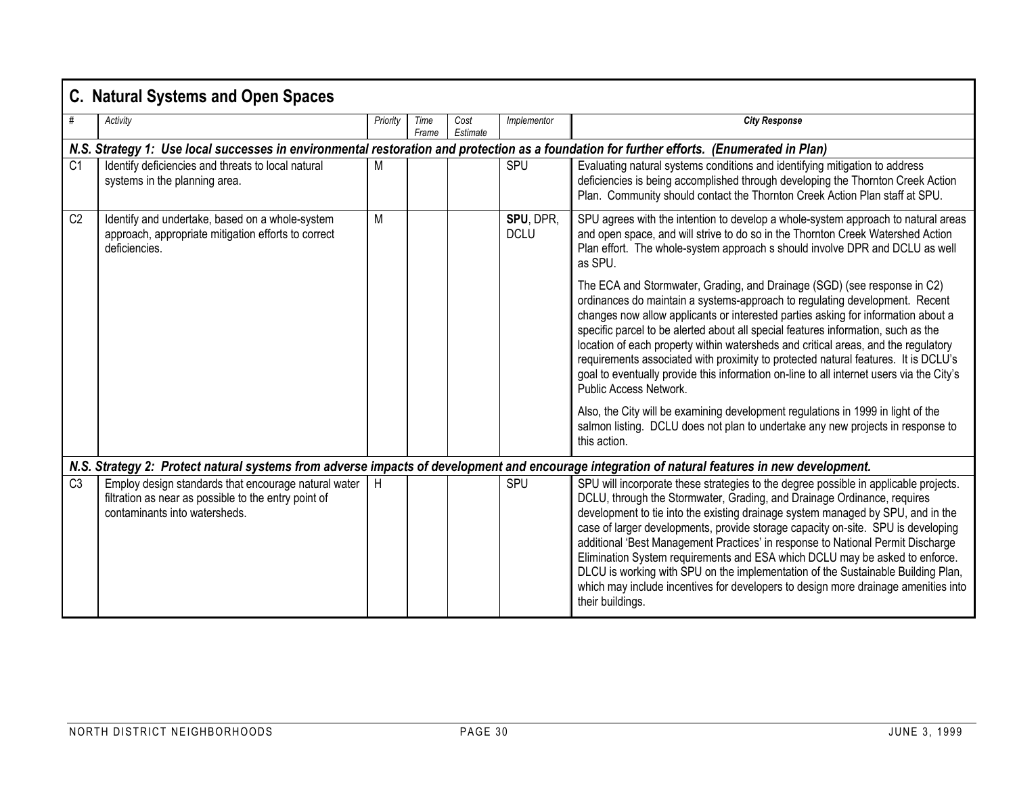|                | <b>C. Natural Systems and Open Spaces</b>                                                                                                     |          |               |                  |                          |                                                                                                                                                                                                                                                                                                                                                                                                                                                                                                                                                                                                                                                                                                        |  |  |  |  |  |
|----------------|-----------------------------------------------------------------------------------------------------------------------------------------------|----------|---------------|------------------|--------------------------|--------------------------------------------------------------------------------------------------------------------------------------------------------------------------------------------------------------------------------------------------------------------------------------------------------------------------------------------------------------------------------------------------------------------------------------------------------------------------------------------------------------------------------------------------------------------------------------------------------------------------------------------------------------------------------------------------------|--|--|--|--|--|
|                | Activity                                                                                                                                      | Priority | Time<br>Frame | Cost<br>Estimate | Implementor              | <b>City Response</b>                                                                                                                                                                                                                                                                                                                                                                                                                                                                                                                                                                                                                                                                                   |  |  |  |  |  |
|                | N.S. Strategy 1: Use local successes in environmental restoration and protection as a foundation for further efforts. (Enumerated in Plan)    |          |               |                  |                          |                                                                                                                                                                                                                                                                                                                                                                                                                                                                                                                                                                                                                                                                                                        |  |  |  |  |  |
| C <sub>1</sub> | Identify deficiencies and threats to local natural<br>systems in the planning area.                                                           | M        |               |                  | <b>SPU</b>               | Evaluating natural systems conditions and identifying mitigation to address<br>deficiencies is being accomplished through developing the Thornton Creek Action<br>Plan. Community should contact the Thornton Creek Action Plan staff at SPU.                                                                                                                                                                                                                                                                                                                                                                                                                                                          |  |  |  |  |  |
| C <sub>2</sub> | Identify and undertake, based on a whole-system<br>approach, appropriate mitigation efforts to correct<br>deficiencies.                       | M        |               |                  | SPU, DPR.<br><b>DCLU</b> | SPU agrees with the intention to develop a whole-system approach to natural areas<br>and open space, and will strive to do so in the Thornton Creek Watershed Action<br>Plan effort. The whole-system approach s should involve DPR and DCLU as well<br>as SPU.                                                                                                                                                                                                                                                                                                                                                                                                                                        |  |  |  |  |  |
|                |                                                                                                                                               |          |               |                  |                          | The ECA and Stormwater, Grading, and Drainage (SGD) (see response in C2)<br>ordinances do maintain a systems-approach to regulating development. Recent<br>changes now allow applicants or interested parties asking for information about a<br>specific parcel to be alerted about all special features information, such as the<br>location of each property within watersheds and critical areas, and the regulatory<br>requirements associated with proximity to protected natural features. It is DCLU's<br>goal to eventually provide this information on-line to all internet users via the City's<br>Public Access Network.                                                                    |  |  |  |  |  |
|                |                                                                                                                                               |          |               |                  |                          | Also, the City will be examining development regulations in 1999 in light of the<br>salmon listing. DCLU does not plan to undertake any new projects in response to<br>this action.                                                                                                                                                                                                                                                                                                                                                                                                                                                                                                                    |  |  |  |  |  |
|                |                                                                                                                                               |          |               |                  |                          | N.S. Strategy 2: Protect natural systems from adverse impacts of development and encourage integration of natural features in new development.                                                                                                                                                                                                                                                                                                                                                                                                                                                                                                                                                         |  |  |  |  |  |
| C <sub>3</sub> | Employ design standards that encourage natural water<br>filtration as near as possible to the entry point of<br>contaminants into watersheds. | H        |               |                  | SPU                      | SPU will incorporate these strategies to the degree possible in applicable projects.<br>DCLU, through the Stormwater, Grading, and Drainage Ordinance, requires<br>development to tie into the existing drainage system managed by SPU, and in the<br>case of larger developments, provide storage capacity on-site. SPU is developing<br>additional 'Best Management Practices' in response to National Permit Discharge<br>Elimination System requirements and ESA which DCLU may be asked to enforce.<br>DLCU is working with SPU on the implementation of the Sustainable Building Plan,<br>which may include incentives for developers to design more drainage amenities into<br>their buildings. |  |  |  |  |  |

×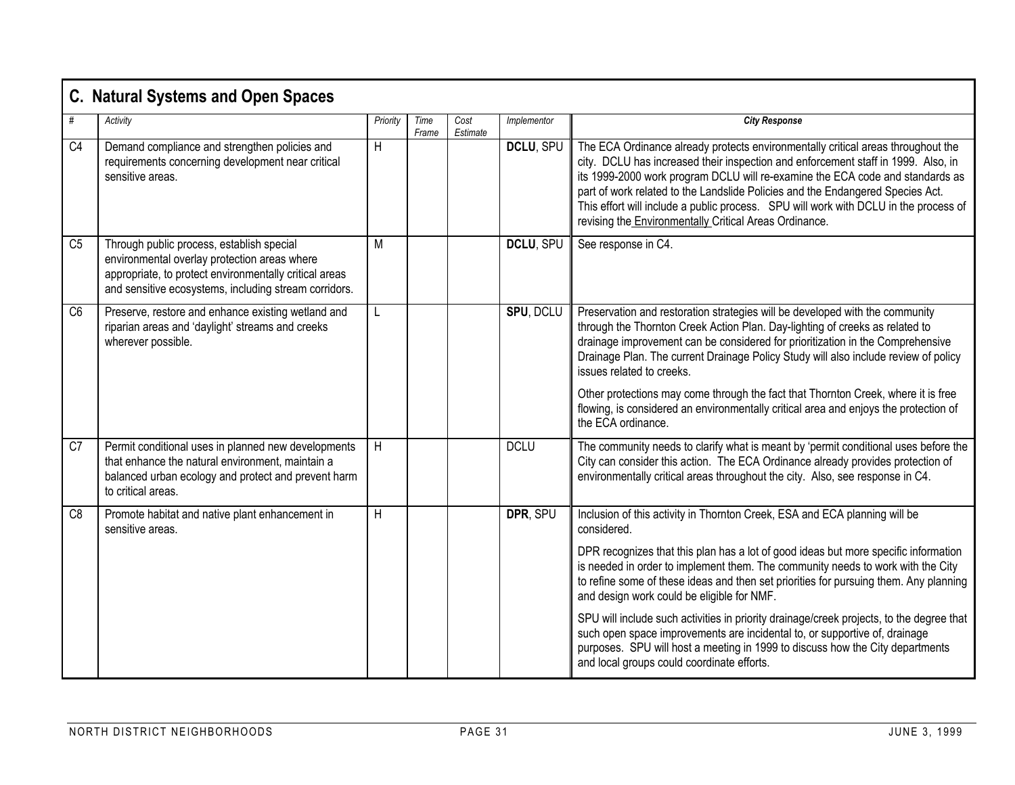|                | <b>C. Natural Systems and Open Spaces</b>                                                                                                                                                                    |          |               |                  |             |                                                                                                                                                                                                                                                                                                                                                                                                                                                                                                                                                                                                                                                                                                                     |
|----------------|--------------------------------------------------------------------------------------------------------------------------------------------------------------------------------------------------------------|----------|---------------|------------------|-------------|---------------------------------------------------------------------------------------------------------------------------------------------------------------------------------------------------------------------------------------------------------------------------------------------------------------------------------------------------------------------------------------------------------------------------------------------------------------------------------------------------------------------------------------------------------------------------------------------------------------------------------------------------------------------------------------------------------------------|
| #              | Activitv                                                                                                                                                                                                     | Priority | Time<br>Frame | Cost<br>Estimate | Implementor | <b>City Response</b>                                                                                                                                                                                                                                                                                                                                                                                                                                                                                                                                                                                                                                                                                                |
| C <sub>4</sub> | Demand compliance and strengthen policies and<br>requirements concerning development near critical<br>sensitive areas.                                                                                       | H        |               |                  | DCLU, SPU   | The ECA Ordinance already protects environmentally critical areas throughout the<br>city. DCLU has increased their inspection and enforcement staff in 1999. Also, in<br>its 1999-2000 work program DCLU will re-examine the ECA code and standards as<br>part of work related to the Landslide Policies and the Endangered Species Act.<br>This effort will include a public process. SPU will work with DCLU in the process of<br>revising the Environmentally Critical Areas Ordinance.                                                                                                                                                                                                                          |
| C <sub>5</sub> | Through public process, establish special<br>environmental overlay protection areas where<br>appropriate, to protect environmentally critical areas<br>and sensitive ecosystems, including stream corridors. | M        |               |                  | DCLU, SPU   | See response in C4.                                                                                                                                                                                                                                                                                                                                                                                                                                                                                                                                                                                                                                                                                                 |
| C <sub>6</sub> | Preserve, restore and enhance existing wetland and<br>riparian areas and 'daylight' streams and creeks<br>wherever possible.                                                                                 | L        |               |                  | SPU, DCLU   | Preservation and restoration strategies will be developed with the community<br>through the Thornton Creek Action Plan. Day-lighting of creeks as related to<br>drainage improvement can be considered for prioritization in the Comprehensive<br>Drainage Plan. The current Drainage Policy Study will also include review of policy<br>issues related to creeks.<br>Other protections may come through the fact that Thornton Creek, where it is free<br>flowing, is considered an environmentally critical area and enjoys the protection of<br>the ECA ordinance.                                                                                                                                               |
| C7             | Permit conditional uses in planned new developments<br>that enhance the natural environment, maintain a<br>balanced urban ecology and protect and prevent harm<br>to critical areas.                         | H        |               |                  | <b>DCLU</b> | The community needs to clarify what is meant by 'permit conditional uses before the<br>City can consider this action. The ECA Ordinance already provides protection of<br>environmentally critical areas throughout the city. Also, see response in C4.                                                                                                                                                                                                                                                                                                                                                                                                                                                             |
| C <sub>8</sub> | Promote habitat and native plant enhancement in<br>sensitive areas.                                                                                                                                          | H        |               |                  | DPR, SPU    | Inclusion of this activity in Thornton Creek, ESA and ECA planning will be<br>considered.<br>DPR recognizes that this plan has a lot of good ideas but more specific information<br>is needed in order to implement them. The community needs to work with the City<br>to refine some of these ideas and then set priorities for pursuing them. Any planning<br>and design work could be eligible for NMF.<br>SPU will include such activities in priority drainage/creek projects, to the degree that<br>such open space improvements are incidental to, or supportive of, drainage<br>purposes. SPU will host a meeting in 1999 to discuss how the City departments<br>and local groups could coordinate efforts. |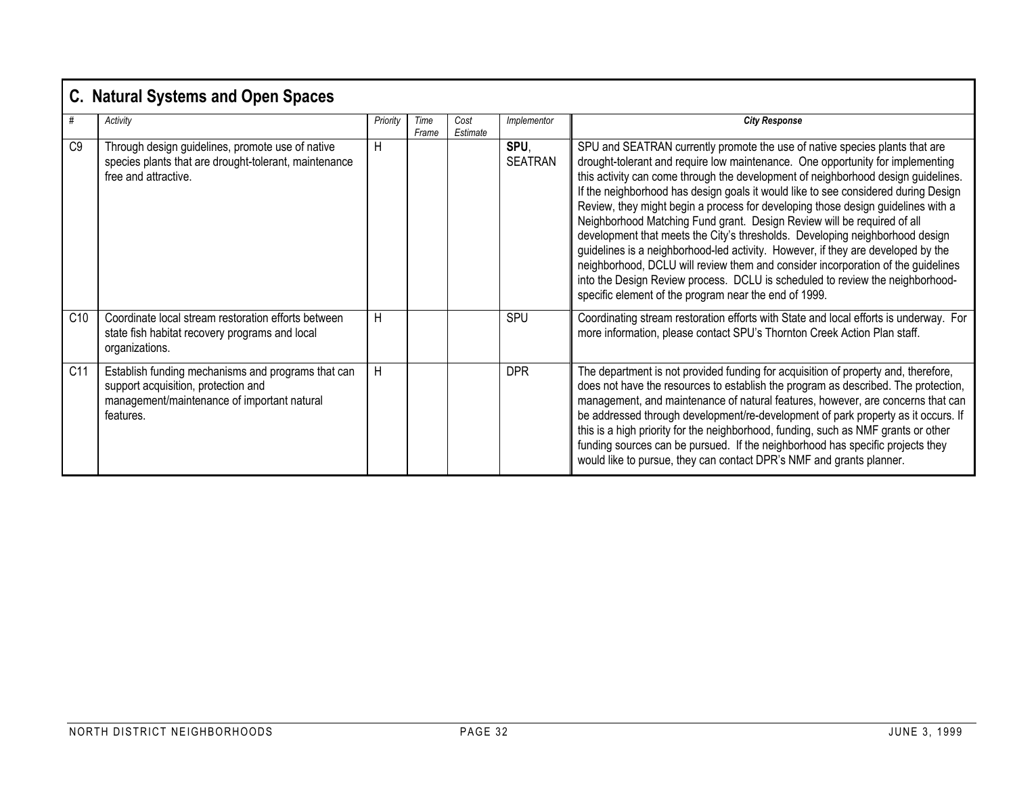|                 | <b>C. Natural Systems and Open Spaces</b>                                                                                                             |          |               |                  |                        |                                                                                                                                                                                                                                                                                                                                                                                                                                                                                                                                                                                                                                                                                                                                                                                                                                                                                                           |  |  |  |  |
|-----------------|-------------------------------------------------------------------------------------------------------------------------------------------------------|----------|---------------|------------------|------------------------|-----------------------------------------------------------------------------------------------------------------------------------------------------------------------------------------------------------------------------------------------------------------------------------------------------------------------------------------------------------------------------------------------------------------------------------------------------------------------------------------------------------------------------------------------------------------------------------------------------------------------------------------------------------------------------------------------------------------------------------------------------------------------------------------------------------------------------------------------------------------------------------------------------------|--|--|--|--|
| #               | Activity                                                                                                                                              | Priority | Time<br>Frame | Cost<br>Estimate | Implementor            | <b>City Response</b>                                                                                                                                                                                                                                                                                                                                                                                                                                                                                                                                                                                                                                                                                                                                                                                                                                                                                      |  |  |  |  |
| C <sub>9</sub>  | Through design guidelines, promote use of native<br>species plants that are drought-tolerant, maintenance<br>free and attractive.                     | H        |               |                  | SPU.<br><b>SEATRAN</b> | SPU and SEATRAN currently promote the use of native species plants that are<br>drought-tolerant and require low maintenance. One opportunity for implementing<br>this activity can come through the development of neighborhood design guidelines.<br>If the neighborhood has design goals it would like to see considered during Design<br>Review, they might begin a process for developing those design guidelines with a<br>Neighborhood Matching Fund grant. Design Review will be required of all<br>development that meets the City's thresholds. Developing neighborhood design<br>guidelines is a neighborhood-led activity. However, if they are developed by the<br>neighborhood, DCLU will review them and consider incorporation of the guidelines<br>into the Design Review process. DCLU is scheduled to review the neighborhood-<br>specific element of the program near the end of 1999. |  |  |  |  |
| C <sub>10</sub> | Coordinate local stream restoration efforts between<br>state fish habitat recovery programs and local<br>organizations.                               | H        |               |                  | SPU                    | Coordinating stream restoration efforts with State and local efforts is underway. For<br>more information, please contact SPU's Thornton Creek Action Plan staff.                                                                                                                                                                                                                                                                                                                                                                                                                                                                                                                                                                                                                                                                                                                                         |  |  |  |  |
| C11             | Establish funding mechanisms and programs that can<br>support acquisition, protection and<br>management/maintenance of important natural<br>features. | H        |               |                  | <b>DPR</b>             | The department is not provided funding for acquisition of property and, therefore,<br>does not have the resources to establish the program as described. The protection,<br>management, and maintenance of natural features, however, are concerns that can<br>be addressed through development/re-development of park property as it occurs. If<br>this is a high priority for the neighborhood, funding, such as NMF grants or other<br>funding sources can be pursued. If the neighborhood has specific projects they<br>would like to pursue, they can contact DPR's NMF and grants planner.                                                                                                                                                                                                                                                                                                          |  |  |  |  |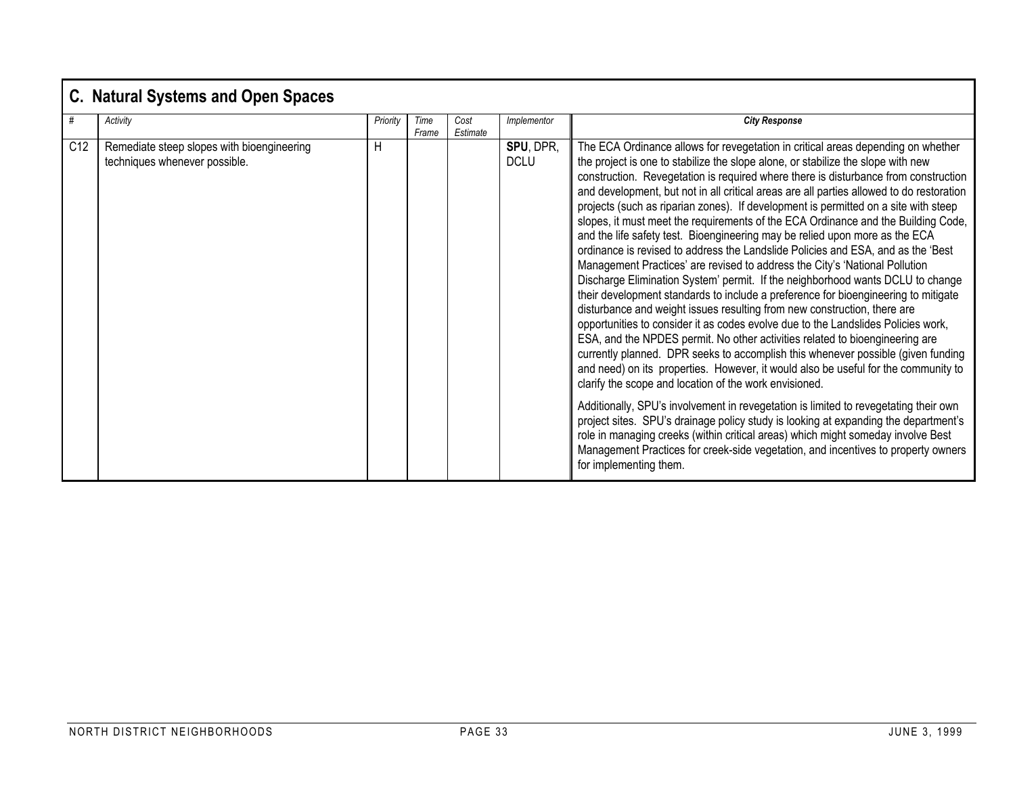## **C. Natural Systems and Open Spaces**

| #               | Activity                                                                    | Priority | Time  | Cost     | Implementor              | <b>City Response</b>                                                                                                                                                                                                                                                                                                                                                                                                                                                                                                                                                                                                                                                                                                                                                                                                                                                                                                                                                                                                                                                                                                                                                                                                                                                                                                                                                                                                                                                                                                                                                                                                                                                                                                                                                                                                                 |
|-----------------|-----------------------------------------------------------------------------|----------|-------|----------|--------------------------|--------------------------------------------------------------------------------------------------------------------------------------------------------------------------------------------------------------------------------------------------------------------------------------------------------------------------------------------------------------------------------------------------------------------------------------------------------------------------------------------------------------------------------------------------------------------------------------------------------------------------------------------------------------------------------------------------------------------------------------------------------------------------------------------------------------------------------------------------------------------------------------------------------------------------------------------------------------------------------------------------------------------------------------------------------------------------------------------------------------------------------------------------------------------------------------------------------------------------------------------------------------------------------------------------------------------------------------------------------------------------------------------------------------------------------------------------------------------------------------------------------------------------------------------------------------------------------------------------------------------------------------------------------------------------------------------------------------------------------------------------------------------------------------------------------------------------------------|
|                 |                                                                             |          | Frame | Estimate |                          |                                                                                                                                                                                                                                                                                                                                                                                                                                                                                                                                                                                                                                                                                                                                                                                                                                                                                                                                                                                                                                                                                                                                                                                                                                                                                                                                                                                                                                                                                                                                                                                                                                                                                                                                                                                                                                      |
| C <sub>12</sub> | Remediate steep slopes with bioengineering<br>techniques whenever possible. | H        |       |          | SPU, DPR,<br><b>DCLU</b> | The ECA Ordinance allows for revegetation in critical areas depending on whether<br>the project is one to stabilize the slope alone, or stabilize the slope with new<br>construction. Revegetation is required where there is disturbance from construction<br>and development, but not in all critical areas are all parties allowed to do restoration<br>projects (such as riparian zones). If development is permitted on a site with steep<br>slopes, it must meet the requirements of the ECA Ordinance and the Building Code,<br>and the life safety test. Bioengineering may be relied upon more as the ECA<br>ordinance is revised to address the Landslide Policies and ESA, and as the 'Best<br>Management Practices' are revised to address the City's 'National Pollution<br>Discharge Elimination System' permit. If the neighborhood wants DCLU to change<br>their development standards to include a preference for bioengineering to mitigate<br>disturbance and weight issues resulting from new construction, there are<br>opportunities to consider it as codes evolve due to the Landslides Policies work,<br>ESA, and the NPDES permit. No other activities related to bioengineering are<br>currently planned. DPR seeks to accomplish this whenever possible (given funding<br>and need) on its properties. However, it would also be useful for the community to<br>clarify the scope and location of the work envisioned.<br>Additionally, SPU's involvement in revegetation is limited to revegetating their own<br>project sites. SPU's drainage policy study is looking at expanding the department's<br>role in managing creeks (within critical areas) which might someday involve Best<br>Management Practices for creek-side vegetation, and incentives to property owners<br>for implementing them. |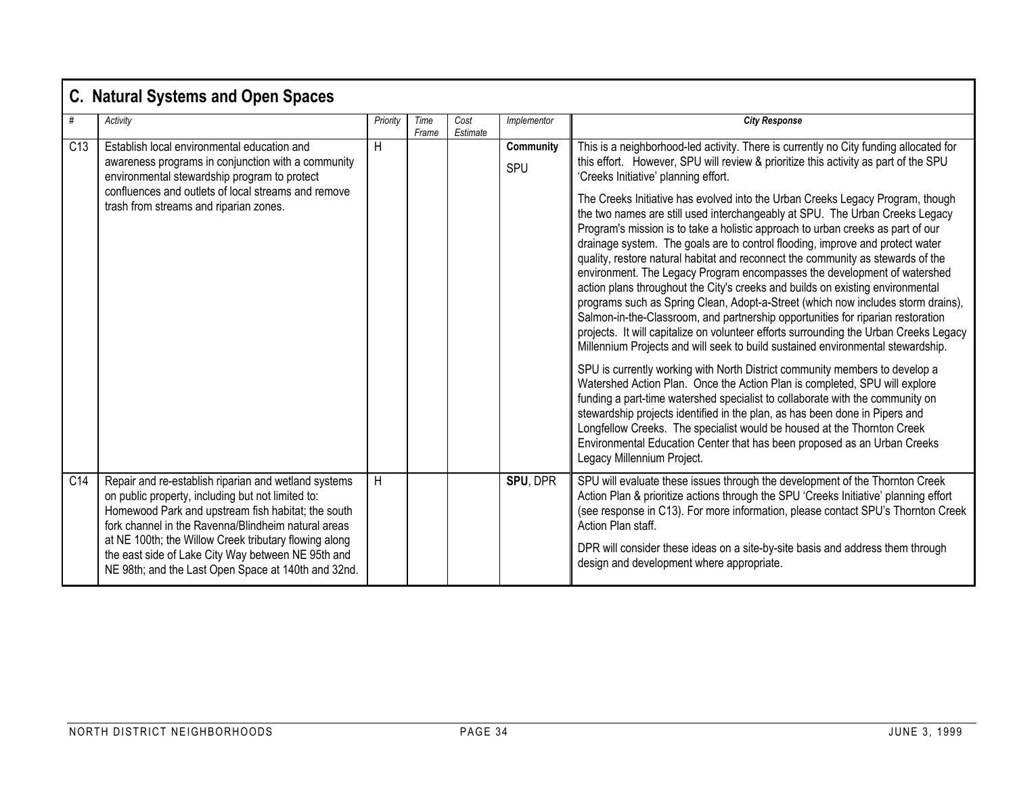|                 | <b>C. Natural Systems and Open Spaces</b>                                                                                                                                                                                                                                                                                                                                                    |          |               |                  |                  |                                                                                                                                                                                                                                                                                                                                                                                                                                                                                                                                                                                                                                                                                                                                                                                                                                                                                                                                                                                                                                                                                                                                                                                                                                                                                                                                                                                                                                                                                                                                                                                                                                                    |  |  |  |  |
|-----------------|----------------------------------------------------------------------------------------------------------------------------------------------------------------------------------------------------------------------------------------------------------------------------------------------------------------------------------------------------------------------------------------------|----------|---------------|------------------|------------------|----------------------------------------------------------------------------------------------------------------------------------------------------------------------------------------------------------------------------------------------------------------------------------------------------------------------------------------------------------------------------------------------------------------------------------------------------------------------------------------------------------------------------------------------------------------------------------------------------------------------------------------------------------------------------------------------------------------------------------------------------------------------------------------------------------------------------------------------------------------------------------------------------------------------------------------------------------------------------------------------------------------------------------------------------------------------------------------------------------------------------------------------------------------------------------------------------------------------------------------------------------------------------------------------------------------------------------------------------------------------------------------------------------------------------------------------------------------------------------------------------------------------------------------------------------------------------------------------------------------------------------------------------|--|--|--|--|
| #               | Activity                                                                                                                                                                                                                                                                                                                                                                                     | Priority | Time<br>Frame | Cost<br>Estimate | Implementor      | <b>City Response</b>                                                                                                                                                                                                                                                                                                                                                                                                                                                                                                                                                                                                                                                                                                                                                                                                                                                                                                                                                                                                                                                                                                                                                                                                                                                                                                                                                                                                                                                                                                                                                                                                                               |  |  |  |  |
| C13             | Establish local environmental education and<br>awareness programs in conjunction with a community<br>environmental stewardship program to protect<br>confluences and outlets of local streams and remove<br>trash from streams and riparian zones.                                                                                                                                           | H        |               |                  | Community<br>SPU | This is a neighborhood-led activity. There is currently no City funding allocated for<br>this effort. However, SPU will review & prioritize this activity as part of the SPU<br>'Creeks Initiative' planning effort.<br>The Creeks Initiative has evolved into the Urban Creeks Legacy Program, though<br>the two names are still used interchangeably at SPU. The Urban Creeks Legacy<br>Program's mission is to take a holistic approach to urban creeks as part of our<br>drainage system. The goals are to control flooding, improve and protect water<br>quality, restore natural habitat and reconnect the community as stewards of the<br>environment. The Legacy Program encompasses the development of watershed<br>action plans throughout the City's creeks and builds on existing environmental<br>programs such as Spring Clean, Adopt-a-Street (which now includes storm drains),<br>Salmon-in-the-Classroom, and partnership opportunities for riparian restoration<br>projects. It will capitalize on volunteer efforts surrounding the Urban Creeks Legacy<br>Millennium Projects and will seek to build sustained environmental stewardship.<br>SPU is currently working with North District community members to develop a<br>Watershed Action Plan. Once the Action Plan is completed, SPU will explore<br>funding a part-time watershed specialist to collaborate with the community on<br>stewardship projects identified in the plan, as has been done in Pipers and<br>Longfellow Creeks. The specialist would be housed at the Thornton Creek<br>Environmental Education Center that has been proposed as an Urban Creeks |  |  |  |  |
|                 |                                                                                                                                                                                                                                                                                                                                                                                              |          |               |                  |                  | Legacy Millennium Project.                                                                                                                                                                                                                                                                                                                                                                                                                                                                                                                                                                                                                                                                                                                                                                                                                                                                                                                                                                                                                                                                                                                                                                                                                                                                                                                                                                                                                                                                                                                                                                                                                         |  |  |  |  |
| C <sub>14</sub> | Repair and re-establish riparian and wetland systems<br>on public property, including but not limited to:<br>Homewood Park and upstream fish habitat; the south<br>fork channel in the Ravenna/Blindheim natural areas<br>at NE 100th; the Willow Creek tributary flowing along<br>the east side of Lake City Way between NE 95th and<br>NE 98th; and the Last Open Space at 140th and 32nd. | H        |               |                  | SPU, DPR         | SPU will evaluate these issues through the development of the Thornton Creek<br>Action Plan & prioritize actions through the SPU 'Creeks Initiative' planning effort<br>(see response in C13). For more information, please contact SPU's Thornton Creek<br>Action Plan staff.<br>DPR will consider these ideas on a site-by-site basis and address them through<br>design and development where appropriate.                                                                                                                                                                                                                                                                                                                                                                                                                                                                                                                                                                                                                                                                                                                                                                                                                                                                                                                                                                                                                                                                                                                                                                                                                                      |  |  |  |  |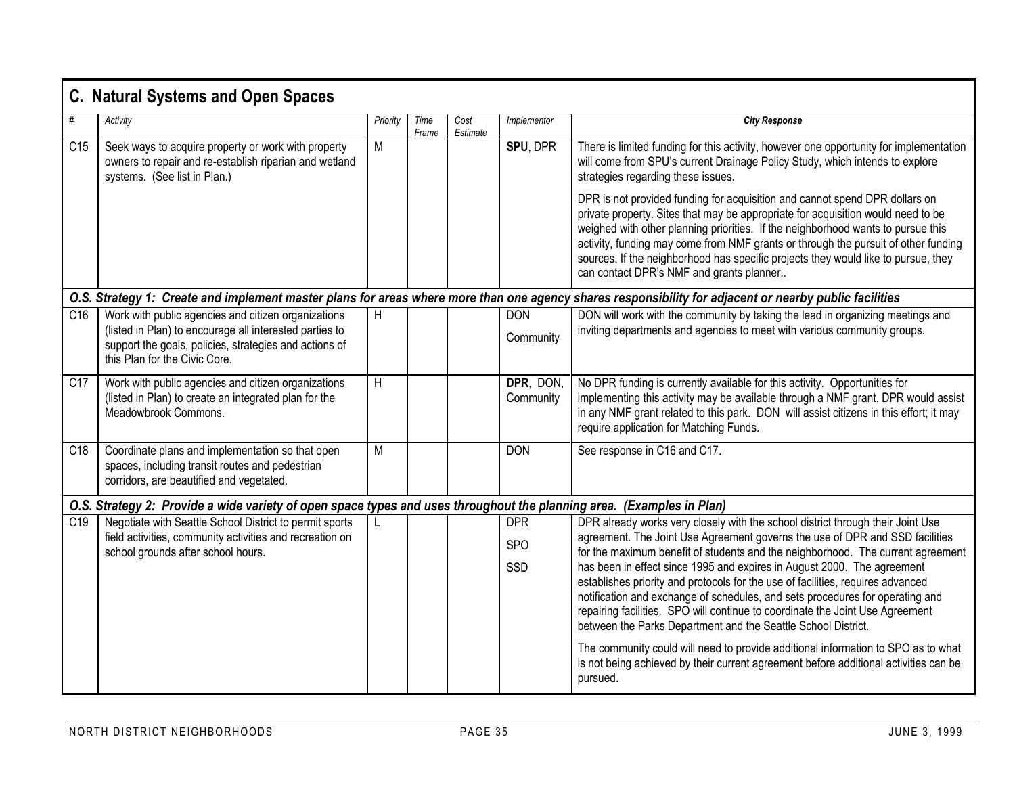| C. Natural Systems and Open Spaces                                                                                                                     |                                                                                                                                                                                                           |          |               |                  |                          |                                                                                                                                                                                                                                                                                                                                                                                                                                                                             |  |  |  |  |
|--------------------------------------------------------------------------------------------------------------------------------------------------------|-----------------------------------------------------------------------------------------------------------------------------------------------------------------------------------------------------------|----------|---------------|------------------|--------------------------|-----------------------------------------------------------------------------------------------------------------------------------------------------------------------------------------------------------------------------------------------------------------------------------------------------------------------------------------------------------------------------------------------------------------------------------------------------------------------------|--|--|--|--|
|                                                                                                                                                        | Activity                                                                                                                                                                                                  | Priority | Time<br>Frame | Cost<br>Estimate | Implementor              | <b>City Response</b>                                                                                                                                                                                                                                                                                                                                                                                                                                                        |  |  |  |  |
| C15                                                                                                                                                    | Seek ways to acquire property or work with property<br>owners to repair and re-establish riparian and wetland<br>systems. (See list in Plan.)                                                             | M        |               |                  | SPU, DPR                 | There is limited funding for this activity, however one opportunity for implementation<br>will come from SPU's current Drainage Policy Study, which intends to explore<br>strategies regarding these issues.                                                                                                                                                                                                                                                                |  |  |  |  |
|                                                                                                                                                        |                                                                                                                                                                                                           |          |               |                  |                          | DPR is not provided funding for acquisition and cannot spend DPR dollars on<br>private property. Sites that may be appropriate for acquisition would need to be<br>weighed with other planning priorities. If the neighborhood wants to pursue this<br>activity, funding may come from NMF grants or through the pursuit of other funding<br>sources. If the neighborhood has specific projects they would like to pursue, they<br>can contact DPR's NMF and grants planner |  |  |  |  |
| O.S. Strategy 1: Create and implement master plans for areas where more than one agency shares responsibility for adjacent or nearby public facilities |                                                                                                                                                                                                           |          |               |                  |                          |                                                                                                                                                                                                                                                                                                                                                                                                                                                                             |  |  |  |  |
| C16                                                                                                                                                    | Work with public agencies and citizen organizations<br>(listed in Plan) to encourage all interested parties to<br>support the goals, policies, strategies and actions of<br>this Plan for the Civic Core. | H        |               |                  | DON<br>Community         | DON will work with the community by taking the lead in organizing meetings and<br>inviting departments and agencies to meet with various community groups.                                                                                                                                                                                                                                                                                                                  |  |  |  |  |
| C <sub>17</sub>                                                                                                                                        | Work with public agencies and citizen organizations<br>(listed in Plan) to create an integrated plan for the<br>Meadowbrook Commons.                                                                      | H        |               |                  | DPR, DON,<br>Community   | No DPR funding is currently available for this activity. Opportunities for<br>implementing this activity may be available through a NMF grant. DPR would assist<br>in any NMF grant related to this park. DON will assist citizens in this effort; it may<br>require application for Matching Funds.                                                                                                                                                                        |  |  |  |  |
| C18                                                                                                                                                    | Coordinate plans and implementation so that open<br>spaces, including transit routes and pedestrian<br>corridors, are beautified and vegetated.                                                           | М        |               |                  | <b>DON</b>               | See response in C16 and C17.                                                                                                                                                                                                                                                                                                                                                                                                                                                |  |  |  |  |
| O.S. Strategy 2: Provide a wide variety of open space types and uses throughout the planning area. (Examples in Plan)                                  |                                                                                                                                                                                                           |          |               |                  |                          |                                                                                                                                                                                                                                                                                                                                                                                                                                                                             |  |  |  |  |
| C <sub>19</sub>                                                                                                                                        | Negotiate with Seattle School District to permit sports<br>field activities, community activities and recreation on<br>school grounds after school hours.                                                 |          |               |                  | <b>DPR</b><br><b>SPO</b> | DPR already works very closely with the school district through their Joint Use<br>agreement. The Joint Use Agreement governs the use of DPR and SSD facilities<br>for the maximum benefit of students and the neighborhood. The current agreement                                                                                                                                                                                                                          |  |  |  |  |
|                                                                                                                                                        |                                                                                                                                                                                                           |          |               |                  | SSD                      | has been in effect since 1995 and expires in August 2000. The agreement<br>establishes priority and protocols for the use of facilities, requires advanced<br>notification and exchange of schedules, and sets procedures for operating and<br>repairing facilities. SPO will continue to coordinate the Joint Use Agreement<br>between the Parks Department and the Seattle School District.                                                                               |  |  |  |  |
|                                                                                                                                                        |                                                                                                                                                                                                           |          |               |                  |                          | The community eould will need to provide additional information to SPO as to what<br>is not being achieved by their current agreement before additional activities can be<br>pursued.                                                                                                                                                                                                                                                                                       |  |  |  |  |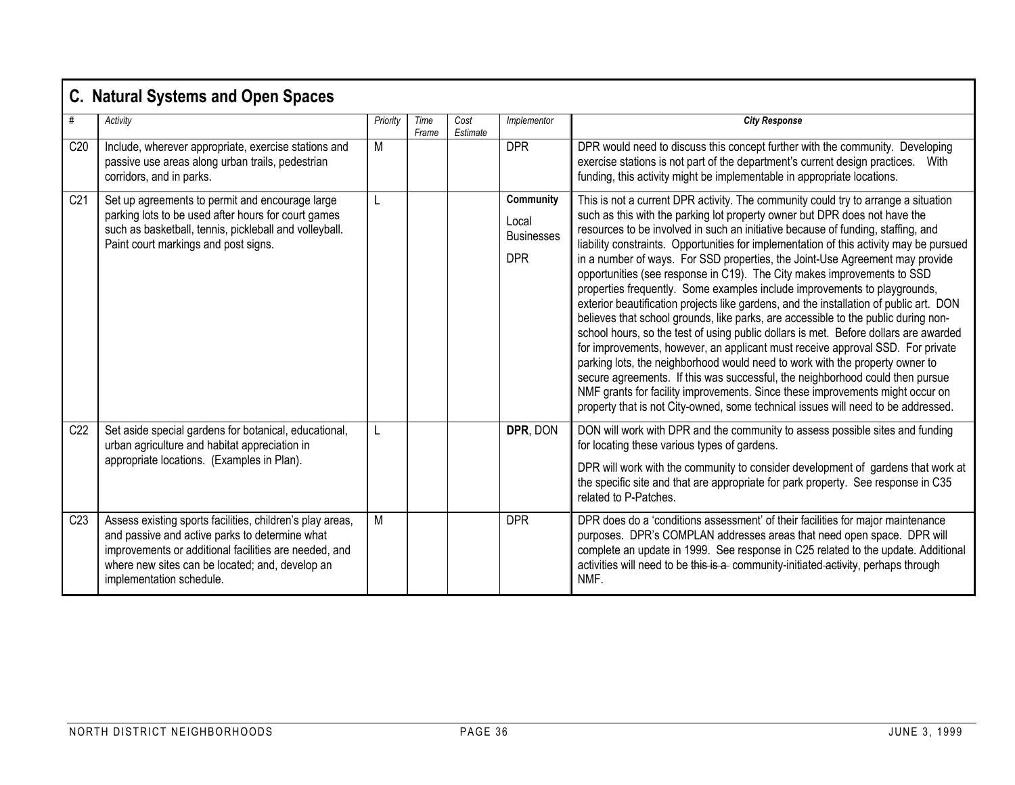| <b>C. Natural Systems and Open Spaces</b> |                                                                                                                                                                                                                                                     |          |               |                  |                                                       |                                                                                                                                                                                                                                                                                                                                                                                                                                                                                                                                                                                                                                                                                                                                                                                                                                                                                                                                                                                                                                                                                                                                                                                                                                                                                          |  |  |  |  |
|-------------------------------------------|-----------------------------------------------------------------------------------------------------------------------------------------------------------------------------------------------------------------------------------------------------|----------|---------------|------------------|-------------------------------------------------------|------------------------------------------------------------------------------------------------------------------------------------------------------------------------------------------------------------------------------------------------------------------------------------------------------------------------------------------------------------------------------------------------------------------------------------------------------------------------------------------------------------------------------------------------------------------------------------------------------------------------------------------------------------------------------------------------------------------------------------------------------------------------------------------------------------------------------------------------------------------------------------------------------------------------------------------------------------------------------------------------------------------------------------------------------------------------------------------------------------------------------------------------------------------------------------------------------------------------------------------------------------------------------------------|--|--|--|--|
| #                                         | Activity                                                                                                                                                                                                                                            | Priority | Time<br>Frame | Cost<br>Estimate | Implementor                                           | <b>City Response</b>                                                                                                                                                                                                                                                                                                                                                                                                                                                                                                                                                                                                                                                                                                                                                                                                                                                                                                                                                                                                                                                                                                                                                                                                                                                                     |  |  |  |  |
| C20                                       | Include, wherever appropriate, exercise stations and<br>passive use areas along urban trails, pedestrian<br>corridors, and in parks.                                                                                                                | M        |               |                  | <b>DPR</b>                                            | DPR would need to discuss this concept further with the community. Developing<br>exercise stations is not part of the department's current design practices.<br>With<br>funding, this activity might be implementable in appropriate locations.                                                                                                                                                                                                                                                                                                                                                                                                                                                                                                                                                                                                                                                                                                                                                                                                                                                                                                                                                                                                                                          |  |  |  |  |
| C <sub>21</sub>                           | Set up agreements to permit and encourage large<br>parking lots to be used after hours for court games<br>such as basketball, tennis, pickleball and volleyball.<br>Paint court markings and post signs.                                            | L        |               |                  | Community<br>Local<br><b>Businesses</b><br><b>DPR</b> | This is not a current DPR activity. The community could try to arrange a situation<br>such as this with the parking lot property owner but DPR does not have the<br>resources to be involved in such an initiative because of funding, staffing, and<br>liability constraints. Opportunities for implementation of this activity may be pursued<br>in a number of ways. For SSD properties, the Joint-Use Agreement may provide<br>opportunities (see response in C19). The City makes improvements to SSD<br>properties frequently. Some examples include improvements to playgrounds,<br>exterior beautification projects like gardens, and the installation of public art. DON<br>believes that school grounds, like parks, are accessible to the public during non-<br>school hours, so the test of using public dollars is met. Before dollars are awarded<br>for improvements, however, an applicant must receive approval SSD. For private<br>parking lots, the neighborhood would need to work with the property owner to<br>secure agreements. If this was successful, the neighborhood could then pursue<br>NMF grants for facility improvements. Since these improvements might occur on<br>property that is not City-owned, some technical issues will need to be addressed. |  |  |  |  |
| C22                                       | Set aside special gardens for botanical, educational,<br>urban agriculture and habitat appreciation in<br>appropriate locations. (Examples in Plan).                                                                                                | L        |               |                  | DPR, DON                                              | DON will work with DPR and the community to assess possible sites and funding<br>for locating these various types of gardens.<br>DPR will work with the community to consider development of gardens that work at<br>the specific site and that are appropriate for park property. See response in C35<br>related to P-Patches.                                                                                                                                                                                                                                                                                                                                                                                                                                                                                                                                                                                                                                                                                                                                                                                                                                                                                                                                                          |  |  |  |  |
| C <sub>23</sub>                           | Assess existing sports facilities, children's play areas,<br>and passive and active parks to determine what<br>improvements or additional facilities are needed, and<br>where new sites can be located; and, develop an<br>implementation schedule. | M        |               |                  | <b>DPR</b>                                            | DPR does do a 'conditions assessment' of their facilities for major maintenance<br>purposes. DPR's COMPLAN addresses areas that need open space. DPR will<br>complete an update in 1999. See response in C25 related to the update. Additional<br>activities will need to be this is a community-initiated activity, perhaps through<br>NMF.                                                                                                                                                                                                                                                                                                                                                                                                                                                                                                                                                                                                                                                                                                                                                                                                                                                                                                                                             |  |  |  |  |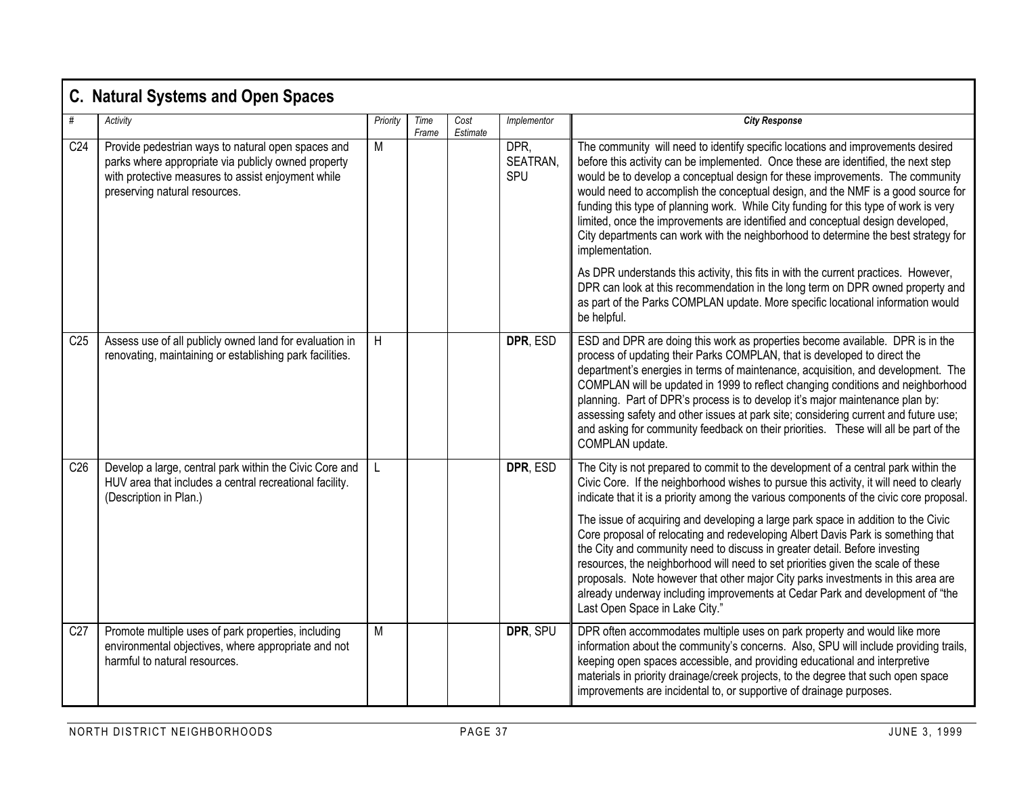|                 | <b>C. Natural Systems and Open Spaces</b>                                                                                                                                                        |          |               |                  |                         |                                                                                                                                                                                                                                                                                                                                                                                                                                                                                                                                                                                                                              |
|-----------------|--------------------------------------------------------------------------------------------------------------------------------------------------------------------------------------------------|----------|---------------|------------------|-------------------------|------------------------------------------------------------------------------------------------------------------------------------------------------------------------------------------------------------------------------------------------------------------------------------------------------------------------------------------------------------------------------------------------------------------------------------------------------------------------------------------------------------------------------------------------------------------------------------------------------------------------------|
|                 | Activity                                                                                                                                                                                         | Priority | Time<br>Frame | Cost<br>Estimate | Implementor             | <b>City Response</b>                                                                                                                                                                                                                                                                                                                                                                                                                                                                                                                                                                                                         |
| C <sub>24</sub> | Provide pedestrian ways to natural open spaces and<br>parks where appropriate via publicly owned property<br>with protective measures to assist enjoyment while<br>preserving natural resources. | M        |               |                  | DPR.<br>SEATRAN,<br>SPU | The community will need to identify specific locations and improvements desired<br>before this activity can be implemented. Once these are identified, the next step<br>would be to develop a conceptual design for these improvements. The community<br>would need to accomplish the conceptual design, and the NMF is a good source for<br>funding this type of planning work. While City funding for this type of work is very<br>limited, once the improvements are identified and conceptual design developed,<br>City departments can work with the neighborhood to determine the best strategy for<br>implementation. |
|                 |                                                                                                                                                                                                  |          |               |                  |                         | As DPR understands this activity, this fits in with the current practices. However,<br>DPR can look at this recommendation in the long term on DPR owned property and<br>as part of the Parks COMPLAN update. More specific locational information would<br>be helpful.                                                                                                                                                                                                                                                                                                                                                      |
| C <sub>25</sub> | Assess use of all publicly owned land for evaluation in<br>renovating, maintaining or establishing park facilities.                                                                              | H        |               |                  | DPR, ESD                | ESD and DPR are doing this work as properties become available. DPR is in the<br>process of updating their Parks COMPLAN, that is developed to direct the<br>department's energies in terms of maintenance, acquisition, and development. The<br>COMPLAN will be updated in 1999 to reflect changing conditions and neighborhood<br>planning. Part of DPR's process is to develop it's major maintenance plan by:<br>assessing safety and other issues at park site; considering current and future use;<br>and asking for community feedback on their priorities. These will all be part of the<br>COMPLAN update.          |
| C <sub>26</sub> | Develop a large, central park within the Civic Core and<br>HUV area that includes a central recreational facility.<br>(Description in Plan.)                                                     | L        |               |                  | DPR, ESD                | The City is not prepared to commit to the development of a central park within the<br>Civic Core. If the neighborhood wishes to pursue this activity, it will need to clearly<br>indicate that it is a priority among the various components of the civic core proposal.                                                                                                                                                                                                                                                                                                                                                     |
|                 |                                                                                                                                                                                                  |          |               |                  |                         | The issue of acquiring and developing a large park space in addition to the Civic<br>Core proposal of relocating and redeveloping Albert Davis Park is something that<br>the City and community need to discuss in greater detail. Before investing<br>resources, the neighborhood will need to set priorities given the scale of these<br>proposals. Note however that other major City parks investments in this area are<br>already underway including improvements at Cedar Park and development of "the<br>Last Open Space in Lake City."                                                                               |
| C <sub>27</sub> | Promote multiple uses of park properties, including<br>environmental objectives, where appropriate and not<br>harmful to natural resources.                                                      | M        |               |                  | DPR, SPU                | DPR often accommodates multiple uses on park property and would like more<br>information about the community's concerns. Also, SPU will include providing trails,<br>keeping open spaces accessible, and providing educational and interpretive<br>materials in priority drainage/creek projects, to the degree that such open space<br>improvements are incidental to, or supportive of drainage purposes.                                                                                                                                                                                                                  |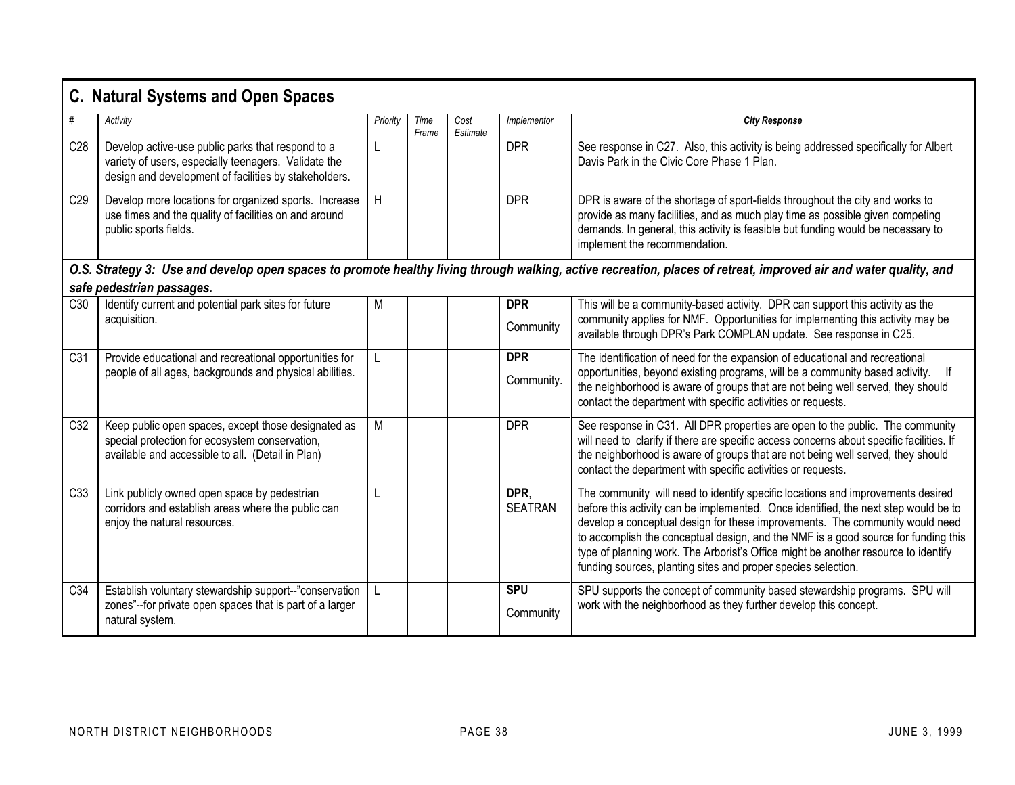|                 | <b>C. Natural Systems and Open Spaces</b>                                                                                                                                                      |          |               |                  |                          |                                                                                                                                                                                                                                                                                                                                                                                                                                                                                                     |  |  |  |  |  |
|-----------------|------------------------------------------------------------------------------------------------------------------------------------------------------------------------------------------------|----------|---------------|------------------|--------------------------|-----------------------------------------------------------------------------------------------------------------------------------------------------------------------------------------------------------------------------------------------------------------------------------------------------------------------------------------------------------------------------------------------------------------------------------------------------------------------------------------------------|--|--|--|--|--|
|                 | Activity                                                                                                                                                                                       | Priority | Time<br>Frame | Cost<br>Estimate | Implementor              | <b>City Response</b>                                                                                                                                                                                                                                                                                                                                                                                                                                                                                |  |  |  |  |  |
| C28             | Develop active-use public parks that respond to a<br>variety of users, especially teenagers. Validate the<br>design and development of facilities by stakeholders.                             |          |               |                  | <b>DPR</b>               | See response in C27. Also, this activity is being addressed specifically for Albert<br>Davis Park in the Civic Core Phase 1 Plan.                                                                                                                                                                                                                                                                                                                                                                   |  |  |  |  |  |
| C <sub>29</sub> | Develop more locations for organized sports. Increase<br>use times and the quality of facilities on and around<br>public sports fields.                                                        | H        |               |                  | <b>DPR</b>               | DPR is aware of the shortage of sport-fields throughout the city and works to<br>provide as many facilities, and as much play time as possible given competing<br>demands. In general, this activity is feasible but funding would be necessary to<br>implement the recommendation.                                                                                                                                                                                                                 |  |  |  |  |  |
|                 | O.S. Strategy 3: Use and develop open spaces to promote healthy living through walking, active recreation, places of retreat, improved air and water quality, and<br>safe pedestrian passages. |          |               |                  |                          |                                                                                                                                                                                                                                                                                                                                                                                                                                                                                                     |  |  |  |  |  |
| C30             | Identify current and potential park sites for future                                                                                                                                           | М        |               |                  | <b>DPR</b>               | This will be a community-based activity. DPR can support this activity as the                                                                                                                                                                                                                                                                                                                                                                                                                       |  |  |  |  |  |
|                 | acquisition.                                                                                                                                                                                   |          |               |                  | Community                | community applies for NMF. Opportunities for implementing this activity may be<br>available through DPR's Park COMPLAN update. See response in C25.                                                                                                                                                                                                                                                                                                                                                 |  |  |  |  |  |
| C <sub>31</sub> | Provide educational and recreational opportunities for<br>people of all ages, backgrounds and physical abilities.                                                                              |          |               |                  | <b>DPR</b><br>Community. | The identification of need for the expansion of educational and recreational<br>opportunities, beyond existing programs, will be a community based activity.<br>the neighborhood is aware of groups that are not being well served, they should<br>contact the department with specific activities or requests.                                                                                                                                                                                     |  |  |  |  |  |
| C32             | Keep public open spaces, except those designated as<br>special protection for ecosystem conservation,<br>available and accessible to all. (Detail in Plan)                                     | M        |               |                  | <b>DPR</b>               | See response in C31. All DPR properties are open to the public. The community<br>will need to clarify if there are specific access concerns about specific facilities. If<br>the neighborhood is aware of groups that are not being well served, they should<br>contact the department with specific activities or requests.                                                                                                                                                                        |  |  |  |  |  |
| C33             | Link publicly owned open space by pedestrian<br>corridors and establish areas where the public can<br>enjoy the natural resources.                                                             |          |               |                  | DPR,<br><b>SEATRAN</b>   | The community will need to identify specific locations and improvements desired<br>before this activity can be implemented. Once identified, the next step would be to<br>develop a conceptual design for these improvements. The community would need<br>to accomplish the conceptual design, and the NMF is a good source for funding this<br>type of planning work. The Arborist's Office might be another resource to identify<br>funding sources, planting sites and proper species selection. |  |  |  |  |  |
| C34             | Establish voluntary stewardship support--"conservation<br>zones"--for private open spaces that is part of a larger<br>natural system.                                                          |          |               |                  | <b>SPU</b><br>Community  | SPU supports the concept of community based stewardship programs. SPU will<br>work with the neighborhood as they further develop this concept.                                                                                                                                                                                                                                                                                                                                                      |  |  |  |  |  |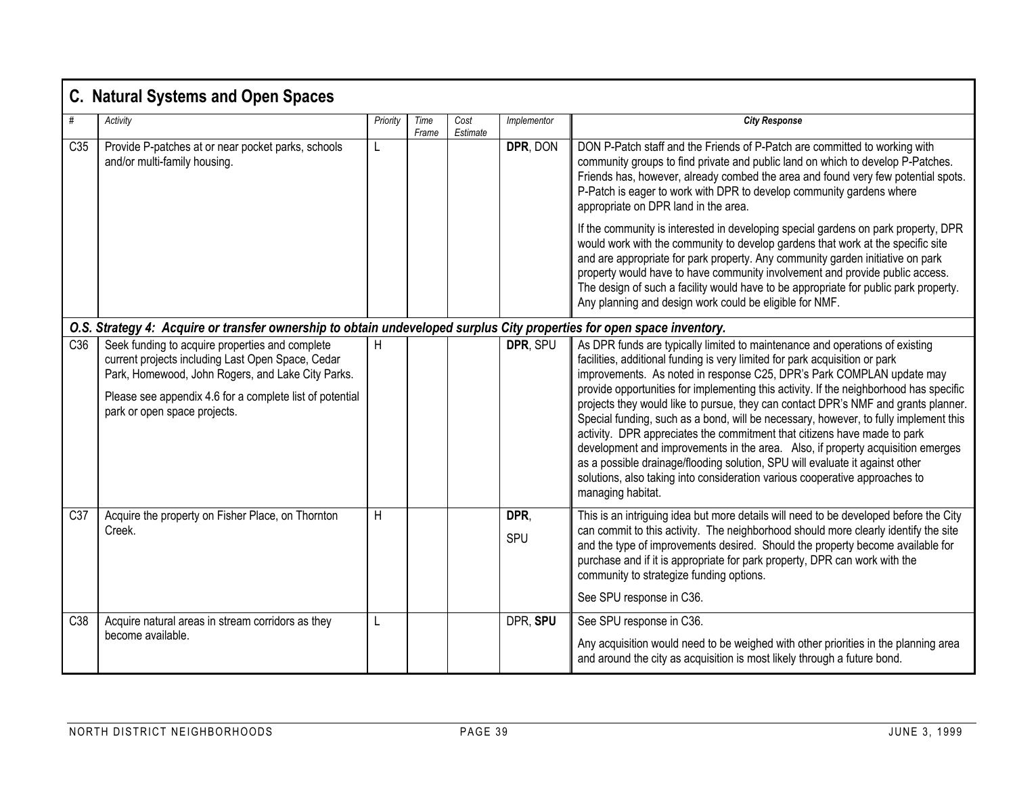# **C. Natural Systems and Open Spaces**

| #               | Activity                                                                                                                                                                                                                                              | Priority       | Time  | Cost     | Implementor | <b>City Response</b>                                                                                                                                                                                                                                                                                                                                                                                                                                                                                                                                                                                                                                                                                                                                                                                                                                            |  |  |  |  |  |  |
|-----------------|-------------------------------------------------------------------------------------------------------------------------------------------------------------------------------------------------------------------------------------------------------|----------------|-------|----------|-------------|-----------------------------------------------------------------------------------------------------------------------------------------------------------------------------------------------------------------------------------------------------------------------------------------------------------------------------------------------------------------------------------------------------------------------------------------------------------------------------------------------------------------------------------------------------------------------------------------------------------------------------------------------------------------------------------------------------------------------------------------------------------------------------------------------------------------------------------------------------------------|--|--|--|--|--|--|
|                 |                                                                                                                                                                                                                                                       |                | Frame | Estimate |             |                                                                                                                                                                                                                                                                                                                                                                                                                                                                                                                                                                                                                                                                                                                                                                                                                                                                 |  |  |  |  |  |  |
| C <sub>35</sub> | Provide P-patches at or near pocket parks, schools<br>and/or multi-family housing.                                                                                                                                                                    |                |       |          | DPR, DON    | DON P-Patch staff and the Friends of P-Patch are committed to working with<br>community groups to find private and public land on which to develop P-Patches.<br>Friends has, however, already combed the area and found very few potential spots.<br>P-Patch is eager to work with DPR to develop community gardens where<br>appropriate on DPR land in the area.                                                                                                                                                                                                                                                                                                                                                                                                                                                                                              |  |  |  |  |  |  |
|                 |                                                                                                                                                                                                                                                       |                |       |          |             | If the community is interested in developing special gardens on park property, DPR<br>would work with the community to develop gardens that work at the specific site<br>and are appropriate for park property. Any community garden initiative on park<br>property would have to have community involvement and provide public access.<br>The design of such a facility would have to be appropriate for public park property.<br>Any planning and design work could be eligible for NMF.                                                                                                                                                                                                                                                                                                                                                                      |  |  |  |  |  |  |
|                 | O.S. Strategy 4: Acquire or transfer ownership to obtain undeveloped surplus City properties for open space inventory.                                                                                                                                |                |       |          |             |                                                                                                                                                                                                                                                                                                                                                                                                                                                                                                                                                                                                                                                                                                                                                                                                                                                                 |  |  |  |  |  |  |
| C <sub>36</sub> | Seek funding to acquire properties and complete<br>current projects including Last Open Space, Cedar<br>Park, Homewood, John Rogers, and Lake City Parks.<br>Please see appendix 4.6 for a complete list of potential<br>park or open space projects. | Н              |       |          | DPR, SPU    | As DPR funds are typically limited to maintenance and operations of existing<br>facilities, additional funding is very limited for park acquisition or park<br>improvements. As noted in response C25, DPR's Park COMPLAN update may<br>provide opportunities for implementing this activity. If the neighborhood has specific<br>projects they would like to pursue, they can contact DPR's NMF and grants planner.<br>Special funding, such as a bond, will be necessary, however, to fully implement this<br>activity. DPR appreciates the commitment that citizens have made to park<br>development and improvements in the area. Also, if property acquisition emerges<br>as a possible drainage/flooding solution, SPU will evaluate it against other<br>solutions, also taking into consideration various cooperative approaches to<br>managing habitat. |  |  |  |  |  |  |
| C <sub>37</sub> | Acquire the property on Fisher Place, on Thornton<br>Creek.                                                                                                                                                                                           | $\overline{H}$ |       |          | DPR,<br>SPU | This is an intriguing idea but more details will need to be developed before the City<br>can commit to this activity. The neighborhood should more clearly identify the site<br>and the type of improvements desired. Should the property become available for<br>purchase and if it is appropriate for park property, DPR can work with the<br>community to strategize funding options.<br>See SPU response in C36.                                                                                                                                                                                                                                                                                                                                                                                                                                            |  |  |  |  |  |  |
| C38             | Acquire natural areas in stream corridors as they                                                                                                                                                                                                     |                |       |          | DPR, SPU    | See SPU response in C36.                                                                                                                                                                                                                                                                                                                                                                                                                                                                                                                                                                                                                                                                                                                                                                                                                                        |  |  |  |  |  |  |
|                 | become available.                                                                                                                                                                                                                                     |                |       |          |             | Any acquisition would need to be weighed with other priorities in the planning area<br>and around the city as acquisition is most likely through a future bond.                                                                                                                                                                                                                                                                                                                                                                                                                                                                                                                                                                                                                                                                                                 |  |  |  |  |  |  |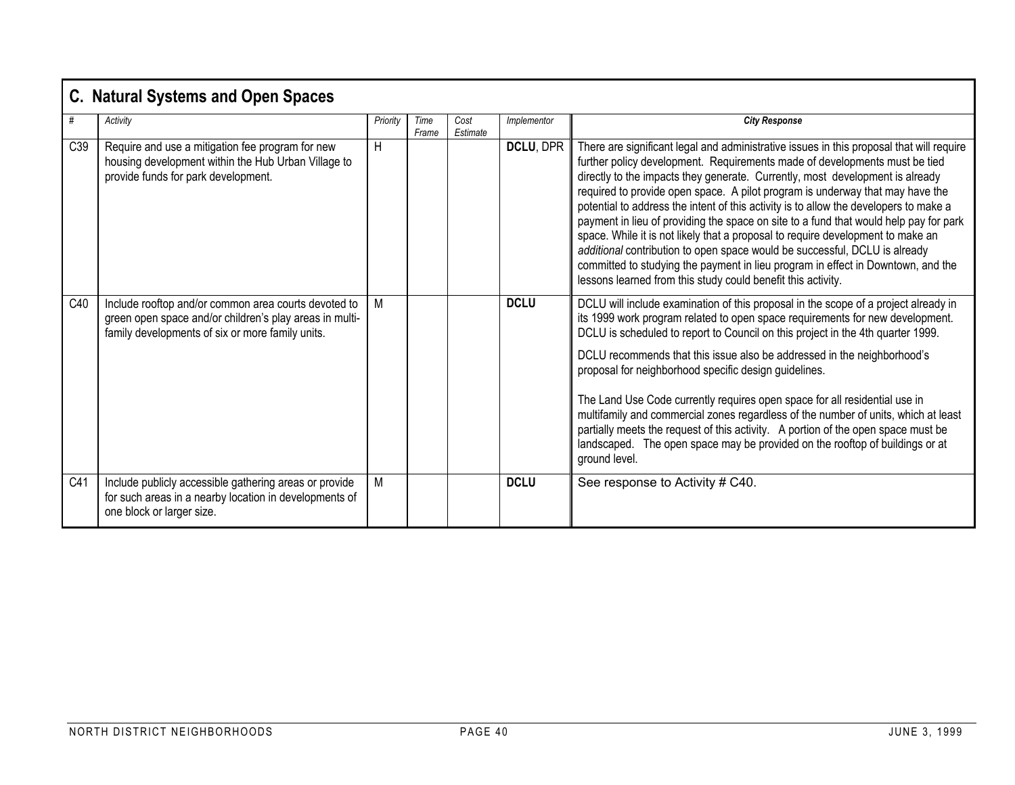|     | <b>C. Natural Systems and Open Spaces</b>                                                                                                                           |          |               |                  |             |                                                                                                                                                                                                                                                                                                                                                                                                                                                                                                                                                                                                                                                                                                                                                                                                                                                 |  |  |  |  |  |  |
|-----|---------------------------------------------------------------------------------------------------------------------------------------------------------------------|----------|---------------|------------------|-------------|-------------------------------------------------------------------------------------------------------------------------------------------------------------------------------------------------------------------------------------------------------------------------------------------------------------------------------------------------------------------------------------------------------------------------------------------------------------------------------------------------------------------------------------------------------------------------------------------------------------------------------------------------------------------------------------------------------------------------------------------------------------------------------------------------------------------------------------------------|--|--|--|--|--|--|
| #   | Activity                                                                                                                                                            | Priority | Time<br>Frame | Cost<br>Estimate | Implementor | <b>City Response</b>                                                                                                                                                                                                                                                                                                                                                                                                                                                                                                                                                                                                                                                                                                                                                                                                                            |  |  |  |  |  |  |
| C39 | Require and use a mitigation fee program for new<br>housing development within the Hub Urban Village to<br>provide funds for park development.                      | H        |               |                  | DCLU, DPR   | There are significant legal and administrative issues in this proposal that will require<br>further policy development. Requirements made of developments must be tied<br>directly to the impacts they generate. Currently, most development is already<br>required to provide open space. A pilot program is underway that may have the<br>potential to address the intent of this activity is to allow the developers to make a<br>payment in lieu of providing the space on site to a fund that would help pay for park<br>space. While it is not likely that a proposal to require development to make an<br>additional contribution to open space would be successful, DCLU is already<br>committed to studying the payment in lieu program in effect in Downtown, and the<br>lessons learned from this study could benefit this activity. |  |  |  |  |  |  |
| C40 | Include rooftop and/or common area courts devoted to<br>green open space and/or children's play areas in multi-<br>family developments of six or more family units. | M        |               |                  | <b>DCLU</b> | DCLU will include examination of this proposal in the scope of a project already in<br>its 1999 work program related to open space requirements for new development.<br>DCLU is scheduled to report to Council on this project in the 4th quarter 1999.<br>DCLU recommends that this issue also be addressed in the neighborhood's<br>proposal for neighborhood specific design guidelines.<br>The Land Use Code currently requires open space for all residential use in<br>multifamily and commercial zones regardless of the number of units, which at least<br>partially meets the request of this activity. A portion of the open space must be<br>landscaped. The open space may be provided on the rooftop of buildings or at<br>ground level.                                                                                           |  |  |  |  |  |  |
| C41 | Include publicly accessible gathering areas or provide<br>for such areas in a nearby location in developments of<br>one block or larger size.                       | М        |               |                  | <b>DCLU</b> | See response to Activity # C40.                                                                                                                                                                                                                                                                                                                                                                                                                                                                                                                                                                                                                                                                                                                                                                                                                 |  |  |  |  |  |  |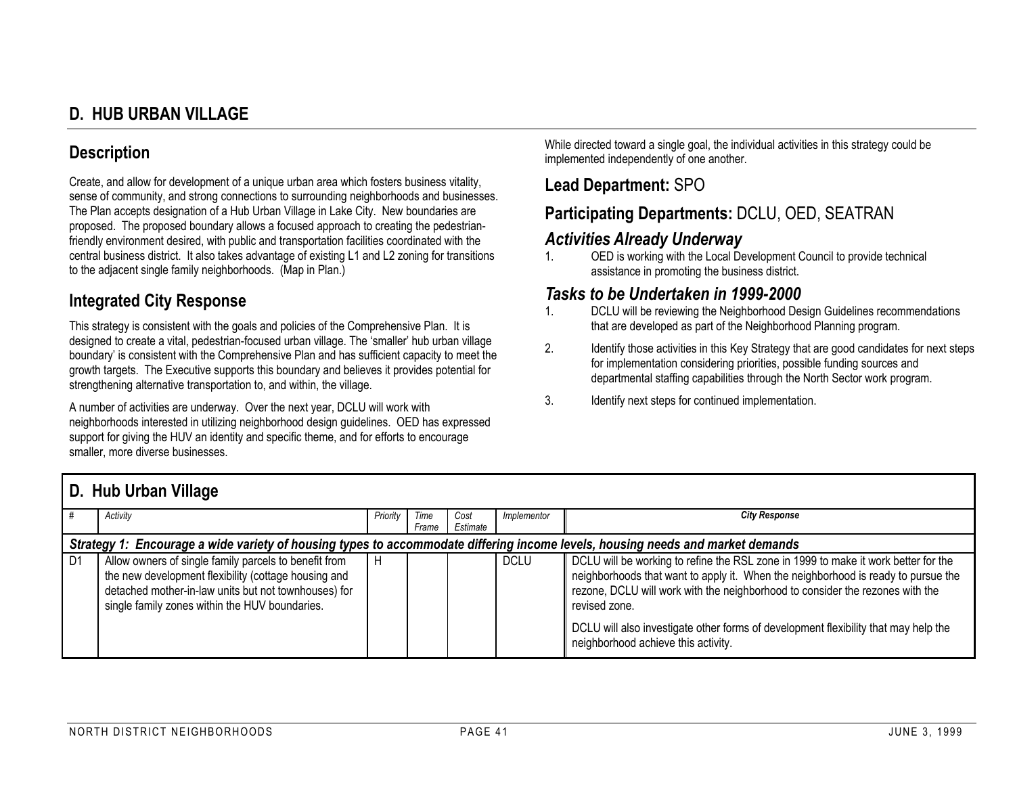# **D. HUB URBAN VILLAGE**

## **Description**

Create, and allow for development of a unique urban area which fosters business vitality, sense of community, and strong connections to surrounding neighborhoods and businesses. The Plan accepts designation of a Hub Urban Village in Lake City. New boundaries are proposed. The proposed boundary allows a focused approach to creating the pedestrianfriendly environment desired, with public and transportation facilities coordinated with the central business district. It also takes advantage of existing L1 and L2 zoning for transitions to the adjacent single family neighborhoods. (Map in Plan.)

#### **Integrated City Response**

This strategy is consistent with the goals and policies of the Comprehensive Plan. It is designed to create a vital, pedestrian-focused urban village. The 'smaller' hub urban village boundary' is consistent with the Comprehensive Plan and has sufficient capacity to meet the growth targets. The Executive supports this boundary and believes it provides potential for strengthening alternative transportation to, and within, the village.

A number of activities are underway. Over the next year, DCLU will work with neighborhoods interested in utilizing neighborhood design guidelines. OED has expressed support for giving the HUV an identity and specific theme, and for efforts to encourage smaller, more diverse businesses.

While directed toward a single goal, the individual activities in this strategy could be implemented independently of one another.

#### **Lead Department:** SPO

# **Participating Departments:** DCLU, OED, SEATRAN

#### *Activities Already Underway*

1. OED is working with the Local Development Council to provide technical assistance in promoting the business district.

#### *Tasks to be Undertaken in 1999-2000*

- 1. DCLU will be reviewing the Neighborhood Design Guidelines recommendations that are developed as part of the Neighborhood Planning program.
- 2. Identify those activities in this Key Strategy that are good candidates for next steps for implementation considering priorities, possible funding sources and departmental staffing capabilities through the North Sector work program.
- 3. Identify next steps for continued implementation.

## **D. Hub Urban Village**

|                | Activity                                                                                                                                                                                                                | Priority | Time<br>Frame | Cost<br>Estimate | Implementor | <b>City Response</b>                                                                                                                                                                                                                                                                                                                                                                                    |  |  |  |  |  |  |  |
|----------------|-------------------------------------------------------------------------------------------------------------------------------------------------------------------------------------------------------------------------|----------|---------------|------------------|-------------|---------------------------------------------------------------------------------------------------------------------------------------------------------------------------------------------------------------------------------------------------------------------------------------------------------------------------------------------------------------------------------------------------------|--|--|--|--|--|--|--|
|                | Strategy 1: Encourage a wide variety of housing types to accommodate differing income levels, housing needs and market demands                                                                                          |          |               |                  |             |                                                                                                                                                                                                                                                                                                                                                                                                         |  |  |  |  |  |  |  |
| D <sub>1</sub> | Allow owners of single family parcels to benefit from<br>the new development flexibility (cottage housing and<br>detached mother-in-law units but not townhouses) for<br>single family zones within the HUV boundaries. |          |               |                  | <b>DCLU</b> | DCLU will be working to refine the RSL zone in 1999 to make it work better for the<br>neighborhoods that want to apply it. When the neighborhood is ready to pursue the<br>rezone, DCLU will work with the neighborhood to consider the rezones with the<br>revised zone.<br>DCLU will also investigate other forms of development flexibility that may help the<br>neighborhood achieve this activity. |  |  |  |  |  |  |  |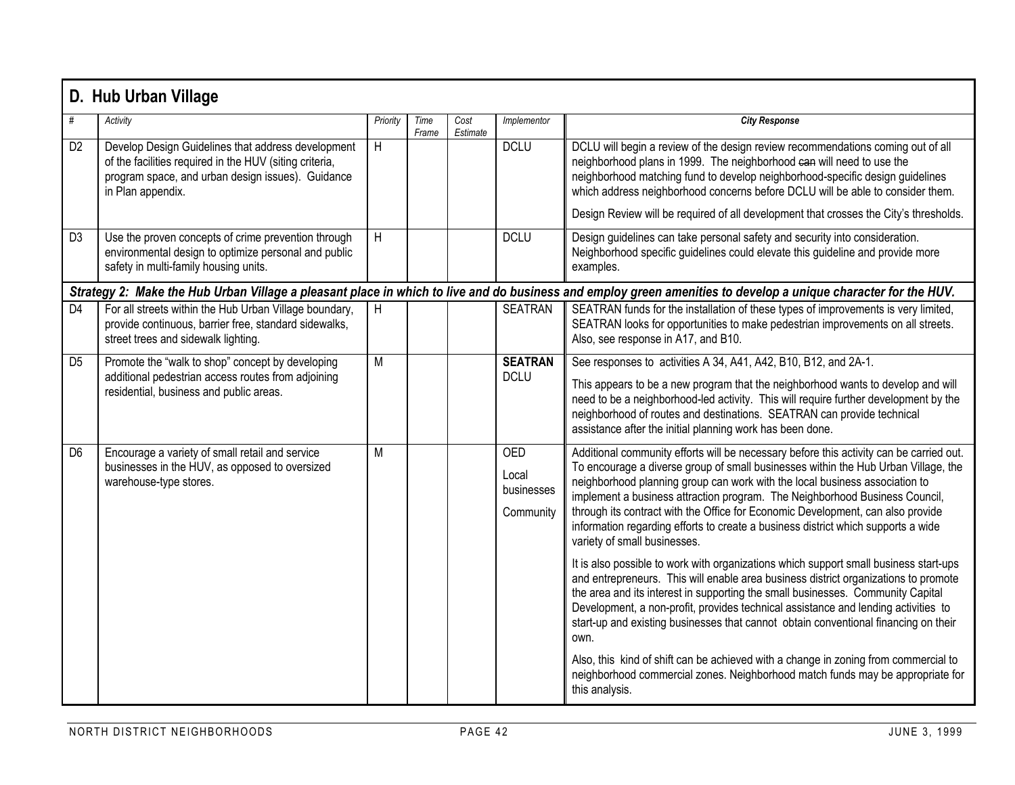|                | D. Hub Urban Village                                                                                                                                                                    |          |               |                  |                                                |                                                                                                                                                                                                                                                                                                                                                                                                                                                                                                                                                     |  |  |  |  |  |  |  |
|----------------|-----------------------------------------------------------------------------------------------------------------------------------------------------------------------------------------|----------|---------------|------------------|------------------------------------------------|-----------------------------------------------------------------------------------------------------------------------------------------------------------------------------------------------------------------------------------------------------------------------------------------------------------------------------------------------------------------------------------------------------------------------------------------------------------------------------------------------------------------------------------------------------|--|--|--|--|--|--|--|
| #              | Activity                                                                                                                                                                                | Priority | Time<br>Frame | Cost<br>Estimate | Implementor                                    | <b>City Response</b>                                                                                                                                                                                                                                                                                                                                                                                                                                                                                                                                |  |  |  |  |  |  |  |
| D <sub>2</sub> | Develop Design Guidelines that address development<br>of the facilities required in the HUV (siting criteria,<br>program space, and urban design issues). Guidance<br>in Plan appendix. | H        |               |                  | <b>DCLU</b>                                    | DCLU will begin a review of the design review recommendations coming out of all<br>neighborhood plans in 1999. The neighborhood can will need to use the<br>neighborhood matching fund to develop neighborhood-specific design guidelines<br>which address neighborhood concerns before DCLU will be able to consider them.<br>Design Review will be required of all development that crosses the City's thresholds.                                                                                                                                |  |  |  |  |  |  |  |
| D <sub>3</sub> | Use the proven concepts of crime prevention through<br>environmental design to optimize personal and public<br>safety in multi-family housing units.                                    | H        |               |                  | <b>DCLU</b>                                    | Design guidelines can take personal safety and security into consideration.<br>Neighborhood specific guidelines could elevate this guideline and provide more<br>examples.                                                                                                                                                                                                                                                                                                                                                                          |  |  |  |  |  |  |  |
|                | Strategy 2: Make the Hub Urban Village a pleasant place in which to live and do business and employ green amenities to develop a unique character for the HUV.                          |          |               |                  |                                                |                                                                                                                                                                                                                                                                                                                                                                                                                                                                                                                                                     |  |  |  |  |  |  |  |
| D <sub>4</sub> | For all streets within the Hub Urban Village boundary,<br>provide continuous, barrier free, standard sidewalks,<br>street trees and sidewalk lighting.                                  | H        |               |                  | <b>SEATRAN</b>                                 | SEATRAN funds for the installation of these types of improvements is very limited,<br>SEATRAN looks for opportunities to make pedestrian improvements on all streets.<br>Also, see response in A17, and B10.                                                                                                                                                                                                                                                                                                                                        |  |  |  |  |  |  |  |
| D <sub>5</sub> | Promote the "walk to shop" concept by developing<br>additional pedestrian access routes from adjoining<br>residential, business and public areas.                                       | M        |               |                  | <b>SEATRAN</b><br><b>DCLU</b>                  | See responses to activities A 34, A41, A42, B10, B12, and 2A-1.<br>This appears to be a new program that the neighborhood wants to develop and will<br>need to be a neighborhood-led activity. This will require further development by the<br>neighborhood of routes and destinations. SEATRAN can provide technical<br>assistance after the initial planning work has been done.                                                                                                                                                                  |  |  |  |  |  |  |  |
| D <sub>6</sub> | Encourage a variety of small retail and service<br>businesses in the HUV, as opposed to oversized<br>warehouse-type stores.                                                             | M        |               |                  | <b>OED</b><br>Local<br>businesses<br>Community | Additional community efforts will be necessary before this activity can be carried out.<br>To encourage a diverse group of small businesses within the Hub Urban Village, the<br>neighborhood planning group can work with the local business association to<br>implement a business attraction program. The Neighborhood Business Council,<br>through its contract with the Office for Economic Development, can also provide<br>information regarding efforts to create a business district which supports a wide<br>variety of small businesses. |  |  |  |  |  |  |  |
|                |                                                                                                                                                                                         |          |               |                  |                                                | It is also possible to work with organizations which support small business start-ups<br>and entrepreneurs. This will enable area business district organizations to promote<br>the area and its interest in supporting the small businesses. Community Capital<br>Development, a non-profit, provides technical assistance and lending activities to<br>start-up and existing businesses that cannot obtain conventional financing on their<br>own.                                                                                                |  |  |  |  |  |  |  |
|                |                                                                                                                                                                                         |          |               |                  |                                                | Also, this kind of shift can be achieved with a change in zoning from commercial to<br>neighborhood commercial zones. Neighborhood match funds may be appropriate for<br>this analysis.                                                                                                                                                                                                                                                                                                                                                             |  |  |  |  |  |  |  |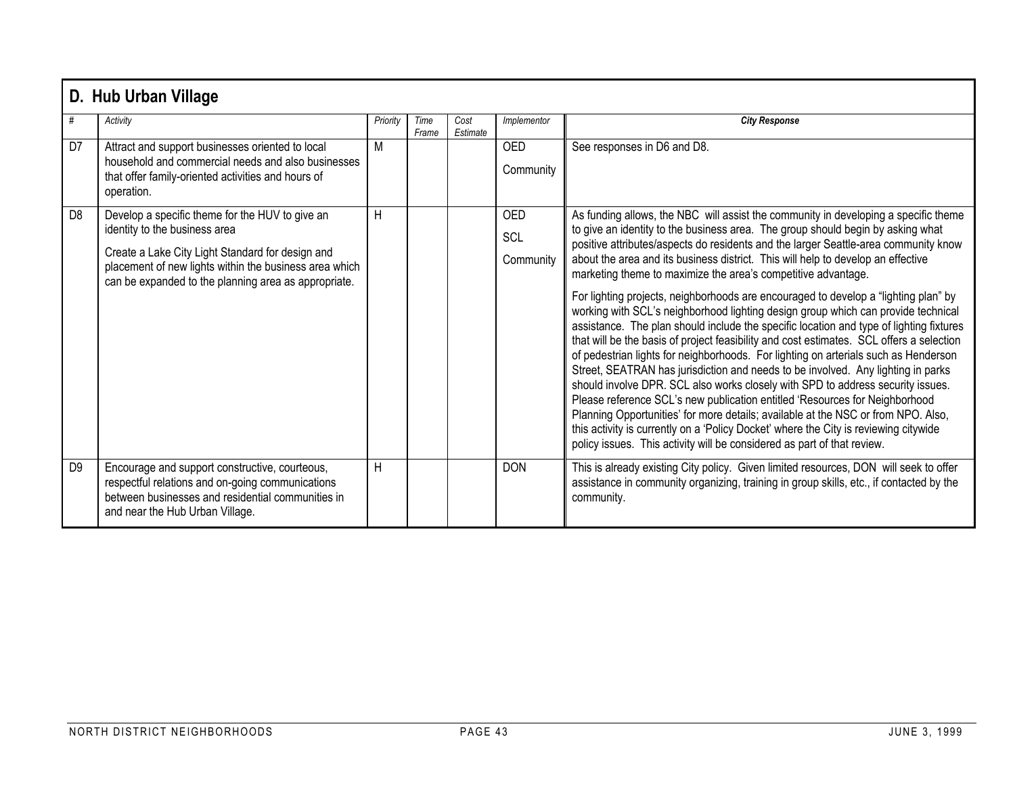|                | D. Hub Urban Village                                                                                                                                                                                                                                   |          |               |                  |                         |                                                                                                                                                                                                                                                                                                                                                                                                                                                                                                                                                                                                                                                                                                                                                                                                                                                                                                                                                                                                                                                                                                                                                                                                                                                                                                                                                                                            |  |  |  |  |  |  |
|----------------|--------------------------------------------------------------------------------------------------------------------------------------------------------------------------------------------------------------------------------------------------------|----------|---------------|------------------|-------------------------|--------------------------------------------------------------------------------------------------------------------------------------------------------------------------------------------------------------------------------------------------------------------------------------------------------------------------------------------------------------------------------------------------------------------------------------------------------------------------------------------------------------------------------------------------------------------------------------------------------------------------------------------------------------------------------------------------------------------------------------------------------------------------------------------------------------------------------------------------------------------------------------------------------------------------------------------------------------------------------------------------------------------------------------------------------------------------------------------------------------------------------------------------------------------------------------------------------------------------------------------------------------------------------------------------------------------------------------------------------------------------------------------|--|--|--|--|--|--|
| #              | Activity                                                                                                                                                                                                                                               | Priority | Time<br>Frame | Cost<br>Estimate | Implementor             | <b>City Response</b>                                                                                                                                                                                                                                                                                                                                                                                                                                                                                                                                                                                                                                                                                                                                                                                                                                                                                                                                                                                                                                                                                                                                                                                                                                                                                                                                                                       |  |  |  |  |  |  |
| D <sub>7</sub> | Attract and support businesses oriented to local<br>household and commercial needs and also businesses<br>that offer family-oriented activities and hours of<br>operation.                                                                             | M        |               |                  | <b>OED</b><br>Community | See responses in D6 and D8.                                                                                                                                                                                                                                                                                                                                                                                                                                                                                                                                                                                                                                                                                                                                                                                                                                                                                                                                                                                                                                                                                                                                                                                                                                                                                                                                                                |  |  |  |  |  |  |
| D <sub>8</sub> | Develop a specific theme for the HUV to give an<br>identity to the business area<br>Create a Lake City Light Standard for design and<br>placement of new lights within the business area which<br>can be expanded to the planning area as appropriate. | H        |               |                  | OED<br>SCL<br>Community | As funding allows, the NBC will assist the community in developing a specific theme<br>to give an identity to the business area. The group should begin by asking what<br>positive attributes/aspects do residents and the larger Seattle-area community know<br>about the area and its business district. This will help to develop an effective<br>marketing theme to maximize the area's competitive advantage.<br>For lighting projects, neighborhoods are encouraged to develop a "lighting plan" by<br>working with SCL's neighborhood lighting design group which can provide technical<br>assistance. The plan should include the specific location and type of lighting fixtures<br>that will be the basis of project feasibility and cost estimates. SCL offers a selection<br>of pedestrian lights for neighborhoods. For lighting on arterials such as Henderson<br>Street, SEATRAN has jurisdiction and needs to be involved. Any lighting in parks<br>should involve DPR. SCL also works closely with SPD to address security issues.<br>Please reference SCL's new publication entitled 'Resources for Neighborhood<br>Planning Opportunities' for more details; available at the NSC or from NPO. Also,<br>this activity is currently on a 'Policy Docket' where the City is reviewing citywide<br>policy issues. This activity will be considered as part of that review. |  |  |  |  |  |  |
| D <sub>9</sub> | Encourage and support constructive, courteous,<br>respectful relations and on-going communications<br>between businesses and residential communities in<br>and near the Hub Urban Village.                                                             | H        |               |                  | <b>DON</b>              | This is already existing City policy. Given limited resources, DON will seek to offer<br>assistance in community organizing, training in group skills, etc., if contacted by the<br>community.                                                                                                                                                                                                                                                                                                                                                                                                                                                                                                                                                                                                                                                                                                                                                                                                                                                                                                                                                                                                                                                                                                                                                                                             |  |  |  |  |  |  |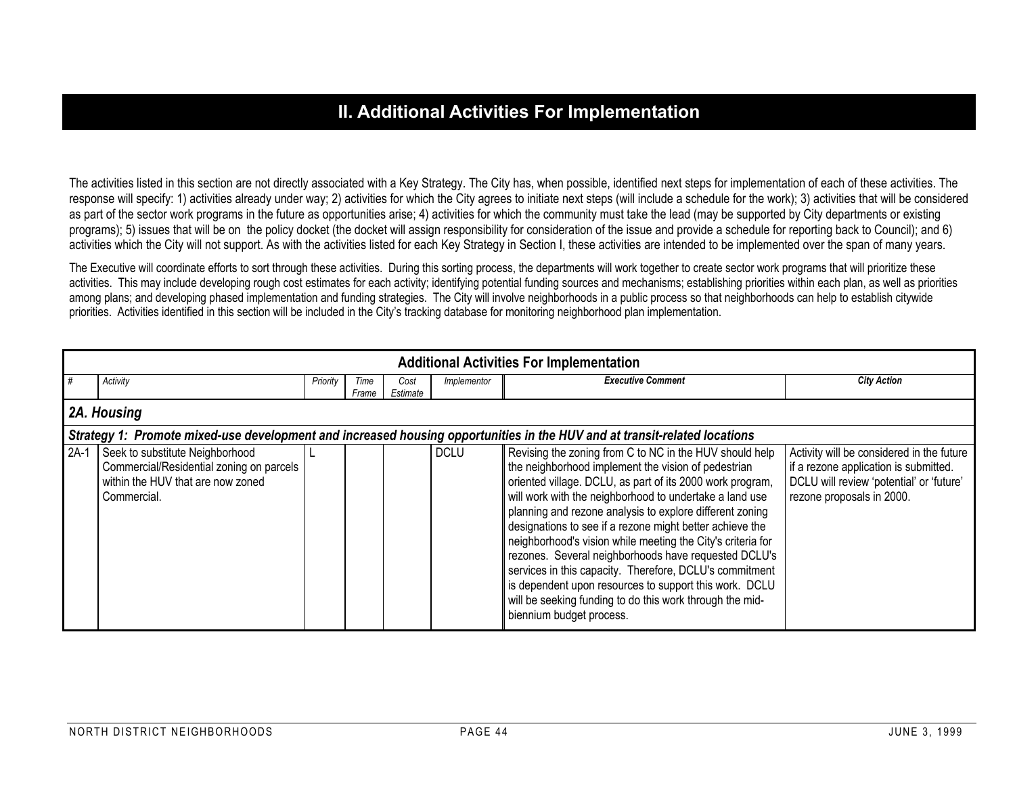## **II. Additional Activities For Implementation**

The activities listed in this section are not directly associated with a Key Strategy. The City has, when possible, identified next steps for implementation of each of these activities. The response will specify: 1) activities already under way; 2) activities for which the City agrees to initiate next steps (will include a schedule for the work); 3) activities that will be considered as part of the sector work programs in the future as opportunities arise; 4) activities for which the community must take the lead (may be supported by City departments or existing programs); 5) issues that will be on the policy docket (the docket will assign responsibility for consideration of the issue and provide a schedule for reporting back to Council); and 6) activities which the City will not support. As with the activities listed for each Key Strategy in Section I, these activities are intended to be implemented over the span of many years.

The Executive will coordinate efforts to sort through these activities. During this sorting process, the departments will work together to create sector work programs that will prioritize these activities. This may include developing rough cost estimates for each activity; identifying potential funding sources and mechanisms; establishing priorities within each plan, as well as priorities among plans; and developing phased implementation and funding strategies. The City will involve neighborhoods in a public process so that neighborhoods can help to establish citywide priorities. Activities identified in this section will be included in the City's tracking database for monitoring neighborhood plan implementation.

|        | <b>Additional Activities For Implementation</b>                                                                                 |          |       |          |             |                                                                                                                                                                                                                                                                                                                                                                                                                                                                                                                                                                                                                                                                                                    |                                                                                                                                                             |  |  |  |  |  |  |  |
|--------|---------------------------------------------------------------------------------------------------------------------------------|----------|-------|----------|-------------|----------------------------------------------------------------------------------------------------------------------------------------------------------------------------------------------------------------------------------------------------------------------------------------------------------------------------------------------------------------------------------------------------------------------------------------------------------------------------------------------------------------------------------------------------------------------------------------------------------------------------------------------------------------------------------------------------|-------------------------------------------------------------------------------------------------------------------------------------------------------------|--|--|--|--|--|--|--|
| #      | Activity                                                                                                                        | Priority | Time  | Cost     | Implementor | <b>Executive Comment</b>                                                                                                                                                                                                                                                                                                                                                                                                                                                                                                                                                                                                                                                                           | <b>City Action</b>                                                                                                                                          |  |  |  |  |  |  |  |
|        |                                                                                                                                 |          | Frame | Estimate |             |                                                                                                                                                                                                                                                                                                                                                                                                                                                                                                                                                                                                                                                                                                    |                                                                                                                                                             |  |  |  |  |  |  |  |
|        | 2A. Housing                                                                                                                     |          |       |          |             |                                                                                                                                                                                                                                                                                                                                                                                                                                                                                                                                                                                                                                                                                                    |                                                                                                                                                             |  |  |  |  |  |  |  |
|        | Strategy 1: Promote mixed-use development and increased housing opportunities in the HUV and at transit-related locations       |          |       |          |             |                                                                                                                                                                                                                                                                                                                                                                                                                                                                                                                                                                                                                                                                                                    |                                                                                                                                                             |  |  |  |  |  |  |  |
| $2A-1$ | Seek to substitute Neighborhood<br>Commercial/Residential zoning on parcels<br>within the HUV that are now zoned<br>Commercial. |          |       |          | <b>DCLU</b> | Revising the zoning from C to NC in the HUV should help<br>the neighborhood implement the vision of pedestrian<br>oriented village. DCLU, as part of its 2000 work program,<br>will work with the neighborhood to undertake a land use<br>planning and rezone analysis to explore different zoning<br>designations to see if a rezone might better achieve the<br>neighborhood's vision while meeting the City's criteria for<br>rezones. Several neighborhoods have requested DCLU's<br>services in this capacity. Therefore, DCLU's commitment<br>is dependent upon resources to support this work. DCLU<br>will be seeking funding to do this work through the mid-<br>biennium budget process. | Activity will be considered in the future<br>if a rezone application is submitted.<br>DCLU will review 'potential' or 'future'<br>rezone proposals in 2000. |  |  |  |  |  |  |  |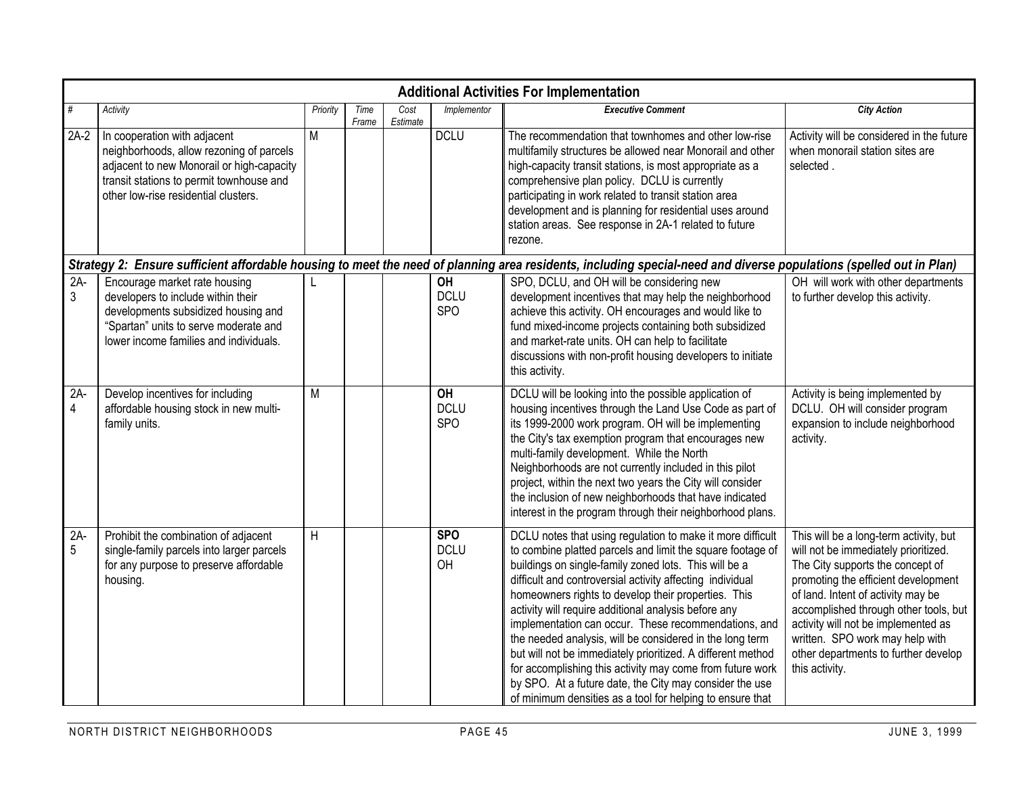|            | <b>Additional Activities For Implementation</b>                                                                                                                                                           |          |               |                  |                                 |                                                                                                                                                                                                                                                                                                                                                                                                                                                                                                                                                                                                                                                                                                                                       |                                                                                                                                                                                                                                                                                                                                                                              |  |  |  |  |  |  |  |
|------------|-----------------------------------------------------------------------------------------------------------------------------------------------------------------------------------------------------------|----------|---------------|------------------|---------------------------------|---------------------------------------------------------------------------------------------------------------------------------------------------------------------------------------------------------------------------------------------------------------------------------------------------------------------------------------------------------------------------------------------------------------------------------------------------------------------------------------------------------------------------------------------------------------------------------------------------------------------------------------------------------------------------------------------------------------------------------------|------------------------------------------------------------------------------------------------------------------------------------------------------------------------------------------------------------------------------------------------------------------------------------------------------------------------------------------------------------------------------|--|--|--|--|--|--|--|
| #          | Activity                                                                                                                                                                                                  | Priority | Time<br>Frame | Cost<br>Estimate | Implementor                     | <b>Executive Comment</b>                                                                                                                                                                                                                                                                                                                                                                                                                                                                                                                                                                                                                                                                                                              | <b>City Action</b>                                                                                                                                                                                                                                                                                                                                                           |  |  |  |  |  |  |  |
| $2A-2$     | In cooperation with adjacent<br>neighborhoods, allow rezoning of parcels<br>adjacent to new Monorail or high-capacity<br>transit stations to permit townhouse and<br>other low-rise residential clusters. | M        |               |                  | <b>DCLU</b>                     | The recommendation that townhomes and other low-rise<br>multifamily structures be allowed near Monorail and other<br>high-capacity transit stations, is most appropriate as a<br>comprehensive plan policy. DCLU is currently<br>participating in work related to transit station area<br>development and is planning for residential uses around<br>station areas. See response in 2A-1 related to future<br>rezone.                                                                                                                                                                                                                                                                                                                 | Activity will be considered in the future<br>when monorail station sites are<br>selected.                                                                                                                                                                                                                                                                                    |  |  |  |  |  |  |  |
|            | Strategy 2: Ensure sufficient affordable housing to meet the need of planning area residents, including special-need and diverse populations (spelled out in Plan)                                        |          |               |                  |                                 |                                                                                                                                                                                                                                                                                                                                                                                                                                                                                                                                                                                                                                                                                                                                       |                                                                                                                                                                                                                                                                                                                                                                              |  |  |  |  |  |  |  |
| $2A-$<br>3 | Encourage market rate housing<br>developers to include within their<br>developments subsidized housing and<br>"Spartan" units to serve moderate and<br>lower income families and individuals.             |          |               |                  | OH<br><b>DCLU</b><br><b>SPO</b> | SPO, DCLU, and OH will be considering new<br>development incentives that may help the neighborhood<br>achieve this activity. OH encourages and would like to<br>fund mixed-income projects containing both subsidized<br>and market-rate units. OH can help to facilitate<br>discussions with non-profit housing developers to initiate<br>this activity.                                                                                                                                                                                                                                                                                                                                                                             | OH will work with other departments<br>to further develop this activity.                                                                                                                                                                                                                                                                                                     |  |  |  |  |  |  |  |
| $2A-$<br>4 | Develop incentives for including<br>affordable housing stock in new multi-<br>family units.                                                                                                               | M        |               |                  | OH<br><b>DCLU</b><br><b>SPO</b> | DCLU will be looking into the possible application of<br>housing incentives through the Land Use Code as part of<br>its 1999-2000 work program. OH will be implementing<br>the City's tax exemption program that encourages new<br>multi-family development. While the North<br>Neighborhoods are not currently included in this pilot<br>project, within the next two years the City will consider<br>the inclusion of new neighborhoods that have indicated<br>interest in the program through their neighborhood plans.                                                                                                                                                                                                            | Activity is being implemented by<br>DCLU. OH will consider program<br>expansion to include neighborhood<br>activity.                                                                                                                                                                                                                                                         |  |  |  |  |  |  |  |
| $2A-$<br>5 | Prohibit the combination of adjacent<br>single-family parcels into larger parcels<br>for any purpose to preserve affordable<br>housing.                                                                   | H        |               |                  | <b>SPO</b><br><b>DCLU</b><br>OH | DCLU notes that using regulation to make it more difficult<br>to combine platted parcels and limit the square footage of<br>buildings on single-family zoned lots. This will be a<br>difficult and controversial activity affecting individual<br>homeowners rights to develop their properties. This<br>activity will require additional analysis before any<br>implementation can occur. These recommendations, and<br>the needed analysis, will be considered in the long term<br>but will not be immediately prioritized. A different method<br>for accomplishing this activity may come from future work<br>by SPO. At a future date, the City may consider the use<br>of minimum densities as a tool for helping to ensure that | This will be a long-term activity, but<br>will not be immediately prioritized.<br>The City supports the concept of<br>promoting the efficient development<br>of land. Intent of activity may be<br>accomplished through other tools, but<br>activity will not be implemented as<br>written. SPO work may help with<br>other departments to further develop<br>this activity. |  |  |  |  |  |  |  |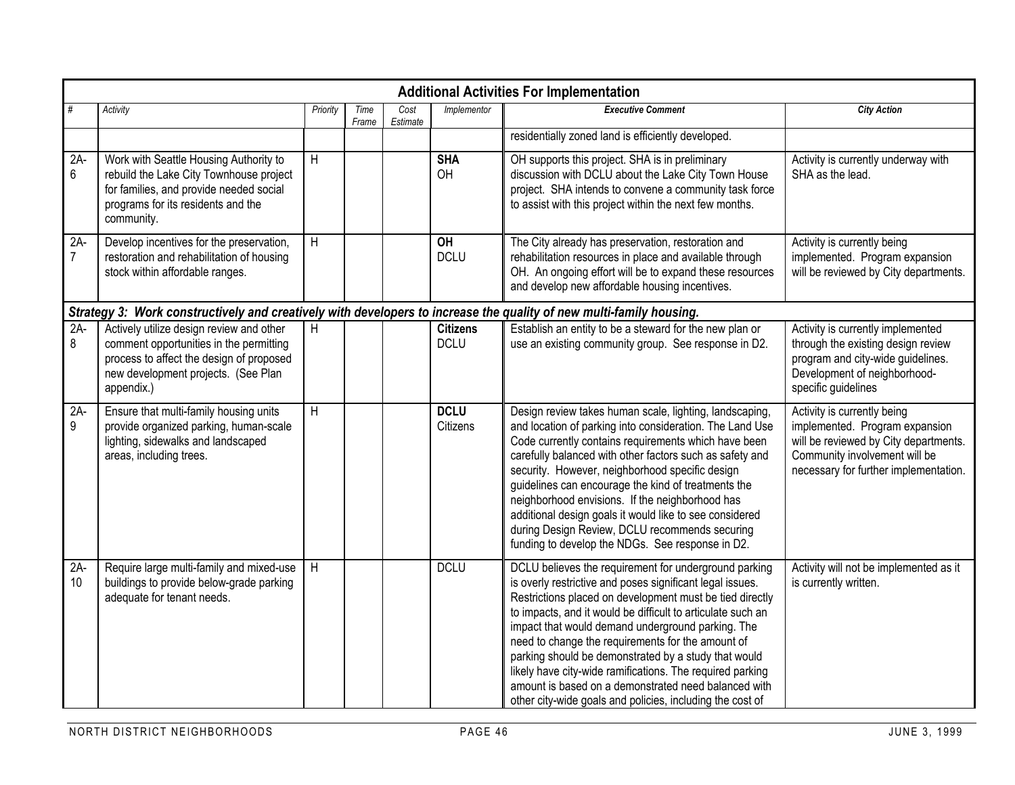|                         | <b>Additional Activities For Implementation</b>                                                                                                                                      |                |               |                  |                                 |                                                                                                                                                                                                                                                                                                                                                                                                                                                                                                                                                                                                   |                                                                                                                                                                                  |  |  |  |  |  |  |
|-------------------------|--------------------------------------------------------------------------------------------------------------------------------------------------------------------------------------|----------------|---------------|------------------|---------------------------------|---------------------------------------------------------------------------------------------------------------------------------------------------------------------------------------------------------------------------------------------------------------------------------------------------------------------------------------------------------------------------------------------------------------------------------------------------------------------------------------------------------------------------------------------------------------------------------------------------|----------------------------------------------------------------------------------------------------------------------------------------------------------------------------------|--|--|--|--|--|--|
| $\#$                    | Activity                                                                                                                                                                             | Priority       | Time<br>Frame | Cost<br>Estimate | Implementor                     | <b>Executive Comment</b>                                                                                                                                                                                                                                                                                                                                                                                                                                                                                                                                                                          | <b>City Action</b>                                                                                                                                                               |  |  |  |  |  |  |
|                         |                                                                                                                                                                                      |                |               |                  |                                 | residentially zoned land is efficiently developed.                                                                                                                                                                                                                                                                                                                                                                                                                                                                                                                                                |                                                                                                                                                                                  |  |  |  |  |  |  |
| $2A-$<br>6              | Work with Seattle Housing Authority to<br>rebuild the Lake City Townhouse project<br>for families, and provide needed social<br>programs for its residents and the<br>community.     | H              |               |                  | <b>SHA</b><br>OH                | OH supports this project. SHA is in preliminary<br>discussion with DCLU about the Lake City Town House<br>project. SHA intends to convene a community task force<br>to assist with this project within the next few months.                                                                                                                                                                                                                                                                                                                                                                       | Activity is currently underway with<br>SHA as the lead.                                                                                                                          |  |  |  |  |  |  |
| $2A-$<br>$\overline{7}$ | Develop incentives for the preservation,<br>restoration and rehabilitation of housing<br>stock within affordable ranges.                                                             | $\overline{H}$ |               |                  | $\overline{O}$ H<br><b>DCLU</b> | The City already has preservation, restoration and<br>rehabilitation resources in place and available through<br>OH. An ongoing effort will be to expand these resources<br>and develop new affordable housing incentives.                                                                                                                                                                                                                                                                                                                                                                        | Activity is currently being<br>implemented. Program expansion<br>will be reviewed by City departments.                                                                           |  |  |  |  |  |  |
|                         | Strategy 3: Work constructively and creatively with developers to increase the quality of new multi-family housing.                                                                  |                |               |                  |                                 |                                                                                                                                                                                                                                                                                                                                                                                                                                                                                                                                                                                                   |                                                                                                                                                                                  |  |  |  |  |  |  |
| $2A-$<br>8              | Actively utilize design review and other<br>comment opportunities in the permitting<br>process to affect the design of proposed<br>new development projects. (See Plan<br>appendix.) | H              |               |                  | <b>Citizens</b><br><b>DCLU</b>  | Establish an entity to be a steward for the new plan or<br>use an existing community group. See response in D2.                                                                                                                                                                                                                                                                                                                                                                                                                                                                                   | Activity is currently implemented<br>through the existing design review<br>program and city-wide guidelines.<br>Development of neighborhood-<br>specific guidelines              |  |  |  |  |  |  |
| $2A-$<br>9              | Ensure that multi-family housing units<br>provide organized parking, human-scale<br>lighting, sidewalks and landscaped<br>areas, including trees.                                    | $\overline{H}$ |               |                  | <b>DCLU</b><br>Citizens         | Design review takes human scale, lighting, landscaping,<br>and location of parking into consideration. The Land Use<br>Code currently contains requirements which have been<br>carefully balanced with other factors such as safety and<br>security. However, neighborhood specific design<br>guidelines can encourage the kind of treatments the<br>neighborhood envisions. If the neighborhood has<br>additional design goals it would like to see considered<br>during Design Review, DCLU recommends securing<br>funding to develop the NDGs. See response in D2.                             | Activity is currently being<br>implemented. Program expansion<br>will be reviewed by City departments.<br>Community involvement will be<br>necessary for further implementation. |  |  |  |  |  |  |
| $2A-$<br>10             | Require large multi-family and mixed-use<br>buildings to provide below-grade parking<br>adequate for tenant needs.                                                                   | H              |               |                  | <b>DCLU</b>                     | DCLU believes the requirement for underground parking<br>is overly restrictive and poses significant legal issues.<br>Restrictions placed on development must be tied directly<br>to impacts, and it would be difficult to articulate such an<br>impact that would demand underground parking. The<br>need to change the requirements for the amount of<br>parking should be demonstrated by a study that would<br>likely have city-wide ramifications. The required parking<br>amount is based on a demonstrated need balanced with<br>other city-wide goals and policies, including the cost of | Activity will not be implemented as it<br>is currently written.                                                                                                                  |  |  |  |  |  |  |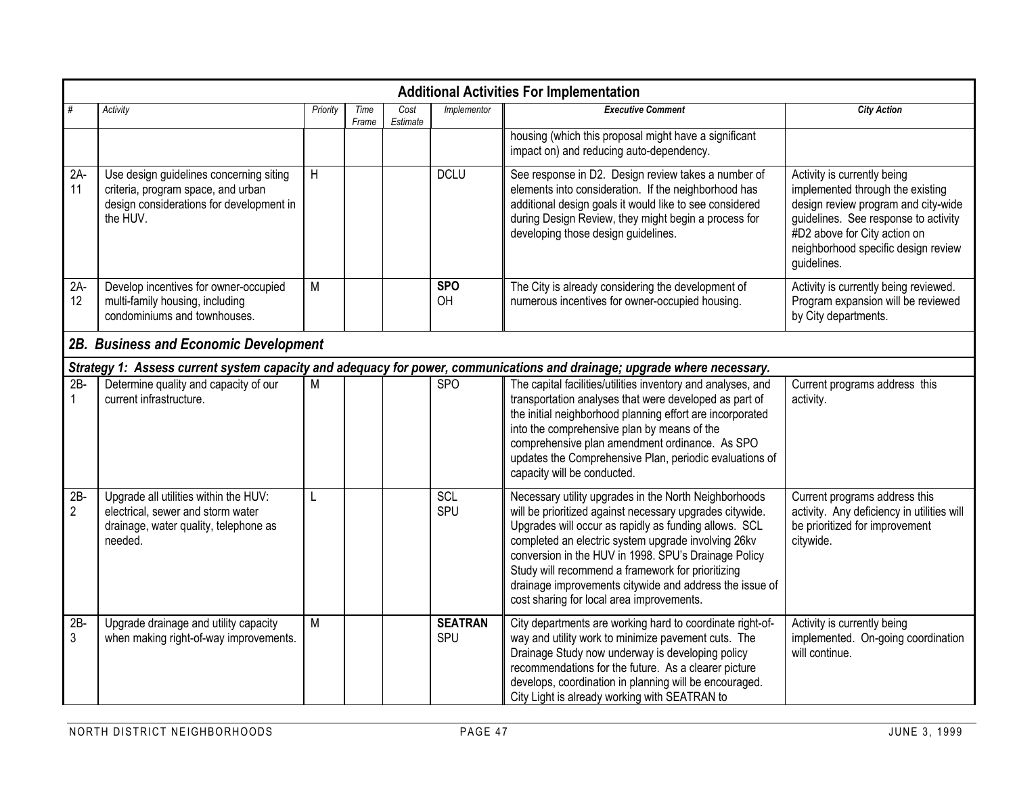|                          | <b>Additional Activities For Implementation</b>                                                                                       |                |               |                  |                       |                                                                                                                                                                                                                                                                                                                                                                                                                                                        |                                                                                                                                                                                                                                      |  |  |  |  |  |  |
|--------------------------|---------------------------------------------------------------------------------------------------------------------------------------|----------------|---------------|------------------|-----------------------|--------------------------------------------------------------------------------------------------------------------------------------------------------------------------------------------------------------------------------------------------------------------------------------------------------------------------------------------------------------------------------------------------------------------------------------------------------|--------------------------------------------------------------------------------------------------------------------------------------------------------------------------------------------------------------------------------------|--|--|--|--|--|--|
|                          | Activity                                                                                                                              | Priority       | Time<br>Frame | Cost<br>Estimate | Implementor           | <b>Executive Comment</b>                                                                                                                                                                                                                                                                                                                                                                                                                               | <b>City Action</b>                                                                                                                                                                                                                   |  |  |  |  |  |  |
|                          |                                                                                                                                       |                |               |                  |                       | housing (which this proposal might have a significant<br>impact on) and reducing auto-dependency.                                                                                                                                                                                                                                                                                                                                                      |                                                                                                                                                                                                                                      |  |  |  |  |  |  |
| $2A-$<br>11              | Use design guidelines concerning siting<br>criteria, program space, and urban<br>design considerations for development in<br>the HUV. | H              |               |                  | <b>DCLU</b>           | See response in D2. Design review takes a number of<br>elements into consideration. If the neighborhood has<br>additional design goals it would like to see considered<br>during Design Review, they might begin a process for<br>developing those design guidelines.                                                                                                                                                                                  | Activity is currently being<br>implemented through the existing<br>design review program and city-wide<br>guidelines. See response to activity<br>#D2 above for City action on<br>neighborhood specific design review<br>guidelines. |  |  |  |  |  |  |
| $2A-$<br>12              | Develop incentives for owner-occupied<br>multi-family housing, including<br>condominiums and townhouses.                              | M              |               |                  | <b>SPO</b><br>OH      | The City is already considering the development of<br>numerous incentives for owner-occupied housing.                                                                                                                                                                                                                                                                                                                                                  | Activity is currently being reviewed.<br>Program expansion will be reviewed<br>by City departments.                                                                                                                                  |  |  |  |  |  |  |
|                          | 2B. Business and Economic Development                                                                                                 |                |               |                  |                       |                                                                                                                                                                                                                                                                                                                                                                                                                                                        |                                                                                                                                                                                                                                      |  |  |  |  |  |  |
|                          |                                                                                                                                       |                |               |                  |                       | Strategy 1: Assess current system capacity and adequacy for power, communications and drainage; upgrade where necessary.                                                                                                                                                                                                                                                                                                                               |                                                                                                                                                                                                                                      |  |  |  |  |  |  |
| $2B -$                   | Determine quality and capacity of our<br>current infrastructure.                                                                      | M              |               |                  | <b>SPO</b>            | The capital facilities/utilities inventory and analyses, and<br>transportation analyses that were developed as part of<br>the initial neighborhood planning effort are incorporated<br>into the comprehensive plan by means of the<br>comprehensive plan amendment ordinance. As SPO<br>updates the Comprehensive Plan, periodic evaluations of<br>capacity will be conducted.                                                                         | Current programs address this<br>activity.                                                                                                                                                                                           |  |  |  |  |  |  |
| $2B -$<br>$\overline{2}$ | Upgrade all utilities within the HUV:<br>electrical, sewer and storm water<br>drainage, water quality, telephone as<br>needed.        | L              |               |                  | SCL<br>SPU            | Necessary utility upgrades in the North Neighborhoods<br>will be prioritized against necessary upgrades citywide.<br>Upgrades will occur as rapidly as funding allows. SCL<br>completed an electric system upgrade involving 26kv<br>conversion in the HUV in 1998. SPU's Drainage Policy<br>Study will recommend a framework for prioritizing<br>drainage improvements citywide and address the issue of<br>cost sharing for local area improvements. | Current programs address this<br>activity. Any deficiency in utilities will<br>be prioritized for improvement<br>citywide.                                                                                                           |  |  |  |  |  |  |
| $2B -$<br>3              | Upgrade drainage and utility capacity<br>when making right-of-way improvements.                                                       | $\overline{M}$ |               |                  | <b>SEATRAN</b><br>SPU | City departments are working hard to coordinate right-of-<br>way and utility work to minimize pavement cuts. The<br>Drainage Study now underway is developing policy<br>recommendations for the future. As a clearer picture<br>develops, coordination in planning will be encouraged.<br>City Light is already working with SEATRAN to                                                                                                                | Activity is currently being<br>implemented. On-going coordination<br>will continue.                                                                                                                                                  |  |  |  |  |  |  |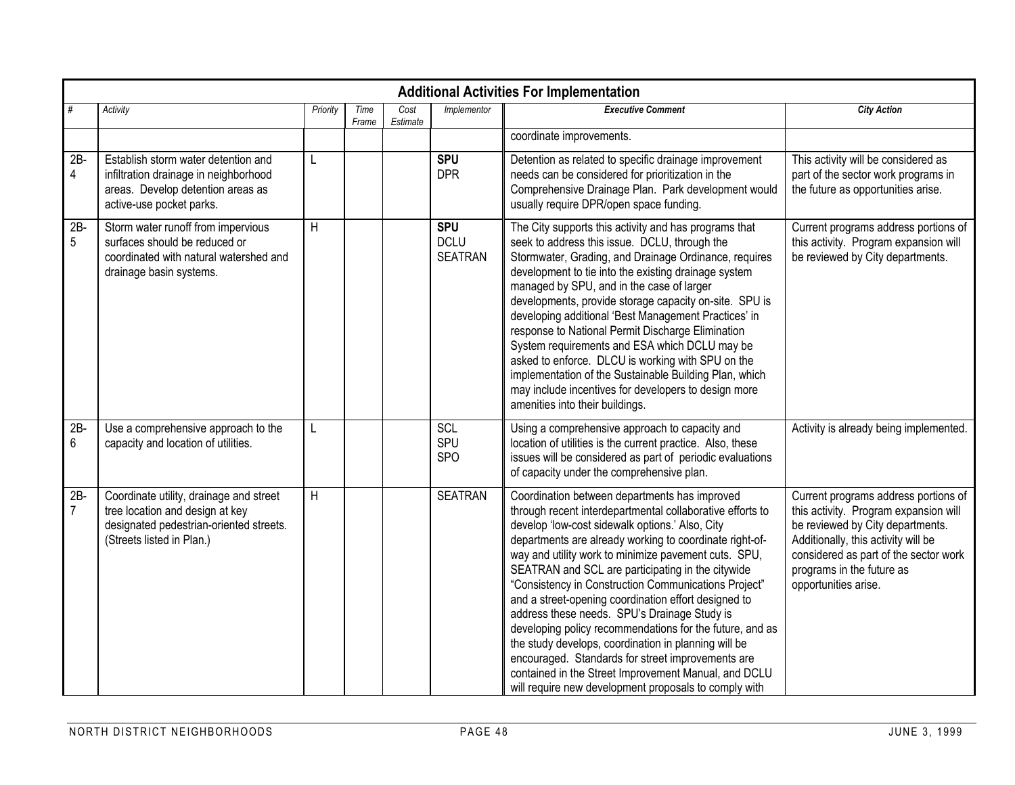|                          | <b>Additional Activities For Implementation</b>                                                                                                    |          |               |                  |                                             |                                                                                                                                                                                                                                                                                                                                                                                                                                                                                                                                                                                                                                                                                                                                                                                                 |                                                                                                                                                                                                                                                        |  |  |  |  |  |  |  |
|--------------------------|----------------------------------------------------------------------------------------------------------------------------------------------------|----------|---------------|------------------|---------------------------------------------|-------------------------------------------------------------------------------------------------------------------------------------------------------------------------------------------------------------------------------------------------------------------------------------------------------------------------------------------------------------------------------------------------------------------------------------------------------------------------------------------------------------------------------------------------------------------------------------------------------------------------------------------------------------------------------------------------------------------------------------------------------------------------------------------------|--------------------------------------------------------------------------------------------------------------------------------------------------------------------------------------------------------------------------------------------------------|--|--|--|--|--|--|--|
| #                        | Activity                                                                                                                                           | Priority | Time<br>Frame | Cost<br>Estimate | Implementor                                 | <b>Executive Comment</b>                                                                                                                                                                                                                                                                                                                                                                                                                                                                                                                                                                                                                                                                                                                                                                        | <b>City Action</b>                                                                                                                                                                                                                                     |  |  |  |  |  |  |  |
|                          |                                                                                                                                                    |          |               |                  |                                             | coordinate improvements.                                                                                                                                                                                                                                                                                                                                                                                                                                                                                                                                                                                                                                                                                                                                                                        |                                                                                                                                                                                                                                                        |  |  |  |  |  |  |  |
| $2B -$<br>4              | Establish storm water detention and<br>infiltration drainage in neighborhood<br>areas. Develop detention areas as<br>active-use pocket parks.      | L        |               |                  | <b>SPU</b><br><b>DPR</b>                    | Detention as related to specific drainage improvement<br>needs can be considered for prioritization in the<br>Comprehensive Drainage Plan. Park development would<br>usually require DPR/open space funding.                                                                                                                                                                                                                                                                                                                                                                                                                                                                                                                                                                                    | This activity will be considered as<br>part of the sector work programs in<br>the future as opportunities arise.                                                                                                                                       |  |  |  |  |  |  |  |
| $2B -$<br>5              | Storm water runoff from impervious<br>surfaces should be reduced or<br>coordinated with natural watershed and<br>drainage basin systems.           | Η        |               |                  | <b>SPU</b><br><b>DCLU</b><br><b>SEATRAN</b> | The City supports this activity and has programs that<br>seek to address this issue. DCLU, through the<br>Stormwater, Grading, and Drainage Ordinance, requires<br>development to tie into the existing drainage system<br>managed by SPU, and in the case of larger<br>developments, provide storage capacity on-site. SPU is<br>developing additional 'Best Management Practices' in<br>response to National Permit Discharge Elimination<br>System requirements and ESA which DCLU may be<br>asked to enforce. DLCU is working with SPU on the<br>implementation of the Sustainable Building Plan, which<br>may include incentives for developers to design more<br>amenities into their buildings.                                                                                          | Current programs address portions of<br>this activity. Program expansion will<br>be reviewed by City departments.                                                                                                                                      |  |  |  |  |  |  |  |
| $2B -$<br>6              | Use a comprehensive approach to the<br>capacity and location of utilities.                                                                         | L        |               |                  | SCL<br>SPU<br><b>SPO</b>                    | Using a comprehensive approach to capacity and<br>location of utilities is the current practice. Also, these<br>issues will be considered as part of periodic evaluations<br>of capacity under the comprehensive plan.                                                                                                                                                                                                                                                                                                                                                                                                                                                                                                                                                                          | Activity is already being implemented.                                                                                                                                                                                                                 |  |  |  |  |  |  |  |
| $2B -$<br>$\overline{7}$ | Coordinate utility, drainage and street<br>tree location and design at key<br>designated pedestrian-oriented streets.<br>(Streets listed in Plan.) | H        |               |                  | <b>SEATRAN</b>                              | Coordination between departments has improved<br>through recent interdepartmental collaborative efforts to<br>develop 'low-cost sidewalk options.' Also, City<br>departments are already working to coordinate right-of-<br>way and utility work to minimize pavement cuts. SPU,<br>SEATRAN and SCL are participating in the citywide<br>"Consistency in Construction Communications Project"<br>and a street-opening coordination effort designed to<br>address these needs. SPU's Drainage Study is<br>developing policy recommendations for the future, and as<br>the study develops, coordination in planning will be<br>encouraged. Standards for street improvements are<br>contained in the Street Improvement Manual, and DCLU<br>will require new development proposals to comply with | Current programs address portions of<br>this activity. Program expansion will<br>be reviewed by City departments.<br>Additionally, this activity will be<br>considered as part of the sector work<br>programs in the future as<br>opportunities arise. |  |  |  |  |  |  |  |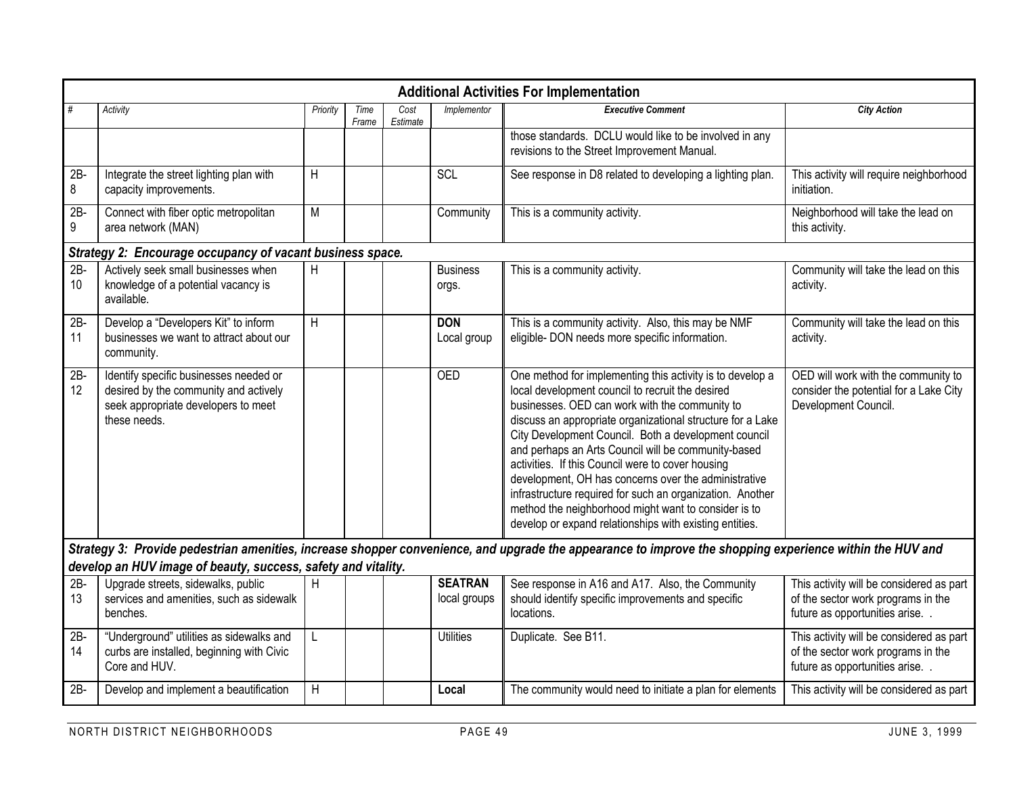|              | <b>Additional Activities For Implementation</b>                                                                                        |          |               |                  |                                |                                                                                                                                                                                                                                                                                                                                                                                                                                                                                                                                                                                                                                           |                                                                                                                    |  |  |  |  |  |  |
|--------------|----------------------------------------------------------------------------------------------------------------------------------------|----------|---------------|------------------|--------------------------------|-------------------------------------------------------------------------------------------------------------------------------------------------------------------------------------------------------------------------------------------------------------------------------------------------------------------------------------------------------------------------------------------------------------------------------------------------------------------------------------------------------------------------------------------------------------------------------------------------------------------------------------------|--------------------------------------------------------------------------------------------------------------------|--|--|--|--|--|--|
|              | Activity                                                                                                                               | Priority | Time<br>Frame | Cost<br>Estimate | Implementor                    | <b>Executive Comment</b>                                                                                                                                                                                                                                                                                                                                                                                                                                                                                                                                                                                                                  | <b>City Action</b>                                                                                                 |  |  |  |  |  |  |
|              |                                                                                                                                        |          |               |                  |                                | those standards. DCLU would like to be involved in any<br>revisions to the Street Improvement Manual.                                                                                                                                                                                                                                                                                                                                                                                                                                                                                                                                     |                                                                                                                    |  |  |  |  |  |  |
| 2B<br>8      | Integrate the street lighting plan with<br>capacity improvements.                                                                      | H        |               |                  | SCL                            | See response in D8 related to developing a lighting plan.                                                                                                                                                                                                                                                                                                                                                                                                                                                                                                                                                                                 | This activity will require neighborhood<br>initiation.                                                             |  |  |  |  |  |  |
| $2B -$<br>9  | Connect with fiber optic metropolitan<br>area network (MAN)                                                                            | M        |               |                  | Community                      | This is a community activity.                                                                                                                                                                                                                                                                                                                                                                                                                                                                                                                                                                                                             | Neighborhood will take the lead on<br>this activity.                                                               |  |  |  |  |  |  |
|              | Strategy 2: Encourage occupancy of vacant business space.                                                                              |          |               |                  |                                |                                                                                                                                                                                                                                                                                                                                                                                                                                                                                                                                                                                                                                           |                                                                                                                    |  |  |  |  |  |  |
| $2B -$<br>10 | Actively seek small businesses when<br>knowledge of a potential vacancy is<br>available.                                               | H        |               |                  | <b>Business</b><br>orgs.       | This is a community activity.                                                                                                                                                                                                                                                                                                                                                                                                                                                                                                                                                                                                             | Community will take the lead on this<br>activity.                                                                  |  |  |  |  |  |  |
| $2B -$<br>11 | Develop a "Developers Kit" to inform<br>businesses we want to attract about our<br>community.                                          | H        |               |                  | <b>DON</b><br>Local group      | This is a community activity. Also, this may be NMF<br>eligible- DON needs more specific information.                                                                                                                                                                                                                                                                                                                                                                                                                                                                                                                                     | Community will take the lead on this<br>activity.                                                                  |  |  |  |  |  |  |
| $2B -$<br>12 | Identify specific businesses needed or<br>desired by the community and actively<br>seek appropriate developers to meet<br>these needs. |          |               |                  | <b>OED</b>                     | One method for implementing this activity is to develop a<br>local development council to recruit the desired<br>businesses. OED can work with the community to<br>discuss an appropriate organizational structure for a Lake<br>City Development Council. Both a development council<br>and perhaps an Arts Council will be community-based<br>activities. If this Council were to cover housing<br>development, OH has concerns over the administrative<br>infrastructure required for such an organization. Another<br>method the neighborhood might want to consider is to<br>develop or expand relationships with existing entities. | OED will work with the community to<br>consider the potential for a Lake City<br>Development Council.              |  |  |  |  |  |  |
|              |                                                                                                                                        |          |               |                  |                                | Strategy 3: Provide pedestrian amenities, increase shopper convenience, and upgrade the appearance to improve the shopping experience within the HUV and                                                                                                                                                                                                                                                                                                                                                                                                                                                                                  |                                                                                                                    |  |  |  |  |  |  |
|              | develop an HUV image of beauty, success, safety and vitality.                                                                          |          |               |                  |                                |                                                                                                                                                                                                                                                                                                                                                                                                                                                                                                                                                                                                                                           |                                                                                                                    |  |  |  |  |  |  |
| $2B -$<br>13 | Upgrade streets, sidewalks, public<br>services and amenities, such as sidewalk<br>benches.                                             | H        |               |                  | <b>SEATRAN</b><br>local groups | See response in A16 and A17. Also, the Community<br>should identify specific improvements and specific<br>locations.                                                                                                                                                                                                                                                                                                                                                                                                                                                                                                                      | This activity will be considered as part<br>of the sector work programs in the<br>future as opportunities arise    |  |  |  |  |  |  |
| $2B -$<br>14 | "Underground" utilities as sidewalks and<br>curbs are installed, beginning with Civic<br>Core and HUV.                                 | L        |               |                  | <b>Utilities</b>               | Duplicate. See B11.                                                                                                                                                                                                                                                                                                                                                                                                                                                                                                                                                                                                                       | This activity will be considered as part<br>of the sector work programs in the<br>future as opportunities arise. . |  |  |  |  |  |  |
| $2B -$       | Develop and implement a beautification                                                                                                 | H        |               |                  | Local                          | The community would need to initiate a plan for elements                                                                                                                                                                                                                                                                                                                                                                                                                                                                                                                                                                                  | This activity will be considered as part                                                                           |  |  |  |  |  |  |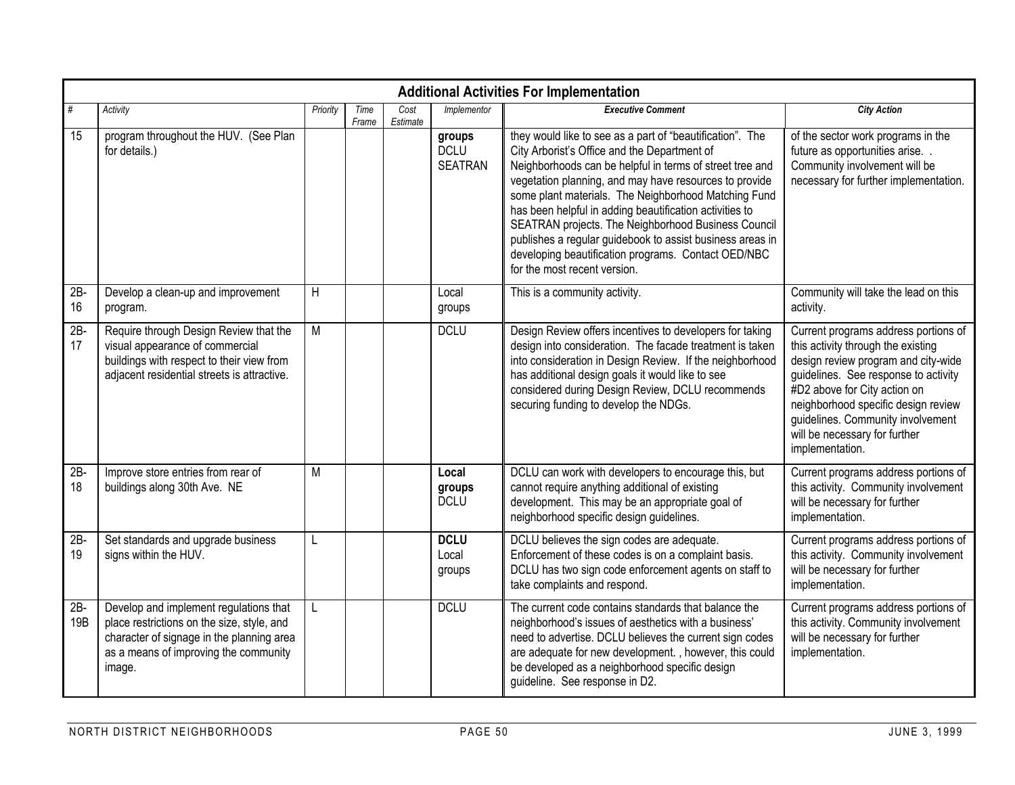|               | <b>Additional Activities For Implementation</b>                                                                                                                                      |          |               |                  |                                         |                                                                                                                                                                                                                                                                                                                                                                                                                                                                                                                                                               |                                                                                                                                                                                                                                                                                                                           |  |  |  |  |  |  |
|---------------|--------------------------------------------------------------------------------------------------------------------------------------------------------------------------------------|----------|---------------|------------------|-----------------------------------------|---------------------------------------------------------------------------------------------------------------------------------------------------------------------------------------------------------------------------------------------------------------------------------------------------------------------------------------------------------------------------------------------------------------------------------------------------------------------------------------------------------------------------------------------------------------|---------------------------------------------------------------------------------------------------------------------------------------------------------------------------------------------------------------------------------------------------------------------------------------------------------------------------|--|--|--|--|--|--|
| #             | Activity                                                                                                                                                                             | Priority | Time<br>Frame | Cost<br>Estimate | Implementor                             | <b>Executive Comment</b>                                                                                                                                                                                                                                                                                                                                                                                                                                                                                                                                      | <b>City Action</b>                                                                                                                                                                                                                                                                                                        |  |  |  |  |  |  |
| 15            | program throughout the HUV. (See Plan<br>for details.)                                                                                                                               |          |               |                  | groups<br><b>DCLU</b><br><b>SEATRAN</b> | they would like to see as a part of "beautification". The<br>City Arborist's Office and the Department of<br>Neighborhoods can be helpful in terms of street tree and<br>vegetation planning, and may have resources to provide<br>some plant materials. The Neighborhood Matching Fund<br>has been helpful in adding beautification activities to<br>SEATRAN projects. The Neighborhood Business Council<br>publishes a regular guidebook to assist business areas in<br>developing beautification programs. Contact OED/NBC<br>for the most recent version. | of the sector work programs in the<br>future as opportunities arise<br>Community involvement will be<br>necessary for further implementation.                                                                                                                                                                             |  |  |  |  |  |  |
| $2B -$<br>16  | Develop a clean-up and improvement<br>program.                                                                                                                                       | H        |               |                  | Local<br>groups                         | This is a community activity.                                                                                                                                                                                                                                                                                                                                                                                                                                                                                                                                 | Community will take the lead on this<br>activity.                                                                                                                                                                                                                                                                         |  |  |  |  |  |  |
| $2B -$<br>17  | Require through Design Review that the<br>visual appearance of commercial<br>buildings with respect to their view from<br>adjacent residential streets is attractive.                | M        |               |                  | <b>DCLU</b>                             | Design Review offers incentives to developers for taking<br>design into consideration. The facade treatment is taken<br>into consideration in Design Review. If the neighborhood<br>has additional design goals it would like to see<br>considered during Design Review, DCLU recommends<br>securing funding to develop the NDGs.                                                                                                                                                                                                                             | Current programs address portions of<br>this activity through the existing<br>design review program and city-wide<br>guidelines. See response to activity<br>#D2 above for City action on<br>neighborhood specific design review<br>guidelines. Community involvement<br>will be necessary for further<br>implementation. |  |  |  |  |  |  |
| $2B -$<br>18  | Improve store entries from rear of<br>buildings along 30th Ave. NE                                                                                                                   | M        |               |                  | Local<br>groups<br><b>DCLU</b>          | DCLU can work with developers to encourage this, but<br>cannot require anything additional of existing<br>development. This may be an appropriate goal of<br>neighborhood specific design guidelines.                                                                                                                                                                                                                                                                                                                                                         | Current programs address portions of<br>this activity. Community involvement<br>will be necessary for further<br>implementation.                                                                                                                                                                                          |  |  |  |  |  |  |
| $2B -$<br>19  | Set standards and upgrade business<br>signs within the HUV.                                                                                                                          | L        |               |                  | <b>DCLU</b><br>Local<br>groups          | DCLU believes the sign codes are adequate.<br>Enforcement of these codes is on a complaint basis.<br>DCLU has two sign code enforcement agents on staff to<br>take complaints and respond.                                                                                                                                                                                                                                                                                                                                                                    | Current programs address portions of<br>this activity. Community involvement<br>will be necessary for further<br>implementation.                                                                                                                                                                                          |  |  |  |  |  |  |
| $2B -$<br>19B | Develop and implement regulations that<br>place restrictions on the size, style, and<br>character of signage in the planning area<br>as a means of improving the community<br>image. | L        |               |                  | <b>DCLU</b>                             | The current code contains standards that balance the<br>neighborhood's issues of aesthetics with a business'<br>need to advertise. DCLU believes the current sign codes<br>are adequate for new development., however, this could<br>be developed as a neighborhood specific design<br>guideline. See response in D2.                                                                                                                                                                                                                                         | Current programs address portions of<br>this activity. Community involvement<br>will be necessary for further<br>implementation.                                                                                                                                                                                          |  |  |  |  |  |  |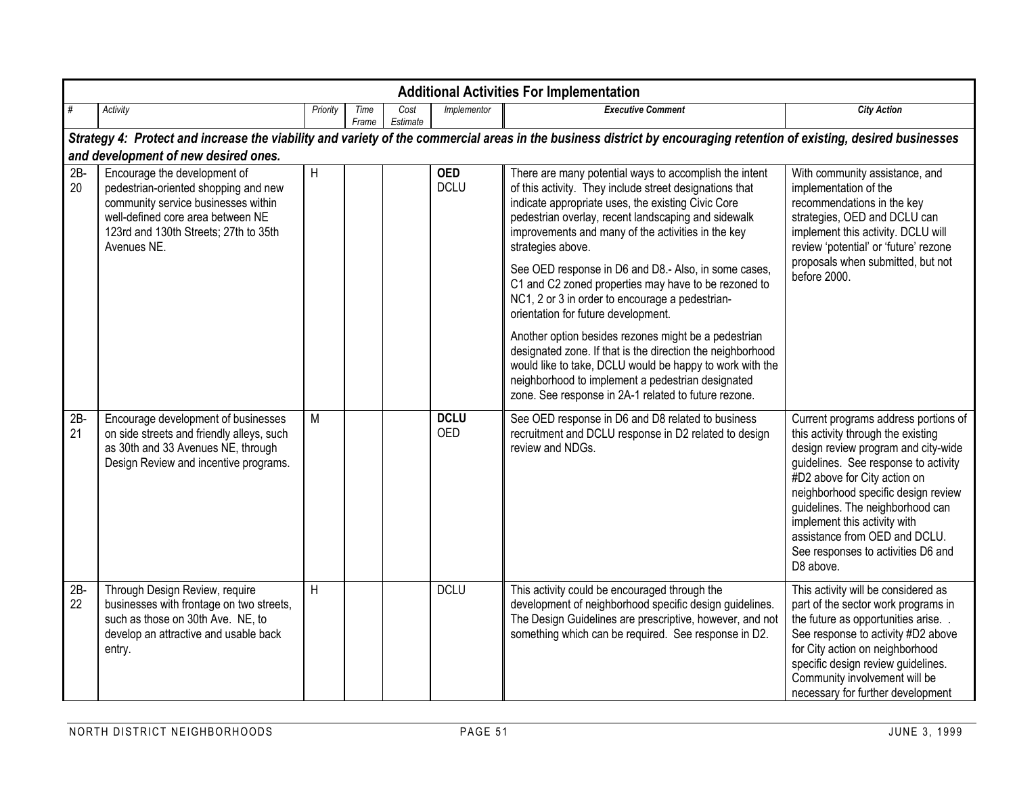|              | <b>Additional Activities For Implementation</b>                                                                                                                                                          |          |               |                  |                           |                                                                                                                                                                                                                                                                                                                                                                                                                                                                                                                                                                                                                                                                                                                                                                                                                    |                                                                                                                                                                                                                                                                                                                                                                                          |  |  |  |  |  |  |  |
|--------------|----------------------------------------------------------------------------------------------------------------------------------------------------------------------------------------------------------|----------|---------------|------------------|---------------------------|--------------------------------------------------------------------------------------------------------------------------------------------------------------------------------------------------------------------------------------------------------------------------------------------------------------------------------------------------------------------------------------------------------------------------------------------------------------------------------------------------------------------------------------------------------------------------------------------------------------------------------------------------------------------------------------------------------------------------------------------------------------------------------------------------------------------|------------------------------------------------------------------------------------------------------------------------------------------------------------------------------------------------------------------------------------------------------------------------------------------------------------------------------------------------------------------------------------------|--|--|--|--|--|--|--|
| #            | Activity                                                                                                                                                                                                 | Priority | Time<br>Frame | Cost<br>Estimate | Implementor               | <b>Executive Comment</b>                                                                                                                                                                                                                                                                                                                                                                                                                                                                                                                                                                                                                                                                                                                                                                                           | <b>City Action</b>                                                                                                                                                                                                                                                                                                                                                                       |  |  |  |  |  |  |  |
|              |                                                                                                                                                                                                          |          |               |                  |                           | Strategy 4: Protect and increase the viability and variety of the commercial areas in the business district by encouraging retention of existing, desired businesses                                                                                                                                                                                                                                                                                                                                                                                                                                                                                                                                                                                                                                               |                                                                                                                                                                                                                                                                                                                                                                                          |  |  |  |  |  |  |  |
|              | and development of new desired ones.                                                                                                                                                                     |          |               |                  |                           |                                                                                                                                                                                                                                                                                                                                                                                                                                                                                                                                                                                                                                                                                                                                                                                                                    |                                                                                                                                                                                                                                                                                                                                                                                          |  |  |  |  |  |  |  |
| $2B -$<br>20 | Encourage the development of<br>pedestrian-oriented shopping and new<br>community service businesses within<br>well-defined core area between NE<br>123rd and 130th Streets; 27th to 35th<br>Avenues NE. | H        |               |                  | <b>OED</b><br><b>DCLU</b> | There are many potential ways to accomplish the intent<br>of this activity. They include street designations that<br>indicate appropriate uses, the existing Civic Core<br>pedestrian overlay, recent landscaping and sidewalk<br>improvements and many of the activities in the key<br>strategies above.<br>See OED response in D6 and D8.- Also, in some cases,<br>C1 and C2 zoned properties may have to be rezoned to<br>NC1, 2 or 3 in order to encourage a pedestrian-<br>orientation for future development.<br>Another option besides rezones might be a pedestrian<br>designated zone. If that is the direction the neighborhood<br>would like to take, DCLU would be happy to work with the<br>neighborhood to implement a pedestrian designated<br>zone. See response in 2A-1 related to future rezone. | With community assistance, and<br>implementation of the<br>recommendations in the key<br>strategies, OED and DCLU can<br>implement this activity. DCLU will<br>review 'potential' or 'future' rezone<br>proposals when submitted, but not<br>before 2000.                                                                                                                                |  |  |  |  |  |  |  |
| $2B -$<br>21 | Encourage development of businesses<br>on side streets and friendly alleys, such<br>as 30th and 33 Avenues NE, through<br>Design Review and incentive programs.                                          | M        |               |                  | <b>DCLU</b><br><b>OED</b> | See OED response in D6 and D8 related to business<br>recruitment and DCLU response in D2 related to design<br>review and NDGs.                                                                                                                                                                                                                                                                                                                                                                                                                                                                                                                                                                                                                                                                                     | Current programs address portions of<br>this activity through the existing<br>design review program and city-wide<br>guidelines. See response to activity<br>#D2 above for City action on<br>neighborhood specific design review<br>guidelines. The neighborhood can<br>implement this activity with<br>assistance from OED and DCLU.<br>See responses to activities D6 and<br>D8 above. |  |  |  |  |  |  |  |
| $2B -$<br>22 | Through Design Review, require<br>businesses with frontage on two streets,<br>such as those on 30th Ave. NE, to<br>develop an attractive and usable back<br>entry.                                       | H        |               |                  | <b>DCLU</b>               | This activity could be encouraged through the<br>development of neighborhood specific design guidelines.<br>The Design Guidelines are prescriptive, however, and not<br>something which can be required. See response in D2.                                                                                                                                                                                                                                                                                                                                                                                                                                                                                                                                                                                       | This activity will be considered as<br>part of the sector work programs in<br>the future as opportunities arise. .<br>See response to activity #D2 above<br>for City action on neighborhood<br>specific design review guidelines.<br>Community involvement will be<br>necessary for further development                                                                                  |  |  |  |  |  |  |  |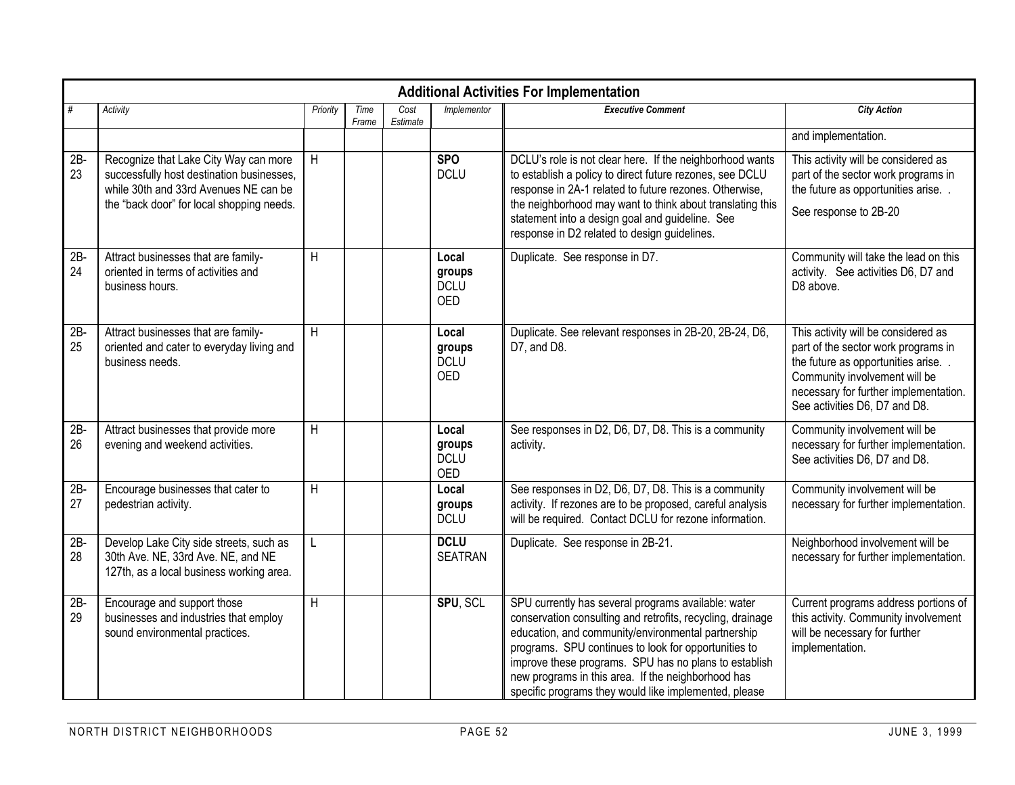|              | <b>Additional Activities For Implementation</b>                                                                                                                          |          |               |                  |                                              |                                                                                                                                                                                                                                                                                                                                                                                                         |                                                                                                                                                                                                                             |  |  |  |  |  |  |
|--------------|--------------------------------------------------------------------------------------------------------------------------------------------------------------------------|----------|---------------|------------------|----------------------------------------------|---------------------------------------------------------------------------------------------------------------------------------------------------------------------------------------------------------------------------------------------------------------------------------------------------------------------------------------------------------------------------------------------------------|-----------------------------------------------------------------------------------------------------------------------------------------------------------------------------------------------------------------------------|--|--|--|--|--|--|
| #            | Activity                                                                                                                                                                 | Priority | Time<br>Frame | Cost<br>Estimate | Implementor                                  | <b>Executive Comment</b>                                                                                                                                                                                                                                                                                                                                                                                | <b>City Action</b>                                                                                                                                                                                                          |  |  |  |  |  |  |
|              |                                                                                                                                                                          |          |               |                  |                                              |                                                                                                                                                                                                                                                                                                                                                                                                         | and implementation.                                                                                                                                                                                                         |  |  |  |  |  |  |
| $2B -$<br>23 | Recognize that Lake City Way can more<br>successfully host destination businesses,<br>while 30th and 33rd Avenues NE can be<br>the "back door" for local shopping needs. | H        |               |                  | <b>SPO</b><br><b>DCLU</b>                    | DCLU's role is not clear here. If the neighborhood wants<br>to establish a policy to direct future rezones, see DCLU<br>response in 2A-1 related to future rezones. Otherwise,<br>the neighborhood may want to think about translating this<br>statement into a design goal and guideline. See<br>response in D2 related to design guidelines.                                                          | This activity will be considered as<br>part of the sector work programs in<br>the future as opportunities arise. .<br>See response to 2B-20                                                                                 |  |  |  |  |  |  |
| $2B -$<br>24 | Attract businesses that are family-<br>oriented in terms of activities and<br>business hours.                                                                            | H        |               |                  | Local<br>groups<br><b>DCLU</b><br><b>OED</b> | Duplicate. See response in D7.                                                                                                                                                                                                                                                                                                                                                                          | Community will take the lead on this<br>activity. See activities D6, D7 and<br>D8 above.                                                                                                                                    |  |  |  |  |  |  |
| $2B -$<br>25 | Attract businesses that are family-<br>oriented and cater to everyday living and<br>business needs.                                                                      | H        |               |                  | Local<br>groups<br><b>DCLU</b><br><b>OED</b> | Duplicate. See relevant responses in 2B-20, 2B-24, D6,<br>D7, and D8.                                                                                                                                                                                                                                                                                                                                   | This activity will be considered as<br>part of the sector work programs in<br>the future as opportunities arise.<br>Community involvement will be<br>necessary for further implementation.<br>See activities D6, D7 and D8. |  |  |  |  |  |  |
| $2B -$<br>26 | Attract businesses that provide more<br>evening and weekend activities.                                                                                                  | H        |               |                  | Local<br>groups<br><b>DCLU</b><br><b>OED</b> | See responses in D2, D6, D7, D8. This is a community<br>activity.                                                                                                                                                                                                                                                                                                                                       | Community involvement will be<br>necessary for further implementation.<br>See activities D6, D7 and D8.                                                                                                                     |  |  |  |  |  |  |
| $2B -$<br>27 | Encourage businesses that cater to<br>pedestrian activity.                                                                                                               | H        |               |                  | Local<br>groups<br><b>DCLU</b>               | See responses in D2, D6, D7, D8. This is a community<br>activity. If rezones are to be proposed, careful analysis<br>will be required. Contact DCLU for rezone information.                                                                                                                                                                                                                             | Community involvement will be<br>necessary for further implementation.                                                                                                                                                      |  |  |  |  |  |  |
| $2B -$<br>28 | Develop Lake City side streets, such as<br>30th Ave. NE, 33rd Ave. NE, and NE<br>127th, as a local business working area.                                                | L        |               |                  | <b>DCLU</b><br><b>SEATRAN</b>                | Duplicate. See response in 2B-21.                                                                                                                                                                                                                                                                                                                                                                       | Neighborhood involvement will be<br>necessary for further implementation.                                                                                                                                                   |  |  |  |  |  |  |
| $2B -$<br>29 | Encourage and support those<br>businesses and industries that employ<br>sound environmental practices.                                                                   | H        |               |                  | SPU, SCL                                     | SPU currently has several programs available: water<br>conservation consulting and retrofits, recycling, drainage<br>education, and community/environmental partnership<br>programs. SPU continues to look for opportunities to<br>improve these programs. SPU has no plans to establish<br>new programs in this area. If the neighborhood has<br>specific programs they would like implemented, please | Current programs address portions of<br>this activity. Community involvement<br>will be necessary for further<br>implementation.                                                                                            |  |  |  |  |  |  |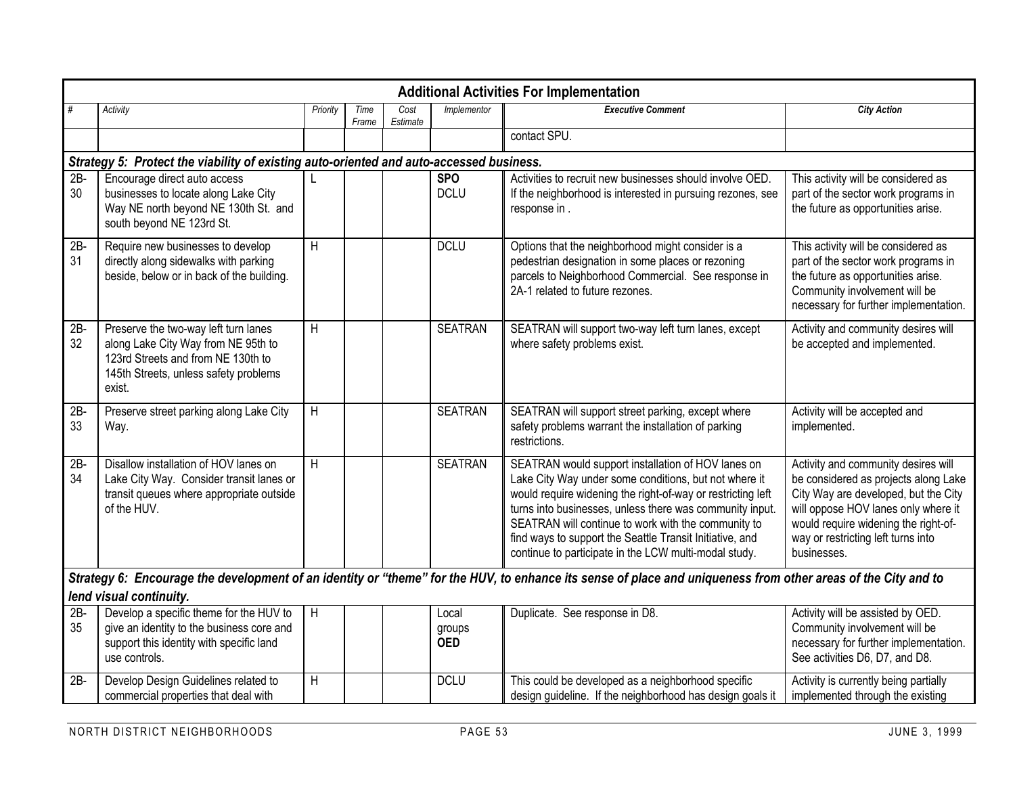|              | <b>Additional Activities For Implementation</b>                                                                                                                      |                |               |                  |                               |                                                                                                                                                                                                                                                                                                                                                                                                                    |                                                                                                                                                                                                                                                         |  |  |  |  |  |  |  |
|--------------|----------------------------------------------------------------------------------------------------------------------------------------------------------------------|----------------|---------------|------------------|-------------------------------|--------------------------------------------------------------------------------------------------------------------------------------------------------------------------------------------------------------------------------------------------------------------------------------------------------------------------------------------------------------------------------------------------------------------|---------------------------------------------------------------------------------------------------------------------------------------------------------------------------------------------------------------------------------------------------------|--|--|--|--|--|--|--|
| #            | Activity                                                                                                                                                             | Priority       | Time<br>Frame | Cost<br>Estimate | Implementor                   | <b>Executive Comment</b>                                                                                                                                                                                                                                                                                                                                                                                           | <b>City Action</b>                                                                                                                                                                                                                                      |  |  |  |  |  |  |  |
|              |                                                                                                                                                                      |                |               |                  |                               | contact SPU.                                                                                                                                                                                                                                                                                                                                                                                                       |                                                                                                                                                                                                                                                         |  |  |  |  |  |  |  |
|              | Strategy 5: Protect the viability of existing auto-oriented and auto-accessed business.                                                                              |                |               |                  |                               |                                                                                                                                                                                                                                                                                                                                                                                                                    |                                                                                                                                                                                                                                                         |  |  |  |  |  |  |  |
| $2B -$<br>30 | Encourage direct auto access<br>businesses to locate along Lake City<br>Way NE north beyond NE 130th St. and<br>south beyond NE 123rd St.                            |                |               |                  | <b>SPO</b><br><b>DCLU</b>     | Activities to recruit new businesses should involve OED.<br>If the neighborhood is interested in pursuing rezones, see<br>response in.                                                                                                                                                                                                                                                                             | This activity will be considered as<br>part of the sector work programs in<br>the future as opportunities arise.                                                                                                                                        |  |  |  |  |  |  |  |
| $2B -$<br>31 | Require new businesses to develop<br>directly along sidewalks with parking<br>beside, below or in back of the building.                                              | H              |               |                  | <b>DCLU</b>                   | Options that the neighborhood might consider is a<br>pedestrian designation in some places or rezoning<br>parcels to Neighborhood Commercial. See response in<br>2A-1 related to future rezones.                                                                                                                                                                                                                   | This activity will be considered as<br>part of the sector work programs in<br>the future as opportunities arise.<br>Community involvement will be<br>necessary for further implementation.                                                              |  |  |  |  |  |  |  |
| $2B -$<br>32 | Preserve the two-way left turn lanes<br>along Lake City Way from NE 95th to<br>123rd Streets and from NE 130th to<br>145th Streets, unless safety problems<br>exist. | H              |               |                  | <b>SEATRAN</b>                | SEATRAN will support two-way left turn lanes, except<br>where safety problems exist.                                                                                                                                                                                                                                                                                                                               | Activity and community desires will<br>be accepted and implemented.                                                                                                                                                                                     |  |  |  |  |  |  |  |
| $2B -$<br>33 | Preserve street parking along Lake City<br>Way.                                                                                                                      | H              |               |                  | <b>SEATRAN</b>                | SEATRAN will support street parking, except where<br>safety problems warrant the installation of parking<br>restrictions.                                                                                                                                                                                                                                                                                          | Activity will be accepted and<br>implemented.                                                                                                                                                                                                           |  |  |  |  |  |  |  |
| $2B -$<br>34 | Disallow installation of HOV lanes on<br>Lake City Way. Consider transit lanes or<br>transit queues where appropriate outside<br>of the HUV.                         | H              |               |                  | <b>SEATRAN</b>                | SEATRAN would support installation of HOV lanes on<br>Lake City Way under some conditions, but not where it<br>would require widening the right-of-way or restricting left<br>turns into businesses, unless there was community input.<br>SEATRAN will continue to work with the community to<br>find ways to support the Seattle Transit Initiative, and<br>continue to participate in the LCW multi-modal study. | Activity and community desires will<br>be considered as projects along Lake<br>City Way are developed, but the City<br>will oppose HOV lanes only where it<br>would require widening the right-of-<br>way or restricting left turns into<br>businesses. |  |  |  |  |  |  |  |
|              |                                                                                                                                                                      |                |               |                  |                               | Strategy 6: Encourage the development of an identity or "theme" for the HUV, to enhance its sense of place and uniqueness from other areas of the City and to                                                                                                                                                                                                                                                      |                                                                                                                                                                                                                                                         |  |  |  |  |  |  |  |
|              | lend visual continuity.                                                                                                                                              |                |               |                  |                               |                                                                                                                                                                                                                                                                                                                                                                                                                    |                                                                                                                                                                                                                                                         |  |  |  |  |  |  |  |
| $2B -$<br>35 | Develop a specific theme for the HUV to<br>give an identity to the business core and<br>support this identity with specific land<br>use controls.                    | $\overline{H}$ |               |                  | Local<br>groups<br><b>OED</b> | Duplicate. See response in D8.                                                                                                                                                                                                                                                                                                                                                                                     | Activity will be assisted by OED.<br>Community involvement will be<br>necessary for further implementation.<br>See activities D6, D7, and D8.                                                                                                           |  |  |  |  |  |  |  |
| $2B -$       | Develop Design Guidelines related to<br>commercial properties that deal with                                                                                         | $\overline{H}$ |               |                  | <b>DCLU</b>                   | This could be developed as a neighborhood specific<br>design guideline. If the neighborhood has design goals it                                                                                                                                                                                                                                                                                                    | Activity is currently being partially<br>implemented through the existing                                                                                                                                                                               |  |  |  |  |  |  |  |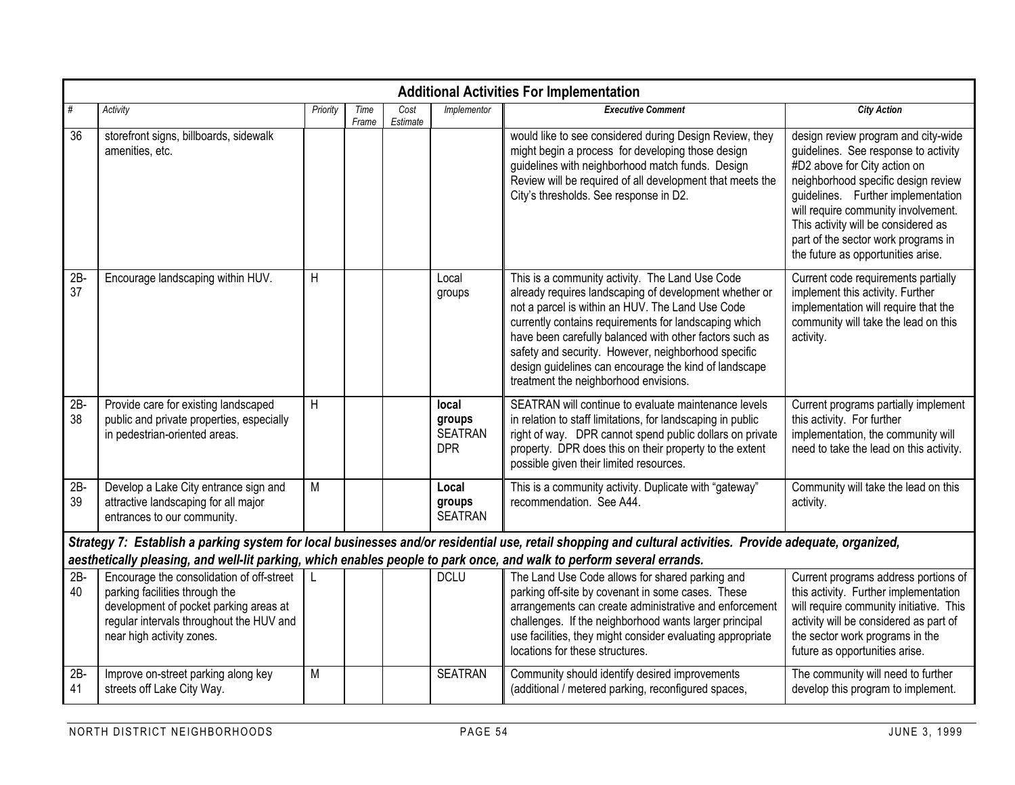|              | <b>Additional Activities For Implementation</b>                                                                                                                                                |          |               |                  |                                                 |                                                                                                                                                                                                                                                                                                                                                                                                                                            |                                                                                                                                                                                                                                                                                                                                                     |  |  |  |  |  |  |
|--------------|------------------------------------------------------------------------------------------------------------------------------------------------------------------------------------------------|----------|---------------|------------------|-------------------------------------------------|--------------------------------------------------------------------------------------------------------------------------------------------------------------------------------------------------------------------------------------------------------------------------------------------------------------------------------------------------------------------------------------------------------------------------------------------|-----------------------------------------------------------------------------------------------------------------------------------------------------------------------------------------------------------------------------------------------------------------------------------------------------------------------------------------------------|--|--|--|--|--|--|
| #            | Activity                                                                                                                                                                                       | Priority | Time<br>Frame | Cost<br>Estimate | Implementor                                     | <b>Executive Comment</b>                                                                                                                                                                                                                                                                                                                                                                                                                   | <b>City Action</b>                                                                                                                                                                                                                                                                                                                                  |  |  |  |  |  |  |
| 36           | storefront signs, billboards, sidewalk<br>amenities, etc.                                                                                                                                      |          |               |                  |                                                 | would like to see considered during Design Review, they<br>might begin a process for developing those design<br>guidelines with neighborhood match funds. Design<br>Review will be required of all development that meets the<br>City's thresholds. See response in D2.                                                                                                                                                                    | design review program and city-wide<br>quidelines. See response to activity<br>#D2 above for City action on<br>neighborhood specific design review<br>guidelines. Further implementation<br>will require community involvement.<br>This activity will be considered as<br>part of the sector work programs in<br>the future as opportunities arise. |  |  |  |  |  |  |
| 2B<br>37     | Encourage landscaping within HUV.                                                                                                                                                              | H        |               |                  | Local<br>groups                                 | This is a community activity. The Land Use Code<br>already requires landscaping of development whether or<br>not a parcel is within an HUV. The Land Use Code<br>currently contains requirements for landscaping which<br>have been carefully balanced with other factors such as<br>safety and security. However, neighborhood specific<br>design guidelines can encourage the kind of landscape<br>treatment the neighborhood envisions. | Current code requirements partially<br>implement this activity. Further<br>implementation will require that the<br>community will take the lead on this<br>activity.                                                                                                                                                                                |  |  |  |  |  |  |
| $2B -$<br>38 | Provide care for existing landscaped<br>public and private properties, especially<br>in pedestrian-oriented areas.                                                                             | H        |               |                  | local<br>groups<br><b>SEATRAN</b><br><b>DPR</b> | SEATRAN will continue to evaluate maintenance levels<br>in relation to staff limitations, for landscaping in public<br>right of way. DPR cannot spend public dollars on private<br>property. DPR does this on their property to the extent<br>possible given their limited resources.                                                                                                                                                      | Current programs partially implement<br>this activity. For further<br>implementation, the community will<br>need to take the lead on this activity.                                                                                                                                                                                                 |  |  |  |  |  |  |
| $2B -$<br>39 | Develop a Lake City entrance sign and<br>attractive landscaping for all major<br>entrances to our community.                                                                                   | M        |               |                  | Local<br>groups<br><b>SEATRAN</b>               | This is a community activity. Duplicate with "gateway"<br>recommendation. See A44.                                                                                                                                                                                                                                                                                                                                                         | Community will take the lead on this<br>activity.                                                                                                                                                                                                                                                                                                   |  |  |  |  |  |  |
|              | aesthetically pleasing, and well-lit parking, which enables people to park once, and walk to perform several errands.                                                                          |          |               |                  |                                                 | Strategy 7: Establish a parking system for local businesses and/or residential use, retail shopping and cultural activities. Provide adequate, organized,                                                                                                                                                                                                                                                                                  |                                                                                                                                                                                                                                                                                                                                                     |  |  |  |  |  |  |
| $2B -$<br>40 | Encourage the consolidation of off-street<br>parking facilities through the<br>development of pocket parking areas at<br>regular intervals throughout the HUV and<br>near high activity zones. | L        |               |                  | <b>DCLU</b>                                     | The Land Use Code allows for shared parking and<br>parking off-site by covenant in some cases. These<br>arrangements can create administrative and enforcement<br>challenges. If the neighborhood wants larger principal<br>use facilities, they might consider evaluating appropriate<br>locations for these structures.                                                                                                                  | Current programs address portions of<br>this activity. Further implementation<br>will require community initiative. This<br>activity will be considered as part of<br>the sector work programs in the<br>future as opportunities arise.                                                                                                             |  |  |  |  |  |  |
| $2B -$<br>41 | Improve on-street parking along key<br>streets off Lake City Way.                                                                                                                              | M        |               |                  | <b>SEATRAN</b>                                  | Community should identify desired improvements<br>(additional / metered parking, reconfigured spaces,                                                                                                                                                                                                                                                                                                                                      | The community will need to further<br>develop this program to implement.                                                                                                                                                                                                                                                                            |  |  |  |  |  |  |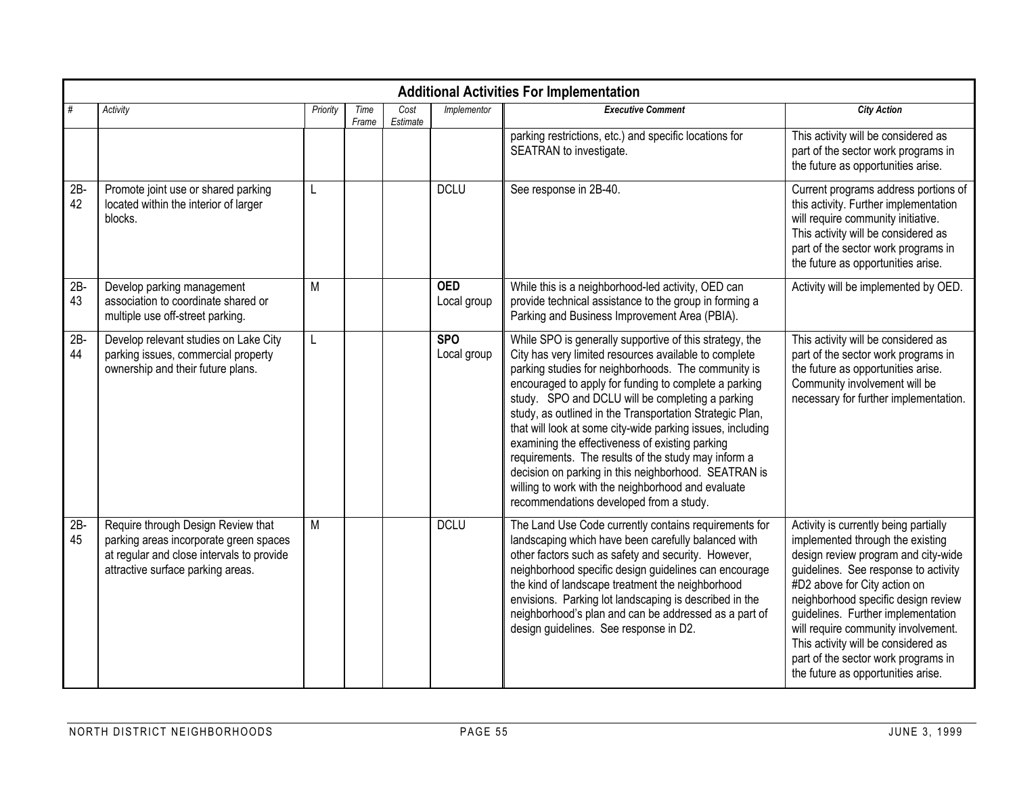|              | <b>Additional Activities For Implementation</b>                                                                                                                |          |               |                  |                           |                                                                                                                                                                                                                                                                                                                                                                                                                                                                                                                                                                                                                                                                                   |                                                                                                                                                                                                                                                                                                                                                                                                                                  |  |  |  |  |  |  |
|--------------|----------------------------------------------------------------------------------------------------------------------------------------------------------------|----------|---------------|------------------|---------------------------|-----------------------------------------------------------------------------------------------------------------------------------------------------------------------------------------------------------------------------------------------------------------------------------------------------------------------------------------------------------------------------------------------------------------------------------------------------------------------------------------------------------------------------------------------------------------------------------------------------------------------------------------------------------------------------------|----------------------------------------------------------------------------------------------------------------------------------------------------------------------------------------------------------------------------------------------------------------------------------------------------------------------------------------------------------------------------------------------------------------------------------|--|--|--|--|--|--|
| #            | Activity                                                                                                                                                       | Priority | Time<br>Frame | Cost<br>Estimate | Implementor               | <b>Executive Comment</b>                                                                                                                                                                                                                                                                                                                                                                                                                                                                                                                                                                                                                                                          | <b>City Action</b>                                                                                                                                                                                                                                                                                                                                                                                                               |  |  |  |  |  |  |
|              |                                                                                                                                                                |          |               |                  |                           | parking restrictions, etc.) and specific locations for<br>SEATRAN to investigate.                                                                                                                                                                                                                                                                                                                                                                                                                                                                                                                                                                                                 | This activity will be considered as<br>part of the sector work programs in<br>the future as opportunities arise.                                                                                                                                                                                                                                                                                                                 |  |  |  |  |  |  |
| $2B -$<br>42 | Promote joint use or shared parking<br>located within the interior of larger<br>blocks.                                                                        |          |               |                  | <b>DCLU</b>               | See response in 2B-40.                                                                                                                                                                                                                                                                                                                                                                                                                                                                                                                                                                                                                                                            | Current programs address portions of<br>this activity. Further implementation<br>will require community initiative.<br>This activity will be considered as<br>part of the sector work programs in<br>the future as opportunities arise.                                                                                                                                                                                          |  |  |  |  |  |  |
| $2B -$<br>43 | Develop parking management<br>association to coordinate shared or<br>multiple use off-street parking.                                                          | M        |               |                  | <b>OED</b><br>Local group | While this is a neighborhood-led activity, OED can<br>provide technical assistance to the group in forming a<br>Parking and Business Improvement Area (PBIA).                                                                                                                                                                                                                                                                                                                                                                                                                                                                                                                     | Activity will be implemented by OED.                                                                                                                                                                                                                                                                                                                                                                                             |  |  |  |  |  |  |
| $2B -$<br>44 | Develop relevant studies on Lake City<br>parking issues, commercial property<br>ownership and their future plans.                                              | L        |               |                  | <b>SPO</b><br>Local group | While SPO is generally supportive of this strategy, the<br>City has very limited resources available to complete<br>parking studies for neighborhoods. The community is<br>encouraged to apply for funding to complete a parking<br>study. SPO and DCLU will be completing a parking<br>study, as outlined in the Transportation Strategic Plan,<br>that will look at some city-wide parking issues, including<br>examining the effectiveness of existing parking<br>requirements. The results of the study may inform a<br>decision on parking in this neighborhood. SEATRAN is<br>willing to work with the neighborhood and evaluate<br>recommendations developed from a study. | This activity will be considered as<br>part of the sector work programs in<br>the future as opportunities arise.<br>Community involvement will be<br>necessary for further implementation.                                                                                                                                                                                                                                       |  |  |  |  |  |  |
| $2B -$<br>45 | Require through Design Review that<br>parking areas incorporate green spaces<br>at regular and close intervals to provide<br>attractive surface parking areas. | M        |               |                  | <b>DCLU</b>               | The Land Use Code currently contains requirements for<br>landscaping which have been carefully balanced with<br>other factors such as safety and security. However,<br>neighborhood specific design guidelines can encourage<br>the kind of landscape treatment the neighborhood<br>envisions. Parking lot landscaping is described in the<br>neighborhood's plan and can be addressed as a part of<br>design guidelines. See response in D2.                                                                                                                                                                                                                                     | Activity is currently being partially<br>implemented through the existing<br>design review program and city-wide<br>guidelines. See response to activity<br>#D2 above for City action on<br>neighborhood specific design review<br>guidelines. Further implementation<br>will require community involvement.<br>This activity will be considered as<br>part of the sector work programs in<br>the future as opportunities arise. |  |  |  |  |  |  |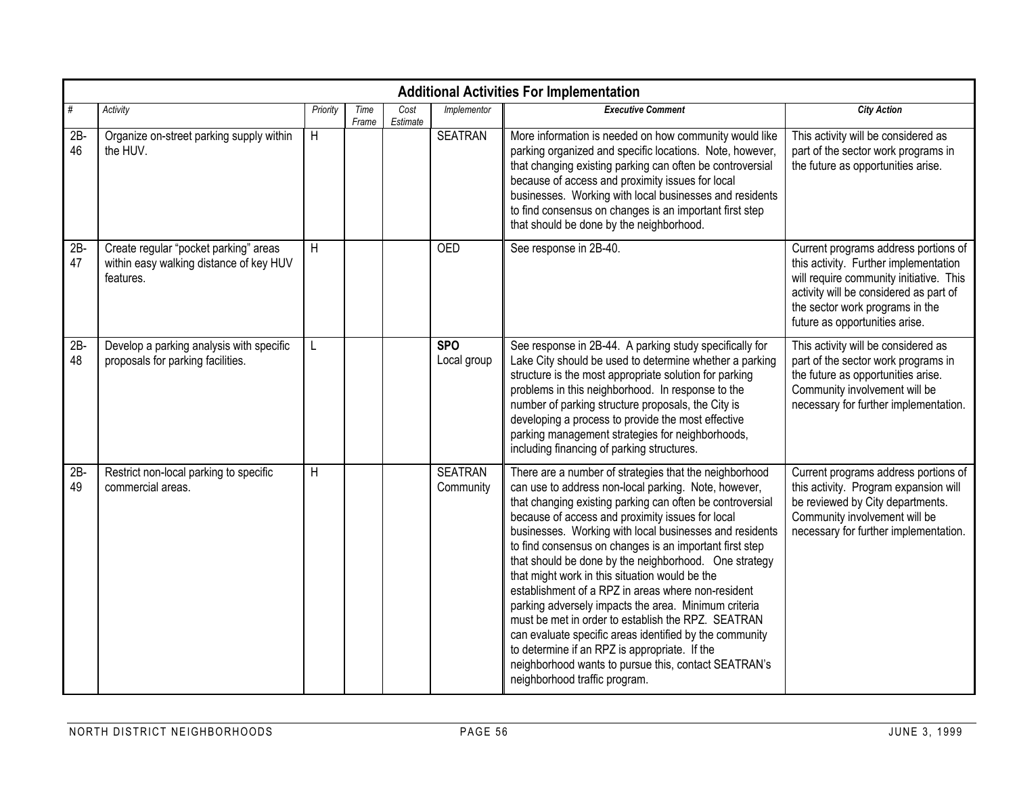|              | <b>Additional Activities For Implementation</b>                                               |          |               |                  |                             |                                                                                                                                                                                                                                                                                                                                                                                                                                                                                                                                                                                                                                                                                                                                                                                                                                           |                                                                                                                                                                                                                                         |  |  |  |  |  |  |
|--------------|-----------------------------------------------------------------------------------------------|----------|---------------|------------------|-----------------------------|-------------------------------------------------------------------------------------------------------------------------------------------------------------------------------------------------------------------------------------------------------------------------------------------------------------------------------------------------------------------------------------------------------------------------------------------------------------------------------------------------------------------------------------------------------------------------------------------------------------------------------------------------------------------------------------------------------------------------------------------------------------------------------------------------------------------------------------------|-----------------------------------------------------------------------------------------------------------------------------------------------------------------------------------------------------------------------------------------|--|--|--|--|--|--|
| #            | Activity                                                                                      | Priority | Time<br>Frame | Cost<br>Estimate | Implementor                 | <b>Executive Comment</b>                                                                                                                                                                                                                                                                                                                                                                                                                                                                                                                                                                                                                                                                                                                                                                                                                  | <b>City Action</b>                                                                                                                                                                                                                      |  |  |  |  |  |  |
| $2B -$<br>46 | Organize on-street parking supply within<br>the HUV.                                          | H        |               |                  | <b>SEATRAN</b>              | More information is needed on how community would like<br>parking organized and specific locations. Note, however,<br>that changing existing parking can often be controversial<br>because of access and proximity issues for local<br>businesses. Working with local businesses and residents<br>to find consensus on changes is an important first step<br>that should be done by the neighborhood.                                                                                                                                                                                                                                                                                                                                                                                                                                     | This activity will be considered as<br>part of the sector work programs in<br>the future as opportunities arise.                                                                                                                        |  |  |  |  |  |  |
| $2B -$<br>47 | Create regular "pocket parking" areas<br>within easy walking distance of key HUV<br>features. | H        |               |                  | <b>OED</b>                  | See response in 2B-40.                                                                                                                                                                                                                                                                                                                                                                                                                                                                                                                                                                                                                                                                                                                                                                                                                    | Current programs address portions of<br>this activity. Further implementation<br>will require community initiative. This<br>activity will be considered as part of<br>the sector work programs in the<br>future as opportunities arise. |  |  |  |  |  |  |
| $2B -$<br>48 | Develop a parking analysis with specific<br>proposals for parking facilities.                 |          |               |                  | <b>SPO</b><br>Local group   | See response in 2B-44. A parking study specifically for<br>Lake City should be used to determine whether a parking<br>structure is the most appropriate solution for parking<br>problems in this neighborhood. In response to the<br>number of parking structure proposals, the City is<br>developing a process to provide the most effective<br>parking management strategies for neighborhoods,<br>including financing of parking structures.                                                                                                                                                                                                                                                                                                                                                                                           | This activity will be considered as<br>part of the sector work programs in<br>the future as opportunities arise.<br>Community involvement will be<br>necessary for further implementation.                                              |  |  |  |  |  |  |
| $2B -$<br>49 | Restrict non-local parking to specific<br>commercial areas.                                   | H        |               |                  | <b>SEATRAN</b><br>Community | There are a number of strategies that the neighborhood<br>can use to address non-local parking. Note, however,<br>that changing existing parking can often be controversial<br>because of access and proximity issues for local<br>businesses. Working with local businesses and residents<br>to find consensus on changes is an important first step<br>that should be done by the neighborhood. One strategy<br>that might work in this situation would be the<br>establishment of a RPZ in areas where non-resident<br>parking adversely impacts the area. Minimum criteria<br>must be met in order to establish the RPZ. SEATRAN<br>can evaluate specific areas identified by the community<br>to determine if an RPZ is appropriate. If the<br>neighborhood wants to pursue this, contact SEATRAN's<br>neighborhood traffic program. | Current programs address portions of<br>this activity. Program expansion will<br>be reviewed by City departments.<br>Community involvement will be<br>necessary for further implementation.                                             |  |  |  |  |  |  |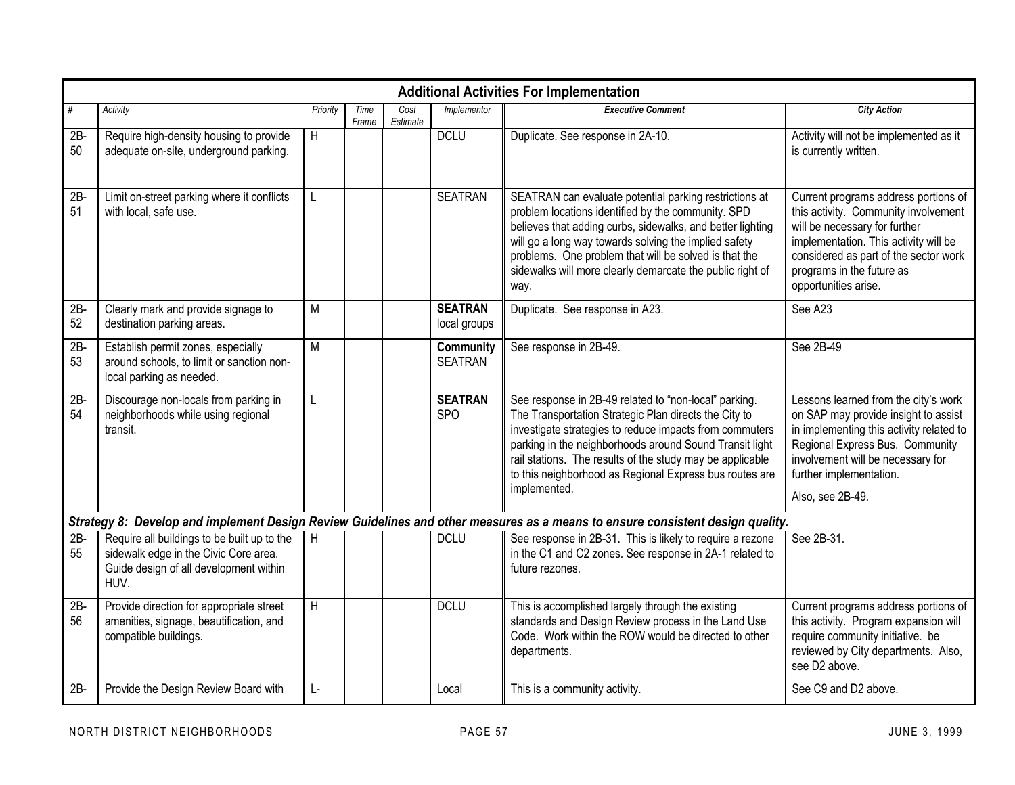|              | <b>Additional Activities For Implementation</b>                                                                                        |          |               |                  |                                |                                                                                                                                                                                                                                                                                                                                                                              |                                                                                                                                                                                                                                                      |  |  |  |  |  |  |
|--------------|----------------------------------------------------------------------------------------------------------------------------------------|----------|---------------|------------------|--------------------------------|------------------------------------------------------------------------------------------------------------------------------------------------------------------------------------------------------------------------------------------------------------------------------------------------------------------------------------------------------------------------------|------------------------------------------------------------------------------------------------------------------------------------------------------------------------------------------------------------------------------------------------------|--|--|--|--|--|--|
| #            | Activity                                                                                                                               | Priority | Time<br>Frame | Cost<br>Estimate | Implementor                    | <b>Executive Comment</b>                                                                                                                                                                                                                                                                                                                                                     | <b>City Action</b>                                                                                                                                                                                                                                   |  |  |  |  |  |  |
| $2B -$<br>50 | Require high-density housing to provide<br>adequate on-site, underground parking.                                                      | H        |               |                  | <b>DCLU</b>                    | Duplicate. See response in 2A-10.                                                                                                                                                                                                                                                                                                                                            | Activity will not be implemented as it<br>is currently written.                                                                                                                                                                                      |  |  |  |  |  |  |
| $2B -$<br>51 | Limit on-street parking where it conflicts<br>with local, safe use.                                                                    | L        |               |                  | <b>SEATRAN</b>                 | SEATRAN can evaluate potential parking restrictions at<br>problem locations identified by the community. SPD<br>believes that adding curbs, sidewalks, and better lighting<br>will go a long way towards solving the implied safety<br>problems. One problem that will be solved is that the<br>sidewalks will more clearly demarcate the public right of<br>way.            | Current programs address portions of<br>this activity. Community involvement<br>will be necessary for further<br>implementation. This activity will be<br>considered as part of the sector work<br>programs in the future as<br>opportunities arise. |  |  |  |  |  |  |
| $2B -$<br>52 | Clearly mark and provide signage to<br>destination parking areas.                                                                      | M        |               |                  | <b>SEATRAN</b><br>local groups | Duplicate. See response in A23.                                                                                                                                                                                                                                                                                                                                              | See A23                                                                                                                                                                                                                                              |  |  |  |  |  |  |
| $2B -$<br>53 | Establish permit zones, especially<br>around schools, to limit or sanction non-<br>local parking as needed.                            | M        |               |                  | Community<br><b>SEATRAN</b>    | See response in 2B-49.                                                                                                                                                                                                                                                                                                                                                       | See 2B-49                                                                                                                                                                                                                                            |  |  |  |  |  |  |
| $2B -$<br>54 | Discourage non-locals from parking in<br>neighborhoods while using regional<br>transit.                                                | L        |               |                  | <b>SEATRAN</b><br><b>SPO</b>   | See response in 2B-49 related to "non-local" parking.<br>The Transportation Strategic Plan directs the City to<br>investigate strategies to reduce impacts from commuters<br>parking in the neighborhoods around Sound Transit light<br>rail stations. The results of the study may be applicable<br>to this neighborhood as Regional Express bus routes are<br>implemented. | Lessons learned from the city's work<br>on SAP may provide insight to assist<br>in implementing this activity related to<br>Regional Express Bus. Community<br>involvement will be necessary for<br>further implementation.<br>Also, see 2B-49.      |  |  |  |  |  |  |
|              |                                                                                                                                        |          |               |                  |                                | Strategy 8: Develop and implement Design Review Guidelines and other measures as a means to ensure consistent design quality.                                                                                                                                                                                                                                                |                                                                                                                                                                                                                                                      |  |  |  |  |  |  |
| $2B -$<br>55 | Require all buildings to be built up to the<br>sidewalk edge in the Civic Core area.<br>Guide design of all development within<br>HUV. | H        |               |                  | <b>DCLU</b>                    | See response in 2B-31. This is likely to require a rezone<br>in the C1 and C2 zones. See response in 2A-1 related to<br>future rezones.                                                                                                                                                                                                                                      | See 2B-31.                                                                                                                                                                                                                                           |  |  |  |  |  |  |
| 2B-<br>56    | Provide direction for appropriate street<br>amenities, signage, beautification, and<br>compatible buildings.                           | H        |               |                  | <b>DCLU</b>                    | This is accomplished largely through the existing<br>standards and Design Review process in the Land Use<br>Code. Work within the ROW would be directed to other<br>departments.                                                                                                                                                                                             | Current programs address portions of<br>this activity. Program expansion will<br>require community initiative. be<br>reviewed by City departments. Also,<br>see D2 above.                                                                            |  |  |  |  |  |  |
| $2B -$       | Provide the Design Review Board with                                                                                                   | Ŀ.       |               |                  | Local                          | This is a community activity.                                                                                                                                                                                                                                                                                                                                                | See C9 and D2 above.                                                                                                                                                                                                                                 |  |  |  |  |  |  |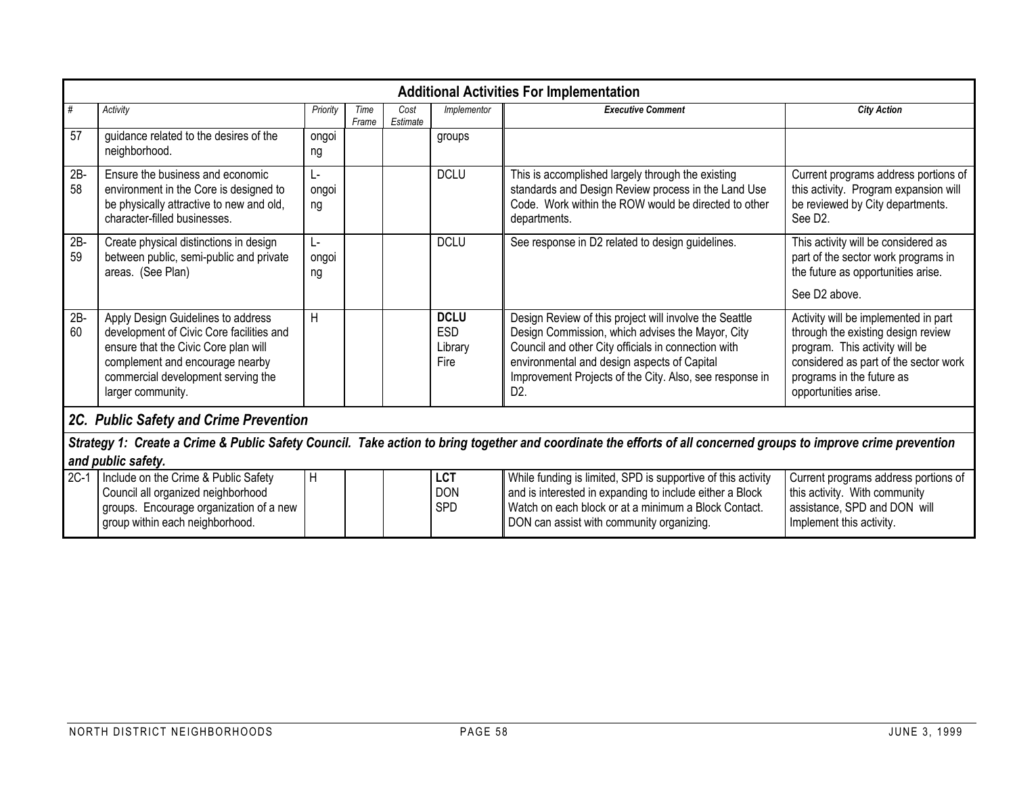|              | <b>Additional Activities For Implementation</b>                                                                                                                                                                      |                   |               |                  |                                              |                                                                                                                                                                                                                                                                                               |                                                                                                                                                                                                            |  |  |  |  |  |  |
|--------------|----------------------------------------------------------------------------------------------------------------------------------------------------------------------------------------------------------------------|-------------------|---------------|------------------|----------------------------------------------|-----------------------------------------------------------------------------------------------------------------------------------------------------------------------------------------------------------------------------------------------------------------------------------------------|------------------------------------------------------------------------------------------------------------------------------------------------------------------------------------------------------------|--|--|--|--|--|--|
| #            | Activity                                                                                                                                                                                                             | Priority          | Time<br>Frame | Cost<br>Estimate | Implementor                                  | <b>Executive Comment</b>                                                                                                                                                                                                                                                                      | <b>City Action</b>                                                                                                                                                                                         |  |  |  |  |  |  |
| 57           | quidance related to the desires of the<br>neighborhood.                                                                                                                                                              | ongoi<br>ng       |               |                  | groups                                       |                                                                                                                                                                                                                                                                                               |                                                                                                                                                                                                            |  |  |  |  |  |  |
| $2B -$<br>58 | Ensure the business and economic<br>environment in the Core is designed to<br>be physically attractive to new and old,<br>character-filled businesses.                                                               | Ŀ.<br>ongoi<br>ng |               |                  | <b>DCLU</b>                                  | This is accomplished largely through the existing<br>standards and Design Review process in the Land Use<br>Code. Work within the ROW would be directed to other<br>departments.                                                                                                              | Current programs address portions of<br>this activity. Program expansion will<br>be reviewed by City departments.<br>See D <sub>2</sub> .                                                                  |  |  |  |  |  |  |
| $2B -$<br>59 | Create physical distinctions in design<br>between public, semi-public and private<br>areas. (See Plan)                                                                                                               | Ŀ.<br>ongoi<br>ng |               |                  | <b>DCLU</b>                                  | See response in D2 related to design guidelines.                                                                                                                                                                                                                                              | This activity will be considered as<br>part of the sector work programs in<br>the future as opportunities arise.                                                                                           |  |  |  |  |  |  |
|              |                                                                                                                                                                                                                      |                   |               |                  |                                              |                                                                                                                                                                                                                                                                                               | See D <sub>2</sub> above.                                                                                                                                                                                  |  |  |  |  |  |  |
| $2B -$<br>60 | Apply Design Guidelines to address<br>development of Civic Core facilities and<br>ensure that the Civic Core plan will<br>complement and encourage nearby<br>commercial development serving the<br>larger community. | H                 |               |                  | <b>DCLU</b><br><b>ESD</b><br>Library<br>Fire | Design Review of this project will involve the Seattle<br>Design Commission, which advises the Mayor, City<br>Council and other City officials in connection with<br>environmental and design aspects of Capital<br>Improvement Projects of the City. Also, see response in<br>D <sub>2</sub> | Activity will be implemented in part<br>through the existing design review<br>program. This activity will be<br>considered as part of the sector work<br>programs in the future as<br>opportunities arise. |  |  |  |  |  |  |
|              | 2C. Public Safety and Crime Prevention                                                                                                                                                                               |                   |               |                  |                                              |                                                                                                                                                                                                                                                                                               |                                                                                                                                                                                                            |  |  |  |  |  |  |
|              | Strategy 1: Create a Crime & Public Safety Council. Take action to bring together and coordinate the efforts of all concerned groups to improve crime prevention<br>and public safety.                               |                   |               |                  |                                              |                                                                                                                                                                                                                                                                                               |                                                                                                                                                                                                            |  |  |  |  |  |  |
| $2C-1$       | Include on the Crime & Public Safety<br>Council all organized neighborhood<br>groups. Encourage organization of a new<br>group within each neighborhood.                                                             | H                 |               |                  | <b>LCT</b><br><b>DON</b><br><b>SPD</b>       | While funding is limited, SPD is supportive of this activity<br>and is interested in expanding to include either a Block<br>Watch on each block or at a minimum a Block Contact.<br>DON can assist with community organizing.                                                                 | Current programs address portions of<br>this activity. With community<br>assistance, SPD and DON will<br>Implement this activity.                                                                          |  |  |  |  |  |  |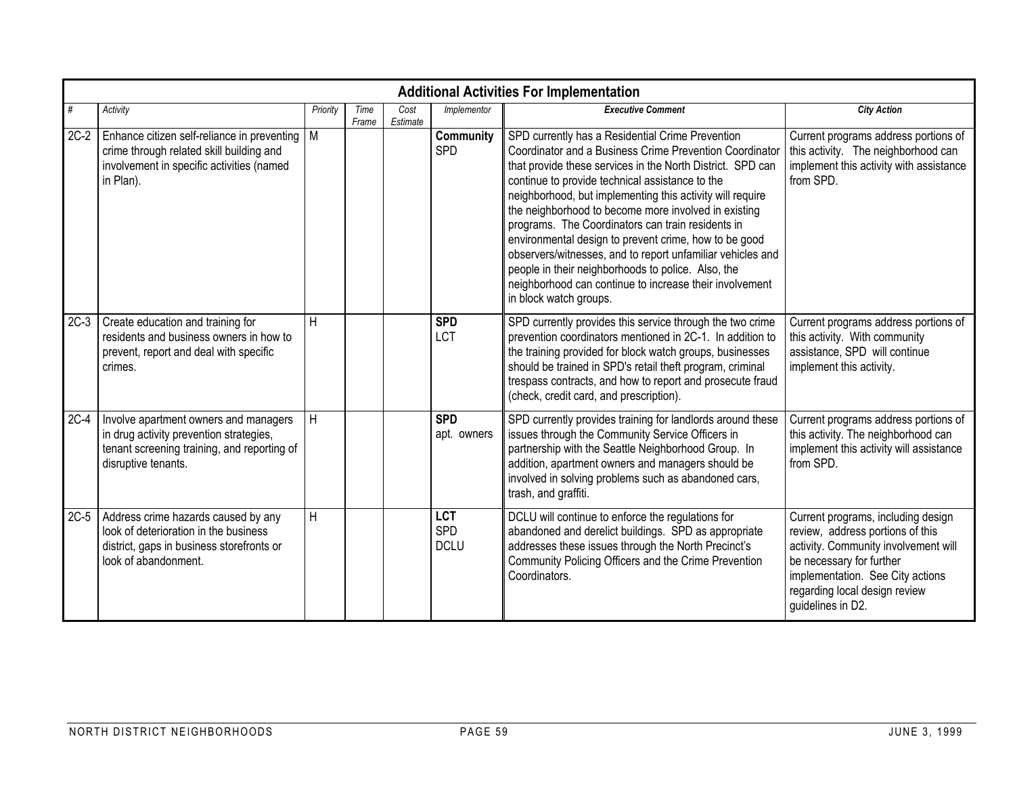|        | <b>Additional Activities For Implementation</b>                                                                                                        |          |               |                  |                                  |                                                                                                                                                                                                                                                                                                                                                                                                                                                                                                                                                                                                                                                                          |                                                                                                                                                                                                                                      |  |  |  |  |  |  |
|--------|--------------------------------------------------------------------------------------------------------------------------------------------------------|----------|---------------|------------------|----------------------------------|--------------------------------------------------------------------------------------------------------------------------------------------------------------------------------------------------------------------------------------------------------------------------------------------------------------------------------------------------------------------------------------------------------------------------------------------------------------------------------------------------------------------------------------------------------------------------------------------------------------------------------------------------------------------------|--------------------------------------------------------------------------------------------------------------------------------------------------------------------------------------------------------------------------------------|--|--|--|--|--|--|
| #      | Activity                                                                                                                                               | Priority | Time<br>Frame | Cost<br>Estimate | Implementor                      | <b>Executive Comment</b>                                                                                                                                                                                                                                                                                                                                                                                                                                                                                                                                                                                                                                                 | <b>City Action</b>                                                                                                                                                                                                                   |  |  |  |  |  |  |
| $2C-2$ | Enhance citizen self-reliance in preventing   M<br>crime through related skill building and<br>involvement in specific activities (named<br>in Plan).  |          |               |                  | Community<br>SPD                 | SPD currently has a Residential Crime Prevention<br>Coordinator and a Business Crime Prevention Coordinator<br>that provide these services in the North District. SPD can<br>continue to provide technical assistance to the<br>neighborhood, but implementing this activity will require<br>the neighborhood to become more involved in existing<br>programs. The Coordinators can train residents in<br>environmental design to prevent crime, how to be good<br>observers/witnesses, and to report unfamiliar vehicles and<br>people in their neighborhoods to police. Also, the<br>neighborhood can continue to increase their involvement<br>in block watch groups. | Current programs address portions of<br>this activity. The neighborhood can<br>implement this activity with assistance<br>from SPD.                                                                                                  |  |  |  |  |  |  |
| $2C-3$ | Create education and training for<br>residents and business owners in how to<br>prevent, report and deal with specific<br>crimes.                      | H        |               |                  | <b>SPD</b><br><b>LCT</b>         | SPD currently provides this service through the two crime<br>prevention coordinators mentioned in 2C-1. In addition to<br>the training provided for block watch groups, businesses<br>should be trained in SPD's retail theft program, criminal<br>trespass contracts, and how to report and prosecute fraud<br>(check, credit card, and prescription).                                                                                                                                                                                                                                                                                                                  | Current programs address portions of<br>this activity. With community<br>assistance, SPD will continue<br>implement this activity.                                                                                                   |  |  |  |  |  |  |
| $2C-4$ | Involve apartment owners and managers<br>in drug activity prevention strategies,<br>tenant screening training, and reporting of<br>disruptive tenants. | H        |               |                  | <b>SPD</b><br>apt. owners        | SPD currently provides training for landlords around these<br>issues through the Community Service Officers in<br>partnership with the Seattle Neighborhood Group. In<br>addition, apartment owners and managers should be<br>involved in solving problems such as abandoned cars,<br>trash, and graffiti.                                                                                                                                                                                                                                                                                                                                                               | Current programs address portions of<br>this activity. The neighborhood can<br>implement this activity will assistance<br>from SPD.                                                                                                  |  |  |  |  |  |  |
| $2C-5$ | Address crime hazards caused by any<br>look of deterioration in the business<br>district, gaps in business storefronts or<br>look of abandonment.      | H        |               |                  | <b>LCT</b><br>SPD<br><b>DCLU</b> | DCLU will continue to enforce the regulations for<br>abandoned and derelict buildings. SPD as appropriate<br>addresses these issues through the North Precinct's<br>Community Policing Officers and the Crime Prevention<br>Coordinators.                                                                                                                                                                                                                                                                                                                                                                                                                                | Current programs, including design<br>review, address portions of this<br>activity. Community involvement will<br>be necessary for further<br>implementation. See City actions<br>regarding local design review<br>guidelines in D2. |  |  |  |  |  |  |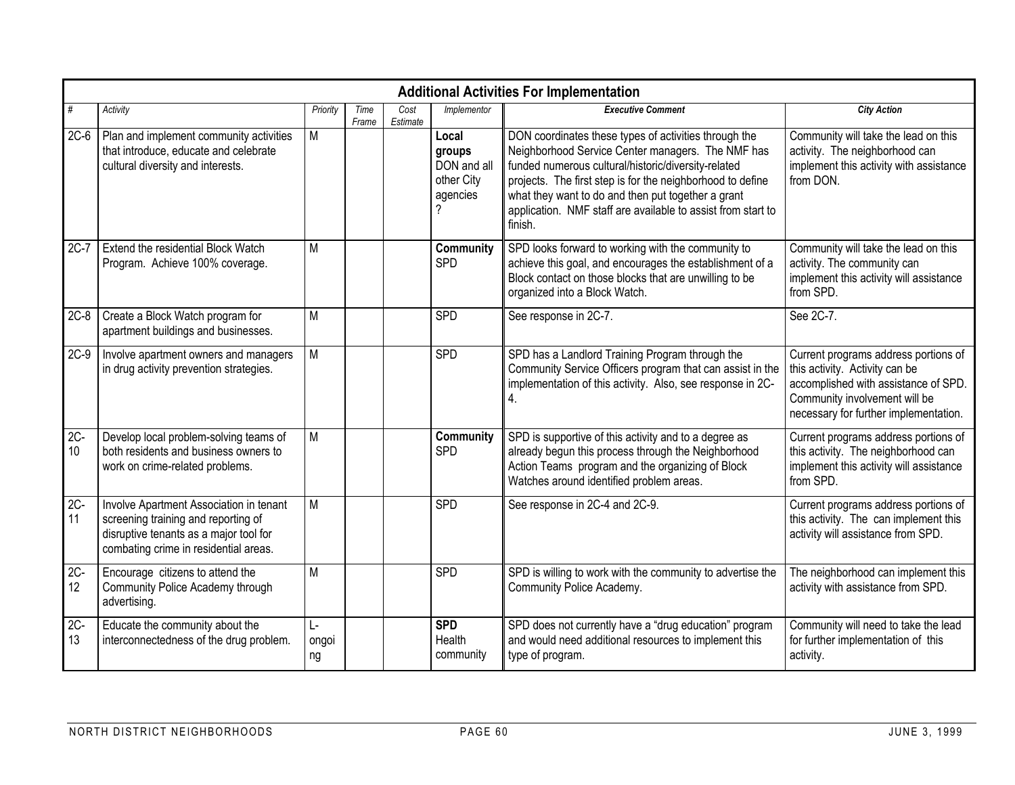|              | <b>Additional Activities For Implementation</b>                                                                                                                   |                             |               |                  |                                                          |                                                                                                                                                                                                                                                                                                                                                                  |                                                                                                                                                                                          |  |  |  |  |  |  |
|--------------|-------------------------------------------------------------------------------------------------------------------------------------------------------------------|-----------------------------|---------------|------------------|----------------------------------------------------------|------------------------------------------------------------------------------------------------------------------------------------------------------------------------------------------------------------------------------------------------------------------------------------------------------------------------------------------------------------------|------------------------------------------------------------------------------------------------------------------------------------------------------------------------------------------|--|--|--|--|--|--|
| #            | Activity                                                                                                                                                          | Priority                    | Time<br>Frame | Cost<br>Estimate | Implementor                                              | <b>Executive Comment</b>                                                                                                                                                                                                                                                                                                                                         | <b>City Action</b>                                                                                                                                                                       |  |  |  |  |  |  |
| $2C-6$       | Plan and implement community activities<br>that introduce, educate and celebrate<br>cultural diversity and interests.                                             | M                           |               |                  | Local<br>groups<br>DON and all<br>other City<br>agencies | DON coordinates these types of activities through the<br>Neighborhood Service Center managers. The NMF has<br>funded numerous cultural/historic/diversity-related<br>projects. The first step is for the neighborhood to define<br>what they want to do and then put together a grant<br>application. NMF staff are available to assist from start to<br>finish. | Community will take the lead on this<br>activity. The neighborhood can<br>implement this activity with assistance<br>from DON.                                                           |  |  |  |  |  |  |
|              | 2C-7 Extend the residential Block Watch<br>Program. Achieve 100% coverage.                                                                                        | M                           |               |                  | Community<br><b>SPD</b>                                  | SPD looks forward to working with the community to<br>achieve this goal, and encourages the establishment of a<br>Block contact on those blocks that are unwilling to be<br>organized into a Block Watch.                                                                                                                                                        | Community will take the lead on this<br>activity. The community can<br>implement this activity will assistance<br>from SPD.                                                              |  |  |  |  |  |  |
| $2C-8$       | Create a Block Watch program for<br>apartment buildings and businesses.                                                                                           | M                           |               |                  | SPD                                                      | See response in 2C-7.                                                                                                                                                                                                                                                                                                                                            | See 2C-7.                                                                                                                                                                                |  |  |  |  |  |  |
| $2C-9$       | Involve apartment owners and managers<br>in drug activity prevention strategies.                                                                                  | $\overline{M}$              |               |                  | <b>SPD</b>                                               | SPD has a Landlord Training Program through the<br>Community Service Officers program that can assist in the<br>implementation of this activity. Also, see response in 2C-<br>4.                                                                                                                                                                                 | Current programs address portions of<br>this activity. Activity can be<br>accomplished with assistance of SPD.<br>Community involvement will be<br>necessary for further implementation. |  |  |  |  |  |  |
| $2C -$<br>10 | Develop local problem-solving teams of<br>both residents and business owners to<br>work on crime-related problems.                                                | M                           |               |                  | Community<br><b>SPD</b>                                  | SPD is supportive of this activity and to a degree as<br>already begun this process through the Neighborhood<br>Action Teams program and the organizing of Block<br>Watches around identified problem areas.                                                                                                                                                     | Current programs address portions of<br>this activity. The neighborhood can<br>implement this activity will assistance<br>from SPD.                                                      |  |  |  |  |  |  |
| $2C -$<br>11 | Involve Apartment Association in tenant<br>screening training and reporting of<br>disruptive tenants as a major tool for<br>combating crime in residential areas. | M                           |               |                  | <b>SPD</b>                                               | See response in 2C-4 and 2C-9.                                                                                                                                                                                                                                                                                                                                   | Current programs address portions of<br>this activity. The can implement this<br>activity will assistance from SPD.                                                                      |  |  |  |  |  |  |
| $2C-$<br>12  | Encourage citizens to attend the<br>Community Police Academy through<br>advertising.                                                                              | M                           |               |                  | SPD                                                      | SPD is willing to work with the community to advertise the<br>Community Police Academy.                                                                                                                                                                                                                                                                          | The neighborhood can implement this<br>activity with assistance from SPD.                                                                                                                |  |  |  |  |  |  |
| $2C -$<br>13 | Educate the community about the<br>interconnectedness of the drug problem.                                                                                        | $\mathsf{L}$<br>ongoi<br>ng |               |                  | <b>SPD</b><br>Health<br>community                        | SPD does not currently have a "drug education" program<br>and would need additional resources to implement this<br>type of program.                                                                                                                                                                                                                              | Community will need to take the lead<br>for further implementation of this<br>activity.                                                                                                  |  |  |  |  |  |  |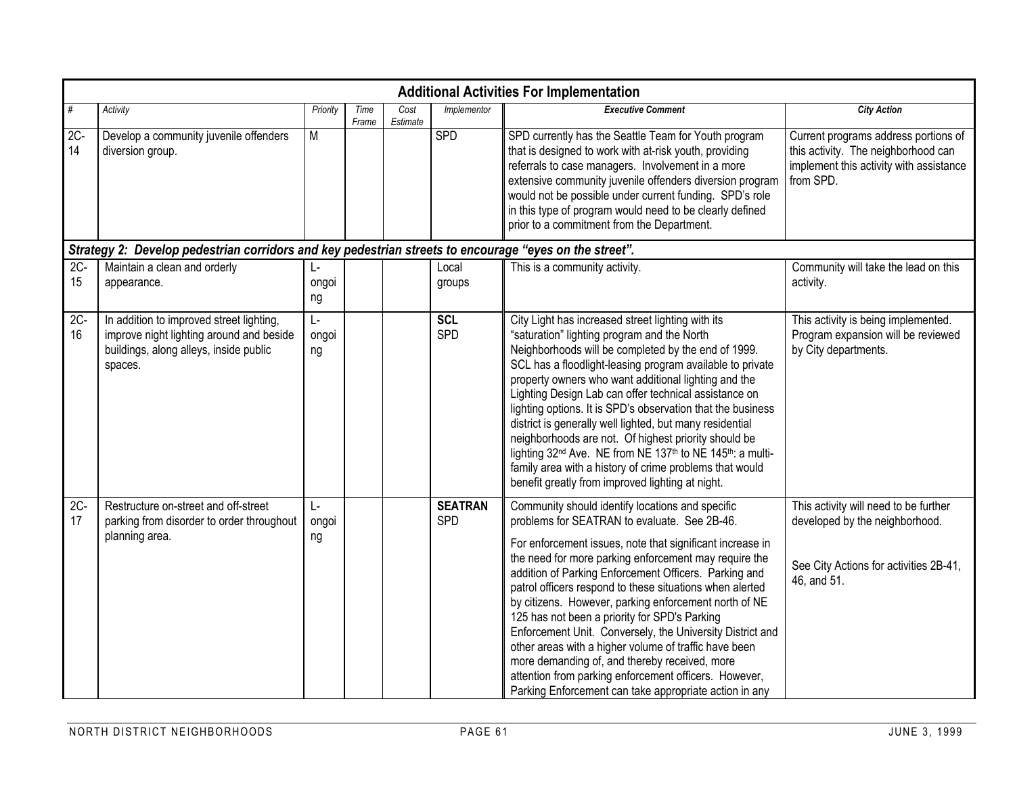|              | <b>Additional Activities For Implementation</b>                                                                                           |                  |               |                  |                       |                                                                                                                                                                                                                                                                                                                                                                                                                                                                                                                                                                                                                                                                                                                                                 |                                                                                                                                     |  |  |  |  |  |  |
|--------------|-------------------------------------------------------------------------------------------------------------------------------------------|------------------|---------------|------------------|-----------------------|-------------------------------------------------------------------------------------------------------------------------------------------------------------------------------------------------------------------------------------------------------------------------------------------------------------------------------------------------------------------------------------------------------------------------------------------------------------------------------------------------------------------------------------------------------------------------------------------------------------------------------------------------------------------------------------------------------------------------------------------------|-------------------------------------------------------------------------------------------------------------------------------------|--|--|--|--|--|--|
| #            | Activity                                                                                                                                  | Priority         | Time<br>Frame | Cost<br>Estimate | Implementor           | <b>Executive Comment</b>                                                                                                                                                                                                                                                                                                                                                                                                                                                                                                                                                                                                                                                                                                                        | <b>City Action</b>                                                                                                                  |  |  |  |  |  |  |
| $2C -$<br>14 | Develop a community juvenile offenders<br>diversion group.                                                                                | M                |               |                  | SPD                   | SPD currently has the Seattle Team for Youth program<br>that is designed to work with at-risk youth, providing<br>referrals to case managers. Involvement in a more<br>extensive community juvenile offenders diversion program<br>would not be possible under current funding. SPD's role<br>in this type of program would need to be clearly defined<br>prior to a commitment from the Department.                                                                                                                                                                                                                                                                                                                                            | Current programs address portions of<br>this activity. The neighborhood can<br>implement this activity with assistance<br>from SPD. |  |  |  |  |  |  |
|              | Strategy 2: Develop pedestrian corridors and key pedestrian streets to encourage "eyes on the street".                                    |                  |               |                  |                       |                                                                                                                                                                                                                                                                                                                                                                                                                                                                                                                                                                                                                                                                                                                                                 |                                                                                                                                     |  |  |  |  |  |  |
| $2C -$<br>15 | Maintain a clean and orderly<br>appearance.                                                                                               | ongoi<br>ng      |               |                  | Local<br>groups       | This is a community activity.                                                                                                                                                                                                                                                                                                                                                                                                                                                                                                                                                                                                                                                                                                                   | Community will take the lead on this<br>activity.                                                                                   |  |  |  |  |  |  |
| $2C -$<br>16 | In addition to improved street lighting,<br>improve night lighting around and beside<br>buildings, along alleys, inside public<br>spaces. | Ŀ<br>ongoi<br>ng |               |                  | <b>SCL</b><br>SPD     | City Light has increased street lighting with its<br>"saturation" lighting program and the North<br>Neighborhoods will be completed by the end of 1999.<br>SCL has a floodlight-leasing program available to private<br>property owners who want additional lighting and the<br>Lighting Design Lab can offer technical assistance on<br>lighting options. It is SPD's observation that the business<br>district is generally well lighted, but many residential<br>neighborhoods are not. Of highest priority should be<br>lighting 32 <sup>nd</sup> Ave. NE from NE 137 <sup>th</sup> to NE 145 <sup>th</sup> : a multi-<br>family area with a history of crime problems that would<br>benefit greatly from improved lighting at night.       | This activity is being implemented.<br>Program expansion will be reviewed<br>by City departments.                                   |  |  |  |  |  |  |
| $2C -$<br>17 | Restructure on-street and off-street<br>parking from disorder to order throughout<br>planning area.                                       | Ŀ<br>ongoi<br>ng |               |                  | <b>SEATRAN</b><br>SPD | Community should identify locations and specific<br>problems for SEATRAN to evaluate. See 2B-46.<br>For enforcement issues, note that significant increase in<br>the need for more parking enforcement may require the<br>addition of Parking Enforcement Officers. Parking and<br>patrol officers respond to these situations when alerted<br>by citizens. However, parking enforcement north of NE<br>125 has not been a priority for SPD's Parking<br>Enforcement Unit. Conversely, the University District and<br>other areas with a higher volume of traffic have been<br>more demanding of, and thereby received, more<br>attention from parking enforcement officers. However,<br>Parking Enforcement can take appropriate action in any | This activity will need to be further<br>developed by the neighborhood.<br>See City Actions for activities 2B-41,<br>46, and 51.    |  |  |  |  |  |  |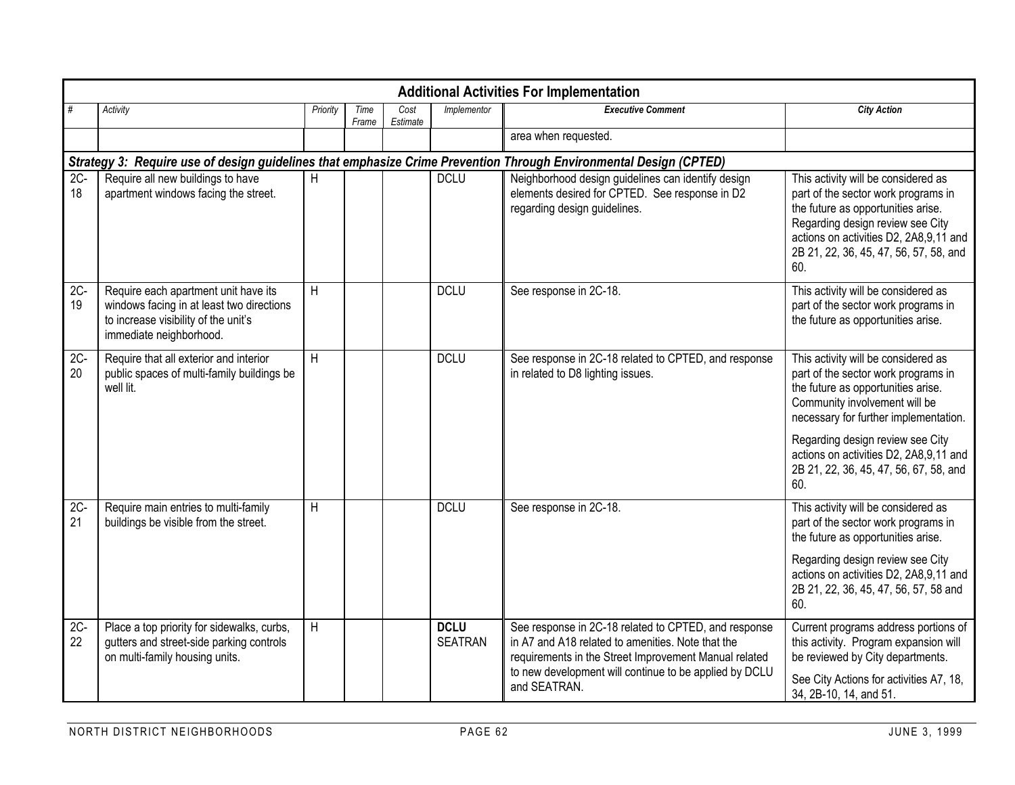|              | <b>Additional Activities For Implementation</b>                                                                                                      |          |               |                  |                               |                                                                                                                                                                                                                                              |                                                                                                                                                                                                                                                                                                                           |  |  |  |  |  |  |  |
|--------------|------------------------------------------------------------------------------------------------------------------------------------------------------|----------|---------------|------------------|-------------------------------|----------------------------------------------------------------------------------------------------------------------------------------------------------------------------------------------------------------------------------------------|---------------------------------------------------------------------------------------------------------------------------------------------------------------------------------------------------------------------------------------------------------------------------------------------------------------------------|--|--|--|--|--|--|--|
|              | Activity                                                                                                                                             | Priority | Time<br>Frame | Cost<br>Estimate | Implementor                   | <b>Executive Comment</b>                                                                                                                                                                                                                     | <b>City Action</b>                                                                                                                                                                                                                                                                                                        |  |  |  |  |  |  |  |
|              |                                                                                                                                                      |          |               |                  |                               | area when requested.                                                                                                                                                                                                                         |                                                                                                                                                                                                                                                                                                                           |  |  |  |  |  |  |  |
|              | Strategy 3: Require use of design guidelines that emphasize Crime Prevention Through Environmental Design (CPTED)                                    |          |               |                  |                               |                                                                                                                                                                                                                                              |                                                                                                                                                                                                                                                                                                                           |  |  |  |  |  |  |  |
| $2C -$<br>18 | Require all new buildings to have<br>apartment windows facing the street.                                                                            | H        |               |                  | <b>DCLU</b>                   | Neighborhood design guidelines can identify design<br>elements desired for CPTED. See response in D2<br>regarding design guidelines.                                                                                                         | This activity will be considered as<br>part of the sector work programs in<br>the future as opportunities arise.<br>Regarding design review see City<br>actions on activities D2, 2A8,9,11 and<br>2B 21, 22, 36, 45, 47, 56, 57, 58, and<br>60.                                                                           |  |  |  |  |  |  |  |
| $2C -$<br>19 | Require each apartment unit have its<br>windows facing in at least two directions<br>to increase visibility of the unit's<br>immediate neighborhood. | H        |               |                  | <b>DCLU</b>                   | See response in 2C-18.                                                                                                                                                                                                                       | This activity will be considered as<br>part of the sector work programs in<br>the future as opportunities arise.                                                                                                                                                                                                          |  |  |  |  |  |  |  |
| $2C -$<br>20 | Require that all exterior and interior<br>public spaces of multi-family buildings be<br>well lit.                                                    | H        |               |                  | <b>DCLU</b>                   | See response in 2C-18 related to CPTED, and response<br>in related to D8 lighting issues.                                                                                                                                                    | This activity will be considered as<br>part of the sector work programs in<br>the future as opportunities arise.<br>Community involvement will be<br>necessary for further implementation.<br>Regarding design review see City<br>actions on activities D2, 2A8,9,11 and<br>2B 21, 22, 36, 45, 47, 56, 67, 58, and<br>60. |  |  |  |  |  |  |  |
| $2C -$<br>21 | Require main entries to multi-family<br>buildings be visible from the street.                                                                        | H        |               |                  | <b>DCLU</b>                   | See response in 2C-18.                                                                                                                                                                                                                       | This activity will be considered as<br>part of the sector work programs in<br>the future as opportunities arise.<br>Regarding design review see City<br>actions on activities D2, 2A8,9,11 and<br>2B 21, 22, 36, 45, 47, 56, 57, 58 and<br>60.                                                                            |  |  |  |  |  |  |  |
| $2C-$<br>22  | Place a top priority for sidewalks, curbs,<br>gutters and street-side parking controls<br>on multi-family housing units.                             | H        |               |                  | <b>DCLU</b><br><b>SEATRAN</b> | See response in 2C-18 related to CPTED, and response<br>in A7 and A18 related to amenities. Note that the<br>requirements in the Street Improvement Manual related<br>to new development will continue to be applied by DCLU<br>and SEATRAN. | Current programs address portions of<br>this activity. Program expansion will<br>be reviewed by City departments.<br>See City Actions for activities A7, 18,<br>34, 2B-10, 14, and 51.                                                                                                                                    |  |  |  |  |  |  |  |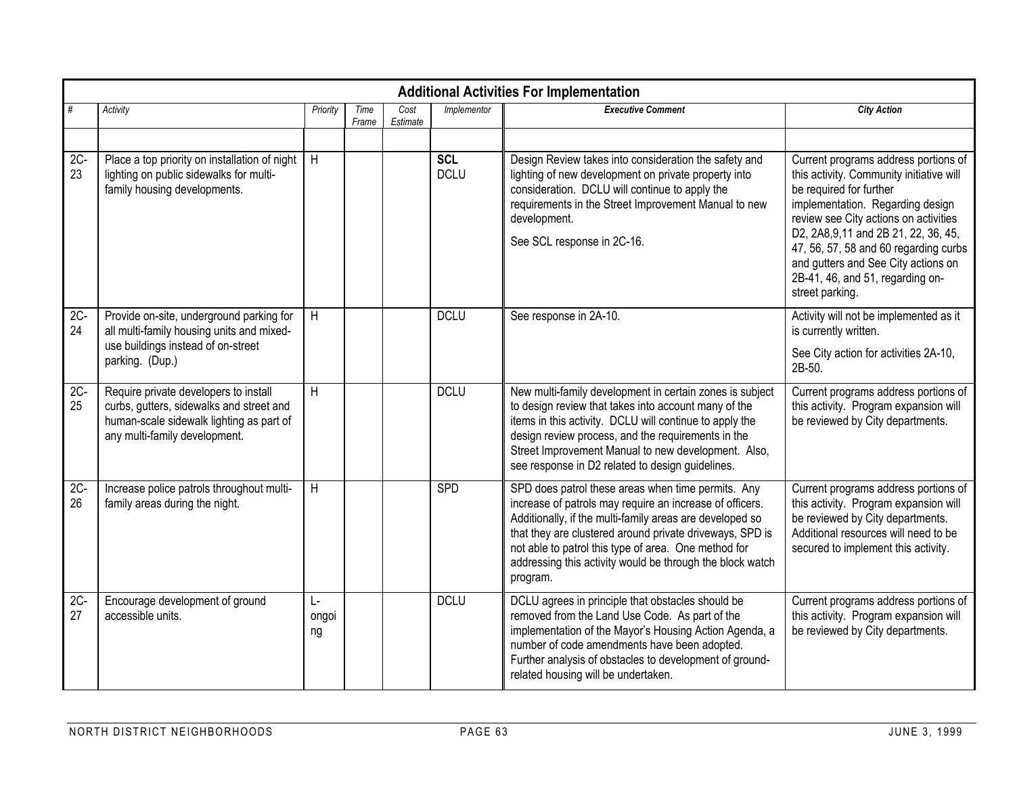| <b>Additional Activities For Implementation</b> |                                                                                                                                                                |                  |               |                  |                           |                                                                                                                                                                                                                                                                                                                                                                         |                                                                                                                                                                                                                                                                                                                                                                          |  |  |  |  |
|-------------------------------------------------|----------------------------------------------------------------------------------------------------------------------------------------------------------------|------------------|---------------|------------------|---------------------------|-------------------------------------------------------------------------------------------------------------------------------------------------------------------------------------------------------------------------------------------------------------------------------------------------------------------------------------------------------------------------|--------------------------------------------------------------------------------------------------------------------------------------------------------------------------------------------------------------------------------------------------------------------------------------------------------------------------------------------------------------------------|--|--|--|--|
| $\#$                                            | Activity                                                                                                                                                       | Priority         | Time<br>Frame | Cost<br>Estimate | Implementor               | <b>Executive Comment</b>                                                                                                                                                                                                                                                                                                                                                | <b>City Action</b>                                                                                                                                                                                                                                                                                                                                                       |  |  |  |  |
|                                                 |                                                                                                                                                                |                  |               |                  |                           |                                                                                                                                                                                                                                                                                                                                                                         |                                                                                                                                                                                                                                                                                                                                                                          |  |  |  |  |
| $2C -$<br>23                                    | Place a top priority on installation of night<br>lighting on public sidewalks for multi-<br>family housing developments.                                       | H                |               |                  | <b>SCL</b><br><b>DCLU</b> | Design Review takes into consideration the safety and<br>lighting of new development on private property into<br>consideration. DCLU will continue to apply the<br>requirements in the Street Improvement Manual to new<br>development.<br>See SCL response in 2C-16.                                                                                                   | Current programs address portions of<br>this activity. Community initiative will<br>be required for further<br>implementation. Regarding design<br>review see City actions on activities<br>D2, 2A8, 9, 11 and 2B 21, 22, 36, 45,<br>47, 56, 57, 58 and 60 regarding curbs<br>and gutters and See City actions on<br>2B-41, 46, and 51, regarding on-<br>street parking. |  |  |  |  |
| $2C-$<br>24                                     | Provide on-site, underground parking for<br>all multi-family housing units and mixed-<br>use buildings instead of on-street<br>parking. (Dup.)                 | H                |               |                  | <b>DCLU</b>               | See response in 2A-10.                                                                                                                                                                                                                                                                                                                                                  | Activity will not be implemented as it<br>is currently written.<br>See City action for activities 2A-10,<br>2B-50.                                                                                                                                                                                                                                                       |  |  |  |  |
| $2C -$<br>25                                    | Require private developers to install<br>curbs, gutters, sidewalks and street and<br>human-scale sidewalk lighting as part of<br>any multi-family development. | H                |               |                  | <b>DCLU</b>               | New multi-family development in certain zones is subject<br>to design review that takes into account many of the<br>items in this activity. DCLU will continue to apply the<br>design review process, and the requirements in the<br>Street Improvement Manual to new development. Also,<br>see response in D2 related to design guidelines.                            | Current programs address portions of<br>this activity. Program expansion will<br>be reviewed by City departments.                                                                                                                                                                                                                                                        |  |  |  |  |
| $2C -$<br>26                                    | Increase police patrols throughout multi-<br>family areas during the night.                                                                                    | H                |               |                  | SPD                       | SPD does patrol these areas when time permits. Any<br>increase of patrols may require an increase of officers.<br>Additionally, if the multi-family areas are developed so<br>that they are clustered around private driveways, SPD is<br>not able to patrol this type of area. One method for<br>addressing this activity would be through the block watch<br>program. | Current programs address portions of<br>this activity. Program expansion will<br>be reviewed by City departments.<br>Additional resources will need to be<br>secured to implement this activity.                                                                                                                                                                         |  |  |  |  |
| $2C -$<br>27                                    | Encourage development of ground<br>accessible units.                                                                                                           | Ŀ<br>ongoi<br>ng |               |                  | <b>DCLU</b>               | DCLU agrees in principle that obstacles should be<br>removed from the Land Use Code. As part of the<br>implementation of the Mayor's Housing Action Agenda, a<br>number of code amendments have been adopted.<br>Further analysis of obstacles to development of ground-<br>related housing will be undertaken.                                                         | Current programs address portions of<br>this activity. Program expansion will<br>be reviewed by City departments.                                                                                                                                                                                                                                                        |  |  |  |  |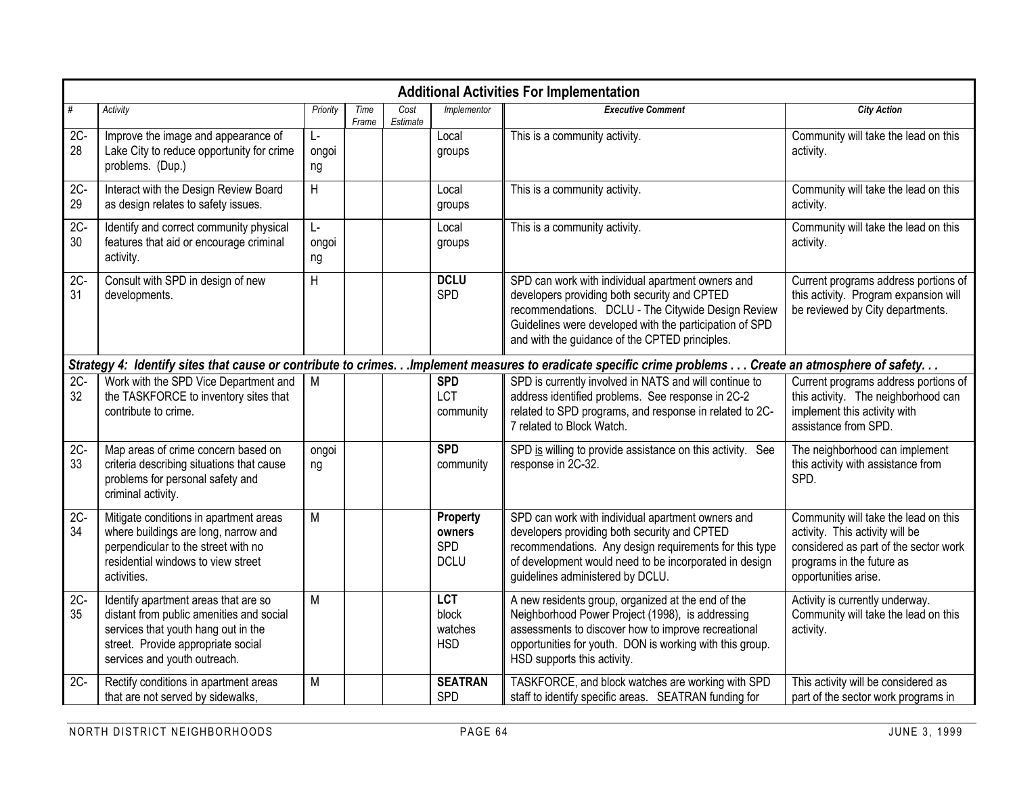|              | <b>Additional Activities For Implementation</b>                                                                                                                                               |                   |               |                  |                                              |                                                                                                                                                                                                                                                                      |                                                                                                                                                                       |  |  |  |  |  |  |
|--------------|-----------------------------------------------------------------------------------------------------------------------------------------------------------------------------------------------|-------------------|---------------|------------------|----------------------------------------------|----------------------------------------------------------------------------------------------------------------------------------------------------------------------------------------------------------------------------------------------------------------------|-----------------------------------------------------------------------------------------------------------------------------------------------------------------------|--|--|--|--|--|--|
| #            | Activity                                                                                                                                                                                      | Priority          | Time<br>Frame | Cost<br>Estimate | Implementor                                  | <b>Executive Comment</b>                                                                                                                                                                                                                                             | <b>City Action</b>                                                                                                                                                    |  |  |  |  |  |  |
| $2C -$<br>28 | Improve the image and appearance of<br>Lake City to reduce opportunity for crime<br>problems. (Dup.)                                                                                          | Ŀ-<br>ongoi<br>ng |               |                  | Local<br>groups                              | This is a community activity.                                                                                                                                                                                                                                        | Community will take the lead on this<br>activity.                                                                                                                     |  |  |  |  |  |  |
| $2C -$<br>29 | Interact with the Design Review Board<br>as design relates to safety issues.                                                                                                                  | $\sf H$           |               |                  | Local<br>groups                              | This is a community activity.                                                                                                                                                                                                                                        | Community will take the lead on this<br>activity.                                                                                                                     |  |  |  |  |  |  |
| $2C -$<br>30 | Identify and correct community physical<br>features that aid or encourage criminal<br>activity.                                                                                               | Ŀ<br>ongoi<br>ng  |               |                  | Local<br>groups                              | This is a community activity.                                                                                                                                                                                                                                        | Community will take the lead on this<br>activity.                                                                                                                     |  |  |  |  |  |  |
| $2C -$<br>31 | Consult with SPD in design of new<br>developments.                                                                                                                                            | H                 |               |                  | <b>DCLU</b><br>SPD                           | SPD can work with individual apartment owners and<br>developers providing both security and CPTED<br>recommendations. DCLU - The Citywide Design Review<br>Guidelines were developed with the participation of SPD<br>and with the guidance of the CPTED principles. | Current programs address portions of<br>this activity. Program expansion will<br>be reviewed by City departments.                                                     |  |  |  |  |  |  |
|              |                                                                                                                                                                                               |                   |               |                  |                                              | Strategy 4: Identify sites that cause or contribute to crimes. Implement measures to eradicate specific crime problems Create an atmosphere of safety.                                                                                                               |                                                                                                                                                                       |  |  |  |  |  |  |
| $2C -$<br>32 | Work with the SPD Vice Department and<br>the TASKFORCE to inventory sites that<br>contribute to crime.                                                                                        | M                 |               |                  | <b>SPD</b><br>LCT<br>community               | SPD is currently involved in NATS and will continue to<br>address identified problems. See response in 2C-2<br>related to SPD programs, and response in related to 2C-<br>7 related to Block Watch.                                                                  | Current programs address portions of<br>this activity. The neighborhood can<br>implement this activity with<br>assistance from SPD.                                   |  |  |  |  |  |  |
| $2C -$<br>33 | Map areas of crime concern based on<br>criteria describing situations that cause<br>problems for personal safety and<br>criminal activity.                                                    | ongoi<br>ng       |               |                  | <b>SPD</b><br>community                      | SPD is willing to provide assistance on this activity. See<br>response in 2C-32.                                                                                                                                                                                     | The neighborhood can implement<br>this activity with assistance from<br>SPD.                                                                                          |  |  |  |  |  |  |
| $2C -$<br>34 | Mitigate conditions in apartment areas<br>where buildings are long, narrow and<br>perpendicular to the street with no<br>residential windows to view street<br>activities.                    | M                 |               |                  | Property<br>owners<br>SPD<br><b>DCLU</b>     | SPD can work with individual apartment owners and<br>developers providing both security and CPTED<br>recommendations. Any design requirements for this type<br>of development would need to be incorporated in design<br>guidelines administered by DCLU.            | Community will take the lead on this<br>activity. This activity will be<br>considered as part of the sector work<br>programs in the future as<br>opportunities arise. |  |  |  |  |  |  |
| $2C -$<br>35 | Identify apartment areas that are so<br>distant from public amenities and social<br>services that youth hang out in the<br>street. Provide appropriate social<br>services and youth outreach. | M                 |               |                  | <b>LCT</b><br>block<br>watches<br><b>HSD</b> | A new residents group, organized at the end of the<br>Neighborhood Power Project (1998), is addressing<br>assessments to discover how to improve recreational<br>opportunities for youth. DON is working with this group.<br>HSD supports this activity.             | Activity is currently underway.<br>Community will take the lead on this<br>activity.                                                                                  |  |  |  |  |  |  |
| $2C -$       | Rectify conditions in apartment areas<br>that are not served by sidewalks,                                                                                                                    | M                 |               |                  | <b>SEATRAN</b><br>SPD                        | TASKFORCE, and block watches are working with SPD<br>staff to identify specific areas. SEATRAN funding for                                                                                                                                                           | This activity will be considered as<br>part of the sector work programs in                                                                                            |  |  |  |  |  |  |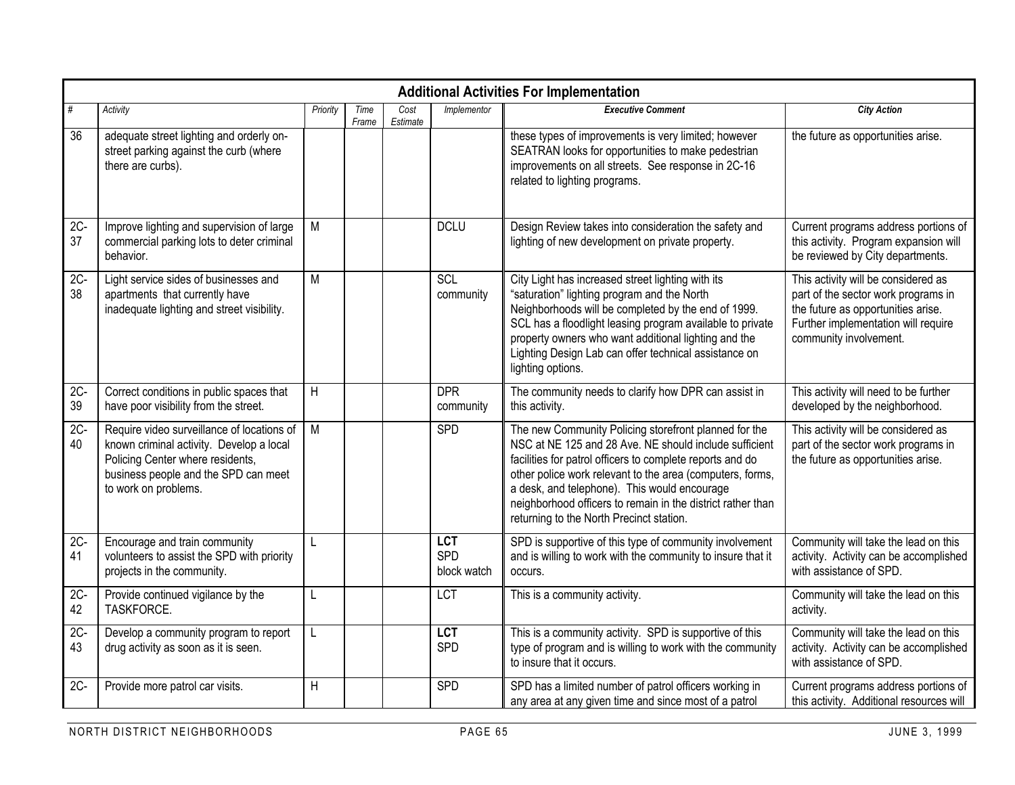|              | <b>Additional Activities For Implementation</b>                                                                                                                                            |          |               |                  |                                  |                                                                                                                                                                                                                                                                                                                                                                                                      |                                                                                                                                                                                   |  |  |  |  |  |  |
|--------------|--------------------------------------------------------------------------------------------------------------------------------------------------------------------------------------------|----------|---------------|------------------|----------------------------------|------------------------------------------------------------------------------------------------------------------------------------------------------------------------------------------------------------------------------------------------------------------------------------------------------------------------------------------------------------------------------------------------------|-----------------------------------------------------------------------------------------------------------------------------------------------------------------------------------|--|--|--|--|--|--|
| #            | Activity                                                                                                                                                                                   | Priority | Time<br>Frame | Cost<br>Estimate | Implementor                      | <b>Executive Comment</b>                                                                                                                                                                                                                                                                                                                                                                             | <b>City Action</b>                                                                                                                                                                |  |  |  |  |  |  |
| 36           | adequate street lighting and orderly on-<br>street parking against the curb (where<br>there are curbs).                                                                                    |          |               |                  |                                  | these types of improvements is very limited; however<br>SEATRAN looks for opportunities to make pedestrian<br>improvements on all streets. See response in 2C-16<br>related to lighting programs.                                                                                                                                                                                                    | the future as opportunities arise.                                                                                                                                                |  |  |  |  |  |  |
| $2C -$<br>37 | Improve lighting and supervision of large<br>commercial parking lots to deter criminal<br>behavior.                                                                                        | M        |               |                  | <b>DCLU</b>                      | Design Review takes into consideration the safety and<br>lighting of new development on private property.                                                                                                                                                                                                                                                                                            | Current programs address portions of<br>this activity. Program expansion will<br>be reviewed by City departments.                                                                 |  |  |  |  |  |  |
| $2C -$<br>38 | Light service sides of businesses and<br>apartments that currently have<br>inadequate lighting and street visibility.                                                                      | M        |               |                  | SCL<br>community                 | City Light has increased street lighting with its<br>"saturation" lighting program and the North<br>Neighborhoods will be completed by the end of 1999.<br>SCL has a floodlight leasing program available to private<br>property owners who want additional lighting and the<br>Lighting Design Lab can offer technical assistance on<br>lighting options.                                           | This activity will be considered as<br>part of the sector work programs in<br>the future as opportunities arise.<br>Further implementation will require<br>community involvement. |  |  |  |  |  |  |
| $2C -$<br>39 | Correct conditions in public spaces that<br>have poor visibility from the street.                                                                                                          | H        |               |                  | <b>DPR</b><br>community          | The community needs to clarify how DPR can assist in<br>this activity.                                                                                                                                                                                                                                                                                                                               | This activity will need to be further<br>developed by the neighborhood.                                                                                                           |  |  |  |  |  |  |
| $2C -$<br>40 | Require video surveillance of locations of<br>known criminal activity. Develop a local<br>Policing Center where residents,<br>business people and the SPD can meet<br>to work on problems. | M        |               |                  | SPD                              | The new Community Policing storefront planned for the<br>NSC at NE 125 and 28 Ave. NE should include sufficient<br>facilities for patrol officers to complete reports and do<br>other police work relevant to the area (computers, forms,<br>a desk, and telephone). This would encourage<br>neighborhood officers to remain in the district rather than<br>returning to the North Precinct station. | This activity will be considered as<br>part of the sector work programs in<br>the future as opportunities arise.                                                                  |  |  |  |  |  |  |
| $2C -$<br>41 | Encourage and train community<br>volunteers to assist the SPD with priority<br>projects in the community.                                                                                  | L        |               |                  | <b>LCT</b><br>SPD<br>block watch | SPD is supportive of this type of community involvement<br>and is willing to work with the community to insure that it<br>occurs.                                                                                                                                                                                                                                                                    | Community will take the lead on this<br>activity. Activity can be accomplished<br>with assistance of SPD.                                                                         |  |  |  |  |  |  |
| $2C -$<br>42 | Provide continued vigilance by the<br>TASKFORCE.                                                                                                                                           | L        |               |                  | <b>LCT</b>                       | This is a community activity.                                                                                                                                                                                                                                                                                                                                                                        | Community will take the lead on this<br>activity.                                                                                                                                 |  |  |  |  |  |  |
| $2C -$<br>43 | Develop a community program to report<br>drug activity as soon as it is seen.                                                                                                              | L        |               |                  | <b>LCT</b><br>SPD                | This is a community activity. SPD is supportive of this<br>type of program and is willing to work with the community<br>to insure that it occurs.                                                                                                                                                                                                                                                    | Community will take the lead on this<br>activity. Activity can be accomplished<br>with assistance of SPD.                                                                         |  |  |  |  |  |  |
| 2C-          | Provide more patrol car visits.                                                                                                                                                            | Η        |               |                  | SPD                              | SPD has a limited number of patrol officers working in<br>any area at any given time and since most of a patrol                                                                                                                                                                                                                                                                                      | Current programs address portions of<br>this activity. Additional resources will                                                                                                  |  |  |  |  |  |  |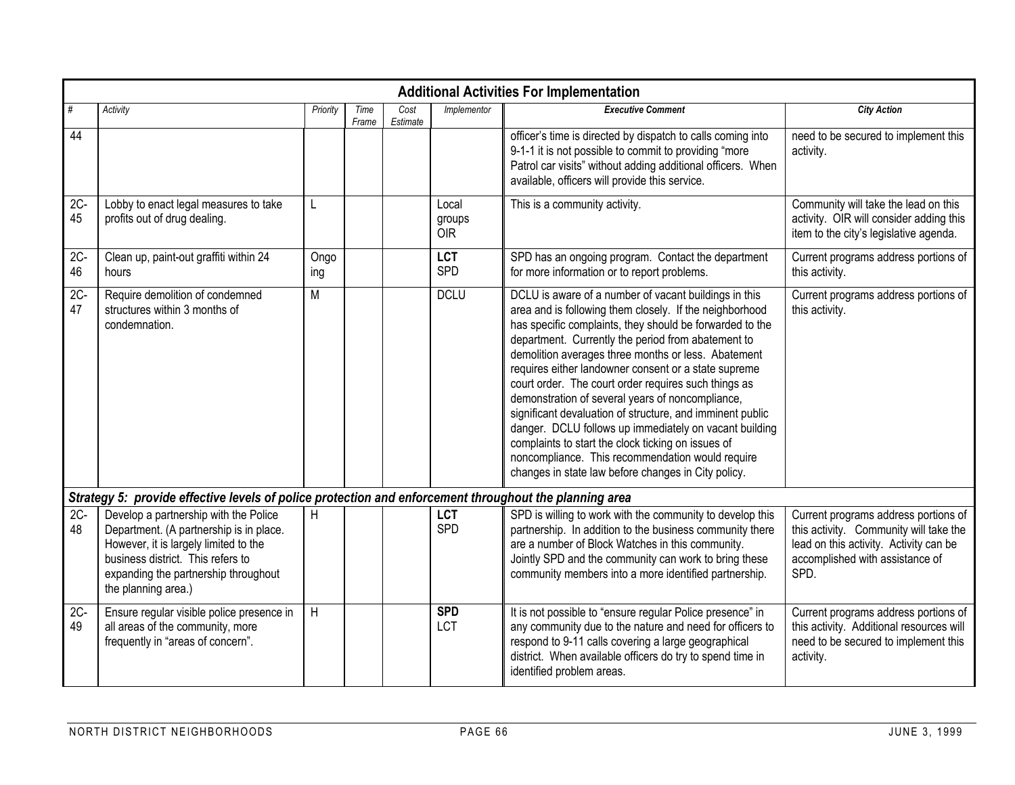|              | <b>Additional Activities For Implementation</b>                                                                                                                                                                               |             |               |                  |                               |                                                                                                                                                                                                                                                                                                                                                                                                                                                                                                                                                                                                                                                                                                                                                       |                                                                                                                                                                     |  |  |  |  |  |
|--------------|-------------------------------------------------------------------------------------------------------------------------------------------------------------------------------------------------------------------------------|-------------|---------------|------------------|-------------------------------|-------------------------------------------------------------------------------------------------------------------------------------------------------------------------------------------------------------------------------------------------------------------------------------------------------------------------------------------------------------------------------------------------------------------------------------------------------------------------------------------------------------------------------------------------------------------------------------------------------------------------------------------------------------------------------------------------------------------------------------------------------|---------------------------------------------------------------------------------------------------------------------------------------------------------------------|--|--|--|--|--|
| #            | Activity                                                                                                                                                                                                                      | Priority    | Time<br>Frame | Cost<br>Estimate | Implementor                   | <b>Executive Comment</b>                                                                                                                                                                                                                                                                                                                                                                                                                                                                                                                                                                                                                                                                                                                              | <b>City Action</b>                                                                                                                                                  |  |  |  |  |  |
| 44           |                                                                                                                                                                                                                               |             |               |                  |                               | officer's time is directed by dispatch to calls coming into<br>9-1-1 it is not possible to commit to providing "more<br>Patrol car visits" without adding additional officers. When<br>available, officers will provide this service.                                                                                                                                                                                                                                                                                                                                                                                                                                                                                                                 | need to be secured to implement this<br>activity.                                                                                                                   |  |  |  |  |  |
| $2C -$<br>45 | Lobby to enact legal measures to take<br>profits out of drug dealing.                                                                                                                                                         | L           |               |                  | Local<br>groups<br><b>OIR</b> | This is a community activity.                                                                                                                                                                                                                                                                                                                                                                                                                                                                                                                                                                                                                                                                                                                         | Community will take the lead on this<br>activity. OIR will consider adding this<br>item to the city's legislative agenda.                                           |  |  |  |  |  |
| $2C -$<br>46 | Clean up, paint-out graffiti within 24<br>hours                                                                                                                                                                               | Ongo<br>ing |               |                  | <b>LCT</b><br>SPD             | SPD has an ongoing program. Contact the department<br>for more information or to report problems.                                                                                                                                                                                                                                                                                                                                                                                                                                                                                                                                                                                                                                                     | Current programs address portions of<br>this activity.                                                                                                              |  |  |  |  |  |
| $2C -$<br>47 | Require demolition of condemned<br>structures within 3 months of<br>condemnation.                                                                                                                                             | M           |               |                  | <b>DCLU</b>                   | DCLU is aware of a number of vacant buildings in this<br>area and is following them closely. If the neighborhood<br>has specific complaints, they should be forwarded to the<br>department. Currently the period from abatement to<br>demolition averages three months or less. Abatement<br>requires either landowner consent or a state supreme<br>court order. The court order requires such things as<br>demonstration of several years of noncompliance,<br>significant devaluation of structure, and imminent public<br>danger. DCLU follows up immediately on vacant building<br>complaints to start the clock ticking on issues of<br>noncompliance. This recommendation would require<br>changes in state law before changes in City policy. | Current programs address portions of<br>this activity.                                                                                                              |  |  |  |  |  |
|              | Strategy 5: provide effective levels of police protection and enforcement throughout the planning area                                                                                                                        |             |               |                  |                               |                                                                                                                                                                                                                                                                                                                                                                                                                                                                                                                                                                                                                                                                                                                                                       |                                                                                                                                                                     |  |  |  |  |  |
| $2C -$<br>48 | Develop a partnership with the Police<br>Department. (A partnership is in place.<br>However, it is largely limited to the<br>business district. This refers to<br>expanding the partnership throughout<br>the planning area.) | Η           |               |                  | <b>LCT</b><br>SPD             | SPD is willing to work with the community to develop this<br>partnership. In addition to the business community there<br>are a number of Block Watches in this community.<br>Jointly SPD and the community can work to bring these<br>community members into a more identified partnership.                                                                                                                                                                                                                                                                                                                                                                                                                                                           | Current programs address portions of<br>this activity. Community will take the<br>lead on this activity. Activity can be<br>accomplished with assistance of<br>SPD. |  |  |  |  |  |
| $2C -$<br>49 | Ensure regular visible police presence in<br>all areas of the community, more<br>frequently in "areas of concern".                                                                                                            | H           |               |                  | <b>SPD</b><br>LCT             | It is not possible to "ensure regular Police presence" in<br>any community due to the nature and need for officers to<br>respond to 9-11 calls covering a large geographical<br>district. When available officers do try to spend time in<br>identified problem areas.                                                                                                                                                                                                                                                                                                                                                                                                                                                                                | Current programs address portions of<br>this activity. Additional resources will<br>need to be secured to implement this<br>activity.                               |  |  |  |  |  |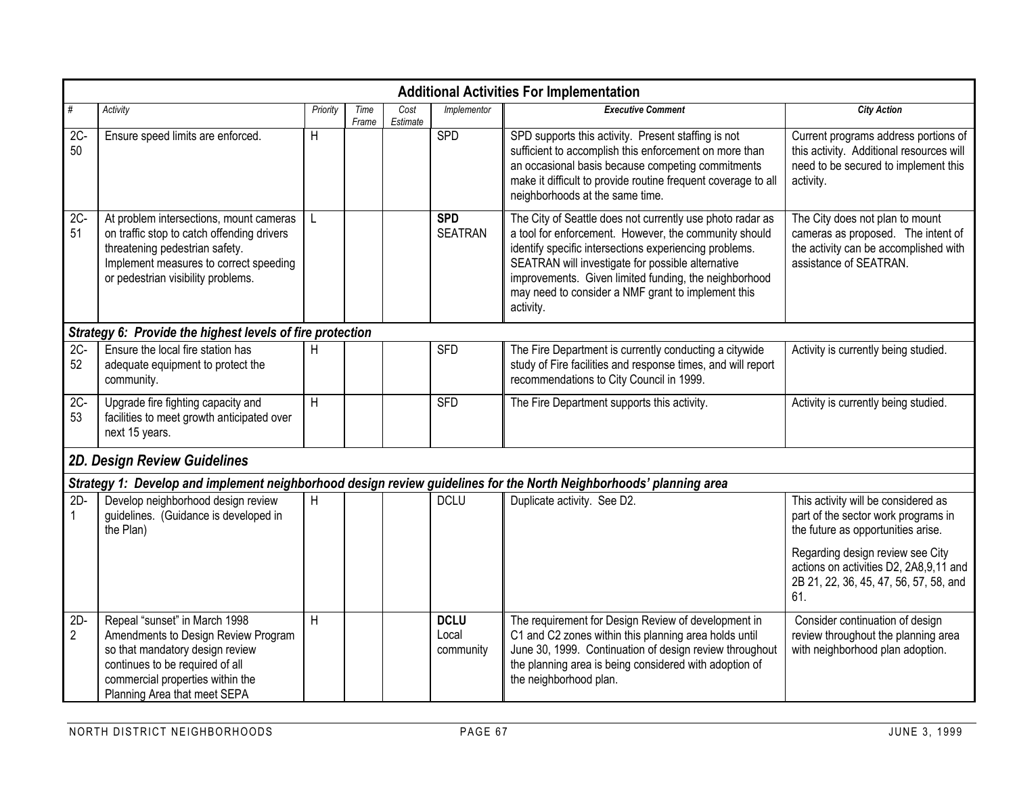|                         | <b>Additional Activities For Implementation</b>                                                                                                                                                                |                |               |                  |                                   |                                                                                                                                                                                                                                                                                                                                                               |                                                                                                                                          |  |  |  |  |  |  |
|-------------------------|----------------------------------------------------------------------------------------------------------------------------------------------------------------------------------------------------------------|----------------|---------------|------------------|-----------------------------------|---------------------------------------------------------------------------------------------------------------------------------------------------------------------------------------------------------------------------------------------------------------------------------------------------------------------------------------------------------------|------------------------------------------------------------------------------------------------------------------------------------------|--|--|--|--|--|--|
| $\#$                    | Activity                                                                                                                                                                                                       | Priority       | Time<br>Frame | Cost<br>Estimate | Implementor                       | <b>Executive Comment</b>                                                                                                                                                                                                                                                                                                                                      | <b>City Action</b>                                                                                                                       |  |  |  |  |  |  |
| $2C -$<br>50            | Ensure speed limits are enforced.                                                                                                                                                                              | Н              |               |                  | SPD                               | SPD supports this activity. Present staffing is not<br>sufficient to accomplish this enforcement on more than<br>an occasional basis because competing commitments<br>make it difficult to provide routine frequent coverage to all<br>neighborhoods at the same time.                                                                                        | Current programs address portions of<br>this activity. Additional resources will<br>need to be secured to implement this<br>activity.    |  |  |  |  |  |  |
| $2C -$<br>51            | At problem intersections, mount cameras<br>on traffic stop to catch offending drivers<br>threatening pedestrian safety.<br>Implement measures to correct speeding<br>or pedestrian visibility problems.        |                |               |                  | <b>SPD</b><br><b>SEATRAN</b>      | The City of Seattle does not currently use photo radar as<br>a tool for enforcement. However, the community should<br>identify specific intersections experiencing problems.<br>SEATRAN will investigate for possible alternative<br>improvements. Given limited funding, the neighborhood<br>may need to consider a NMF grant to implement this<br>activity. | The City does not plan to mount<br>cameras as proposed. The intent of<br>the activity can be accomplished with<br>assistance of SEATRAN. |  |  |  |  |  |  |
|                         | Strategy 6: Provide the highest levels of fire protection                                                                                                                                                      |                |               |                  |                                   |                                                                                                                                                                                                                                                                                                                                                               |                                                                                                                                          |  |  |  |  |  |  |
| $2C -$<br>52            | Ensure the local fire station has<br>adequate equipment to protect the<br>community.                                                                                                                           | H              |               |                  | <b>SFD</b>                        | The Fire Department is currently conducting a citywide<br>study of Fire facilities and response times, and will report<br>recommendations to City Council in 1999.                                                                                                                                                                                            | Activity is currently being studied.                                                                                                     |  |  |  |  |  |  |
| $2C -$<br>53            | Upgrade fire fighting capacity and<br>facilities to meet growth anticipated over<br>next 15 years.                                                                                                             | $\overline{H}$ |               |                  | <b>SFD</b>                        | The Fire Department supports this activity.                                                                                                                                                                                                                                                                                                                   | Activity is currently being studied.                                                                                                     |  |  |  |  |  |  |
|                         | 2D. Design Review Guidelines                                                                                                                                                                                   |                |               |                  |                                   |                                                                                                                                                                                                                                                                                                                                                               |                                                                                                                                          |  |  |  |  |  |  |
|                         |                                                                                                                                                                                                                |                |               |                  |                                   | Strategy 1: Develop and implement neighborhood design review guidelines for the North Neighborhoods' planning area                                                                                                                                                                                                                                            |                                                                                                                                          |  |  |  |  |  |  |
| $2D -$<br>$\mathbf{1}$  | Develop neighborhood design review<br>guidelines. (Guidance is developed in<br>the Plan)                                                                                                                       | H              |               |                  | <b>DCLU</b>                       | Duplicate activity. See D2.                                                                                                                                                                                                                                                                                                                                   | This activity will be considered as<br>part of the sector work programs in<br>the future as opportunities arise.                         |  |  |  |  |  |  |
|                         |                                                                                                                                                                                                                |                |               |                  |                                   |                                                                                                                                                                                                                                                                                                                                                               | Regarding design review see City<br>actions on activities D2, 2A8,9,11 and<br>2B 21, 22, 36, 45, 47, 56, 57, 58, and<br>61.              |  |  |  |  |  |  |
| $2D-$<br>$\overline{2}$ | Repeal "sunset" in March 1998<br>Amendments to Design Review Program<br>so that mandatory design review<br>continues to be required of all<br>commercial properties within the<br>Planning Area that meet SEPA | H              |               |                  | <b>DCLU</b><br>Local<br>community | The requirement for Design Review of development in<br>C1 and C2 zones within this planning area holds until<br>June 30, 1999. Continuation of design review throughout<br>the planning area is being considered with adoption of<br>the neighborhood plan.                                                                                                   | Consider continuation of design<br>review throughout the planning area<br>with neighborhood plan adoption.                               |  |  |  |  |  |  |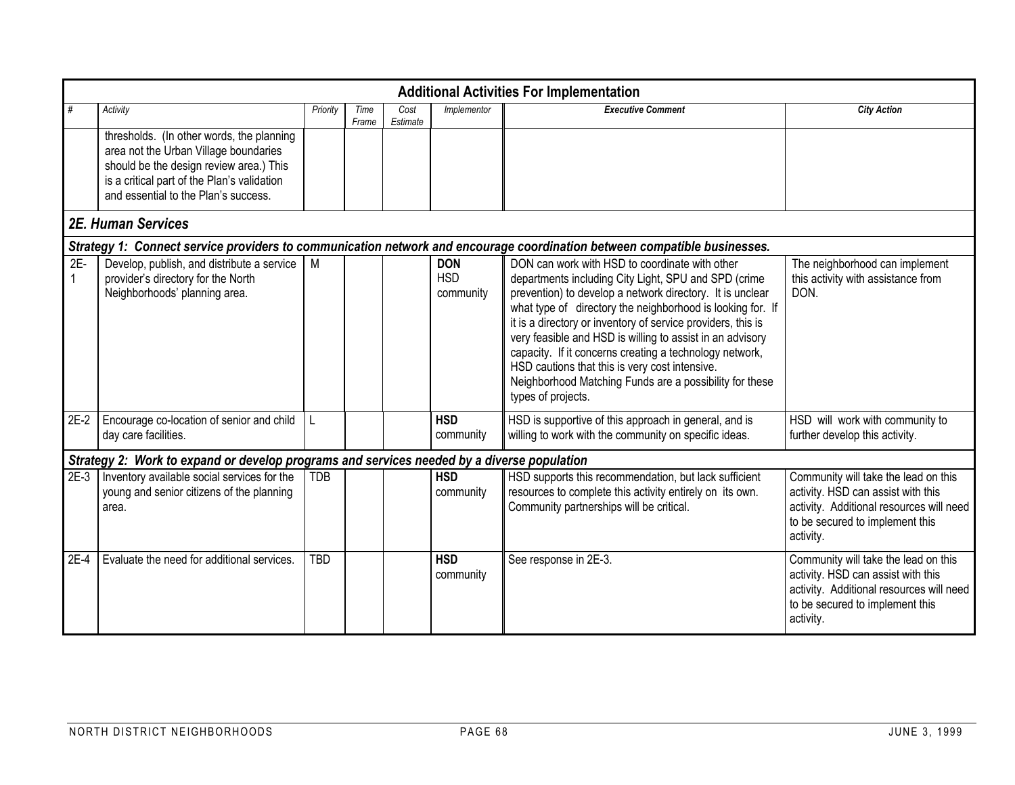|                       |                                                                                                                                                                                                                      |            |               |                  |                                       | <b>Additional Activities For Implementation</b>                                                                                                                                                                                                                                                                                                                                                                                                                                                                                                              |                                                                                                                                                                        |
|-----------------------|----------------------------------------------------------------------------------------------------------------------------------------------------------------------------------------------------------------------|------------|---------------|------------------|---------------------------------------|--------------------------------------------------------------------------------------------------------------------------------------------------------------------------------------------------------------------------------------------------------------------------------------------------------------------------------------------------------------------------------------------------------------------------------------------------------------------------------------------------------------------------------------------------------------|------------------------------------------------------------------------------------------------------------------------------------------------------------------------|
| #                     | Activity                                                                                                                                                                                                             | Priority   | Time<br>Frame | Cost<br>Estimate | Implementor                           | <b>Executive Comment</b>                                                                                                                                                                                                                                                                                                                                                                                                                                                                                                                                     | <b>City Action</b>                                                                                                                                                     |
|                       | thresholds. (In other words, the planning<br>area not the Urban Village boundaries<br>should be the design review area.) This<br>is a critical part of the Plan's validation<br>and essential to the Plan's success. |            |               |                  |                                       |                                                                                                                                                                                                                                                                                                                                                                                                                                                                                                                                                              |                                                                                                                                                                        |
|                       | 2E. Human Services                                                                                                                                                                                                   |            |               |                  |                                       |                                                                                                                                                                                                                                                                                                                                                                                                                                                                                                                                                              |                                                                                                                                                                        |
|                       |                                                                                                                                                                                                                      |            |               |                  |                                       | Strategy 1: Connect service providers to communication network and encourage coordination between compatible businesses.                                                                                                                                                                                                                                                                                                                                                                                                                                     |                                                                                                                                                                        |
| $2E-$<br>$\mathbf{1}$ | Develop, publish, and distribute a service<br>provider's directory for the North<br>Neighborhoods' planning area.                                                                                                    | M          |               |                  | <b>DON</b><br><b>HSD</b><br>community | DON can work with HSD to coordinate with other<br>departments including City Light, SPU and SPD (crime<br>prevention) to develop a network directory. It is unclear<br>what type of directory the neighborhood is looking for. If<br>it is a directory or inventory of service providers, this is<br>very feasible and HSD is willing to assist in an advisory<br>capacity. If it concerns creating a technology network,<br>HSD cautions that this is very cost intensive.<br>Neighborhood Matching Funds are a possibility for these<br>types of projects. | The neighborhood can implement<br>this activity with assistance from<br>DON.                                                                                           |
| $2E-2$                | Encourage co-location of senior and child<br>day care facilities.                                                                                                                                                    | L          |               |                  | <b>HSD</b><br>community               | HSD is supportive of this approach in general, and is<br>willing to work with the community on specific ideas.                                                                                                                                                                                                                                                                                                                                                                                                                                               | HSD will work with community to<br>further develop this activity.                                                                                                      |
|                       | Strategy 2: Work to expand or develop programs and services needed by a diverse population                                                                                                                           |            |               |                  |                                       |                                                                                                                                                                                                                                                                                                                                                                                                                                                                                                                                                              |                                                                                                                                                                        |
| $2E-3$                | Inventory available social services for the<br>young and senior citizens of the planning<br>area.                                                                                                                    | <b>TDB</b> |               |                  | <b>HSD</b><br>community               | HSD supports this recommendation, but lack sufficient<br>resources to complete this activity entirely on its own.<br>Community partnerships will be critical.                                                                                                                                                                                                                                                                                                                                                                                                | Community will take the lead on this<br>activity. HSD can assist with this<br>activity. Additional resources will need<br>to be secured to implement this<br>activity. |
| 2E-4                  | Evaluate the need for additional services.                                                                                                                                                                           | <b>TBD</b> |               |                  | <b>HSD</b><br>community               | See response in 2E-3.                                                                                                                                                                                                                                                                                                                                                                                                                                                                                                                                        | Community will take the lead on this<br>activity. HSD can assist with this<br>activity. Additional resources will need<br>to be secured to implement this<br>activity. |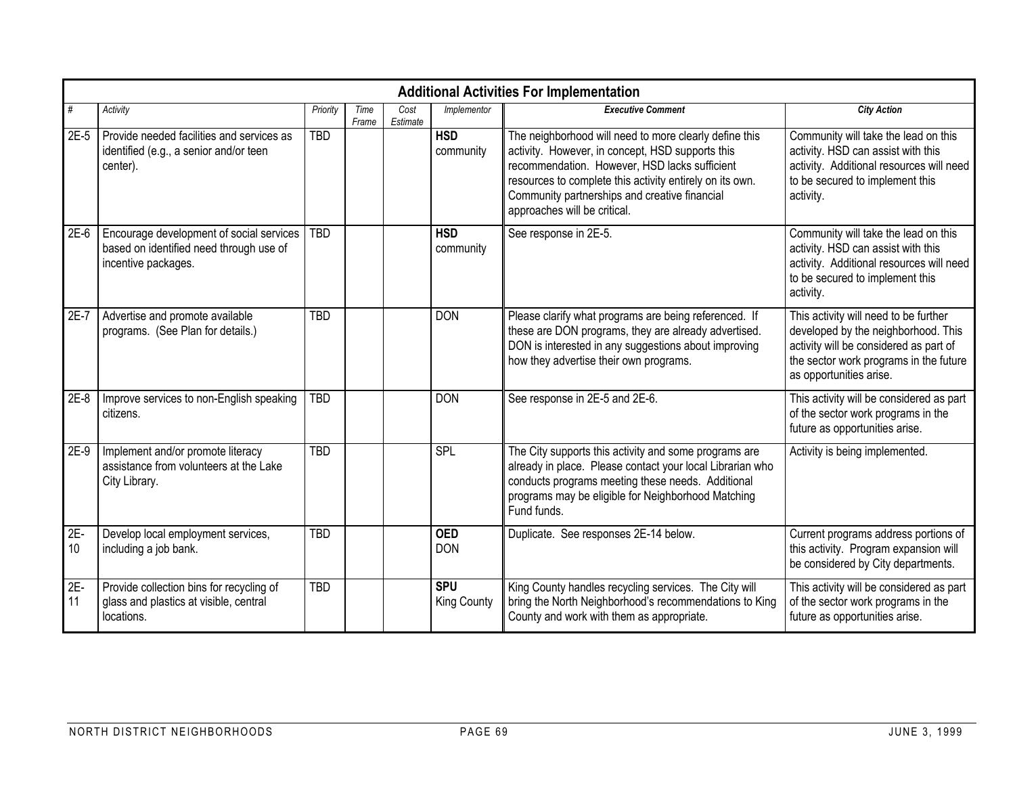|             | <b>Additional Activities For Implementation</b>                                                            |            |               |                  |                                  |                                                                                                                                                                                                                                                                                                          |                                                                                                                                                                                             |  |  |  |  |  |  |
|-------------|------------------------------------------------------------------------------------------------------------|------------|---------------|------------------|----------------------------------|----------------------------------------------------------------------------------------------------------------------------------------------------------------------------------------------------------------------------------------------------------------------------------------------------------|---------------------------------------------------------------------------------------------------------------------------------------------------------------------------------------------|--|--|--|--|--|--|
| #           | Activity                                                                                                   | Priority   | Time<br>Frame | Cost<br>Estimate | <i>Implementor</i>               | <b>Executive Comment</b>                                                                                                                                                                                                                                                                                 | <b>City Action</b>                                                                                                                                                                          |  |  |  |  |  |  |
| $2E-5$      | Provide needed facilities and services as<br>identified (e.g., a senior and/or teen<br>center).            | <b>TBD</b> |               |                  | <b>HSD</b><br>community          | The neighborhood will need to more clearly define this<br>activity. However, in concept, HSD supports this<br>recommendation. However, HSD lacks sufficient<br>resources to complete this activity entirely on its own.<br>Community partnerships and creative financial<br>approaches will be critical. | Community will take the lead on this<br>activity. HSD can assist with this<br>activity. Additional resources will need<br>to be secured to implement this<br>activity.                      |  |  |  |  |  |  |
| $2E-6$      | Encourage development of social services<br>based on identified need through use of<br>incentive packages. | <b>TBD</b> |               |                  | <b>HSD</b><br>community          | See response in 2E-5.                                                                                                                                                                                                                                                                                    | Community will take the lead on this<br>activity. HSD can assist with this<br>activity. Additional resources will need<br>to be secured to implement this<br>activity.                      |  |  |  |  |  |  |
| $2E-7$      | Advertise and promote available<br>programs. (See Plan for details.)                                       | <b>TBD</b> |               |                  | <b>DON</b>                       | Please clarify what programs are being referenced. If<br>these are DON programs, they are already advertised.<br>DON is interested in any suggestions about improving<br>how they advertise their own programs.                                                                                          | This activity will need to be further<br>developed by the neighborhood. This<br>activity will be considered as part of<br>the sector work programs in the future<br>as opportunities arise. |  |  |  |  |  |  |
| $2E-8$      | Improve services to non-English speaking<br>citizens.                                                      | <b>TBD</b> |               |                  | <b>DON</b>                       | See response in 2E-5 and 2E-6.                                                                                                                                                                                                                                                                           | This activity will be considered as part<br>of the sector work programs in the<br>future as opportunities arise.                                                                            |  |  |  |  |  |  |
| $2E-9$      | Implement and/or promote literacy<br>assistance from volunteers at the Lake<br>City Library.               | <b>TBD</b> |               |                  | SPL                              | The City supports this activity and some programs are<br>already in place. Please contact your local Librarian who<br>conducts programs meeting these needs. Additional<br>programs may be eligible for Neighborhood Matching<br>Fund funds.                                                             | Activity is being implemented.                                                                                                                                                              |  |  |  |  |  |  |
| 2E-<br>10   | Develop local employment services,<br>including a job bank.                                                | <b>TBD</b> |               |                  | <b>OED</b><br><b>DON</b>         | Duplicate. See responses 2E-14 below.                                                                                                                                                                                                                                                                    | Current programs address portions of<br>this activity. Program expansion will<br>be considered by City departments.                                                                         |  |  |  |  |  |  |
| $2E-$<br>11 | Provide collection bins for recycling of<br>glass and plastics at visible, central<br>locations.           | <b>TBD</b> |               |                  | <b>SPU</b><br><b>King County</b> | King County handles recycling services. The City will<br>bring the North Neighborhood's recommendations to King<br>County and work with them as appropriate.                                                                                                                                             | This activity will be considered as part<br>of the sector work programs in the<br>future as opportunities arise.                                                                            |  |  |  |  |  |  |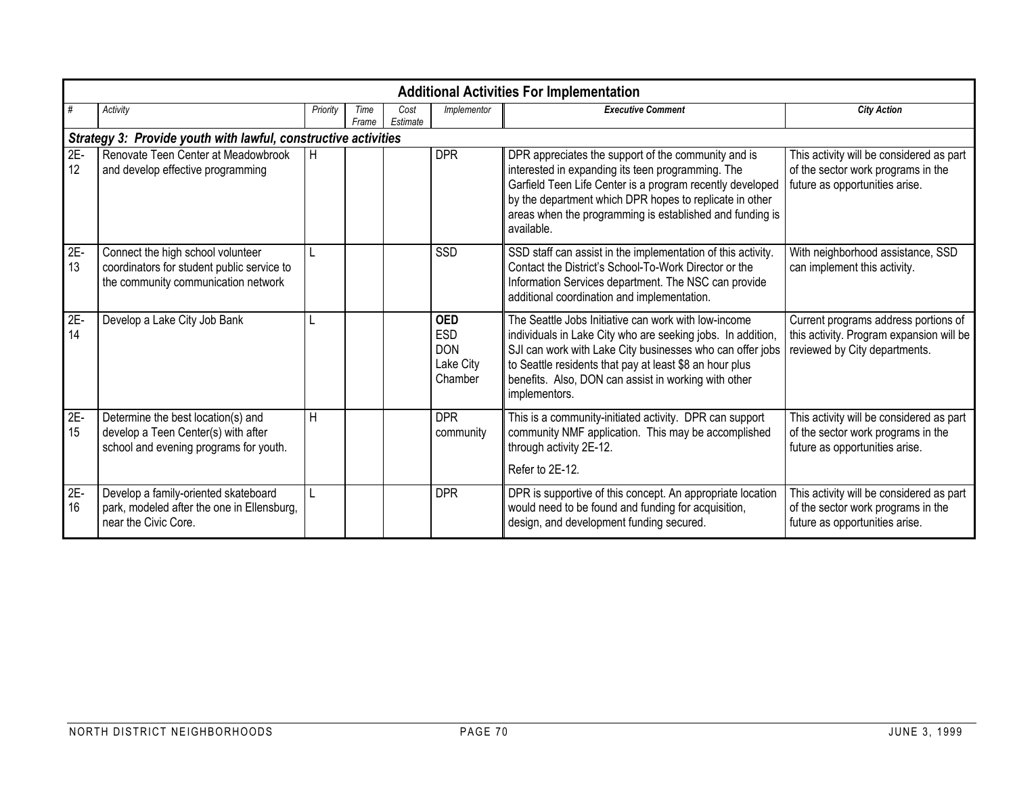|             | <b>Additional Activities For Implementation</b>                                                                        |              |               |                  |                                                                |                                                                                                                                                                                                                                                                                                                      |                                                                                                                   |  |  |  |  |  |  |
|-------------|------------------------------------------------------------------------------------------------------------------------|--------------|---------------|------------------|----------------------------------------------------------------|----------------------------------------------------------------------------------------------------------------------------------------------------------------------------------------------------------------------------------------------------------------------------------------------------------------------|-------------------------------------------------------------------------------------------------------------------|--|--|--|--|--|--|
| #           | Activity                                                                                                               | Priority     | Time<br>Frame | Cost<br>Estimate | Implementor                                                    | <b>Executive Comment</b>                                                                                                                                                                                                                                                                                             | <b>City Action</b>                                                                                                |  |  |  |  |  |  |
|             | Strategy 3: Provide youth with lawful, constructive activities                                                         |              |               |                  |                                                                |                                                                                                                                                                                                                                                                                                                      |                                                                                                                   |  |  |  |  |  |  |
| $2E-$<br>12 | Renovate Teen Center at Meadowbrook<br>and develop effective programming                                               | H            |               |                  | <b>DPR</b>                                                     | DPR appreciates the support of the community and is<br>interested in expanding its teen programming. The<br>Garfield Teen Life Center is a program recently developed<br>by the department which DPR hopes to replicate in other<br>areas when the programming is established and funding is<br>available.           | This activity will be considered as part<br>of the sector work programs in the<br>future as opportunities arise.  |  |  |  |  |  |  |
| $2E-13$     | Connect the high school volunteer<br>coordinators for student public service to<br>the community communication network |              |               |                  | SSD                                                            | SSD staff can assist in the implementation of this activity.<br>Contact the District's School-To-Work Director or the<br>Information Services department. The NSC can provide<br>additional coordination and implementation.                                                                                         | With neighborhood assistance, SSD<br>can implement this activity.                                                 |  |  |  |  |  |  |
| 2E-<br>14   | Develop a Lake City Job Bank                                                                                           | L            |               |                  | <b>OED</b><br><b>ESD</b><br><b>DON</b><br>Lake City<br>Chamber | The Seattle Jobs Initiative can work with low-income<br>individuals in Lake City who are seeking jobs. In addition,<br>SJI can work with Lake City businesses who can offer jobs<br>to Seattle residents that pay at least \$8 an hour plus<br>benefits. Also, DON can assist in working with other<br>implementors. | Current programs address portions of<br>this activity. Program expansion will be<br>reviewed by City departments. |  |  |  |  |  |  |
| 2E-<br>15   | Determine the best location(s) and<br>develop a Teen Center(s) with after<br>school and evening programs for youth.    | H            |               |                  | <b>DPR</b><br>community                                        | This is a community-initiated activity. DPR can support<br>community NMF application. This may be accomplished<br>through activity 2E-12.<br>Refer to 2E-12.                                                                                                                                                         | This activity will be considered as part<br>of the sector work programs in the<br>future as opportunities arise.  |  |  |  |  |  |  |
| $2E-$<br>16 | Develop a family-oriented skateboard<br>park, modeled after the one in Ellensburg,<br>near the Civic Core.             | $\mathsf{L}$ |               |                  | <b>DPR</b>                                                     | DPR is supportive of this concept. An appropriate location<br>would need to be found and funding for acquisition,<br>design, and development funding secured.                                                                                                                                                        | This activity will be considered as part<br>of the sector work programs in the<br>future as opportunities arise.  |  |  |  |  |  |  |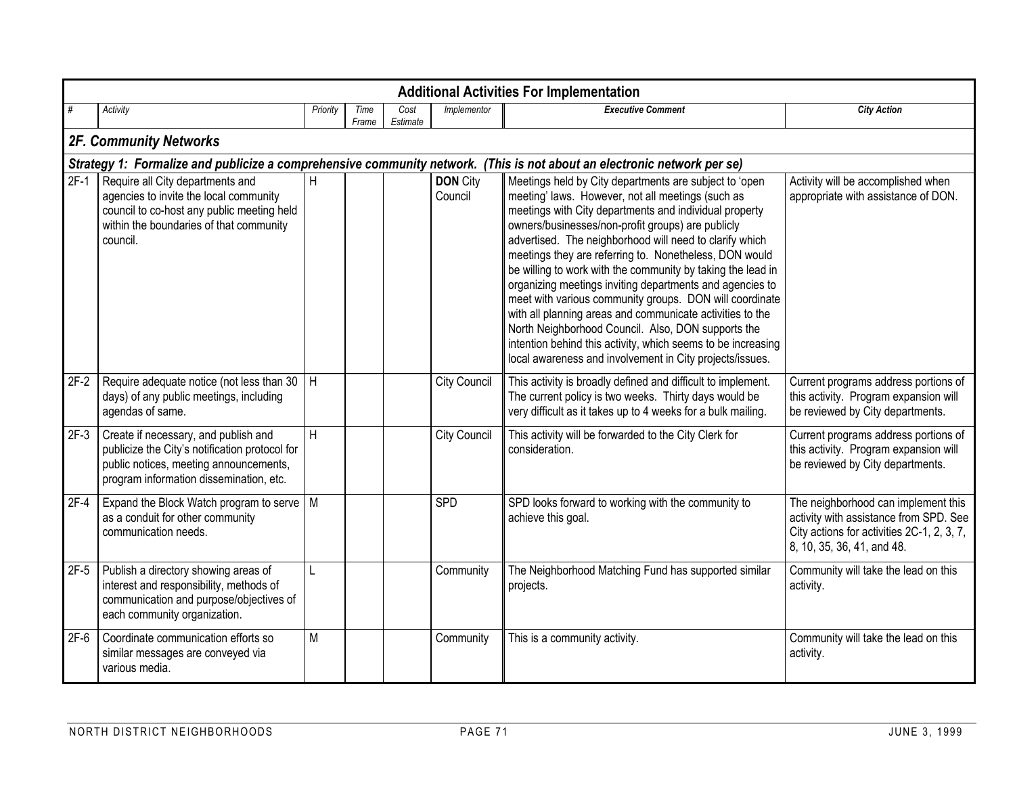|        | <b>Additional Activities For Implementation</b>                                                                                                                                      |                |               |                  |                            |                                                                                                                                                                                                                                                                                                                                                                                                                                                                                                                                                                                                                                                                                                                                                                                      |                                                                                                                                                           |  |  |  |  |  |  |  |
|--------|--------------------------------------------------------------------------------------------------------------------------------------------------------------------------------------|----------------|---------------|------------------|----------------------------|--------------------------------------------------------------------------------------------------------------------------------------------------------------------------------------------------------------------------------------------------------------------------------------------------------------------------------------------------------------------------------------------------------------------------------------------------------------------------------------------------------------------------------------------------------------------------------------------------------------------------------------------------------------------------------------------------------------------------------------------------------------------------------------|-----------------------------------------------------------------------------------------------------------------------------------------------------------|--|--|--|--|--|--|--|
| #      | Activity                                                                                                                                                                             | Priority       | Time<br>Frame | Cost<br>Estimate | Implementor                | <b>Executive Comment</b>                                                                                                                                                                                                                                                                                                                                                                                                                                                                                                                                                                                                                                                                                                                                                             | <b>City Action</b>                                                                                                                                        |  |  |  |  |  |  |  |
|        | 2F. Community Networks                                                                                                                                                               |                |               |                  |                            |                                                                                                                                                                                                                                                                                                                                                                                                                                                                                                                                                                                                                                                                                                                                                                                      |                                                                                                                                                           |  |  |  |  |  |  |  |
|        | Strategy 1: Formalize and publicize a comprehensive community network. (This is not about an electronic network per se)                                                              |                |               |                  |                            |                                                                                                                                                                                                                                                                                                                                                                                                                                                                                                                                                                                                                                                                                                                                                                                      |                                                                                                                                                           |  |  |  |  |  |  |  |
|        | 2F-1 Require all City departments and<br>agencies to invite the local community<br>council to co-host any public meeting held<br>within the boundaries of that community<br>council. | $\overline{H}$ |               |                  | <b>DON City</b><br>Council | Meetings held by City departments are subject to 'open<br>meeting' laws. However, not all meetings (such as<br>meetings with City departments and individual property<br>owners/businesses/non-profit groups) are publicly<br>advertised. The neighborhood will need to clarify which<br>meetings they are referring to. Nonetheless, DON would<br>be willing to work with the community by taking the lead in<br>organizing meetings inviting departments and agencies to<br>meet with various community groups. DON will coordinate<br>with all planning areas and communicate activities to the<br>North Neighborhood Council. Also, DON supports the<br>intention behind this activity, which seems to be increasing<br>local awareness and involvement in City projects/issues. | Activity will be accomplished when<br>appropriate with assistance of DON.                                                                                 |  |  |  |  |  |  |  |
| $2F-2$ | Require adequate notice (not less than 30 $\parallel$ H<br>days) of any public meetings, including<br>agendas of same.                                                               |                |               |                  | <b>City Council</b>        | This activity is broadly defined and difficult to implement.<br>The current policy is two weeks. Thirty days would be<br>very difficult as it takes up to 4 weeks for a bulk mailing.                                                                                                                                                                                                                                                                                                                                                                                                                                                                                                                                                                                                | Current programs address portions of<br>this activity. Program expansion will<br>be reviewed by City departments.                                         |  |  |  |  |  |  |  |
| $2F-3$ | Create if necessary, and publish and<br>publicize the City's notification protocol for<br>public notices, meeting announcements,<br>program information dissemination, etc.          | H              |               |                  | <b>City Council</b>        | This activity will be forwarded to the City Clerk for<br>consideration.                                                                                                                                                                                                                                                                                                                                                                                                                                                                                                                                                                                                                                                                                                              | Current programs address portions of<br>this activity. Program expansion will<br>be reviewed by City departments.                                         |  |  |  |  |  |  |  |
| $2F-4$ | Expand the Block Watch program to serve   M<br>as a conduit for other community<br>communication needs.                                                                              |                |               |                  | <b>SPD</b>                 | SPD looks forward to working with the community to<br>achieve this goal.                                                                                                                                                                                                                                                                                                                                                                                                                                                                                                                                                                                                                                                                                                             | The neighborhood can implement this<br>activity with assistance from SPD. See<br>City actions for activities 2C-1, 2, 3, 7,<br>8, 10, 35, 36, 41, and 48. |  |  |  |  |  |  |  |
| $2F-5$ | Publish a directory showing areas of<br>interest and responsibility, methods of<br>communication and purpose/objectives of<br>each community organization.                           | L              |               |                  | Community                  | The Neighborhood Matching Fund has supported similar<br>projects.                                                                                                                                                                                                                                                                                                                                                                                                                                                                                                                                                                                                                                                                                                                    | Community will take the lead on this<br>activity.                                                                                                         |  |  |  |  |  |  |  |
| $2F-6$ | Coordinate communication efforts so<br>similar messages are conveyed via<br>various media.                                                                                           | $\overline{M}$ |               |                  | Community                  | This is a community activity.                                                                                                                                                                                                                                                                                                                                                                                                                                                                                                                                                                                                                                                                                                                                                        | Community will take the lead on this<br>activity.                                                                                                         |  |  |  |  |  |  |  |